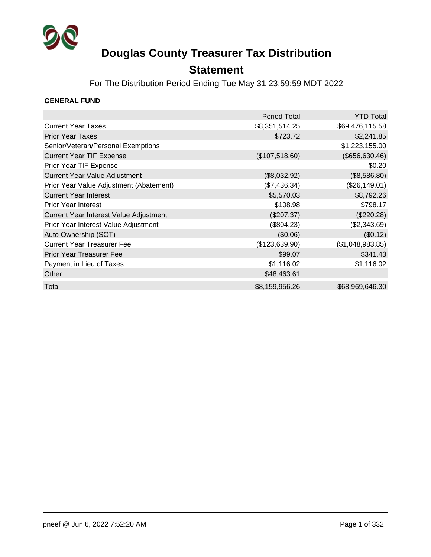

### **Statement**

For The Distribution Period Ending Tue May 31 23:59:59 MDT 2022

### **GENERAL FUND**

|                                         | <b>Period Total</b> | <b>YTD Total</b> |
|-----------------------------------------|---------------------|------------------|
| <b>Current Year Taxes</b>               | \$8,351,514.25      | \$69,476,115.58  |
| <b>Prior Year Taxes</b>                 | \$723.72            | \$2,241.85       |
| Senior/Veteran/Personal Exemptions      |                     | \$1,223,155.00   |
| <b>Current Year TIF Expense</b>         | (\$107,518.60)      | (\$656, 630.46)  |
| Prior Year TIF Expense                  |                     | \$0.20           |
| <b>Current Year Value Adjustment</b>    | (\$8,032.92)        | (\$8,586.80)     |
| Prior Year Value Adjustment (Abatement) | (\$7,436.34)        | (\$26,149.01)    |
| <b>Current Year Interest</b>            | \$5,570.03          | \$8,792.26       |
| <b>Prior Year Interest</b>              | \$108.98            | \$798.17         |
| Current Year Interest Value Adjustment  | (\$207.37)          | (\$220.28)       |
| Prior Year Interest Value Adjustment    | (\$804.23)          | (\$2,343.69)     |
| Auto Ownership (SOT)                    | (\$0.06)            | (\$0.12)         |
| <b>Current Year Treasurer Fee</b>       | (\$123,639.90)      | (\$1,048,983.85) |
| <b>Prior Year Treasurer Fee</b>         | \$99.07             | \$341.43         |
| Payment in Lieu of Taxes                | \$1,116.02          | \$1,116.02       |
| Other                                   | \$48,463.61         |                  |
| Total                                   | \$8,159,956.26      | \$68,969,646.30  |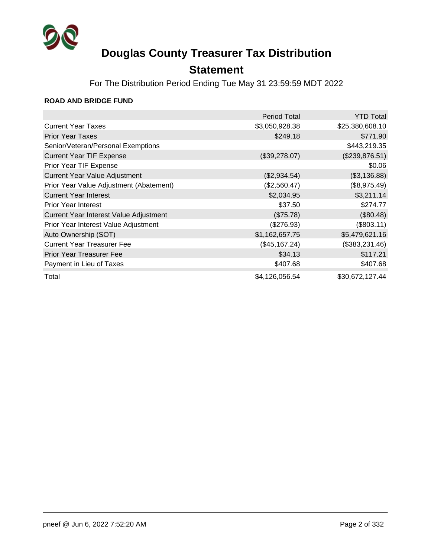

## **Statement**

For The Distribution Period Ending Tue May 31 23:59:59 MDT 2022

### **ROAD AND BRIDGE FUND**

|                                         | <b>Period Total</b> | <b>YTD Total</b> |
|-----------------------------------------|---------------------|------------------|
| <b>Current Year Taxes</b>               | \$3,050,928.38      | \$25,380,608.10  |
| <b>Prior Year Taxes</b>                 | \$249.18            | \$771.90         |
| Senior/Veteran/Personal Exemptions      |                     | \$443,219.35     |
| <b>Current Year TIF Expense</b>         | (\$39,278.07)       | (\$239,876.51)   |
| Prior Year TIF Expense                  |                     | \$0.06           |
| <b>Current Year Value Adjustment</b>    | (\$2,934.54)        | (\$3,136.88)     |
| Prior Year Value Adjustment (Abatement) | (\$2,560.47)        | (\$8,975.49)     |
| <b>Current Year Interest</b>            | \$2,034.95          | \$3,211.14       |
| <b>Prior Year Interest</b>              | \$37.50             | \$274.77         |
| Current Year Interest Value Adjustment  | (\$75.78)           | (\$80.48)        |
| Prior Year Interest Value Adjustment    | (\$276.93)          | (\$803.11)       |
| Auto Ownership (SOT)                    | \$1,162,657.75      | \$5,479,621.16   |
| <b>Current Year Treasurer Fee</b>       | (\$45,167.24)       | (\$383,231.46)   |
| <b>Prior Year Treasurer Fee</b>         | \$34.13             | \$117.21         |
| Payment in Lieu of Taxes                | \$407.68            | \$407.68         |
| Total                                   | \$4,126,056.54      | \$30,672,127.44  |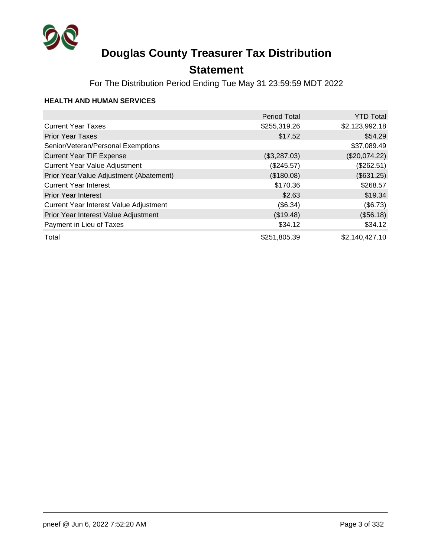

## **Statement**

For The Distribution Period Ending Tue May 31 23:59:59 MDT 2022

### **HEALTH AND HUMAN SERVICES**

|                                         | <b>Period Total</b> | <b>YTD Total</b> |
|-----------------------------------------|---------------------|------------------|
| <b>Current Year Taxes</b>               | \$255,319.26        | \$2,123,992.18   |
| <b>Prior Year Taxes</b>                 | \$17.52             | \$54.29          |
| Senior/Veteran/Personal Exemptions      |                     | \$37,089.49      |
| <b>Current Year TIF Expense</b>         | (\$3,287.03)        | (\$20,074.22)    |
| <b>Current Year Value Adjustment</b>    | (\$245.57)          | (\$262.51)       |
| Prior Year Value Adjustment (Abatement) | (\$180.08)          | (\$631.25)       |
| <b>Current Year Interest</b>            | \$170.36            | \$268.57         |
| <b>Prior Year Interest</b>              | \$2.63              | \$19.34          |
| Current Year Interest Value Adjustment  | (\$6.34)            | (\$6.73)         |
| Prior Year Interest Value Adjustment    | (\$19.48)           | (\$56.18)        |
| Payment in Lieu of Taxes                | \$34.12             | \$34.12          |
| Total                                   | \$251,805.39        | \$2,140,427.10   |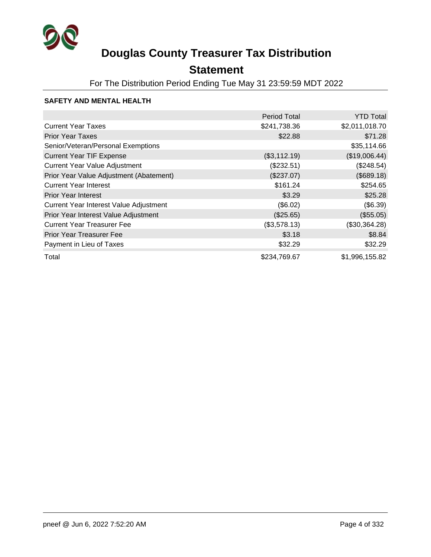

## **Statement**

For The Distribution Period Ending Tue May 31 23:59:59 MDT 2022

### **SAFETY AND MENTAL HEALTH**

|                                         | <b>Period Total</b> | <b>YTD Total</b> |
|-----------------------------------------|---------------------|------------------|
| <b>Current Year Taxes</b>               | \$241,738.36        | \$2,011,018.70   |
| <b>Prior Year Taxes</b>                 | \$22.88             | \$71.28          |
| Senior/Veteran/Personal Exemptions      |                     | \$35,114.66      |
| <b>Current Year TIF Expense</b>         | (\$3,112.19)        | (\$19,006.44)    |
| <b>Current Year Value Adjustment</b>    | (\$232.51)          | (\$248.54)       |
| Prior Year Value Adjustment (Abatement) | (\$237.07)          | (\$689.18)       |
| <b>Current Year Interest</b>            | \$161.24            | \$254.65         |
| <b>Prior Year Interest</b>              | \$3.29              | \$25.28          |
| Current Year Interest Value Adjustment  | (\$6.02)            | (\$6.39)         |
| Prior Year Interest Value Adjustment    | (\$25.65)           | (\$55.05)        |
| <b>Current Year Treasurer Fee</b>       | (\$3,578.13)        | (\$30,364.28)    |
| <b>Prior Year Treasurer Fee</b>         | \$3.18              | \$8.84           |
| Payment in Lieu of Taxes                | \$32.29             | \$32.29          |
| Total                                   | \$234,769.67        | \$1,996,155.82   |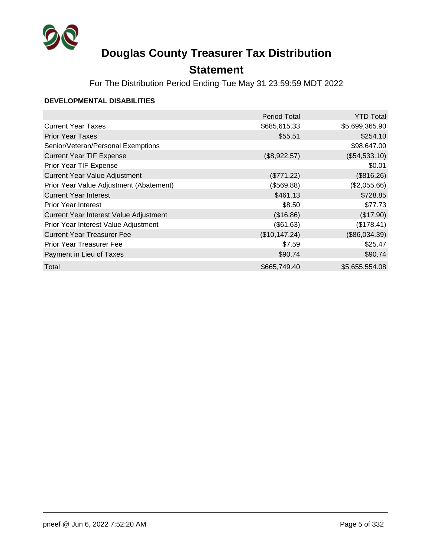

## **Statement**

For The Distribution Period Ending Tue May 31 23:59:59 MDT 2022

#### **DEVELOPMENTAL DISABILITIES**

|                                         | <b>Period Total</b> | <b>YTD Total</b> |
|-----------------------------------------|---------------------|------------------|
| <b>Current Year Taxes</b>               | \$685,615.33        | \$5,699,365.90   |
| <b>Prior Year Taxes</b>                 | \$55.51             | \$254.10         |
| Senior/Veteran/Personal Exemptions      |                     | \$98,647.00      |
| <b>Current Year TIF Expense</b>         | (\$8,922.57)        | (\$54,533.10)    |
| Prior Year TIF Expense                  |                     | \$0.01           |
| <b>Current Year Value Adjustment</b>    | (\$771.22)          | (\$816.26)       |
| Prior Year Value Adjustment (Abatement) | (\$569.88)          | (\$2,055.66)     |
| <b>Current Year Interest</b>            | \$461.13            | \$728.85         |
| <b>Prior Year Interest</b>              | \$8.50              | \$77.73          |
| Current Year Interest Value Adjustment  | (\$16.86)           | (\$17.90)        |
| Prior Year Interest Value Adjustment    | (\$61.63)           | (\$178.41)       |
| <b>Current Year Treasurer Fee</b>       | (\$10,147.24)       | (\$86,034.39)    |
| Prior Year Treasurer Fee                | \$7.59              | \$25.47          |
| Payment in Lieu of Taxes                | \$90.74             | \$90.74          |
| Total                                   | \$665,749.40        | \$5,655,554.08   |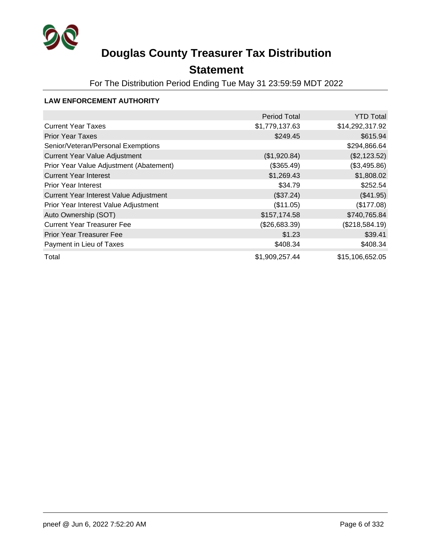

## **Statement**

For The Distribution Period Ending Tue May 31 23:59:59 MDT 2022

### **LAW ENFORCEMENT AUTHORITY**

|                                         | <b>Period Total</b> | <b>YTD Total</b> |
|-----------------------------------------|---------------------|------------------|
| <b>Current Year Taxes</b>               | \$1,779,137.63      | \$14,292,317.92  |
| <b>Prior Year Taxes</b>                 | \$249.45            | \$615.94         |
| Senior/Veteran/Personal Exemptions      |                     | \$294,866.64     |
| <b>Current Year Value Adjustment</b>    | (\$1,920.84)        | (\$2,123.52)     |
| Prior Year Value Adjustment (Abatement) | (\$365.49)          | (\$3,495.86)     |
| <b>Current Year Interest</b>            | \$1,269.43          | \$1,808.02       |
| <b>Prior Year Interest</b>              | \$34.79             | \$252.54         |
| Current Year Interest Value Adjustment  | (\$37.24)           | (\$41.95)        |
| Prior Year Interest Value Adjustment    | (\$11.05)           | (\$177.08)       |
| Auto Ownership (SOT)                    | \$157,174.58        | \$740,765.84     |
| <b>Current Year Treasurer Fee</b>       | (\$26,683.39)       | (\$218,584.19)   |
| <b>Prior Year Treasurer Fee</b>         | \$1.23              | \$39.41          |
| Payment in Lieu of Taxes                | \$408.34            | \$408.34         |
| Total                                   | \$1,909,257.44      | \$15,106,652.05  |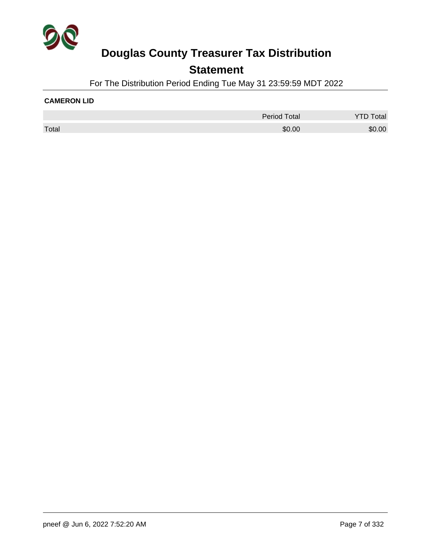

### **Statement**

For The Distribution Period Ending Tue May 31 23:59:59 MDT 2022

#### **CAMERON LID**

|       | <b>Period Total</b> | Total  |
|-------|---------------------|--------|
| Total | \$0.00              | \$0.00 |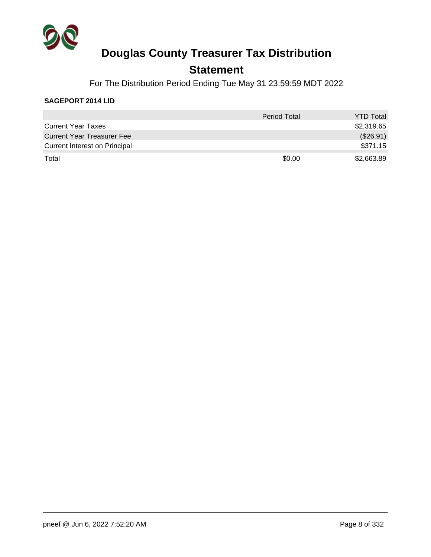

### **Statement**

For The Distribution Period Ending Tue May 31 23:59:59 MDT 2022

### **SAGEPORT 2014 LID**

|                                   | <b>Period Total</b> | <b>YTD Total</b> |
|-----------------------------------|---------------------|------------------|
| <b>Current Year Taxes</b>         |                     | \$2,319.65       |
| <b>Current Year Treasurer Fee</b> |                     | (\$26.91)        |
| Current Interest on Principal     |                     | \$371.15         |
| Total                             | \$0.00              | \$2,663.89       |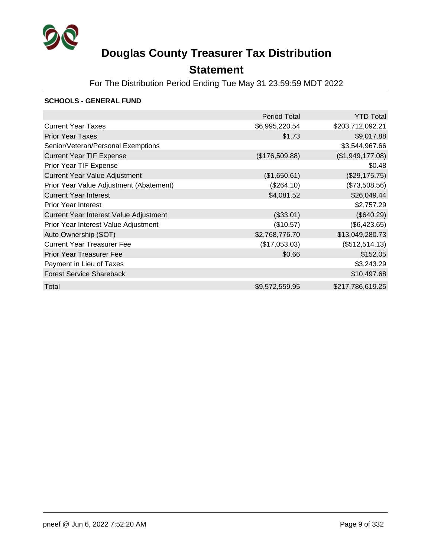

## **Statement**

For The Distribution Period Ending Tue May 31 23:59:59 MDT 2022

#### **SCHOOLS - GENERAL FUND**

|                                         | <b>Period Total</b> | <b>YTD Total</b> |
|-----------------------------------------|---------------------|------------------|
| <b>Current Year Taxes</b>               | \$6,995,220.54      | \$203,712,092.21 |
| <b>Prior Year Taxes</b>                 | \$1.73              | \$9,017.88       |
| Senior/Veteran/Personal Exemptions      |                     | \$3,544,967.66   |
| <b>Current Year TIF Expense</b>         | (\$176,509.88)      | (\$1,949,177.08) |
| Prior Year TIF Expense                  |                     | \$0.48           |
| <b>Current Year Value Adjustment</b>    | (\$1,650.61)        | (\$29,175.75)    |
| Prior Year Value Adjustment (Abatement) | (\$264.10)          | (\$73,508.56)    |
| <b>Current Year Interest</b>            | \$4,081.52          | \$26,049.44      |
| <b>Prior Year Interest</b>              |                     | \$2,757.29       |
| Current Year Interest Value Adjustment  | (\$33.01)           | (\$640.29)       |
| Prior Year Interest Value Adjustment    | (\$10.57)           | (\$6,423.65)     |
| Auto Ownership (SOT)                    | \$2,768,776.70      | \$13,049,280.73  |
| <b>Current Year Treasurer Fee</b>       | (\$17,053.03)       | (\$512,514.13)   |
| <b>Prior Year Treasurer Fee</b>         | \$0.66              | \$152.05         |
| Payment in Lieu of Taxes                |                     | \$3,243.29       |
| <b>Forest Service Shareback</b>         |                     | \$10,497.68      |
| Total                                   | \$9,572,559.95      | \$217,786,619.25 |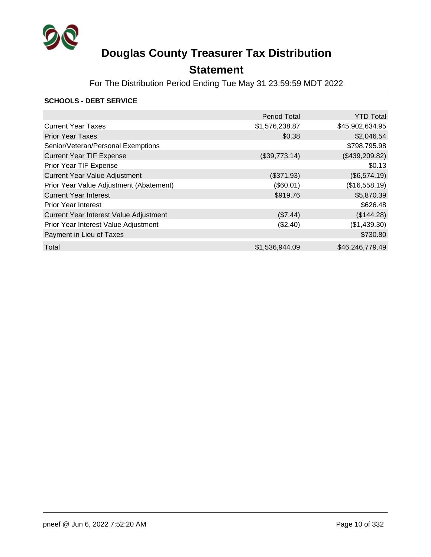

## **Statement**

For The Distribution Period Ending Tue May 31 23:59:59 MDT 2022

#### **SCHOOLS - DEBT SERVICE**

|                                         | <b>Period Total</b> | <b>YTD Total</b> |
|-----------------------------------------|---------------------|------------------|
| <b>Current Year Taxes</b>               | \$1,576,238.87      | \$45,902,634.95  |
| <b>Prior Year Taxes</b>                 | \$0.38              | \$2,046.54       |
| Senior/Veteran/Personal Exemptions      |                     | \$798,795.98     |
| <b>Current Year TIF Expense</b>         | (\$39,773.14)       | (\$439,209.82)   |
| Prior Year TIF Expense                  |                     | \$0.13           |
| <b>Current Year Value Adjustment</b>    | (\$371.93)          | (\$6,574.19)     |
| Prior Year Value Adjustment (Abatement) | (\$60.01)           | (\$16,558.19)    |
| <b>Current Year Interest</b>            | \$919.76            | \$5,870.39       |
| <b>Prior Year Interest</b>              |                     | \$626.48         |
| Current Year Interest Value Adjustment  | (\$7.44)            | (\$144.28)       |
| Prior Year Interest Value Adjustment    | (\$2.40)            | (\$1,439.30)     |
| Payment in Lieu of Taxes                |                     | \$730.80         |
| Total                                   | \$1,536,944.09      | \$46,246,779.49  |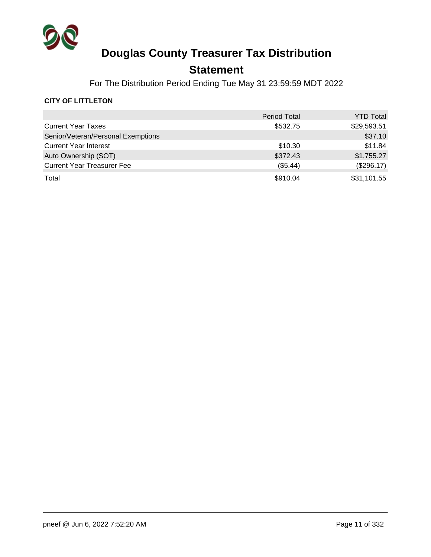

## **Statement**

For The Distribution Period Ending Tue May 31 23:59:59 MDT 2022

### **CITY OF LITTLETON**

|                                    | <b>Period Total</b> | <b>YTD Total</b> |
|------------------------------------|---------------------|------------------|
| <b>Current Year Taxes</b>          | \$532.75            | \$29,593.51      |
| Senior/Veteran/Personal Exemptions |                     | \$37.10          |
| <b>Current Year Interest</b>       | \$10.30             | \$11.84          |
| Auto Ownership (SOT)               | \$372.43            | \$1,755.27       |
| <b>Current Year Treasurer Fee</b>  | (\$5.44)            | (\$296.17)       |
| Total                              | \$910.04            | \$31,101.55      |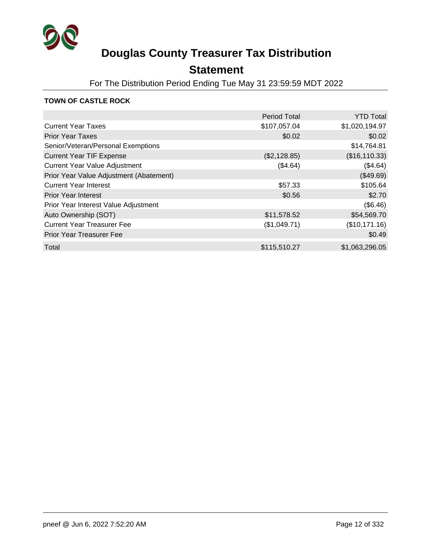

## **Statement**

For The Distribution Period Ending Tue May 31 23:59:59 MDT 2022

### **TOWN OF CASTLE ROCK**

|                                         | <b>Period Total</b> | <b>YTD Total</b> |
|-----------------------------------------|---------------------|------------------|
| <b>Current Year Taxes</b>               | \$107,057.04        | \$1,020,194.97   |
| <b>Prior Year Taxes</b>                 | \$0.02              | \$0.02           |
| Senior/Veteran/Personal Exemptions      |                     | \$14,764.81      |
| <b>Current Year TIF Expense</b>         | (\$2,128.85)        | (\$16,110.33)    |
| <b>Current Year Value Adjustment</b>    | (\$4.64)            | (\$4.64)         |
| Prior Year Value Adjustment (Abatement) |                     | (\$49.69)        |
| <b>Current Year Interest</b>            | \$57.33             | \$105.64         |
| <b>Prior Year Interest</b>              | \$0.56              | \$2.70           |
| Prior Year Interest Value Adjustment    |                     | (\$6.46)         |
| Auto Ownership (SOT)                    | \$11,578.52         | \$54,569.70      |
| <b>Current Year Treasurer Fee</b>       | (\$1,049.71)        | (\$10,171.16)    |
| <b>Prior Year Treasurer Fee</b>         |                     | \$0.49           |
| Total                                   | \$115,510.27        | \$1,063,296.05   |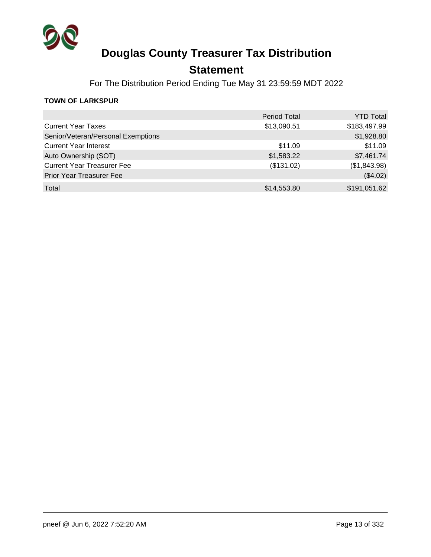

## **Statement**

For The Distribution Period Ending Tue May 31 23:59:59 MDT 2022

### **TOWN OF LARKSPUR**

|                                    | <b>Period Total</b> | <b>YTD Total</b> |
|------------------------------------|---------------------|------------------|
| <b>Current Year Taxes</b>          | \$13,090.51         | \$183,497.99     |
| Senior/Veteran/Personal Exemptions |                     | \$1,928.80       |
| <b>Current Year Interest</b>       | \$11.09             | \$11.09          |
| Auto Ownership (SOT)               | \$1,583.22          | \$7,461.74       |
| <b>Current Year Treasurer Fee</b>  | (\$131.02)          | (\$1,843.98)     |
| <b>Prior Year Treasurer Fee</b>    |                     | (\$4.02)         |
| Total                              | \$14,553.80         | \$191,051.62     |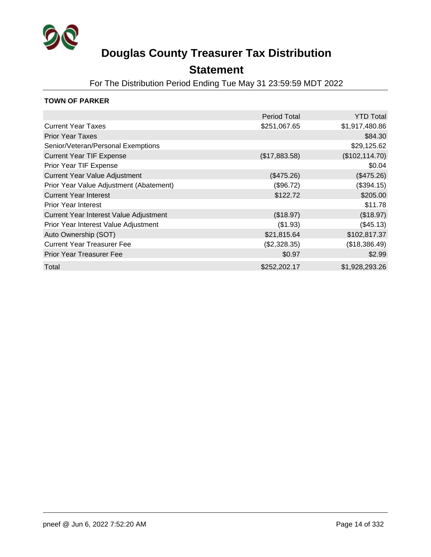

### **Statement**

For The Distribution Period Ending Tue May 31 23:59:59 MDT 2022

### **TOWN OF PARKER**

|                                         | <b>Period Total</b> | <b>YTD Total</b> |
|-----------------------------------------|---------------------|------------------|
| <b>Current Year Taxes</b>               | \$251,067.65        | \$1,917,480.86   |
| <b>Prior Year Taxes</b>                 |                     | \$84.30          |
| Senior/Veteran/Personal Exemptions      |                     | \$29,125.62      |
| <b>Current Year TIF Expense</b>         | (\$17,883.58)       | (\$102, 114.70)  |
| Prior Year TIF Expense                  |                     | \$0.04           |
| <b>Current Year Value Adjustment</b>    | (\$475.26)          | (\$475.26)       |
| Prior Year Value Adjustment (Abatement) | (\$96.72)           | (\$394.15)       |
| <b>Current Year Interest</b>            | \$122.72            | \$205.00         |
| <b>Prior Year Interest</b>              |                     | \$11.78          |
| Current Year Interest Value Adjustment  | (\$18.97)           | (\$18.97)        |
| Prior Year Interest Value Adjustment    | (\$1.93)            | (\$45.13)        |
| Auto Ownership (SOT)                    | \$21,815.64         | \$102,817.37     |
| <b>Current Year Treasurer Fee</b>       | (\$2,328.35)        | (\$18,386.49)    |
| <b>Prior Year Treasurer Fee</b>         | \$0.97              | \$2.99           |
| Total                                   | \$252,202.17        | \$1,928,293.26   |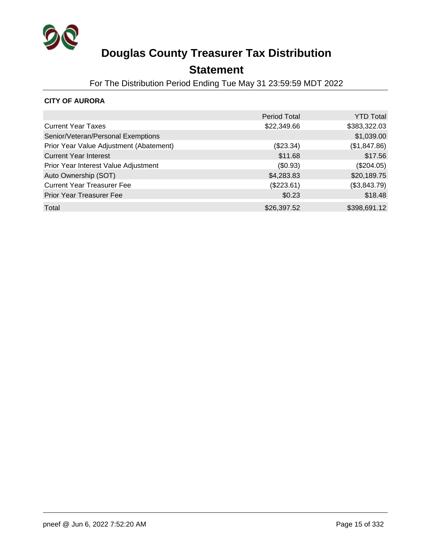

## **Statement**

For The Distribution Period Ending Tue May 31 23:59:59 MDT 2022

### **CITY OF AURORA**

|                                         | <b>Period Total</b> | <b>YTD Total</b> |
|-----------------------------------------|---------------------|------------------|
| <b>Current Year Taxes</b>               | \$22,349.66         | \$383,322.03     |
| Senior/Veteran/Personal Exemptions      |                     | \$1,039.00       |
| Prior Year Value Adjustment (Abatement) | (\$23.34)           | (\$1,847.86)     |
| <b>Current Year Interest</b>            | \$11.68             | \$17.56          |
| Prior Year Interest Value Adjustment    | (\$0.93)            | (\$204.05)       |
| Auto Ownership (SOT)                    | \$4,283.83          | \$20,189.75      |
| <b>Current Year Treasurer Fee</b>       | $(\$223.61)$        | (\$3,843.79)     |
| Prior Year Treasurer Fee                | \$0.23              | \$18.48          |
| Total                                   | \$26,397.52         | \$398,691.12     |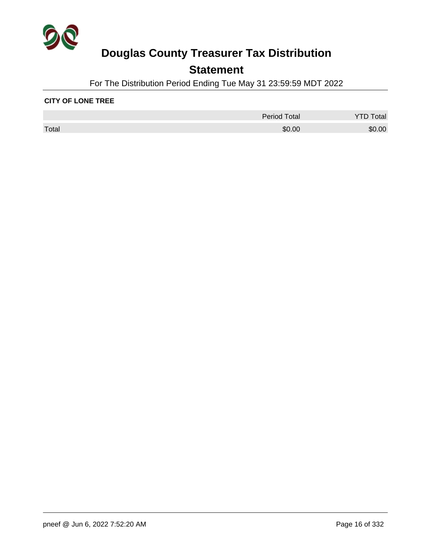

## **Statement**

For The Distribution Period Ending Tue May 31 23:59:59 MDT 2022

#### **CITY OF LONE TREE**

|       | <b>Period Total</b> | Total  |
|-------|---------------------|--------|
| Total | \$0.00              | \$0.00 |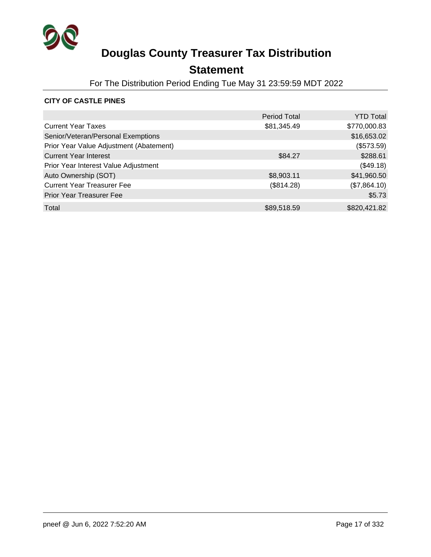

## **Statement**

For The Distribution Period Ending Tue May 31 23:59:59 MDT 2022

### **CITY OF CASTLE PINES**

|                                         | <b>Period Total</b> | <b>YTD Total</b> |
|-----------------------------------------|---------------------|------------------|
| <b>Current Year Taxes</b>               | \$81,345.49         | \$770,000.83     |
| Senior/Veteran/Personal Exemptions      |                     | \$16,653.02      |
| Prior Year Value Adjustment (Abatement) |                     | (\$573.59)       |
| <b>Current Year Interest</b>            | \$84.27             | \$288.61         |
| Prior Year Interest Value Adjustment    |                     | (\$49.18)        |
| Auto Ownership (SOT)                    | \$8,903.11          | \$41,960.50      |
| <b>Current Year Treasurer Fee</b>       | (\$814.28)          | (\$7,864.10)     |
| <b>Prior Year Treasurer Fee</b>         |                     | \$5.73           |
| Total                                   | \$89,518.59         | \$820,421.82     |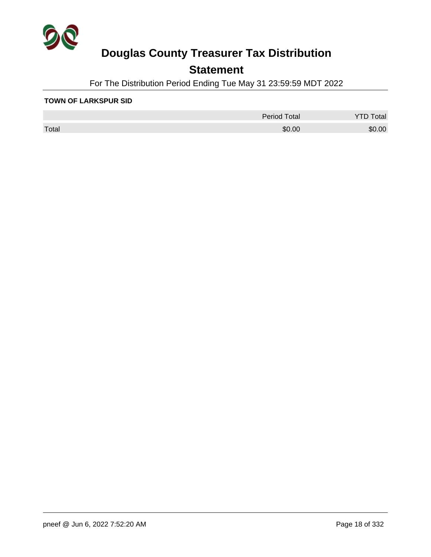

## **Statement**

For The Distribution Period Ending Tue May 31 23:59:59 MDT 2022

#### **TOWN OF LARKSPUR SID**

|       | <b>Period Total</b> | otal   |
|-------|---------------------|--------|
| Total | \$0.00              | \$0.00 |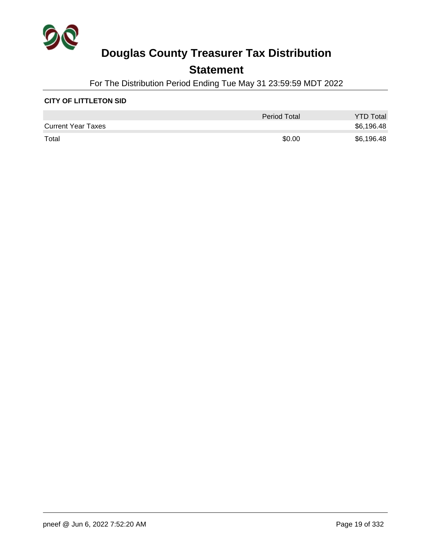

### **Statement**

For The Distribution Period Ending Tue May 31 23:59:59 MDT 2022

### **CITY OF LITTLETON SID**

|                           | <b>Period Total</b> | <b>YTD Total</b> |
|---------------------------|---------------------|------------------|
| <b>Current Year Taxes</b> |                     | \$6,196.48       |
| Total                     | \$0.00              | \$6,196.48       |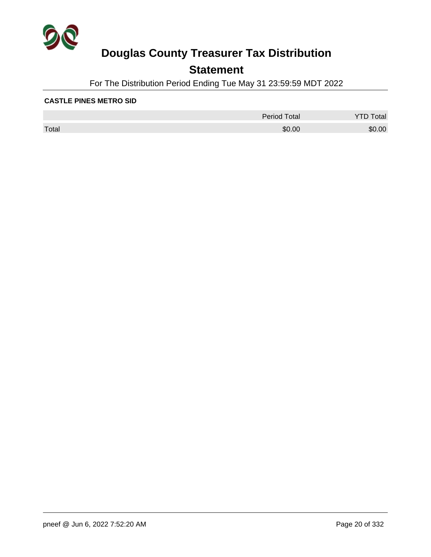

## **Statement**

For The Distribution Period Ending Tue May 31 23:59:59 MDT 2022

#### **CASTLE PINES METRO SID**

|       | <b>Period Total</b> | otal   |
|-------|---------------------|--------|
| Total | \$0.00              | \$0.00 |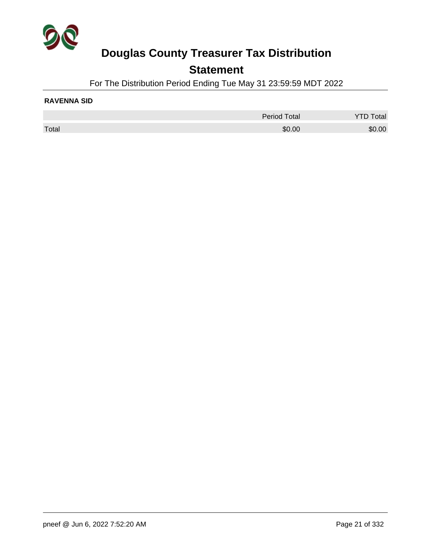

### **Statement**

For The Distribution Period Ending Tue May 31 23:59:59 MDT 2022

#### **RAVENNA SID**

|       | <b>Period Total</b> | otal   |
|-------|---------------------|--------|
| Total | \$0.00              | \$0.00 |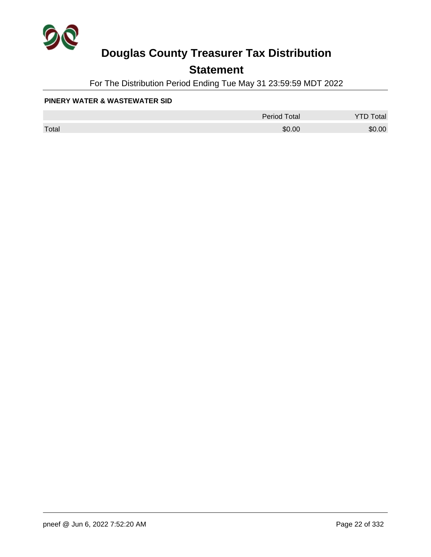

## **Statement**

For The Distribution Period Ending Tue May 31 23:59:59 MDT 2022

#### **PINERY WATER & WASTEWATER SID**

|       | <b>Period Total</b> | otal   |
|-------|---------------------|--------|
| Total | \$0.00              | \$0.00 |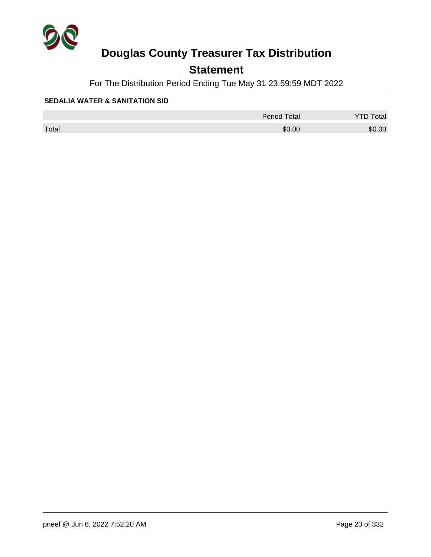

## **Statement**

For The Distribution Period Ending Tue May 31 23:59:59 MDT 2022

#### **SEDALIA WATER & SANITATION SID**

|       | <b>Period Total</b> | otal<br>້ |
|-------|---------------------|-----------|
| Total | \$0.00              | \$0.00    |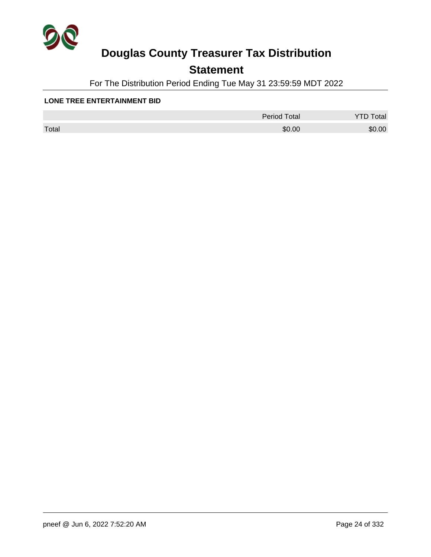

## **Statement**

For The Distribution Period Ending Tue May 31 23:59:59 MDT 2022

#### **LONE TREE ENTERTAINMENT BID**

|       | Period Total | otal<br>◡ |
|-------|--------------|-----------|
| Total | \$0.00       | \$0.00    |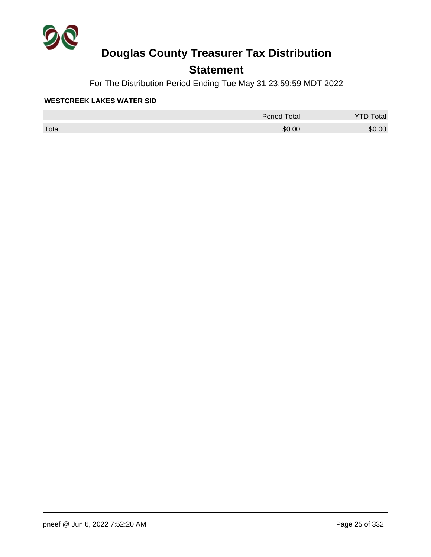

## **Statement**

For The Distribution Period Ending Tue May 31 23:59:59 MDT 2022

#### **WESTCREEK LAKES WATER SID**

|       | Period Total | otal<br>◡ |
|-------|--------------|-----------|
| Total | \$0.00       | \$0.00    |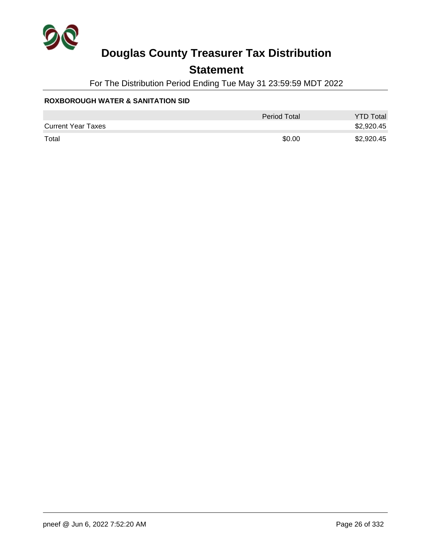

## **Statement**

For The Distribution Period Ending Tue May 31 23:59:59 MDT 2022

### **ROXBOROUGH WATER & SANITATION SID**

|                           | Period Total | <b>YTD Total</b> |
|---------------------------|--------------|------------------|
| <b>Current Year Taxes</b> |              | \$2,920.45       |
| Total                     | \$0.00       | \$2,920.45       |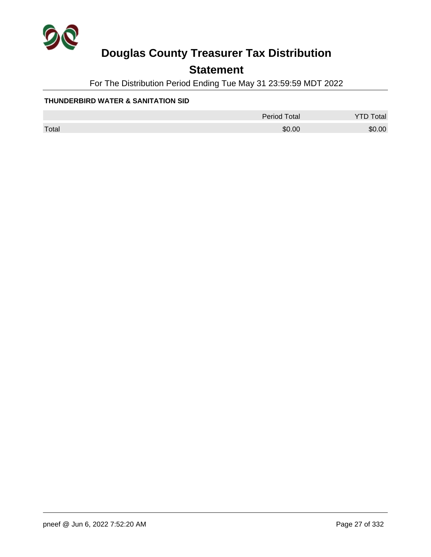

## **Statement**

For The Distribution Period Ending Tue May 31 23:59:59 MDT 2022

### **THUNDERBIRD WATER & SANITATION SID**

|       | <b>Period Total</b> | <b>YTD Total</b> |
|-------|---------------------|------------------|
| Total | \$0.00              | \$0.00           |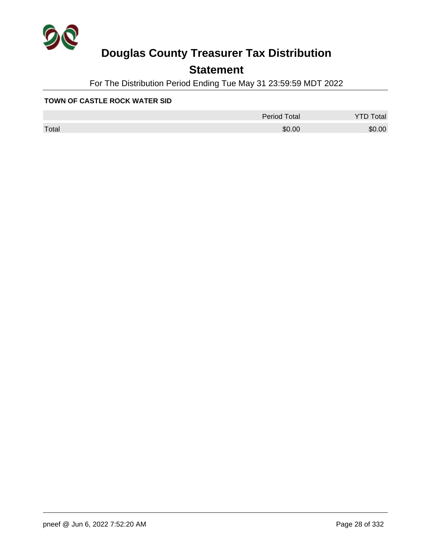

## **Statement**

For The Distribution Period Ending Tue May 31 23:59:59 MDT 2022

#### **TOWN OF CASTLE ROCK WATER SID**

|       | Period Total | otal<br>◡ |
|-------|--------------|-----------|
| Total | \$0.00       | \$0.00    |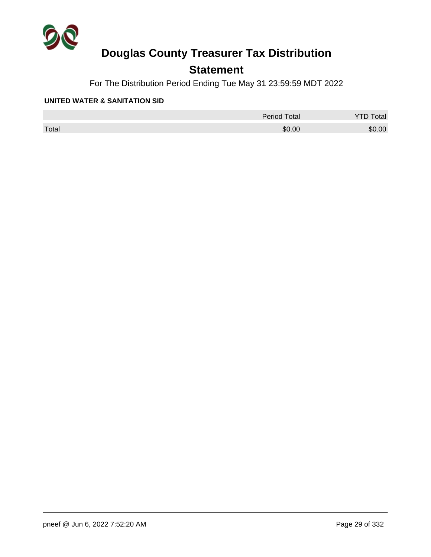

## **Statement**

For The Distribution Period Ending Tue May 31 23:59:59 MDT 2022

#### **UNITED WATER & SANITATION SID**

|       | <b>Period Total</b> | otal   |
|-------|---------------------|--------|
| Total | \$0.00              | \$0.00 |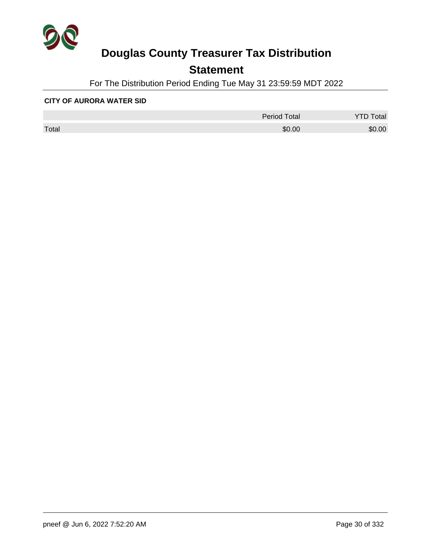

## **Statement**

For The Distribution Period Ending Tue May 31 23:59:59 MDT 2022

#### **CITY OF AURORA WATER SID**

|       | Period Total | otal<br>◡ |
|-------|--------------|-----------|
| Total | \$0.00       | \$0.00    |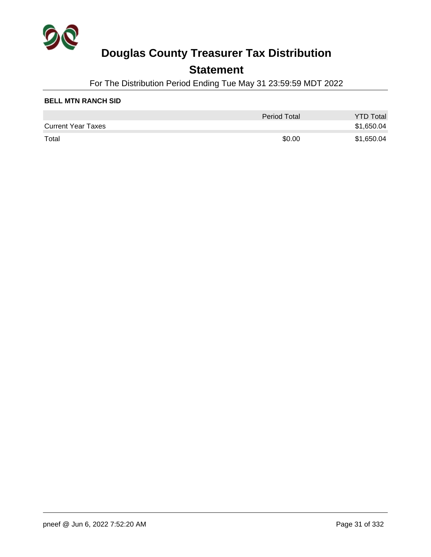

### **Statement**

For The Distribution Period Ending Tue May 31 23:59:59 MDT 2022

### **BELL MTN RANCH SID**

|                           | <b>Period Total</b> | <b>YTD Total</b> |
|---------------------------|---------------------|------------------|
| <b>Current Year Taxes</b> |                     | \$1,650.04       |
| Total                     | \$0.00              | \$1,650.04       |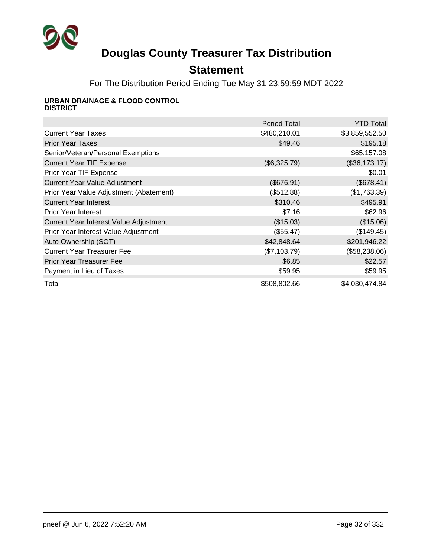

## **Statement**

For The Distribution Period Ending Tue May 31 23:59:59 MDT 2022

#### **URBAN DRAINAGE & FLOOD CONTROL DISTRICT**

|                                         | <b>Period Total</b> | <b>YTD Total</b> |
|-----------------------------------------|---------------------|------------------|
| <b>Current Year Taxes</b>               | \$480,210.01        | \$3,859,552.50   |
| <b>Prior Year Taxes</b>                 | \$49.46             | \$195.18         |
| Senior/Veteran/Personal Exemptions      |                     | \$65,157.08      |
| <b>Current Year TIF Expense</b>         | (\$6,325.79)        | (\$36,173.17)    |
| Prior Year TIF Expense                  |                     | \$0.01           |
| <b>Current Year Value Adjustment</b>    | (\$676.91)          | (\$678.41)       |
| Prior Year Value Adjustment (Abatement) | (\$512.88)          | (\$1,763.39)     |
| <b>Current Year Interest</b>            | \$310.46            | \$495.91         |
| <b>Prior Year Interest</b>              | \$7.16              | \$62.96          |
| Current Year Interest Value Adjustment  | (\$15.03)           | (\$15.06)        |
| Prior Year Interest Value Adjustment    | (\$55.47)           | (\$149.45)       |
| Auto Ownership (SOT)                    | \$42,848.64         | \$201,946.22     |
| <b>Current Year Treasurer Fee</b>       | (\$7,103.79)        | (\$58,238.06)    |
| <b>Prior Year Treasurer Fee</b>         | \$6.85              | \$22.57          |
| Payment in Lieu of Taxes                | \$59.95             | \$59.95          |
| Total                                   | \$508,802.66        | \$4,030,474.84   |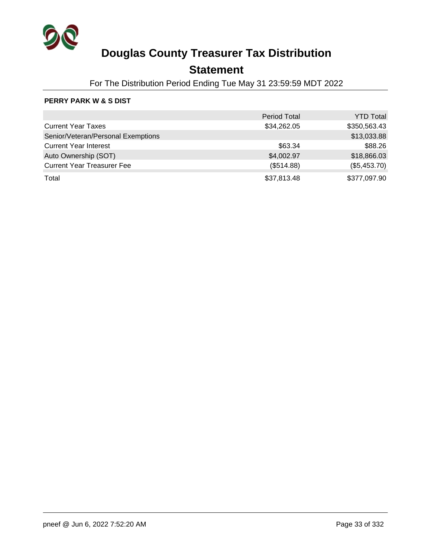

## **Statement**

For The Distribution Period Ending Tue May 31 23:59:59 MDT 2022

### **PERRY PARK W & S DIST**

|                                    | <b>Period Total</b> | <b>YTD Total</b> |
|------------------------------------|---------------------|------------------|
| <b>Current Year Taxes</b>          | \$34,262.05         | \$350,563.43     |
| Senior/Veteran/Personal Exemptions |                     | \$13,033.88      |
| <b>Current Year Interest</b>       | \$63.34             | \$88.26          |
| Auto Ownership (SOT)               | \$4,002.97          | \$18,866.03      |
| <b>Current Year Treasurer Fee</b>  | (\$514.88)          | (\$5,453.70)     |
| Total                              | \$37,813.48         | \$377,097.90     |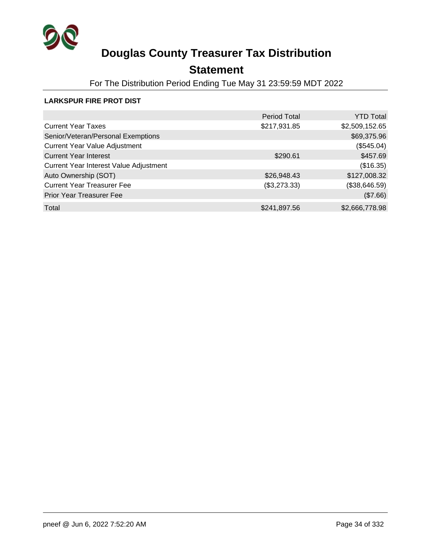

## **Statement**

For The Distribution Period Ending Tue May 31 23:59:59 MDT 2022

### **LARKSPUR FIRE PROT DIST**

|                                        | <b>Period Total</b> | YTD Total      |
|----------------------------------------|---------------------|----------------|
| <b>Current Year Taxes</b>              | \$217,931.85        | \$2,509,152.65 |
| Senior/Veteran/Personal Exemptions     |                     | \$69,375.96    |
| <b>Current Year Value Adjustment</b>   |                     | (\$545.04)     |
| <b>Current Year Interest</b>           | \$290.61            | \$457.69       |
| Current Year Interest Value Adjustment |                     | (\$16.35)      |
| Auto Ownership (SOT)                   | \$26,948.43         | \$127,008.32   |
| <b>Current Year Treasurer Fee</b>      | (\$3,273.33)        | (\$38,646.59)  |
| Prior Year Treasurer Fee               |                     | (\$7.66)       |
| Total                                  | \$241,897.56        | \$2,666,778.98 |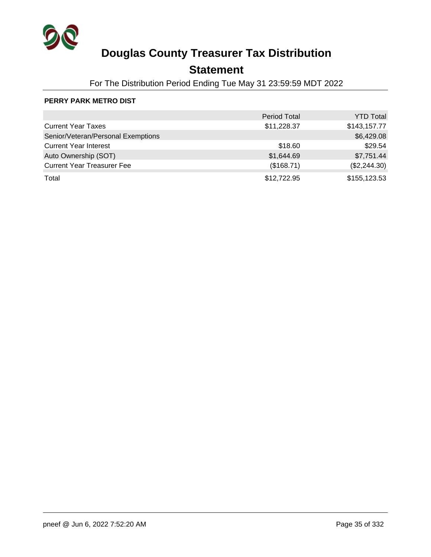

## **Statement**

For The Distribution Period Ending Tue May 31 23:59:59 MDT 2022

### **PERRY PARK METRO DIST**

|                                    | <b>Period Total</b> | <b>YTD Total</b> |
|------------------------------------|---------------------|------------------|
| <b>Current Year Taxes</b>          | \$11,228.37         | \$143,157.77     |
| Senior/Veteran/Personal Exemptions |                     | \$6,429.08       |
| <b>Current Year Interest</b>       | \$18.60             | \$29.54          |
| Auto Ownership (SOT)               | \$1,644.69          | \$7,751.44       |
| <b>Current Year Treasurer Fee</b>  | (\$168.71)          | (\$2,244.30)     |
| Total                              | \$12,722.95         | \$155,123.53     |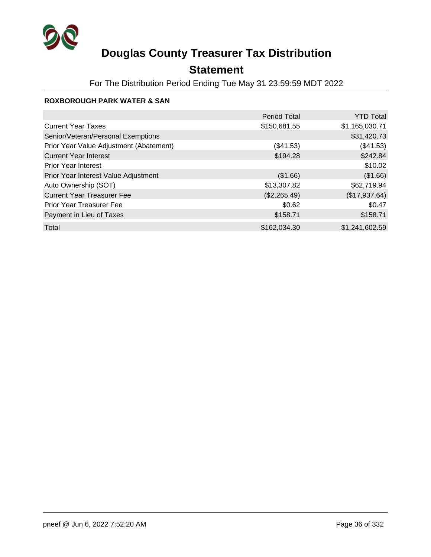

## **Statement**

For The Distribution Period Ending Tue May 31 23:59:59 MDT 2022

### **ROXBOROUGH PARK WATER & SAN**

|                                         | <b>Period Total</b> | <b>YTD Total</b> |
|-----------------------------------------|---------------------|------------------|
| <b>Current Year Taxes</b>               | \$150,681.55        | \$1,165,030.71   |
| Senior/Veteran/Personal Exemptions      |                     | \$31,420.73      |
| Prior Year Value Adjustment (Abatement) | (\$41.53)           | (\$41.53)        |
| <b>Current Year Interest</b>            | \$194.28            | \$242.84         |
| <b>Prior Year Interest</b>              |                     | \$10.02          |
| Prior Year Interest Value Adjustment    | (\$1.66)            | (\$1.66)         |
| Auto Ownership (SOT)                    | \$13,307.82         | \$62,719.94      |
| <b>Current Year Treasurer Fee</b>       | (\$2,265.49)        | (\$17,937.64)    |
| <b>Prior Year Treasurer Fee</b>         | \$0.62              | \$0.47           |
| Payment in Lieu of Taxes                | \$158.71            | \$158.71         |
| Total                                   | \$162,034.30        | \$1,241,602.59   |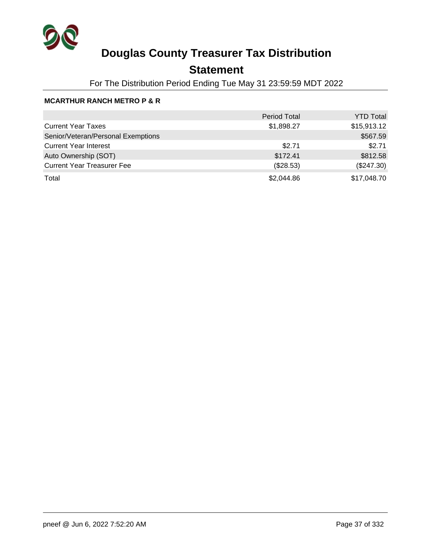

## **Statement**

For The Distribution Period Ending Tue May 31 23:59:59 MDT 2022

### **MCARTHUR RANCH METRO P & R**

|                                    | <b>Period Total</b> | <b>YTD Total</b> |
|------------------------------------|---------------------|------------------|
| <b>Current Year Taxes</b>          | \$1,898.27          | \$15,913.12      |
| Senior/Veteran/Personal Exemptions |                     | \$567.59         |
| <b>Current Year Interest</b>       | \$2.71              | \$2.71           |
| Auto Ownership (SOT)               | \$172.41            | \$812.58         |
| <b>Current Year Treasurer Fee</b>  | (\$28.53)           | $(\$247.30)$     |
| Total                              | \$2,044.86          | \$17,048.70      |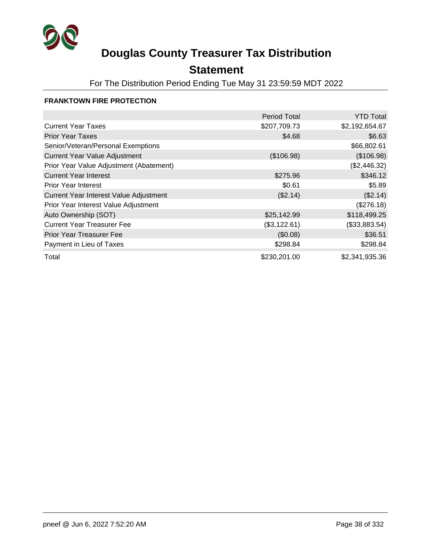

### **Statement**

For The Distribution Period Ending Tue May 31 23:59:59 MDT 2022

#### **FRANKTOWN FIRE PROTECTION**

|                                         | <b>Period Total</b> | <b>YTD Total</b> |
|-----------------------------------------|---------------------|------------------|
| <b>Current Year Taxes</b>               | \$207,709.73        | \$2,192,654.67   |
| <b>Prior Year Taxes</b>                 | \$4.68              | \$6.63           |
| Senior/Veteran/Personal Exemptions      |                     | \$66,802.61      |
| <b>Current Year Value Adjustment</b>    | (\$106.98)          | (\$106.98)       |
| Prior Year Value Adjustment (Abatement) |                     | (\$2,446.32)     |
| <b>Current Year Interest</b>            | \$275.96            | \$346.12         |
| <b>Prior Year Interest</b>              | \$0.61              | \$5.89           |
| Current Year Interest Value Adjustment  | (\$2.14)            | (\$2.14)         |
| Prior Year Interest Value Adjustment    |                     | (\$276.18)       |
| Auto Ownership (SOT)                    | \$25,142.99         | \$118,499.25     |
| <b>Current Year Treasurer Fee</b>       | (\$3,122.61)        | (\$33,883.54)    |
| <b>Prior Year Treasurer Fee</b>         | (\$0.08)            | \$36.51          |
| Payment in Lieu of Taxes                | \$298.84            | \$298.84         |
| Total                                   | \$230,201.00        | \$2,341,935.36   |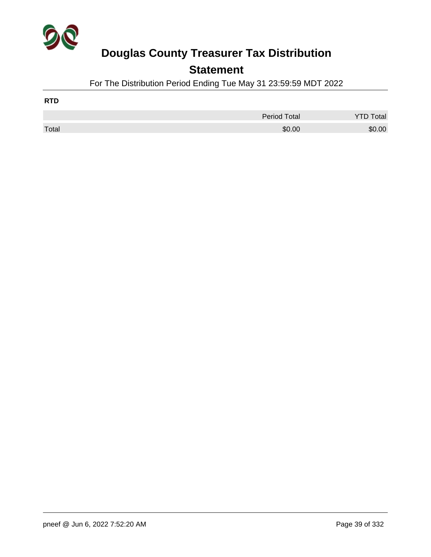

### **Statement**

For The Distribution Period Ending Tue May 31 23:59:59 MDT 2022

| <b>RTD</b> |              |                  |
|------------|--------------|------------------|
|            | Period Total | <b>YTD Total</b> |
| Total      | \$0.00       | \$0.00           |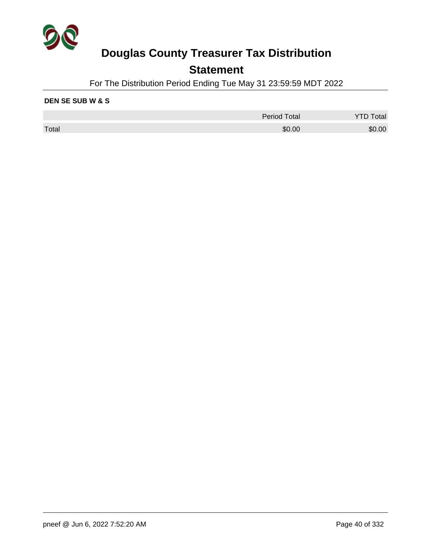

### **Statement**

For The Distribution Period Ending Tue May 31 23:59:59 MDT 2022

#### **DEN SE SUB W & S**

|       | <b>Period Total</b> | Total  |
|-------|---------------------|--------|
| Total | \$0.00              | \$0.00 |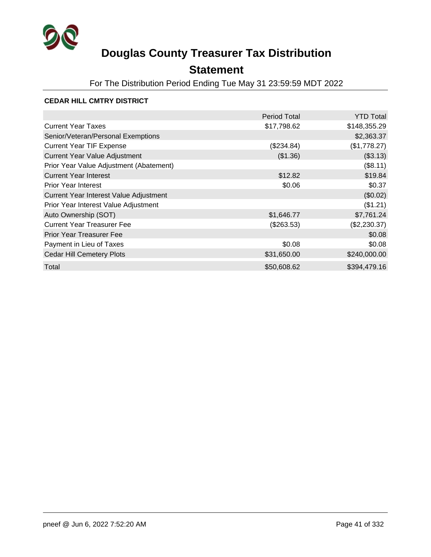

## **Statement**

For The Distribution Period Ending Tue May 31 23:59:59 MDT 2022

#### **CEDAR HILL CMTRY DISTRICT**

|                                         | <b>Period Total</b> | <b>YTD Total</b> |
|-----------------------------------------|---------------------|------------------|
| <b>Current Year Taxes</b>               | \$17,798.62         | \$148,355.29     |
| Senior/Veteran/Personal Exemptions      |                     | \$2,363.37       |
| <b>Current Year TIF Expense</b>         | (\$234.84)          | (\$1,778.27)     |
| <b>Current Year Value Adjustment</b>    | (\$1.36)            | (\$3.13)         |
| Prior Year Value Adjustment (Abatement) |                     | (\$8.11)         |
| <b>Current Year Interest</b>            | \$12.82             | \$19.84          |
| <b>Prior Year Interest</b>              | \$0.06              | \$0.37           |
| Current Year Interest Value Adjustment  |                     | (\$0.02)         |
| Prior Year Interest Value Adjustment    |                     | (\$1.21)         |
| Auto Ownership (SOT)                    | \$1,646.77          | \$7,761.24       |
| <b>Current Year Treasurer Fee</b>       | $(\$263.53)$        | (\$2,230.37)     |
| <b>Prior Year Treasurer Fee</b>         |                     | \$0.08           |
| Payment in Lieu of Taxes                | \$0.08              | \$0.08           |
| <b>Cedar Hill Cemetery Plots</b>        | \$31,650.00         | \$240,000.00     |
| Total                                   | \$50,608.62         | \$394,479.16     |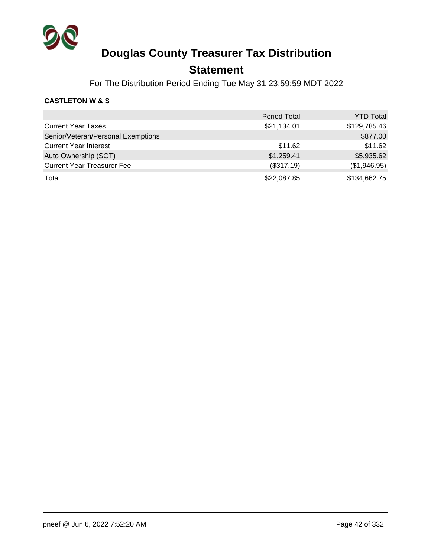

### **Statement**

For The Distribution Period Ending Tue May 31 23:59:59 MDT 2022

### **CASTLETON W & S**

|                                    | <b>Period Total</b> | <b>YTD Total</b> |
|------------------------------------|---------------------|------------------|
| <b>Current Year Taxes</b>          | \$21,134.01         | \$129,785.46     |
| Senior/Veteran/Personal Exemptions |                     | \$877.00         |
| <b>Current Year Interest</b>       | \$11.62             | \$11.62          |
| Auto Ownership (SOT)               | \$1,259.41          | \$5,935.62       |
| <b>Current Year Treasurer Fee</b>  | (\$317.19)          | (\$1,946.95)     |
| Total                              | \$22,087.85         | \$134,662.75     |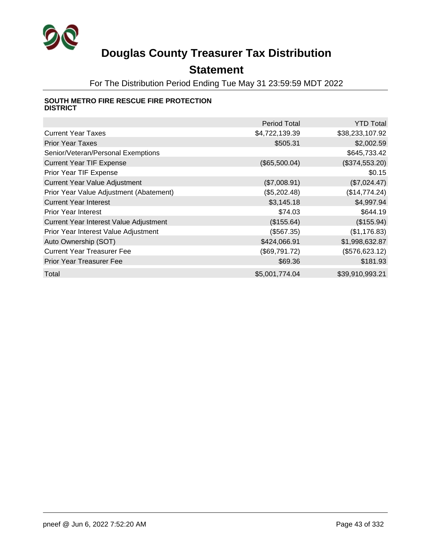

## **Statement**

For The Distribution Period Ending Tue May 31 23:59:59 MDT 2022

#### **SOUTH METRO FIRE RESCUE FIRE PROTECTION DISTRICT**

|                                         | <b>Period Total</b> | <b>YTD Total</b> |
|-----------------------------------------|---------------------|------------------|
| <b>Current Year Taxes</b>               | \$4,722,139.39      | \$38,233,107.92  |
| <b>Prior Year Taxes</b>                 | \$505.31            | \$2,002.59       |
| Senior/Veteran/Personal Exemptions      |                     | \$645,733.42     |
| <b>Current Year TIF Expense</b>         | (\$65,500.04)       | (\$374,553.20)   |
| Prior Year TIF Expense                  |                     | \$0.15           |
| <b>Current Year Value Adjustment</b>    | (\$7,008.91)        | (\$7,024.47)     |
| Prior Year Value Adjustment (Abatement) | (\$5,202.48)        | (\$14,774.24)    |
| <b>Current Year Interest</b>            | \$3,145.18          | \$4,997.94       |
| <b>Prior Year Interest</b>              | \$74.03             | \$644.19         |
| Current Year Interest Value Adjustment  | (\$155.64)          | (\$155.94)       |
| Prior Year Interest Value Adjustment    | (\$567.35)          | (\$1,176.83)     |
| Auto Ownership (SOT)                    | \$424,066.91        | \$1,998,632.87   |
| <b>Current Year Treasurer Fee</b>       | (\$69,791.72)       | (\$576,623.12)   |
| <b>Prior Year Treasurer Fee</b>         | \$69.36             | \$181.93         |
| Total                                   | \$5,001,774.04      | \$39,910,993.21  |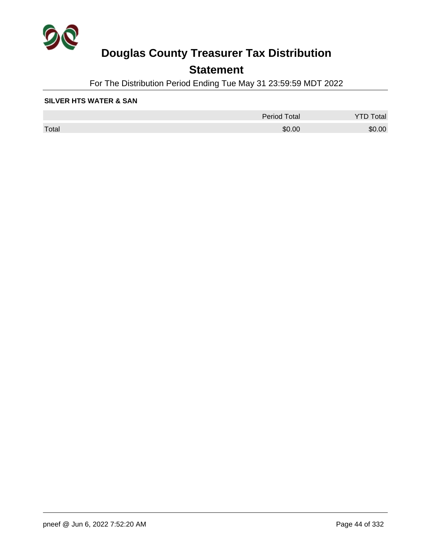

## **Statement**

For The Distribution Period Ending Tue May 31 23:59:59 MDT 2022

#### **SILVER HTS WATER & SAN**

|       | <b>Period Total</b> | otal   |
|-------|---------------------|--------|
| Total | \$0.00              | \$0.00 |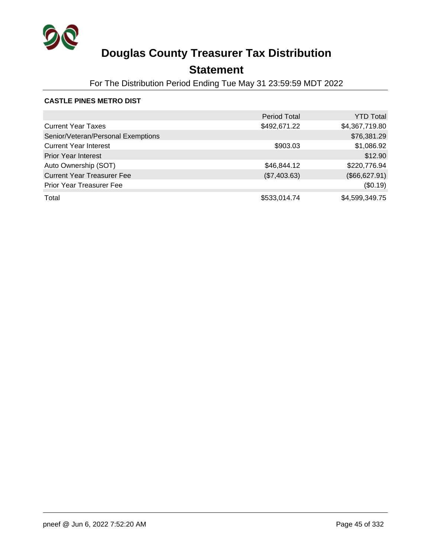

## **Statement**

For The Distribution Period Ending Tue May 31 23:59:59 MDT 2022

#### **CASTLE PINES METRO DIST**

|                                    | <b>Period Total</b> | <b>YTD Total</b> |
|------------------------------------|---------------------|------------------|
| <b>Current Year Taxes</b>          | \$492,671.22        | \$4,367,719.80   |
| Senior/Veteran/Personal Exemptions |                     | \$76,381.29      |
| <b>Current Year Interest</b>       | \$903.03            | \$1,086.92       |
| <b>Prior Year Interest</b>         |                     | \$12.90          |
| Auto Ownership (SOT)               | \$46,844.12         | \$220,776.94     |
| <b>Current Year Treasurer Fee</b>  | (\$7,403.63)        | (\$66, 627.91)   |
| <b>Prior Year Treasurer Fee</b>    |                     | (\$0.19)         |
| Total                              | \$533,014.74        | \$4,599,349.75   |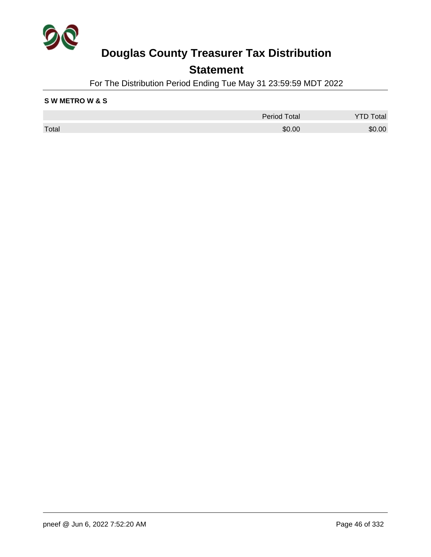

### **Statement**

For The Distribution Period Ending Tue May 31 23:59:59 MDT 2022

#### **S W METRO W & S**

|       | <b>Period Total</b> | Total  |
|-------|---------------------|--------|
| Total | \$0.00              | \$0.00 |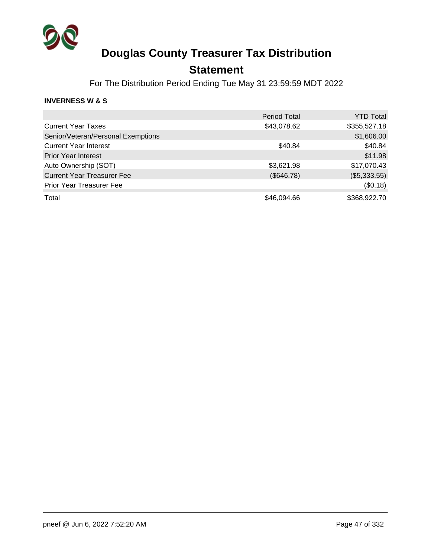

### **Statement**

For The Distribution Period Ending Tue May 31 23:59:59 MDT 2022

#### **INVERNESS W & S**

|                                    | <b>Period Total</b> | <b>YTD Total</b> |
|------------------------------------|---------------------|------------------|
| <b>Current Year Taxes</b>          | \$43,078.62         | \$355,527.18     |
| Senior/Veteran/Personal Exemptions |                     | \$1,606.00       |
| <b>Current Year Interest</b>       | \$40.84             | \$40.84          |
| <b>Prior Year Interest</b>         |                     | \$11.98          |
| Auto Ownership (SOT)               | \$3,621.98          | \$17,070.43      |
| <b>Current Year Treasurer Fee</b>  | (\$646.78)          | (\$5,333.55)     |
| <b>Prior Year Treasurer Fee</b>    |                     | (\$0.18)         |
| Total                              | \$46,094.66         | \$368,922.70     |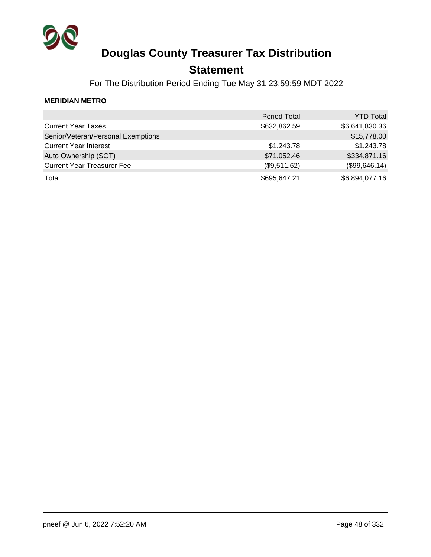

### **Statement**

For The Distribution Period Ending Tue May 31 23:59:59 MDT 2022

#### **MERIDIAN METRO**

|                                    | <b>Period Total</b> | <b>YTD Total</b> |
|------------------------------------|---------------------|------------------|
| <b>Current Year Taxes</b>          | \$632,862.59        | \$6,641,830.36   |
| Senior/Veteran/Personal Exemptions |                     | \$15,778.00      |
| <b>Current Year Interest</b>       | \$1,243.78          | \$1,243.78       |
| Auto Ownership (SOT)               | \$71,052.46         | \$334,871.16     |
| <b>Current Year Treasurer Fee</b>  | (\$9,511.62)        | (\$99,646.14)    |
| Total                              | \$695,647.21        | \$6,894,077.16   |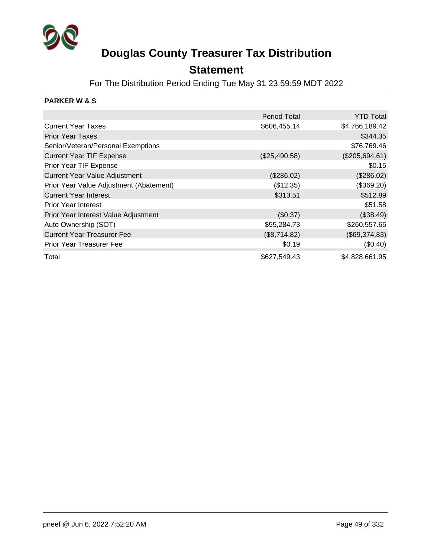

### **Statement**

For The Distribution Period Ending Tue May 31 23:59:59 MDT 2022

### **PARKER W & S**

|                                         | <b>Period Total</b> | <b>YTD Total</b> |
|-----------------------------------------|---------------------|------------------|
| <b>Current Year Taxes</b>               | \$606,455.14        | \$4,766,189.42   |
| <b>Prior Year Taxes</b>                 |                     | \$344.35         |
| Senior/Veteran/Personal Exemptions      |                     | \$76,769.46      |
| <b>Current Year TIF Expense</b>         | (\$25,490.58)       | (\$205,694.61)   |
| Prior Year TIF Expense                  |                     | \$0.15           |
| <b>Current Year Value Adjustment</b>    | (\$286.02)          | (\$286.02)       |
| Prior Year Value Adjustment (Abatement) | (\$12.35)           | (\$369.20)       |
| <b>Current Year Interest</b>            | \$313.51            | \$512.89         |
| <b>Prior Year Interest</b>              |                     | \$51.58          |
| Prior Year Interest Value Adjustment    | (\$0.37)            | (\$38.49)        |
| Auto Ownership (SOT)                    | \$55,284.73         | \$260,557.65     |
| <b>Current Year Treasurer Fee</b>       | (\$8,714.82)        | (\$69,374.83)    |
| <b>Prior Year Treasurer Fee</b>         | \$0.19              | (\$0.40)         |
| Total                                   | \$627,549.43        | \$4,828,661.95   |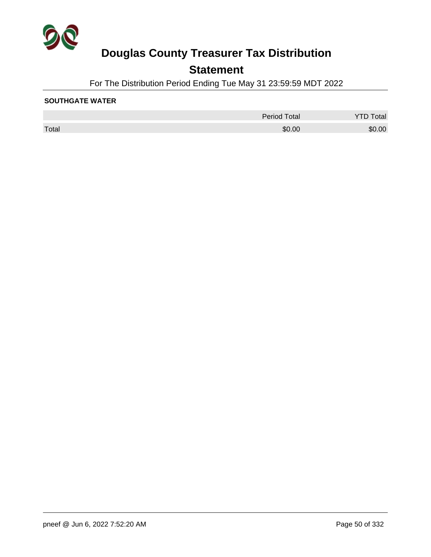

## **Statement**

For The Distribution Period Ending Tue May 31 23:59:59 MDT 2022

#### **SOUTHGATE WATER**

|       | <b>Period Total</b> | Total  |
|-------|---------------------|--------|
| Total | \$0.00              | \$0.00 |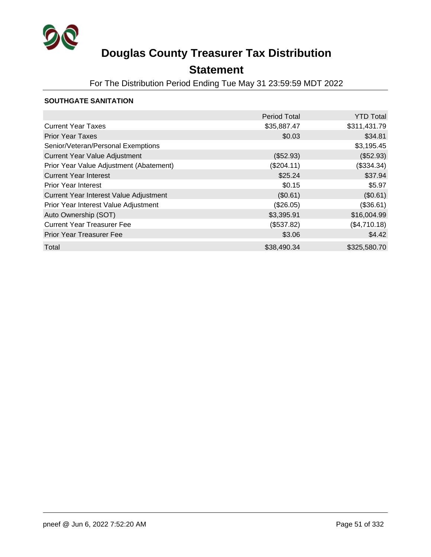

## **Statement**

For The Distribution Period Ending Tue May 31 23:59:59 MDT 2022

#### **SOUTHGATE SANITATION**

|                                         | <b>Period Total</b> | <b>YTD Total</b> |
|-----------------------------------------|---------------------|------------------|
| <b>Current Year Taxes</b>               | \$35,887.47         | \$311,431.79     |
| <b>Prior Year Taxes</b>                 | \$0.03              | \$34.81          |
| Senior/Veteran/Personal Exemptions      |                     | \$3,195.45       |
| <b>Current Year Value Adjustment</b>    | (\$52.93)           | (\$52.93)        |
| Prior Year Value Adjustment (Abatement) | (\$204.11)          | (\$334.34)       |
| <b>Current Year Interest</b>            | \$25.24             | \$37.94          |
| <b>Prior Year Interest</b>              | \$0.15              | \$5.97           |
| Current Year Interest Value Adjustment  | (\$0.61)            | (\$0.61)         |
| Prior Year Interest Value Adjustment    | (\$26.05)           | (\$36.61)        |
| Auto Ownership (SOT)                    | \$3,395.91          | \$16,004.99      |
| <b>Current Year Treasurer Fee</b>       | (\$537.82)          | (\$4,710.18)     |
| <b>Prior Year Treasurer Fee</b>         | \$3.06              | \$4.42           |
| Total                                   | \$38,490.34         | \$325,580.70     |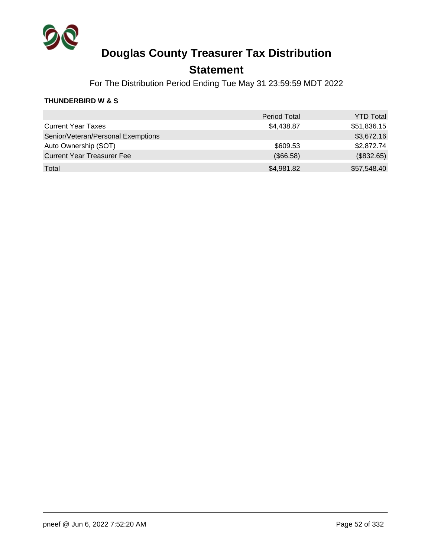

### **Statement**

For The Distribution Period Ending Tue May 31 23:59:59 MDT 2022

#### **THUNDERBIRD W & S**

|                                    | <b>Period Total</b> | <b>YTD Total</b> |
|------------------------------------|---------------------|------------------|
| <b>Current Year Taxes</b>          | \$4,438.87          | \$51,836.15      |
| Senior/Veteran/Personal Exemptions |                     | \$3,672.16       |
| Auto Ownership (SOT)               | \$609.53            | \$2,872.74       |
| <b>Current Year Treasurer Fee</b>  | (\$66.58)           | (\$832.65)       |
| Total                              | \$4,981.82          | \$57,548.40      |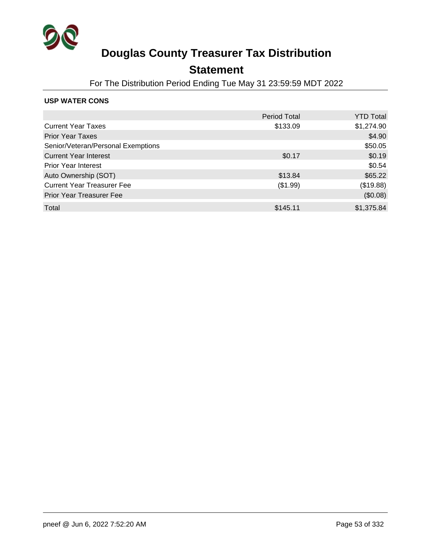

### **Statement**

For The Distribution Period Ending Tue May 31 23:59:59 MDT 2022

#### **USP WATER CONS**

|                                    | <b>Period Total</b> | <b>YTD Total</b> |
|------------------------------------|---------------------|------------------|
| <b>Current Year Taxes</b>          | \$133.09            | \$1,274.90       |
| <b>Prior Year Taxes</b>            |                     | \$4.90           |
| Senior/Veteran/Personal Exemptions |                     | \$50.05          |
| <b>Current Year Interest</b>       | \$0.17              | \$0.19           |
| <b>Prior Year Interest</b>         |                     | \$0.54           |
| Auto Ownership (SOT)               | \$13.84             | \$65.22          |
| <b>Current Year Treasurer Fee</b>  | (\$1.99)            | (\$19.88)        |
| <b>Prior Year Treasurer Fee</b>    |                     | (\$0.08)         |
| Total                              | \$145.11            | \$1,375.84       |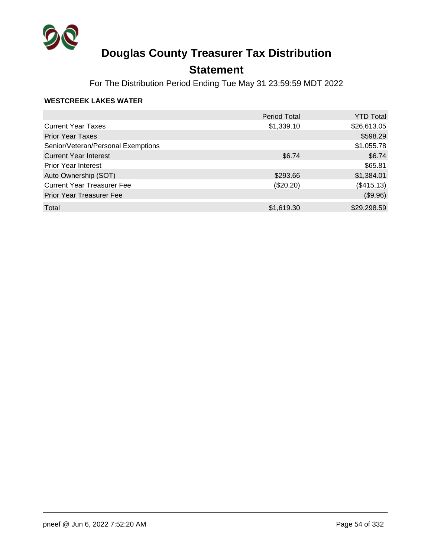

## **Statement**

For The Distribution Period Ending Tue May 31 23:59:59 MDT 2022

#### **WESTCREEK LAKES WATER**

|                                    | <b>Period Total</b> | <b>YTD Total</b> |
|------------------------------------|---------------------|------------------|
| <b>Current Year Taxes</b>          | \$1,339.10          | \$26,613.05      |
| <b>Prior Year Taxes</b>            |                     | \$598.29         |
| Senior/Veteran/Personal Exemptions |                     | \$1,055.78       |
| <b>Current Year Interest</b>       | \$6.74              | \$6.74           |
| <b>Prior Year Interest</b>         |                     | \$65.81          |
| Auto Ownership (SOT)               | \$293.66            | \$1,384.01       |
| <b>Current Year Treasurer Fee</b>  | $(\$20.20)$         | (\$415.13)       |
| <b>Prior Year Treasurer Fee</b>    |                     | (\$9.96)         |
| Total                              | \$1,619.30          | \$29,298.59      |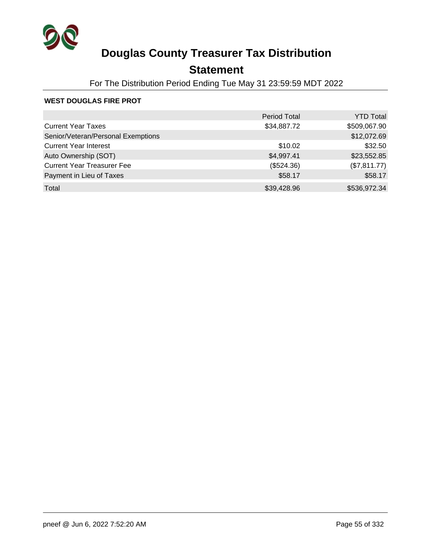

## **Statement**

For The Distribution Period Ending Tue May 31 23:59:59 MDT 2022

#### **WEST DOUGLAS FIRE PROT**

|                                    | <b>Period Total</b> | <b>YTD Total</b> |
|------------------------------------|---------------------|------------------|
| <b>Current Year Taxes</b>          | \$34,887.72         | \$509,067.90     |
| Senior/Veteran/Personal Exemptions |                     | \$12,072.69      |
| <b>Current Year Interest</b>       | \$10.02             | \$32.50          |
| Auto Ownership (SOT)               | \$4,997.41          | \$23,552.85      |
| <b>Current Year Treasurer Fee</b>  | (\$524.36)          | (\$7,811.77)     |
| Payment in Lieu of Taxes           | \$58.17             | \$58.17          |
| Total                              | \$39,428.96         | \$536,972.34     |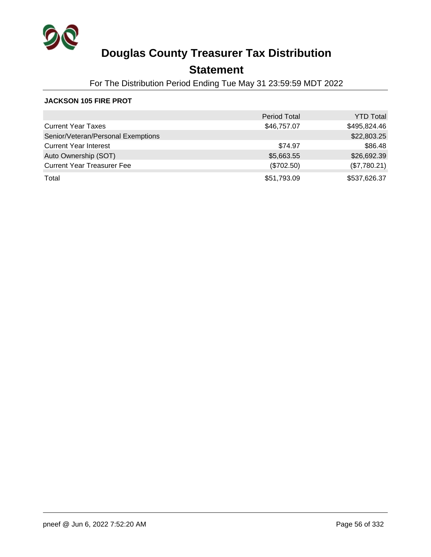

## **Statement**

For The Distribution Period Ending Tue May 31 23:59:59 MDT 2022

#### **JACKSON 105 FIRE PROT**

|                                    | <b>Period Total</b> | <b>YTD Total</b> |
|------------------------------------|---------------------|------------------|
| <b>Current Year Taxes</b>          | \$46,757.07         | \$495,824.46     |
| Senior/Veteran/Personal Exemptions |                     | \$22,803.25      |
| <b>Current Year Interest</b>       | \$74.97             | \$86.48          |
| Auto Ownership (SOT)               | \$5,663.55          | \$26,692.39      |
| <b>Current Year Treasurer Fee</b>  | (\$702.50)          | (\$7,780.21)     |
| Total                              | \$51,793.09         | \$537,626.37     |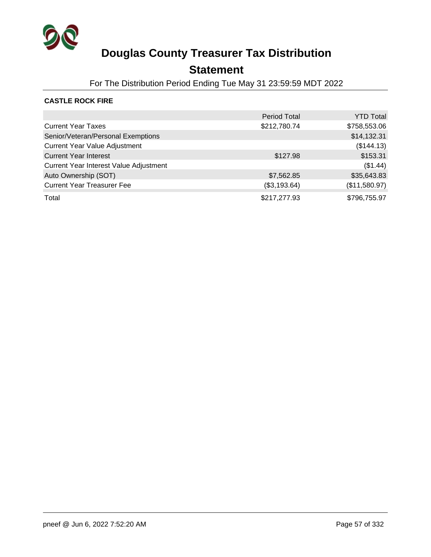

### **Statement**

For The Distribution Period Ending Tue May 31 23:59:59 MDT 2022

### **CASTLE ROCK FIRE**

|                                        | <b>Period Total</b> | <b>YTD Total</b> |
|----------------------------------------|---------------------|------------------|
| <b>Current Year Taxes</b>              | \$212,780.74        | \$758,553.06     |
| Senior/Veteran/Personal Exemptions     |                     | \$14,132.31      |
| <b>Current Year Value Adjustment</b>   |                     | (\$144.13)       |
| <b>Current Year Interest</b>           | \$127.98            | \$153.31         |
| Current Year Interest Value Adjustment |                     | (\$1.44)         |
| Auto Ownership (SOT)                   | \$7,562.85          | \$35,643.83      |
| <b>Current Year Treasurer Fee</b>      | (\$3,193.64)        | (\$11,580.97)    |
| Total                                  | \$217,277.93        | \$796,755.97     |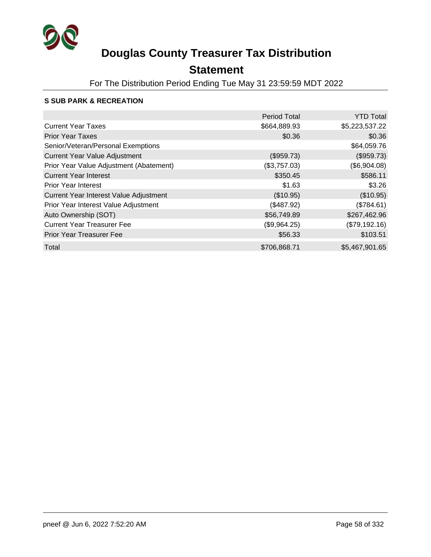

## **Statement**

For The Distribution Period Ending Tue May 31 23:59:59 MDT 2022

### **S SUB PARK & RECREATION**

|                                         | <b>Period Total</b> | <b>YTD Total</b> |
|-----------------------------------------|---------------------|------------------|
| <b>Current Year Taxes</b>               | \$664,889.93        | \$5,223,537.22   |
| <b>Prior Year Taxes</b>                 | \$0.36              | \$0.36           |
| Senior/Veteran/Personal Exemptions      |                     | \$64,059.76      |
| <b>Current Year Value Adjustment</b>    | (\$959.73)          | (\$959.73)       |
| Prior Year Value Adjustment (Abatement) | (\$3,757.03)        | (\$6,904.08)     |
| <b>Current Year Interest</b>            | \$350.45            | \$586.11         |
| <b>Prior Year Interest</b>              | \$1.63              | \$3.26           |
| Current Year Interest Value Adjustment  | (\$10.95)           | (\$10.95)        |
| Prior Year Interest Value Adjustment    | (\$487.92)          | (\$784.61)       |
| Auto Ownership (SOT)                    | \$56,749.89         | \$267,462.96     |
| <b>Current Year Treasurer Fee</b>       | (\$9,964.25)        | (\$79,192.16)    |
| <b>Prior Year Treasurer Fee</b>         | \$56.33             | \$103.51         |
| Total                                   | \$706,868.71        | \$5,467,901.65   |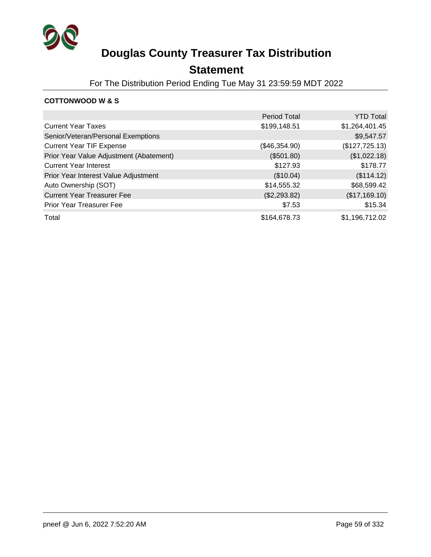

### **Statement**

For The Distribution Period Ending Tue May 31 23:59:59 MDT 2022

### **COTTONWOOD W & S**

|                                         | <b>Period Total</b> | <b>YTD Total</b> |
|-----------------------------------------|---------------------|------------------|
| <b>Current Year Taxes</b>               | \$199,148.51        | \$1,264,401.45   |
| Senior/Veteran/Personal Exemptions      |                     | \$9,547.57       |
| <b>Current Year TIF Expense</b>         | (\$46,354.90)       | (\$127,725.13)   |
| Prior Year Value Adjustment (Abatement) | (\$501.80)          | (\$1,022.18)     |
| <b>Current Year Interest</b>            | \$127.93            | \$178.77         |
| Prior Year Interest Value Adjustment    | (\$10.04)           | (\$114.12)       |
| Auto Ownership (SOT)                    | \$14,555.32         | \$68,599.42      |
| <b>Current Year Treasurer Fee</b>       | (\$2,293.82)        | (\$17,169.10)    |
| Prior Year Treasurer Fee                | \$7.53              | \$15.34          |
| Total                                   | \$164,678.73        | \$1,196,712.02   |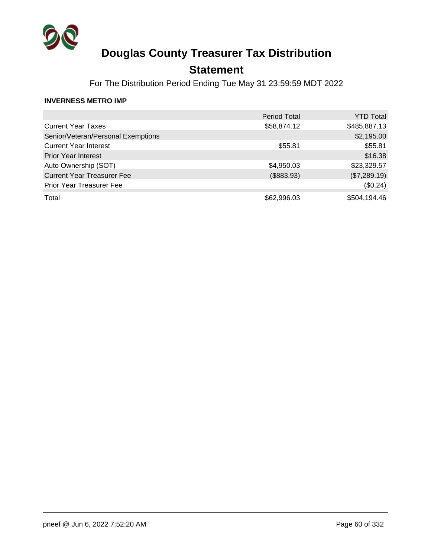

## **Statement**

For The Distribution Period Ending Tue May 31 23:59:59 MDT 2022

#### **INVERNESS METRO IMP**

|                                    | <b>Period Total</b> | <b>YTD Total</b> |
|------------------------------------|---------------------|------------------|
| <b>Current Year Taxes</b>          | \$58,874.12         | \$485,887.13     |
| Senior/Veteran/Personal Exemptions |                     | \$2,195.00       |
| <b>Current Year Interest</b>       | \$55.81             | \$55.81          |
| <b>Prior Year Interest</b>         |                     | \$16.38          |
| Auto Ownership (SOT)               | \$4,950.03          | \$23,329.57      |
| <b>Current Year Treasurer Fee</b>  | (\$883.93)          | (\$7,289.19)     |
| <b>Prior Year Treasurer Fee</b>    |                     | (\$0.24)         |
| Total                              | \$62,996.03         | \$504,194.46     |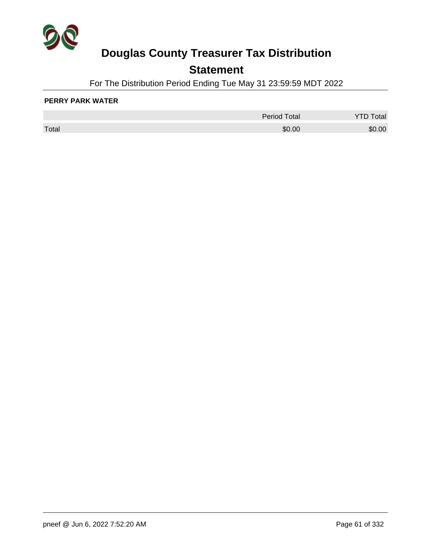

## **Statement**

For The Distribution Period Ending Tue May 31 23:59:59 MDT 2022

#### **PERRY PARK WATER**

|       | <b>Period Total</b> | otal   |
|-------|---------------------|--------|
| Total | \$0.00              | \$0.00 |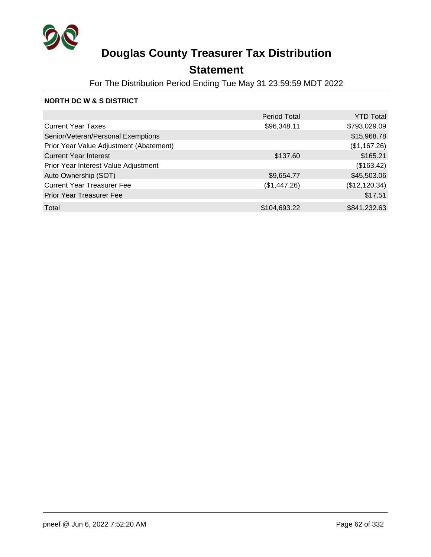

## **Statement**

For The Distribution Period Ending Tue May 31 23:59:59 MDT 2022

#### **NORTH DC W & S DISTRICT**

|                                         | <b>Period Total</b> | <b>YTD Total</b> |
|-----------------------------------------|---------------------|------------------|
| <b>Current Year Taxes</b>               | \$96,348.11         | \$793,029.09     |
| Senior/Veteran/Personal Exemptions      |                     | \$15,968.78      |
| Prior Year Value Adjustment (Abatement) |                     | (\$1,167.26)     |
| <b>Current Year Interest</b>            | \$137.60            | \$165.21         |
| Prior Year Interest Value Adjustment    |                     | (\$163.42)       |
| Auto Ownership (SOT)                    | \$9,654.77          | \$45,503.06      |
| <b>Current Year Treasurer Fee</b>       | (\$1,447.26)        | (\$12,120.34)    |
| <b>Prior Year Treasurer Fee</b>         |                     | \$17.51          |
| Total                                   | \$104,693.22        | \$841,232.63     |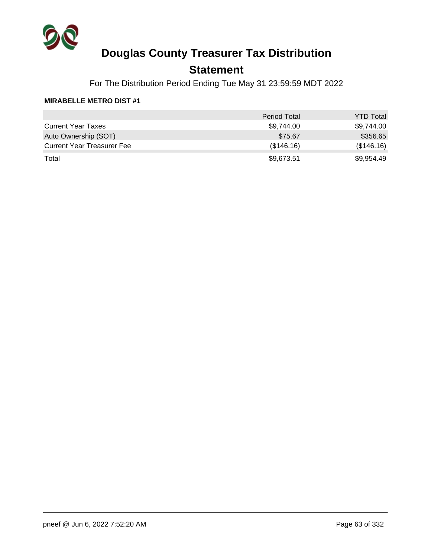

### **Statement**

For The Distribution Period Ending Tue May 31 23:59:59 MDT 2022

#### **MIRABELLE METRO DIST #1**

|                                   | <b>Period Total</b> | <b>YTD Total</b> |
|-----------------------------------|---------------------|------------------|
| <b>Current Year Taxes</b>         | \$9,744.00          | \$9,744.00       |
| Auto Ownership (SOT)              | \$75.67             | \$356.65         |
| <b>Current Year Treasurer Fee</b> | (\$146.16)          | (\$146.16)       |
| Total                             | \$9,673.51          | \$9,954.49       |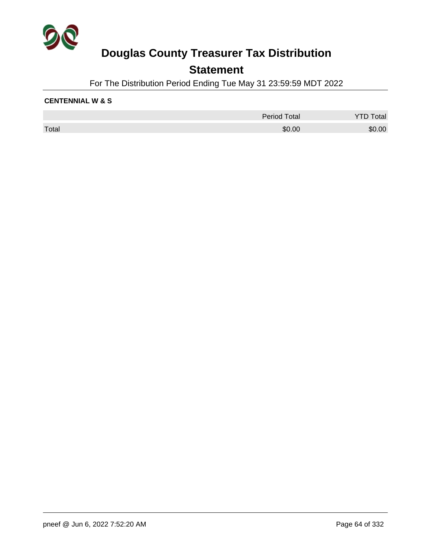

### **Statement**

For The Distribution Period Ending Tue May 31 23:59:59 MDT 2022

#### **CENTENNIAL W & S**

|       | <b>Period Total</b> | Total  |
|-------|---------------------|--------|
| Total | \$0.00              | \$0.00 |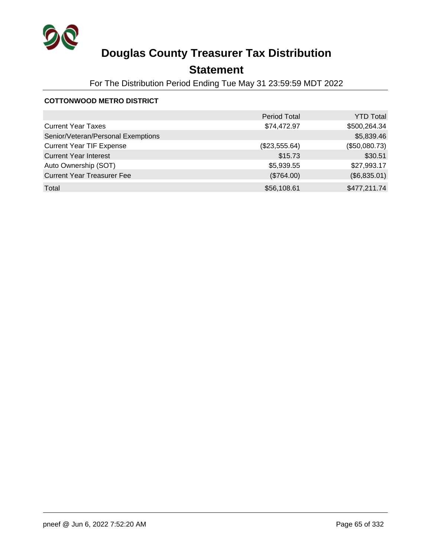

## **Statement**

For The Distribution Period Ending Tue May 31 23:59:59 MDT 2022

### **COTTONWOOD METRO DISTRICT**

|                                    | <b>Period Total</b> | <b>YTD Total</b> |
|------------------------------------|---------------------|------------------|
| <b>Current Year Taxes</b>          | \$74,472.97         | \$500,264.34     |
| Senior/Veteran/Personal Exemptions |                     | \$5,839.46       |
| <b>Current Year TIF Expense</b>    | (\$23,555.64)       | (\$50,080.73)    |
| <b>Current Year Interest</b>       | \$15.73             | \$30.51          |
| Auto Ownership (SOT)               | \$5,939.55          | \$27,993.17      |
| <b>Current Year Treasurer Fee</b>  | (\$764.00)          | (\$6,835.01)     |
| Total                              | \$56,108.61         | \$477,211.74     |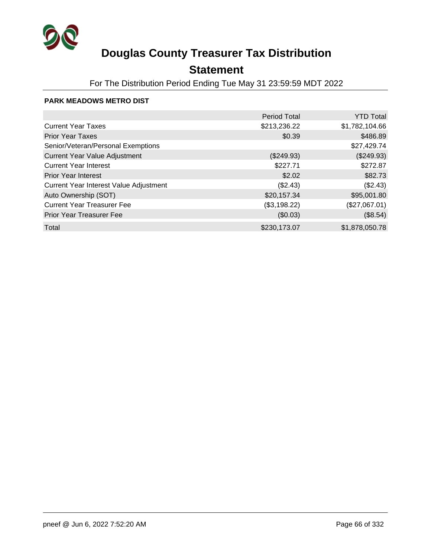

## **Statement**

For The Distribution Period Ending Tue May 31 23:59:59 MDT 2022

#### **PARK MEADOWS METRO DIST**

|                                        | <b>Period Total</b> | <b>YTD Total</b> |
|----------------------------------------|---------------------|------------------|
| <b>Current Year Taxes</b>              | \$213,236.22        | \$1,782,104.66   |
| <b>Prior Year Taxes</b>                | \$0.39              | \$486.89         |
| Senior/Veteran/Personal Exemptions     |                     | \$27,429.74      |
| <b>Current Year Value Adjustment</b>   | (\$249.93)          | (\$249.93)       |
| <b>Current Year Interest</b>           | \$227.71            | \$272.87         |
| <b>Prior Year Interest</b>             | \$2.02              | \$82.73          |
| Current Year Interest Value Adjustment | (\$2.43)            | (\$2.43)         |
| Auto Ownership (SOT)                   | \$20,157.34         | \$95,001.80      |
| <b>Current Year Treasurer Fee</b>      | (\$3,198.22)        | (\$27,067.01)    |
| <b>Prior Year Treasurer Fee</b>        | (\$0.03)            | (\$8.54)         |
| Total                                  | \$230,173.07        | \$1,878,050.78   |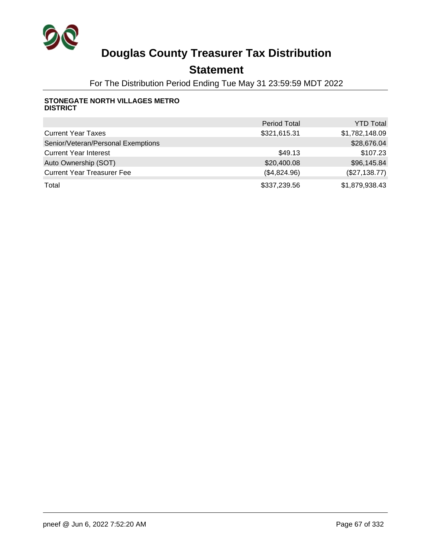

### **Statement**

For The Distribution Period Ending Tue May 31 23:59:59 MDT 2022

#### **STONEGATE NORTH VILLAGES METRO DISTRICT**

|                                    | <b>Period Total</b> | <b>YTD Total</b> |
|------------------------------------|---------------------|------------------|
| <b>Current Year Taxes</b>          | \$321,615.31        | \$1,782,148.09   |
| Senior/Veteran/Personal Exemptions |                     | \$28,676.04      |
| <b>Current Year Interest</b>       | \$49.13             | \$107.23         |
| Auto Ownership (SOT)               | \$20,400.08         | \$96,145.84      |
| <b>Current Year Treasurer Fee</b>  | (\$4,824.96)        | (\$27,138.77)    |
| Total                              | \$337,239.56        | \$1,879,938.43   |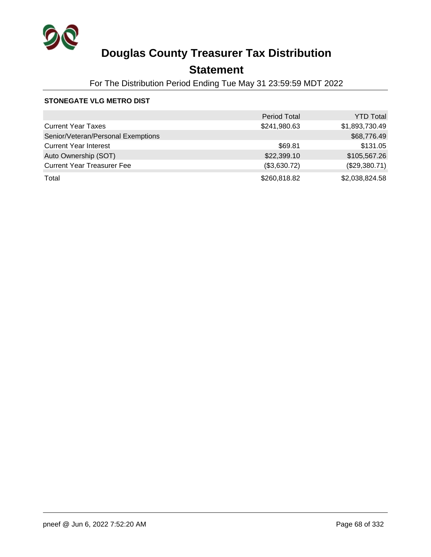

## **Statement**

For The Distribution Period Ending Tue May 31 23:59:59 MDT 2022

#### **STONEGATE VLG METRO DIST**

|                                    | <b>Period Total</b> | <b>YTD Total</b> |
|------------------------------------|---------------------|------------------|
| <b>Current Year Taxes</b>          | \$241,980.63        | \$1,893,730.49   |
| Senior/Veteran/Personal Exemptions |                     | \$68,776.49      |
| <b>Current Year Interest</b>       | \$69.81             | \$131.05         |
| Auto Ownership (SOT)               | \$22,399.10         | \$105,567.26     |
| <b>Current Year Treasurer Fee</b>  | (\$3,630.72)        | (\$29,380.71)    |
| Total                              | \$260,818.82        | \$2,038,824.58   |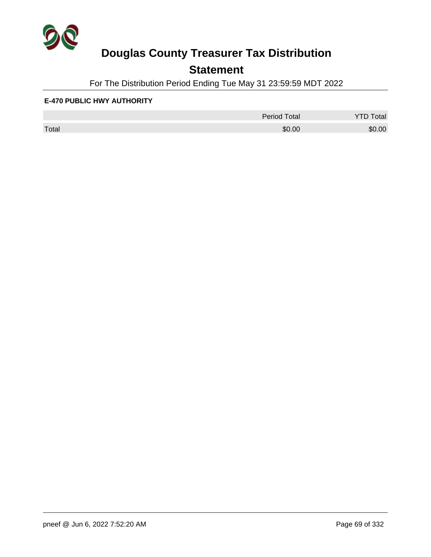

## **Statement**

For The Distribution Period Ending Tue May 31 23:59:59 MDT 2022

#### **E-470 PUBLIC HWY AUTHORITY**

|       | <b>Period Total</b> | otal<br>້ |
|-------|---------------------|-----------|
| Total | \$0.00              | \$0.00    |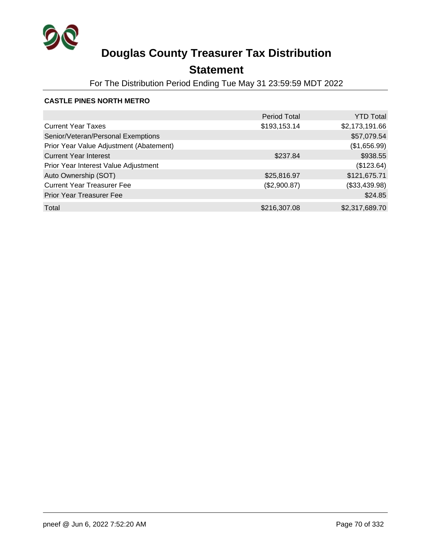

## **Statement**

For The Distribution Period Ending Tue May 31 23:59:59 MDT 2022

### **CASTLE PINES NORTH METRO**

|                                         | <b>Period Total</b> | <b>YTD Total</b> |
|-----------------------------------------|---------------------|------------------|
| <b>Current Year Taxes</b>               | \$193,153.14        | \$2,173,191.66   |
| Senior/Veteran/Personal Exemptions      |                     | \$57,079.54      |
| Prior Year Value Adjustment (Abatement) |                     | (\$1,656.99)     |
| <b>Current Year Interest</b>            | \$237.84            | \$938.55         |
| Prior Year Interest Value Adjustment    |                     | (\$123.64)       |
| Auto Ownership (SOT)                    | \$25,816.97         | \$121,675.71     |
| <b>Current Year Treasurer Fee</b>       | (\$2,900.87)        | (\$33,439.98)    |
| <b>Prior Year Treasurer Fee</b>         |                     | \$24.85          |
| Total                                   | \$216,307.08        | \$2,317,689.70   |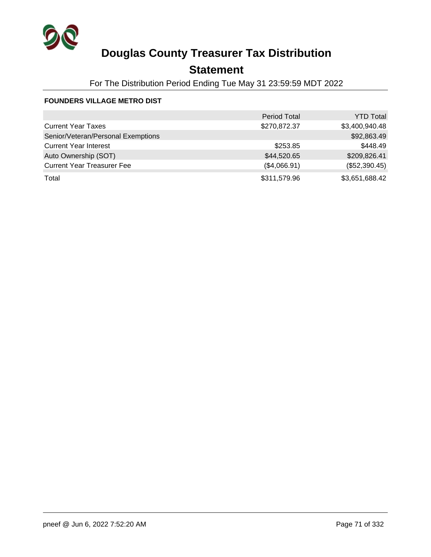

## **Statement**

For The Distribution Period Ending Tue May 31 23:59:59 MDT 2022

### **FOUNDERS VILLAGE METRO DIST**

|                                    | <b>Period Total</b> | <b>YTD Total</b> |
|------------------------------------|---------------------|------------------|
| <b>Current Year Taxes</b>          | \$270,872.37        | \$3,400,940.48   |
| Senior/Veteran/Personal Exemptions |                     | \$92,863.49      |
| <b>Current Year Interest</b>       | \$253.85            | \$448.49         |
| Auto Ownership (SOT)               | \$44,520.65         | \$209,826.41     |
| <b>Current Year Treasurer Fee</b>  | (\$4,066.91)        | (\$52,390.45)    |
| Total                              | \$311,579.96        | \$3,651,688.42   |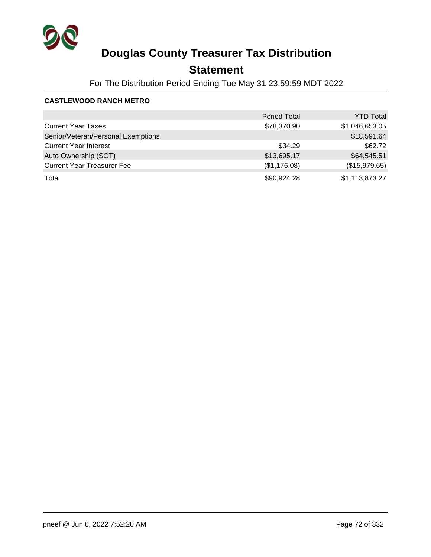

## **Statement**

For The Distribution Period Ending Tue May 31 23:59:59 MDT 2022

#### **CASTLEWOOD RANCH METRO**

|                                    | <b>Period Total</b> | <b>YTD Total</b> |
|------------------------------------|---------------------|------------------|
| <b>Current Year Taxes</b>          | \$78,370.90         | \$1,046,653.05   |
| Senior/Veteran/Personal Exemptions |                     | \$18,591.64      |
| <b>Current Year Interest</b>       | \$34.29             | \$62.72          |
| Auto Ownership (SOT)               | \$13,695.17         | \$64,545.51      |
| <b>Current Year Treasurer Fee</b>  | (\$1,176.08)        | (\$15,979.65)    |
| Total                              | \$90,924.28         | \$1,113,873.27   |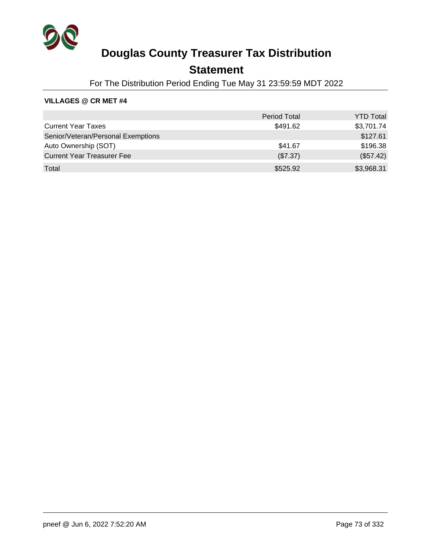

## **Statement**

For The Distribution Period Ending Tue May 31 23:59:59 MDT 2022

|                                    | <b>Period Total</b> | <b>YTD Total</b> |
|------------------------------------|---------------------|------------------|
| <b>Current Year Taxes</b>          | \$491.62            | \$3,701.74       |
| Senior/Veteran/Personal Exemptions |                     | \$127.61         |
| Auto Ownership (SOT)               | \$41.67             | \$196.38         |
| <b>Current Year Treasurer Fee</b>  | (\$7.37)            | (\$57.42)        |
| Total                              | \$525.92            | \$3,968.31       |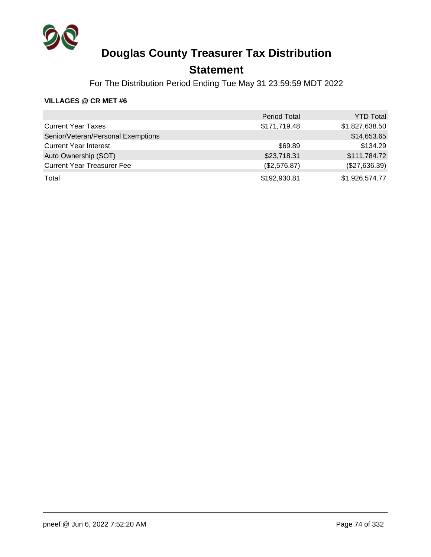

## **Statement**

For The Distribution Period Ending Tue May 31 23:59:59 MDT 2022

|                                    | <b>Period Total</b> | <b>YTD Total</b> |
|------------------------------------|---------------------|------------------|
| <b>Current Year Taxes</b>          | \$171,719.48        | \$1,827,638.50   |
| Senior/Veteran/Personal Exemptions |                     | \$14,653.65      |
| <b>Current Year Interest</b>       | \$69.89             | \$134.29         |
| Auto Ownership (SOT)               | \$23,718.31         | \$111,784.72     |
| <b>Current Year Treasurer Fee</b>  | (\$2,576.87)        | (\$27,636.39)    |
| Total                              | \$192,930.81        | \$1,926,574.77   |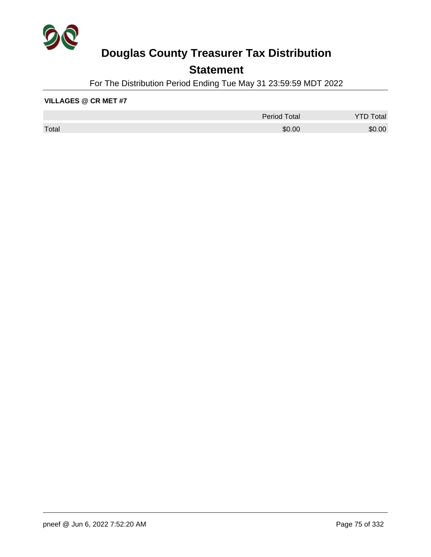

## **Statement**

For The Distribution Period Ending Tue May 31 23:59:59 MDT 2022

|       | <b>Period Total</b> | otal   |
|-------|---------------------|--------|
| Total | \$0.00              | \$0.00 |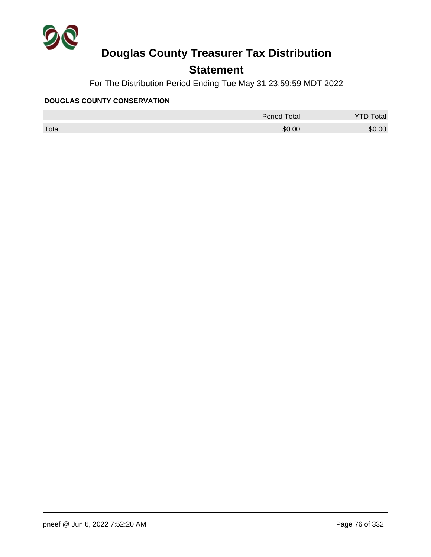

## **Statement**

For The Distribution Period Ending Tue May 31 23:59:59 MDT 2022

#### **DOUGLAS COUNTY CONSERVATION**

|       | <b>Period Total</b> | otal   |
|-------|---------------------|--------|
| Total | \$0.00              | \$0.00 |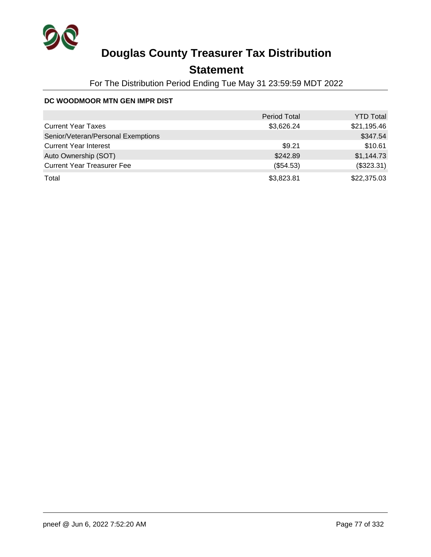

## **Statement**

For The Distribution Period Ending Tue May 31 23:59:59 MDT 2022

### **DC WOODMOOR MTN GEN IMPR DIST**

|                                    | <b>Period Total</b> | <b>YTD Total</b> |
|------------------------------------|---------------------|------------------|
| <b>Current Year Taxes</b>          | \$3,626.24          | \$21,195.46      |
| Senior/Veteran/Personal Exemptions |                     | \$347.54         |
| <b>Current Year Interest</b>       | \$9.21              | \$10.61          |
| Auto Ownership (SOT)               | \$242.89            | \$1,144.73       |
| <b>Current Year Treasurer Fee</b>  | (\$54.53)           | (\$323.31)       |
| Total                              | \$3,823.81          | \$22,375.03      |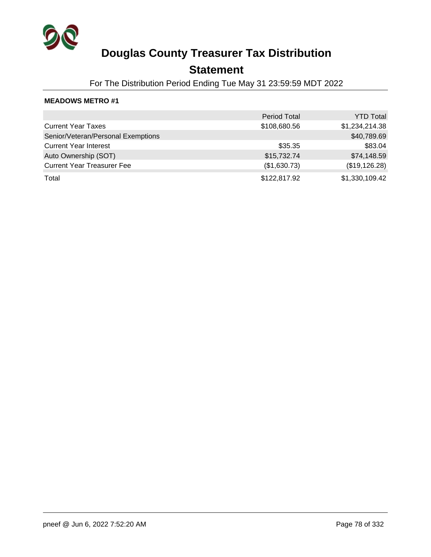

## **Statement**

For The Distribution Period Ending Tue May 31 23:59:59 MDT 2022

|                                    | <b>Period Total</b> | <b>YTD Total</b> |
|------------------------------------|---------------------|------------------|
| <b>Current Year Taxes</b>          | \$108,680.56        | \$1,234,214.38   |
| Senior/Veteran/Personal Exemptions |                     | \$40,789.69      |
| <b>Current Year Interest</b>       | \$35.35             | \$83.04          |
| Auto Ownership (SOT)               | \$15,732.74         | \$74,148.59      |
| <b>Current Year Treasurer Fee</b>  | (\$1,630.73)        | (\$19,126.28)    |
| Total                              | \$122,817.92        | \$1,330,109.42   |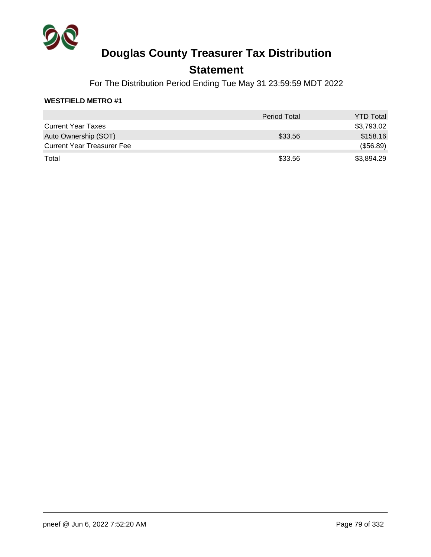

### **Statement**

For The Distribution Period Ending Tue May 31 23:59:59 MDT 2022

### **WESTFIELD METRO #1**

|                                   | <b>Period Total</b> | <b>YTD Total</b> |
|-----------------------------------|---------------------|------------------|
| <b>Current Year Taxes</b>         |                     | \$3,793.02       |
| Auto Ownership (SOT)              | \$33.56             | \$158.16         |
| <b>Current Year Treasurer Fee</b> |                     | (\$56.89)        |
| Total                             | \$33.56             | \$3,894.29       |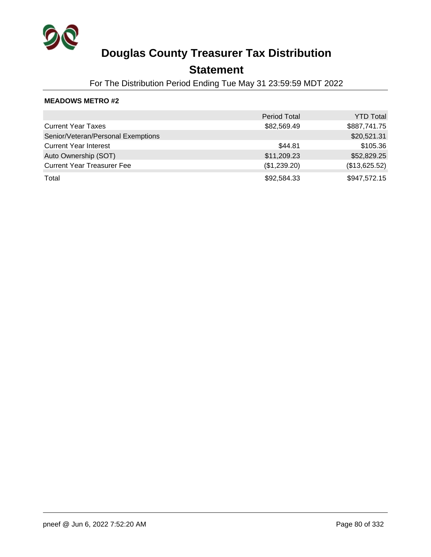

### **Statement**

For The Distribution Period Ending Tue May 31 23:59:59 MDT 2022

|                                    | <b>Period Total</b> | <b>YTD Total</b> |
|------------------------------------|---------------------|------------------|
| <b>Current Year Taxes</b>          | \$82,569.49         | \$887,741.75     |
| Senior/Veteran/Personal Exemptions |                     | \$20,521.31      |
| <b>Current Year Interest</b>       | \$44.81             | \$105.36         |
| Auto Ownership (SOT)               | \$11,209.23         | \$52,829.25      |
| <b>Current Year Treasurer Fee</b>  | (\$1,239.20)        | (\$13,625.52)    |
| Total                              | \$92,584.33         | \$947,572.15     |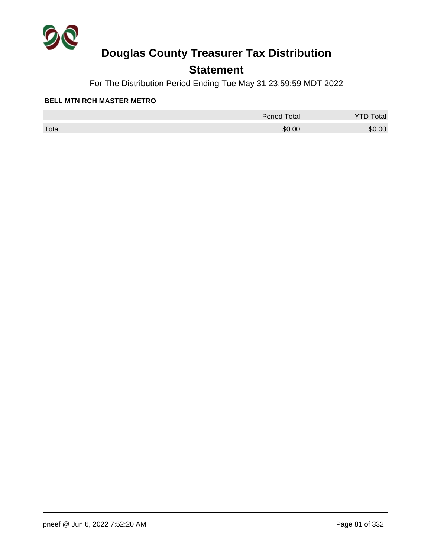

## **Statement**

For The Distribution Period Ending Tue May 31 23:59:59 MDT 2022

#### **BELL MTN RCH MASTER METRO**

|       | <b>Period Total</b> | otal   |
|-------|---------------------|--------|
| Total | \$0.00              | \$0.00 |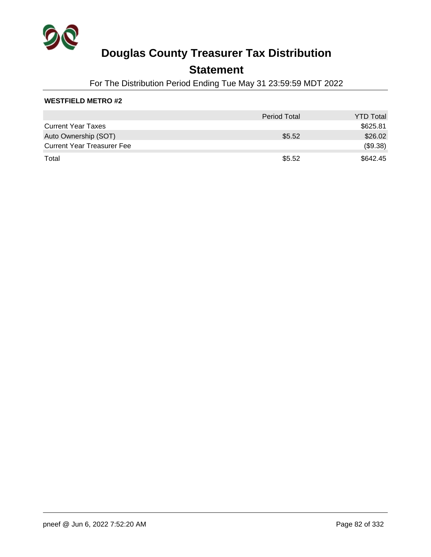

### **Statement**

For The Distribution Period Ending Tue May 31 23:59:59 MDT 2022

### **WESTFIELD METRO #2**

|                                   | <b>Period Total</b> | <b>YTD Total</b> |
|-----------------------------------|---------------------|------------------|
| <b>Current Year Taxes</b>         |                     | \$625.81         |
| Auto Ownership (SOT)              | \$5.52              | \$26.02          |
| <b>Current Year Treasurer Fee</b> |                     | (\$9.38)         |
| Total                             | \$5.52              | \$642.45         |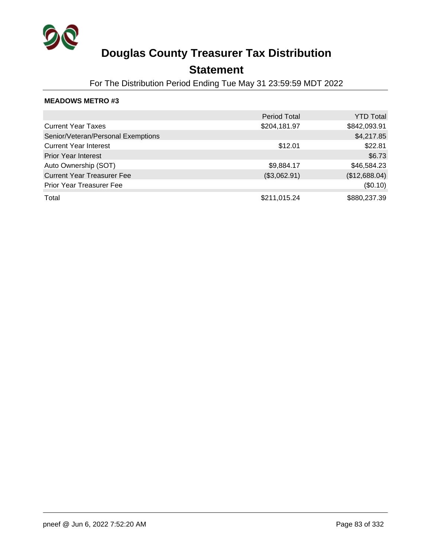

### **Statement**

For The Distribution Period Ending Tue May 31 23:59:59 MDT 2022

|                                    | <b>Period Total</b> | <b>YTD Total</b> |
|------------------------------------|---------------------|------------------|
| <b>Current Year Taxes</b>          | \$204,181.97        | \$842,093.91     |
| Senior/Veteran/Personal Exemptions |                     | \$4,217.85       |
| <b>Current Year Interest</b>       | \$12.01             | \$22.81          |
| <b>Prior Year Interest</b>         |                     | \$6.73           |
| Auto Ownership (SOT)               | \$9,884.17          | \$46,584.23      |
| <b>Current Year Treasurer Fee</b>  | (\$3,062.91)        | (\$12,688.04)    |
| <b>Prior Year Treasurer Fee</b>    |                     | (\$0.10)         |
| Total                              | \$211,015.24        | \$880,237.39     |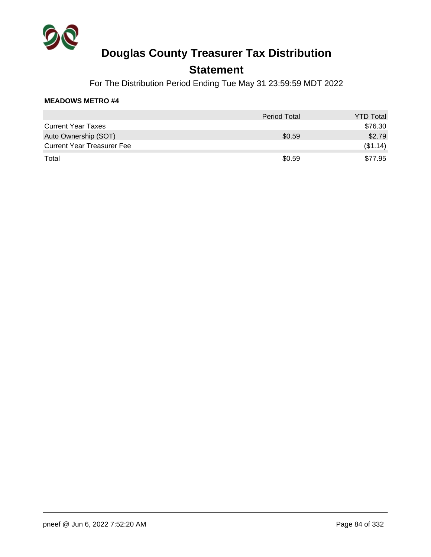

### **Statement**

For The Distribution Period Ending Tue May 31 23:59:59 MDT 2022

|                                   | <b>Period Total</b> | <b>YTD Total</b> |
|-----------------------------------|---------------------|------------------|
| <b>Current Year Taxes</b>         |                     | \$76.30          |
| Auto Ownership (SOT)              | \$0.59              | \$2.79           |
| <b>Current Year Treasurer Fee</b> |                     | (\$1.14)         |
| Total                             | \$0.59              | \$77.95          |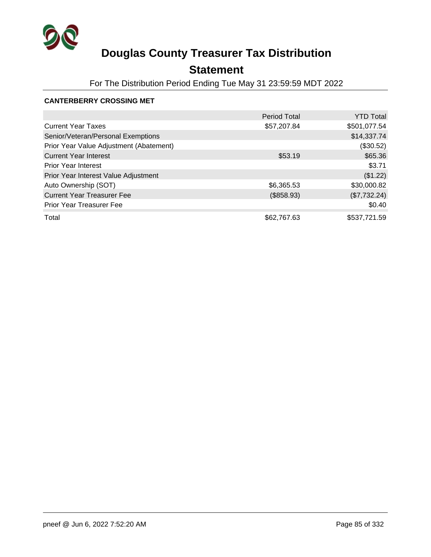

## **Statement**

For The Distribution Period Ending Tue May 31 23:59:59 MDT 2022

#### **CANTERBERRY CROSSING MET**

|                                         | <b>Period Total</b> | <b>YTD Total</b> |
|-----------------------------------------|---------------------|------------------|
| <b>Current Year Taxes</b>               | \$57,207.84         | \$501,077.54     |
| Senior/Veteran/Personal Exemptions      |                     | \$14,337.74      |
| Prior Year Value Adjustment (Abatement) |                     | (\$30.52)        |
| <b>Current Year Interest</b>            | \$53.19             | \$65.36          |
| <b>Prior Year Interest</b>              |                     | \$3.71           |
| Prior Year Interest Value Adjustment    |                     | (\$1.22)         |
| Auto Ownership (SOT)                    | \$6,365.53          | \$30,000.82      |
| <b>Current Year Treasurer Fee</b>       | (\$858.93)          | (\$7,732.24)     |
| <b>Prior Year Treasurer Fee</b>         |                     | \$0.40           |
| Total                                   | \$62,767.63         | \$537,721.59     |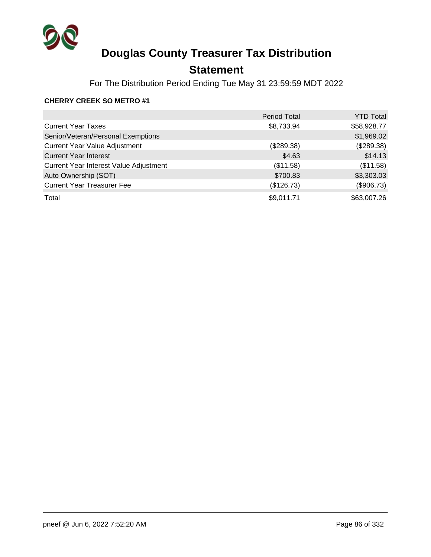

## **Statement**

For The Distribution Period Ending Tue May 31 23:59:59 MDT 2022

### **CHERRY CREEK SO METRO #1**

|                                        | <b>Period Total</b> | <b>YTD Total</b> |
|----------------------------------------|---------------------|------------------|
| <b>Current Year Taxes</b>              | \$8,733.94          | \$58,928.77      |
| Senior/Veteran/Personal Exemptions     |                     | \$1,969.02       |
| <b>Current Year Value Adjustment</b>   | (\$289.38)          | (\$289.38)       |
| <b>Current Year Interest</b>           | \$4.63              | \$14.13          |
| Current Year Interest Value Adjustment | (\$11.58)           | (\$11.58)        |
| Auto Ownership (SOT)                   | \$700.83            | \$3,303.03       |
| <b>Current Year Treasurer Fee</b>      | (\$126.73)          | (\$906.73)       |
| Total                                  | \$9,011.71          | \$63,007.26      |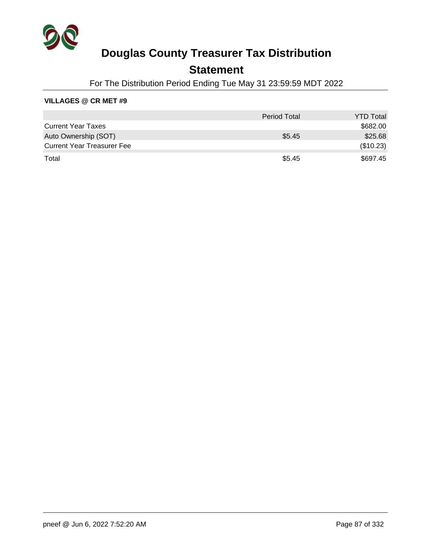

## **Statement**

For The Distribution Period Ending Tue May 31 23:59:59 MDT 2022

|                                   | <b>Period Total</b> | <b>YTD Total</b> |
|-----------------------------------|---------------------|------------------|
| <b>Current Year Taxes</b>         |                     | \$682.00         |
| Auto Ownership (SOT)              | \$5.45              | \$25.68          |
| <b>Current Year Treasurer Fee</b> |                     | (\$10.23)        |
| Total                             | \$5.45              | \$697.45         |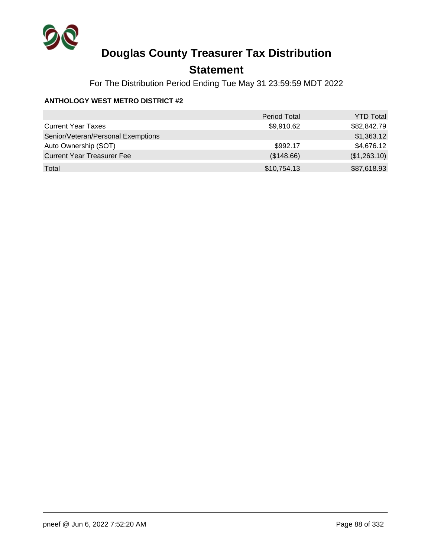

## **Statement**

For The Distribution Period Ending Tue May 31 23:59:59 MDT 2022

### **ANTHOLOGY WEST METRO DISTRICT #2**

|                                    | <b>Period Total</b> | <b>YTD Total</b> |
|------------------------------------|---------------------|------------------|
| <b>Current Year Taxes</b>          | \$9,910.62          | \$82,842.79      |
| Senior/Veteran/Personal Exemptions |                     | \$1,363.12       |
| Auto Ownership (SOT)               | \$992.17            | \$4,676.12       |
| <b>Current Year Treasurer Fee</b>  | (\$148.66)          | (\$1,263.10)     |
| Total                              | \$10,754.13         | \$87,618.93      |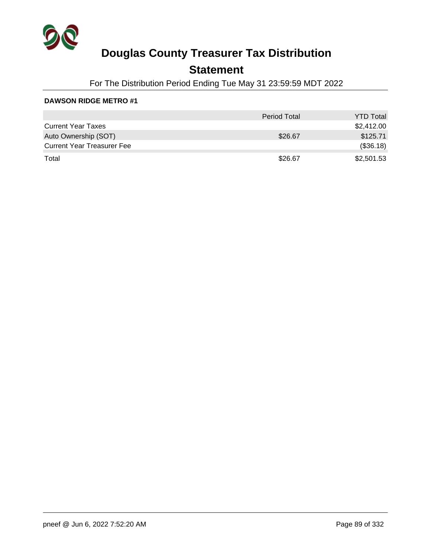

## **Statement**

For The Distribution Period Ending Tue May 31 23:59:59 MDT 2022

|                                   | <b>Period Total</b> | <b>YTD Total</b> |
|-----------------------------------|---------------------|------------------|
| <b>Current Year Taxes</b>         |                     | \$2,412.00       |
| Auto Ownership (SOT)              | \$26.67             | \$125.71         |
| <b>Current Year Treasurer Fee</b> |                     | (\$36.18)        |
| Total                             | \$26.67             | \$2,501.53       |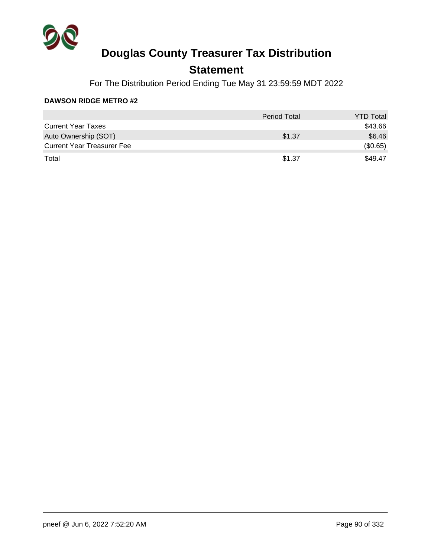

## **Statement**

For The Distribution Period Ending Tue May 31 23:59:59 MDT 2022

|                                   | <b>Period Total</b> | <b>YTD Total</b> |
|-----------------------------------|---------------------|------------------|
| <b>Current Year Taxes</b>         |                     | \$43.66          |
| Auto Ownership (SOT)              | \$1.37              | \$6.46           |
| <b>Current Year Treasurer Fee</b> |                     | (\$0.65)         |
| Total                             | \$1.37              | \$49.47          |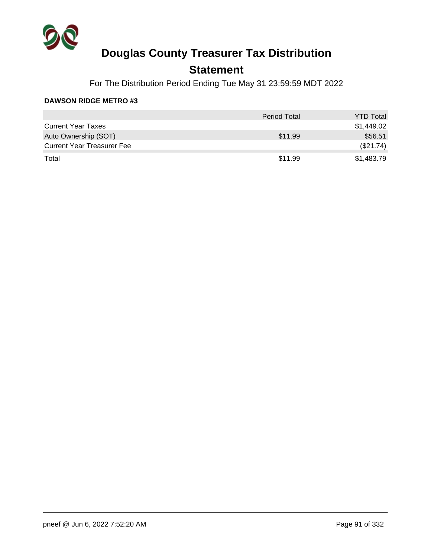

## **Statement**

For The Distribution Period Ending Tue May 31 23:59:59 MDT 2022

|                                   | <b>Period Total</b> | <b>YTD Total</b> |
|-----------------------------------|---------------------|------------------|
| <b>Current Year Taxes</b>         |                     | \$1,449.02       |
| Auto Ownership (SOT)              | \$11.99             | \$56.51          |
| <b>Current Year Treasurer Fee</b> |                     | (\$21.74)        |
| Total                             | \$11.99             | \$1,483.79       |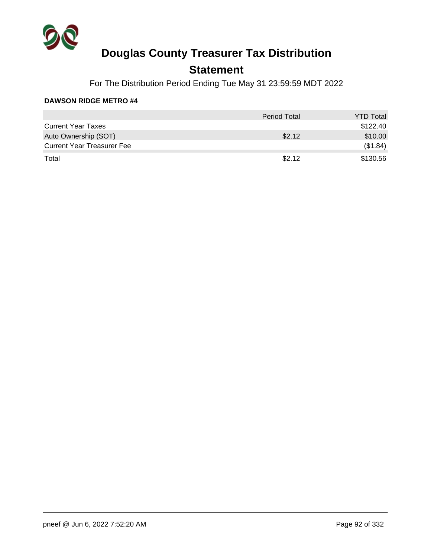

## **Statement**

For The Distribution Period Ending Tue May 31 23:59:59 MDT 2022

|                                   | <b>Period Total</b> | <b>YTD Total</b> |
|-----------------------------------|---------------------|------------------|
| <b>Current Year Taxes</b>         |                     | \$122.40         |
| Auto Ownership (SOT)              | \$2.12              | \$10.00          |
| <b>Current Year Treasurer Fee</b> |                     | (\$1.84)         |
| Total                             | \$2.12              | \$130.56         |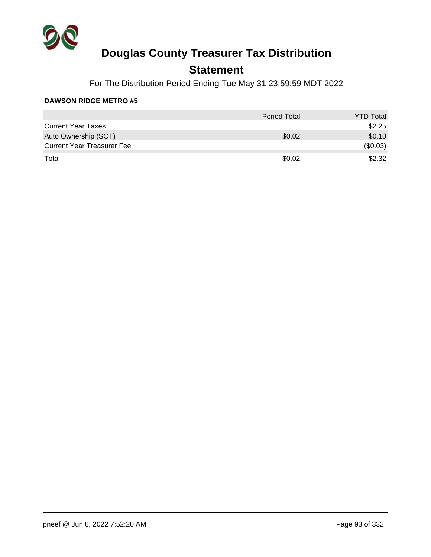

## **Statement**

For The Distribution Period Ending Tue May 31 23:59:59 MDT 2022

|                                   | <b>Period Total</b> | <b>YTD Total</b> |
|-----------------------------------|---------------------|------------------|
| <b>Current Year Taxes</b>         |                     | \$2.25           |
| Auto Ownership (SOT)              | \$0.02              | \$0.10           |
| <b>Current Year Treasurer Fee</b> |                     | (\$0.03)         |
| Total                             | \$0.02              | \$2.32           |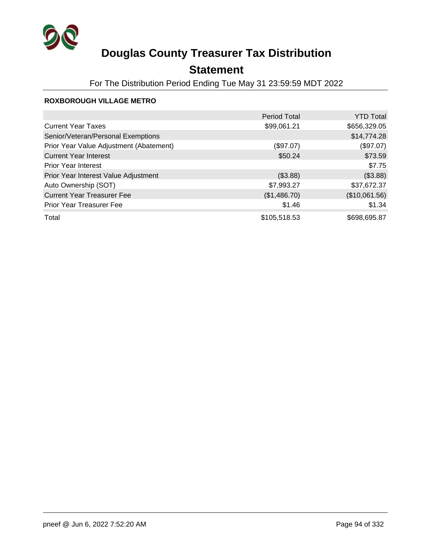

## **Statement**

For The Distribution Period Ending Tue May 31 23:59:59 MDT 2022

### **ROXBOROUGH VILLAGE METRO**

|                                         | <b>Period Total</b> | <b>YTD Total</b> |
|-----------------------------------------|---------------------|------------------|
| <b>Current Year Taxes</b>               | \$99,061.21         | \$656,329.05     |
| Senior/Veteran/Personal Exemptions      |                     | \$14,774.28      |
| Prior Year Value Adjustment (Abatement) | (\$97.07)           | (\$97.07)        |
| <b>Current Year Interest</b>            | \$50.24             | \$73.59          |
| <b>Prior Year Interest</b>              |                     | \$7.75           |
| Prior Year Interest Value Adjustment    | (\$3.88)            | (\$3.88)         |
| Auto Ownership (SOT)                    | \$7,993.27          | \$37,672.37      |
| <b>Current Year Treasurer Fee</b>       | (\$1,486.70)        | (\$10,061.56)    |
| Prior Year Treasurer Fee                | \$1.46              | \$1.34           |
| Total                                   | \$105,518.53        | \$698,695.87     |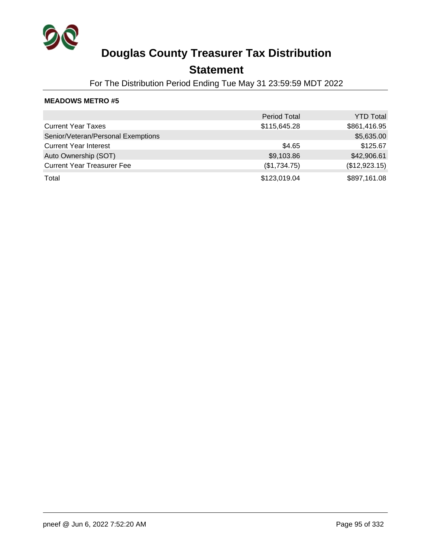

## **Statement**

For The Distribution Period Ending Tue May 31 23:59:59 MDT 2022

|                                    | <b>Period Total</b> | <b>YTD Total</b> |
|------------------------------------|---------------------|------------------|
| <b>Current Year Taxes</b>          | \$115,645.28        | \$861,416.95     |
| Senior/Veteran/Personal Exemptions |                     | \$5,635.00       |
| <b>Current Year Interest</b>       | \$4.65              | \$125.67         |
| Auto Ownership (SOT)               | \$9,103.86          | \$42,906.61      |
| <b>Current Year Treasurer Fee</b>  | (\$1,734.75)        | (\$12,923.15)    |
| Total                              | \$123,019.04        | \$897,161.08     |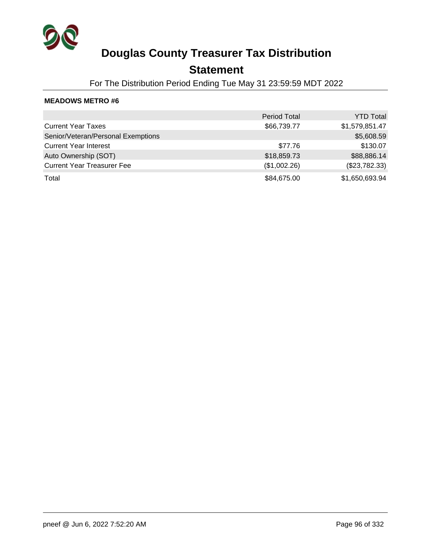

### **Statement**

For The Distribution Period Ending Tue May 31 23:59:59 MDT 2022

|                                    | <b>Period Total</b> | <b>YTD Total</b> |
|------------------------------------|---------------------|------------------|
| <b>Current Year Taxes</b>          | \$66,739.77         | \$1,579,851.47   |
| Senior/Veteran/Personal Exemptions |                     | \$5,608.59       |
| <b>Current Year Interest</b>       | \$77.76             | \$130.07         |
| Auto Ownership (SOT)               | \$18,859.73         | \$88,886.14      |
| <b>Current Year Treasurer Fee</b>  | (\$1,002.26)        | (\$23,782.33)    |
| Total                              | \$84,675.00         | \$1,650,693.94   |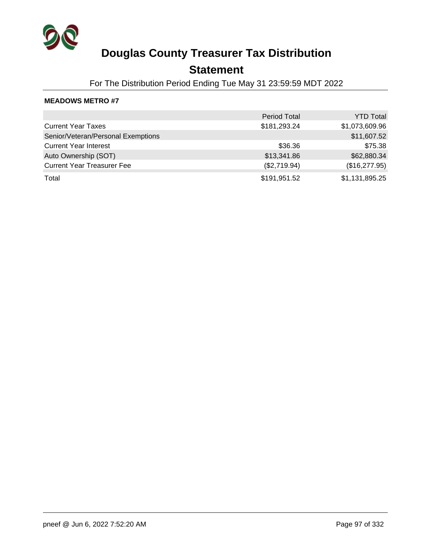

## **Statement**

For The Distribution Period Ending Tue May 31 23:59:59 MDT 2022

|                                    | <b>Period Total</b> | <b>YTD Total</b> |
|------------------------------------|---------------------|------------------|
| <b>Current Year Taxes</b>          | \$181,293.24        | \$1,073,609.96   |
| Senior/Veteran/Personal Exemptions |                     | \$11,607.52      |
| <b>Current Year Interest</b>       | \$36.36             | \$75.38          |
| Auto Ownership (SOT)               | \$13,341.86         | \$62,880.34      |
| <b>Current Year Treasurer Fee</b>  | (\$2,719.94)        | (\$16,277.95)    |
| Total                              | \$191,951.52        | \$1,131,895.25   |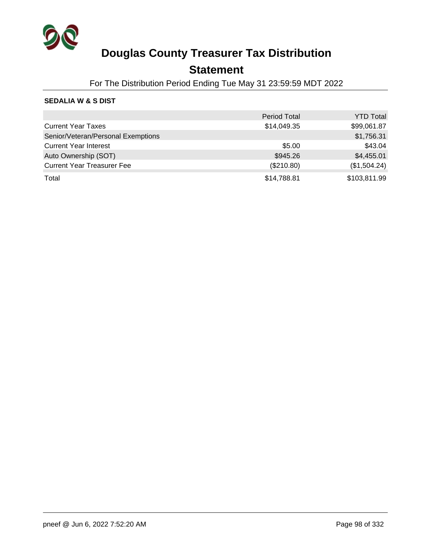

## **Statement**

For The Distribution Period Ending Tue May 31 23:59:59 MDT 2022

### **SEDALIA W & S DIST**

|                                    | <b>Period Total</b> | <b>YTD Total</b> |
|------------------------------------|---------------------|------------------|
| <b>Current Year Taxes</b>          | \$14,049.35         | \$99,061.87      |
| Senior/Veteran/Personal Exemptions |                     | \$1,756.31       |
| <b>Current Year Interest</b>       | \$5.00              | \$43.04          |
| Auto Ownership (SOT)               | \$945.26            | \$4,455.01       |
| <b>Current Year Treasurer Fee</b>  | (\$210.80)          | (\$1,504.24)     |
| Total                              | \$14,788.81         | \$103,811.99     |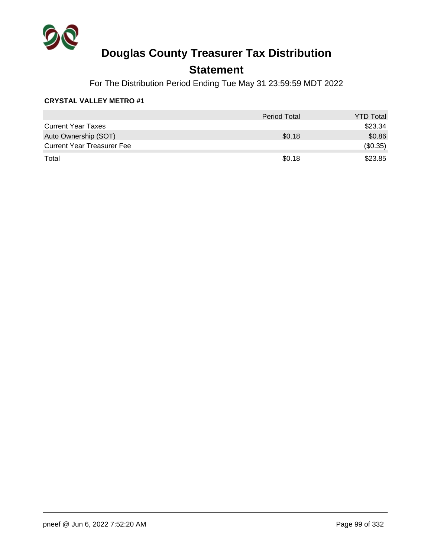

## **Statement**

For The Distribution Period Ending Tue May 31 23:59:59 MDT 2022

### **CRYSTAL VALLEY METRO #1**

|                                   | <b>Period Total</b> | <b>YTD Total</b> |
|-----------------------------------|---------------------|------------------|
| <b>Current Year Taxes</b>         |                     | \$23.34          |
| Auto Ownership (SOT)              | \$0.18              | \$0.86           |
| <b>Current Year Treasurer Fee</b> |                     | (\$0.35)         |
| Total                             | \$0.18              | \$23.85          |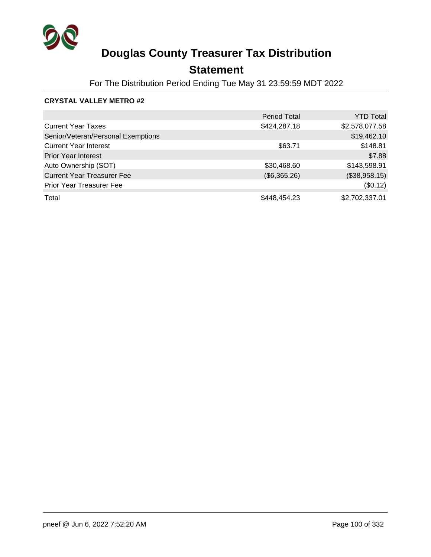

## **Statement**

For The Distribution Period Ending Tue May 31 23:59:59 MDT 2022

### **CRYSTAL VALLEY METRO #2**

|                                    | <b>Period Total</b> | <b>YTD Total</b> |
|------------------------------------|---------------------|------------------|
| <b>Current Year Taxes</b>          | \$424,287.18        | \$2,578,077.58   |
| Senior/Veteran/Personal Exemptions |                     | \$19,462.10      |
| <b>Current Year Interest</b>       | \$63.71             | \$148.81         |
| <b>Prior Year Interest</b>         |                     | \$7.88           |
| Auto Ownership (SOT)               | \$30,468.60         | \$143,598.91     |
| <b>Current Year Treasurer Fee</b>  | (\$6,365.26)        | (\$38,958.15)    |
| <b>Prior Year Treasurer Fee</b>    |                     | (\$0.12)         |
| Total                              | \$448,454.23        | \$2,702,337.01   |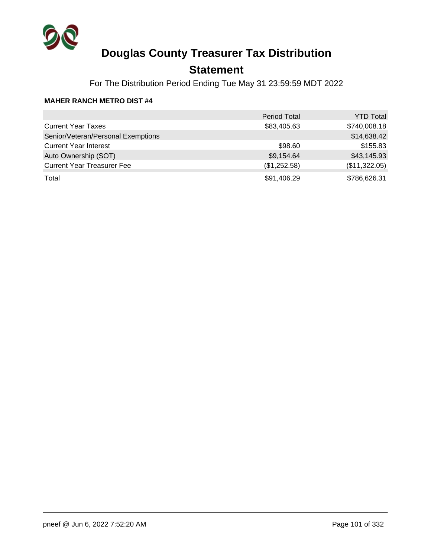

## **Statement**

For The Distribution Period Ending Tue May 31 23:59:59 MDT 2022

#### **MAHER RANCH METRO DIST #4**

|                                    | <b>Period Total</b> | <b>YTD Total</b> |
|------------------------------------|---------------------|------------------|
| <b>Current Year Taxes</b>          | \$83,405.63         | \$740,008.18     |
| Senior/Veteran/Personal Exemptions |                     | \$14,638.42      |
| <b>Current Year Interest</b>       | \$98.60             | \$155.83         |
| Auto Ownership (SOT)               | \$9,154.64          | \$43,145.93      |
| <b>Current Year Treasurer Fee</b>  | (\$1,252.58)        | (\$11,322.05)    |
| Total                              | \$91,406.29         | \$786,626.31     |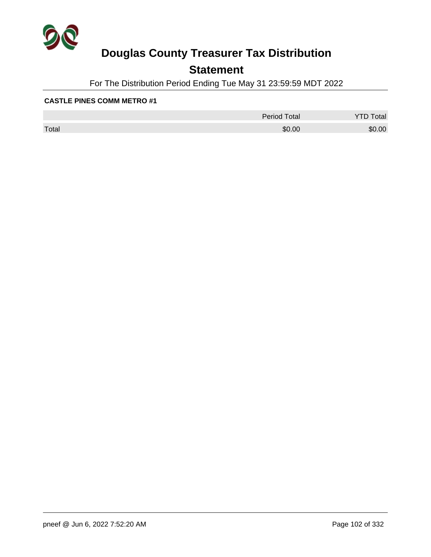

## **Statement**

For The Distribution Period Ending Tue May 31 23:59:59 MDT 2022

|       | <b>Period Total</b> | otal   |
|-------|---------------------|--------|
| Total | \$0.00              | \$0.00 |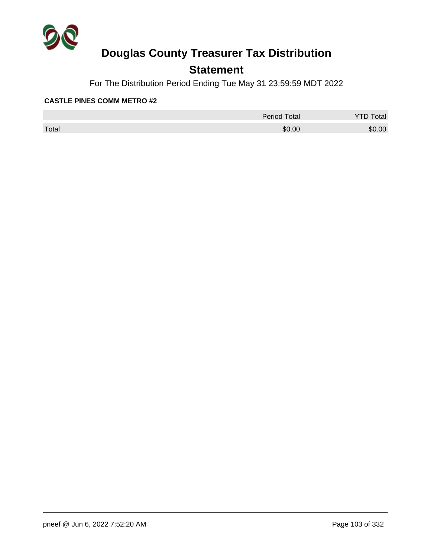

## **Statement**

For The Distribution Period Ending Tue May 31 23:59:59 MDT 2022

|       | <b>Period Total</b> | otal   |
|-------|---------------------|--------|
| Total | \$0.00              | \$0.00 |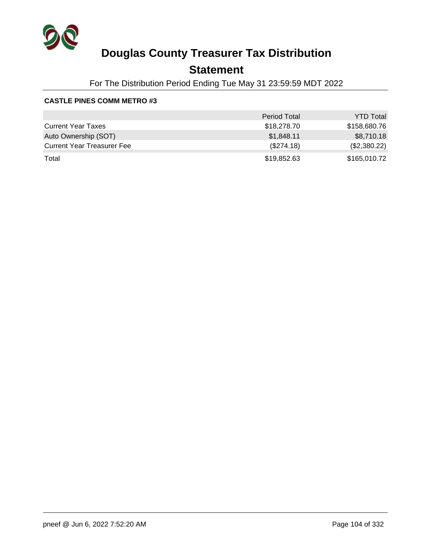

## **Statement**

For The Distribution Period Ending Tue May 31 23:59:59 MDT 2022

|                                   | <b>Period Total</b> | <b>YTD Total</b> |
|-----------------------------------|---------------------|------------------|
| <b>Current Year Taxes</b>         | \$18,278.70         | \$158,680.76     |
| Auto Ownership (SOT)              | \$1,848.11          | \$8,710.18       |
| <b>Current Year Treasurer Fee</b> | (\$274.18)          | (\$2,380.22)     |
| Total                             | \$19,852.63         | \$165,010.72     |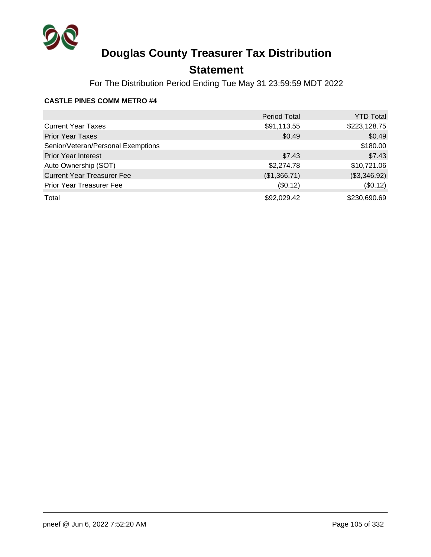

## **Statement**

For The Distribution Period Ending Tue May 31 23:59:59 MDT 2022

|                                    | <b>Period Total</b> | <b>YTD Total</b> |
|------------------------------------|---------------------|------------------|
| <b>Current Year Taxes</b>          | \$91,113.55         | \$223,128.75     |
| <b>Prior Year Taxes</b>            | \$0.49              | \$0.49           |
| Senior/Veteran/Personal Exemptions |                     | \$180.00         |
| <b>Prior Year Interest</b>         | \$7.43              | \$7.43           |
| Auto Ownership (SOT)               | \$2,274.78          | \$10,721.06      |
| <b>Current Year Treasurer Fee</b>  | (\$1,366.71)        | (\$3,346.92)     |
| Prior Year Treasurer Fee           | (\$0.12)            | (\$0.12)         |
| Total                              | \$92,029.42         | \$230,690.69     |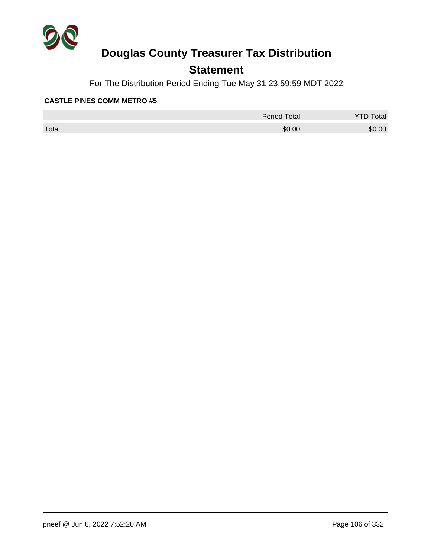

## **Statement**

For The Distribution Period Ending Tue May 31 23:59:59 MDT 2022

|       | <b>Period Total</b> | otal<br>້ |
|-------|---------------------|-----------|
| Total | \$0.00              | \$0.00    |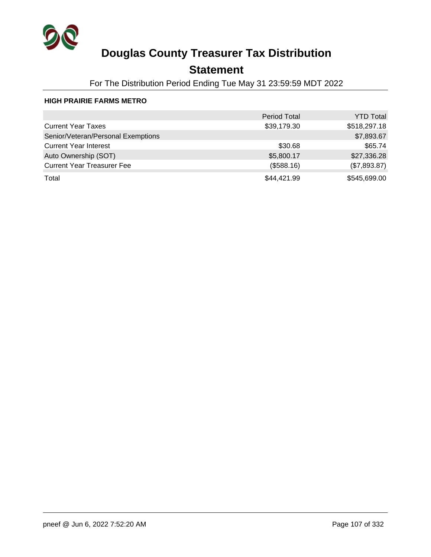

## **Statement**

For The Distribution Period Ending Tue May 31 23:59:59 MDT 2022

### **HIGH PRAIRIE FARMS METRO**

|                                    | <b>Period Total</b> | <b>YTD Total</b> |
|------------------------------------|---------------------|------------------|
| <b>Current Year Taxes</b>          | \$39,179.30         | \$518,297.18     |
| Senior/Veteran/Personal Exemptions |                     | \$7,893.67       |
| <b>Current Year Interest</b>       | \$30.68             | \$65.74          |
| Auto Ownership (SOT)               | \$5,800.17          | \$27,336.28      |
| <b>Current Year Treasurer Fee</b>  | (\$588.16)          | (\$7,893.87)     |
| Total                              | \$44,421.99         | \$545,699.00     |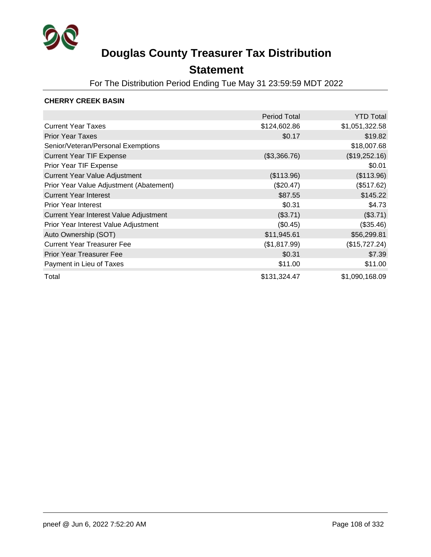

## **Statement**

For The Distribution Period Ending Tue May 31 23:59:59 MDT 2022

### **CHERRY CREEK BASIN**

|                                         | <b>Period Total</b> | <b>YTD Total</b> |
|-----------------------------------------|---------------------|------------------|
| <b>Current Year Taxes</b>               | \$124,602.86        | \$1,051,322.58   |
| <b>Prior Year Taxes</b>                 | \$0.17              | \$19.82          |
| Senior/Veteran/Personal Exemptions      |                     | \$18,007.68      |
| <b>Current Year TIF Expense</b>         | (\$3,366.76)        | (\$19,252.16)    |
| Prior Year TIF Expense                  |                     | \$0.01           |
| <b>Current Year Value Adjustment</b>    | (\$113.96)          | (\$113.96)       |
| Prior Year Value Adjustment (Abatement) | (\$20.47)           | (\$517.62)       |
| <b>Current Year Interest</b>            | \$87.55             | \$145.22         |
| <b>Prior Year Interest</b>              | \$0.31              | \$4.73           |
| Current Year Interest Value Adjustment  | (\$3.71)            | (\$3.71)         |
| Prior Year Interest Value Adjustment    | (\$0.45)            | (\$35.46)        |
| Auto Ownership (SOT)                    | \$11,945.61         | \$56,299.81      |
| <b>Current Year Treasurer Fee</b>       | (\$1,817.99)        | (\$15,727.24)    |
| <b>Prior Year Treasurer Fee</b>         | \$0.31              | \$7.39           |
| Payment in Lieu of Taxes                | \$11.00             | \$11.00          |
| Total                                   | \$131,324.47        | \$1,090,168.09   |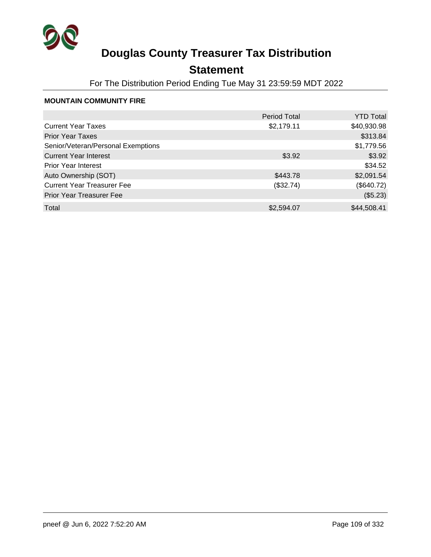

## **Statement**

For The Distribution Period Ending Tue May 31 23:59:59 MDT 2022

#### **MOUNTAIN COMMUNITY FIRE**

|                                    | <b>Period Total</b> | <b>YTD Total</b> |
|------------------------------------|---------------------|------------------|
| <b>Current Year Taxes</b>          | \$2,179.11          | \$40,930.98      |
| <b>Prior Year Taxes</b>            |                     | \$313.84         |
| Senior/Veteran/Personal Exemptions |                     | \$1,779.56       |
| <b>Current Year Interest</b>       | \$3.92              | \$3.92           |
| <b>Prior Year Interest</b>         |                     | \$34.52          |
| Auto Ownership (SOT)               | \$443.78            | \$2,091.54       |
| <b>Current Year Treasurer Fee</b>  | (\$32.74)           | (\$640.72)       |
| <b>Prior Year Treasurer Fee</b>    |                     | (\$5.23)         |
| Total                              | \$2,594.07          | \$44,508.41      |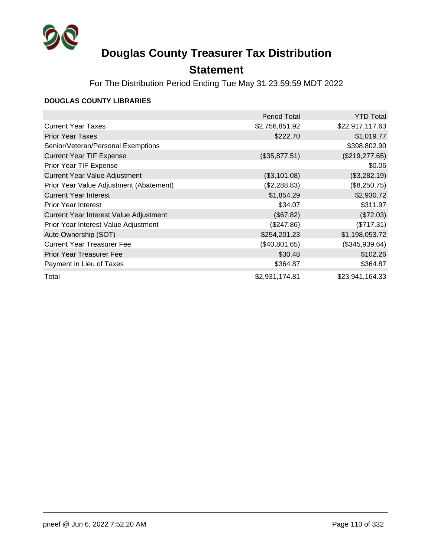

## **Statement**

For The Distribution Period Ending Tue May 31 23:59:59 MDT 2022

#### **DOUGLAS COUNTY LIBRARIES**

|                                         | <b>Period Total</b> | <b>YTD Total</b> |
|-----------------------------------------|---------------------|------------------|
| <b>Current Year Taxes</b>               | \$2,756,851.92      | \$22,917,117.63  |
| <b>Prior Year Taxes</b>                 | \$222.70            | \$1,019.77       |
| Senior/Veteran/Personal Exemptions      |                     | \$398,802.90     |
| <b>Current Year TIF Expense</b>         | (\$35,877.51)       | (\$219, 277.65)  |
| Prior Year TIF Expense                  |                     | \$0.06           |
| <b>Current Year Value Adjustment</b>    | (\$3,101.08)        | (\$3,282.19)     |
| Prior Year Value Adjustment (Abatement) | (\$2,288.83)        | (\$8,250.75)     |
| <b>Current Year Interest</b>            | \$1,854.29          | \$2,930.72       |
| <b>Prior Year Interest</b>              | \$34.07             | \$311.97         |
| Current Year Interest Value Adjustment  | (\$67.82)           | (\$72.03)        |
| Prior Year Interest Value Adjustment    | (\$247.86)          | (\$717.31)       |
| Auto Ownership (SOT)                    | \$254,201.23        | \$1,198,053.72   |
| <b>Current Year Treasurer Fee</b>       | (\$40,801.65)       | (\$345,939.64)   |
| <b>Prior Year Treasurer Fee</b>         | \$30.48             | \$102.26         |
| Payment in Lieu of Taxes                | \$364.87            | \$364.87         |
| Total                                   | \$2,931,174.81      | \$23,941,164.33  |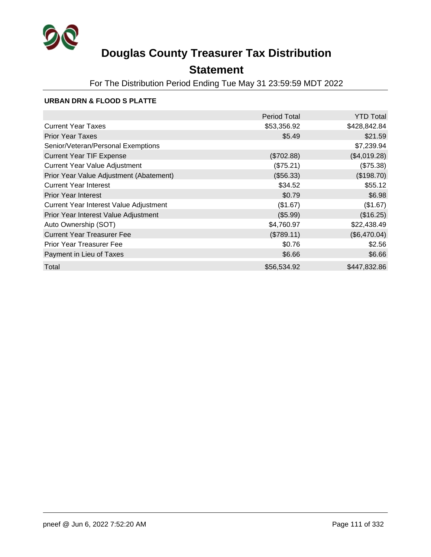

## **Statement**

For The Distribution Period Ending Tue May 31 23:59:59 MDT 2022

#### **URBAN DRN & FLOOD S PLATTE**

|                                         | <b>Period Total</b> | <b>YTD Total</b> |
|-----------------------------------------|---------------------|------------------|
| <b>Current Year Taxes</b>               | \$53,356.92         | \$428,842.84     |
| <b>Prior Year Taxes</b>                 | \$5.49              | \$21.59          |
| Senior/Veteran/Personal Exemptions      |                     | \$7,239.94       |
| <b>Current Year TIF Expense</b>         | (\$702.88)          | (\$4,019.28)     |
| <b>Current Year Value Adjustment</b>    | (\$75.21)           | (\$75.38)        |
| Prior Year Value Adjustment (Abatement) | (\$56.33)           | (\$198.70)       |
| <b>Current Year Interest</b>            | \$34.52             | \$55.12          |
| <b>Prior Year Interest</b>              | \$0.79              | \$6.98           |
| Current Year Interest Value Adjustment  | (\$1.67)            | (\$1.67)         |
| Prior Year Interest Value Adjustment    | (\$5.99)            | (\$16.25)        |
| Auto Ownership (SOT)                    | \$4,760.97          | \$22,438.49      |
| <b>Current Year Treasurer Fee</b>       | (\$789.11)          | (\$6,470.04)     |
| <b>Prior Year Treasurer Fee</b>         | \$0.76              | \$2.56           |
| Payment in Lieu of Taxes                | \$6.66              | \$6.66           |
| Total                                   | \$56,534.92         | \$447,832.86     |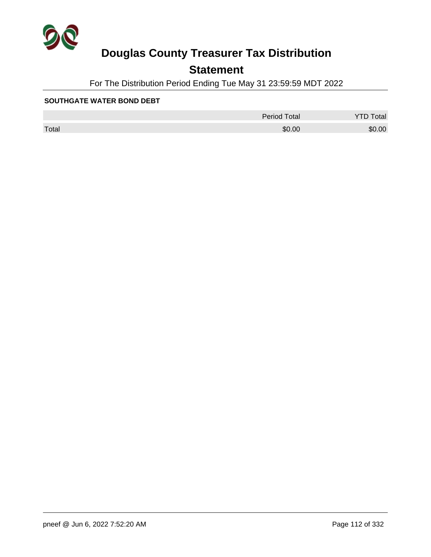

## **Statement**

For The Distribution Period Ending Tue May 31 23:59:59 MDT 2022

#### **SOUTHGATE WATER BOND DEBT**

|       | <b>Period Total</b> | otal   |
|-------|---------------------|--------|
| Total | \$0.00              | \$0.00 |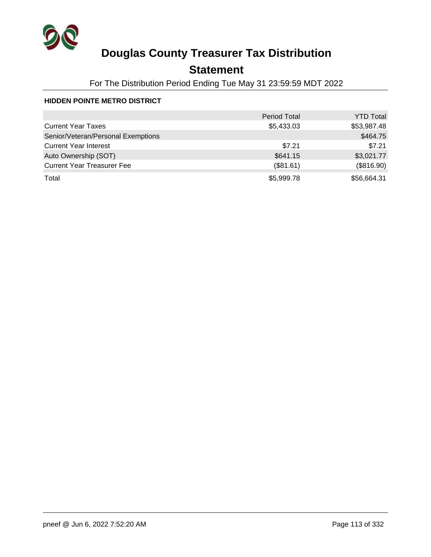

## **Statement**

For The Distribution Period Ending Tue May 31 23:59:59 MDT 2022

#### **HIDDEN POINTE METRO DISTRICT**

|                                    | <b>Period Total</b> | <b>YTD Total</b> |
|------------------------------------|---------------------|------------------|
| <b>Current Year Taxes</b>          | \$5,433.03          | \$53,987.48      |
| Senior/Veteran/Personal Exemptions |                     | \$464.75         |
| <b>Current Year Interest</b>       | \$7.21              | \$7.21           |
| Auto Ownership (SOT)               | \$641.15            | \$3,021.77       |
| <b>Current Year Treasurer Fee</b>  | (\$81.61)           | (\$816.90)       |
| Total                              | \$5,999.78          | \$56,664.31      |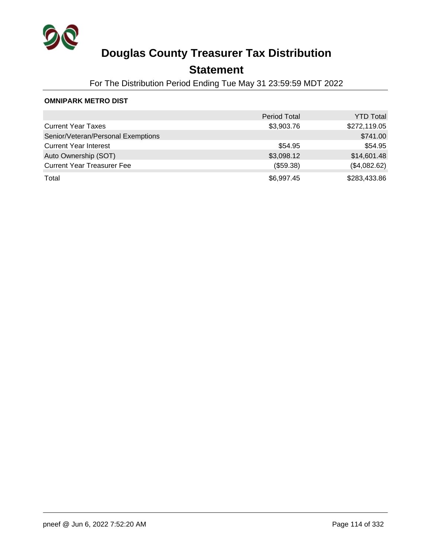

## **Statement**

For The Distribution Period Ending Tue May 31 23:59:59 MDT 2022

#### **OMNIPARK METRO DIST**

|                                    | <b>Period Total</b> | <b>YTD Total</b> |
|------------------------------------|---------------------|------------------|
| <b>Current Year Taxes</b>          | \$3,903.76          | \$272,119.05     |
| Senior/Veteran/Personal Exemptions |                     | \$741.00         |
| <b>Current Year Interest</b>       | \$54.95             | \$54.95          |
| Auto Ownership (SOT)               | \$3,098.12          | \$14,601.48      |
| <b>Current Year Treasurer Fee</b>  | (\$59.38)           | (\$4,082.62)     |
| Total                              | \$6,997.45          | \$283,433.86     |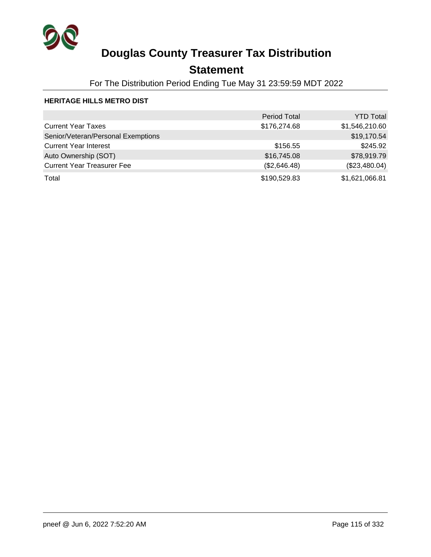

## **Statement**

For The Distribution Period Ending Tue May 31 23:59:59 MDT 2022

#### **HERITAGE HILLS METRO DIST**

|                                    | <b>Period Total</b> | <b>YTD Total</b> |
|------------------------------------|---------------------|------------------|
| <b>Current Year Taxes</b>          | \$176,274.68        | \$1,546,210.60   |
| Senior/Veteran/Personal Exemptions |                     | \$19,170.54      |
| <b>Current Year Interest</b>       | \$156.55            | \$245.92         |
| Auto Ownership (SOT)               | \$16,745.08         | \$78,919.79      |
| <b>Current Year Treasurer Fee</b>  | (\$2,646.48)        | (\$23,480.04)    |
| Total                              | \$190,529.83        | \$1,621,066.81   |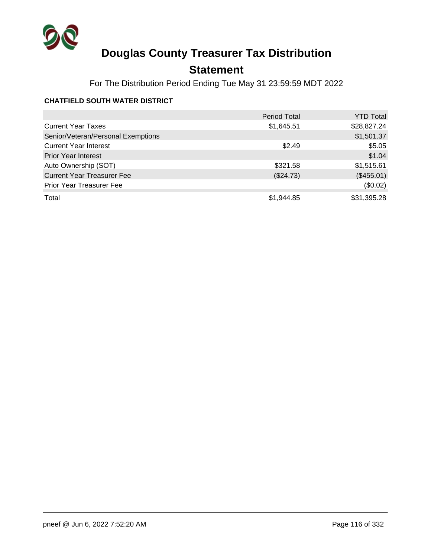

## **Statement**

For The Distribution Period Ending Tue May 31 23:59:59 MDT 2022

#### **CHATFIELD SOUTH WATER DISTRICT**

|                                    | <b>Period Total</b> | <b>YTD Total</b> |
|------------------------------------|---------------------|------------------|
| <b>Current Year Taxes</b>          | \$1,645.51          | \$28,827.24      |
| Senior/Veteran/Personal Exemptions |                     | \$1,501.37       |
| <b>Current Year Interest</b>       | \$2.49              | \$5.05           |
| <b>Prior Year Interest</b>         |                     | \$1.04           |
| Auto Ownership (SOT)               | \$321.58            | \$1,515.61       |
| <b>Current Year Treasurer Fee</b>  | (\$24.73)           | (\$455.01)       |
| <b>Prior Year Treasurer Fee</b>    |                     | (\$0.02)         |
| Total                              | \$1,944.85          | \$31,395.28      |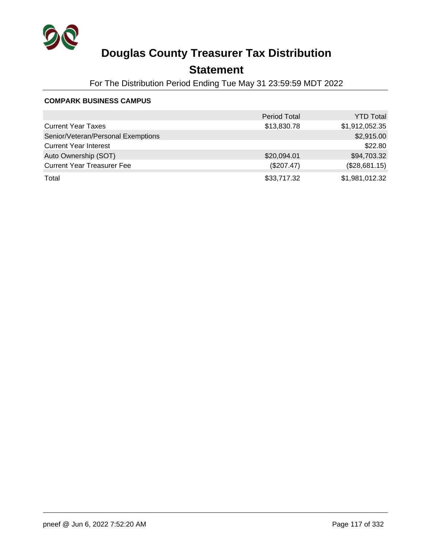

## **Statement**

For The Distribution Period Ending Tue May 31 23:59:59 MDT 2022

#### **COMPARK BUSINESS CAMPUS**

|                                    | <b>Period Total</b> | <b>YTD Total</b> |
|------------------------------------|---------------------|------------------|
| <b>Current Year Taxes</b>          | \$13,830.78         | \$1,912,052.35   |
| Senior/Veteran/Personal Exemptions |                     | \$2,915.00       |
| <b>Current Year Interest</b>       |                     | \$22.80          |
| Auto Ownership (SOT)               | \$20,094.01         | \$94,703.32      |
| <b>Current Year Treasurer Fee</b>  | (\$207.47)          | (\$28,681.15)    |
| Total                              | \$33,717.32         | \$1,981,012.32   |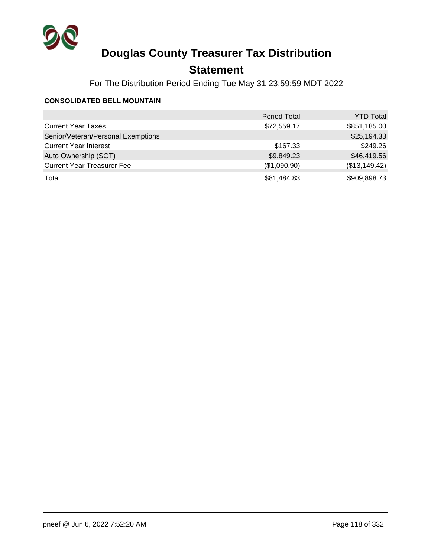

## **Statement**

For The Distribution Period Ending Tue May 31 23:59:59 MDT 2022

#### **CONSOLIDATED BELL MOUNTAIN**

|                                    | <b>Period Total</b> | <b>YTD Total</b> |
|------------------------------------|---------------------|------------------|
| <b>Current Year Taxes</b>          | \$72,559.17         | \$851,185.00     |
| Senior/Veteran/Personal Exemptions |                     | \$25,194.33      |
| <b>Current Year Interest</b>       | \$167.33            | \$249.26         |
| Auto Ownership (SOT)               | \$9,849.23          | \$46,419.56      |
| <b>Current Year Treasurer Fee</b>  | (\$1,090.90)        | (\$13,149.42)    |
| Total                              | \$81,484.83         | \$909,898.73     |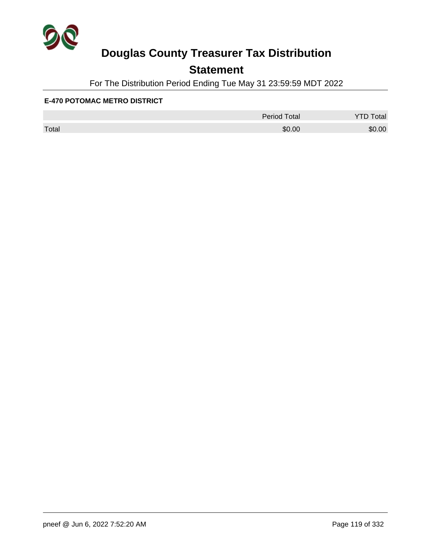

## **Statement**

For The Distribution Period Ending Tue May 31 23:59:59 MDT 2022

#### **E-470 POTOMAC METRO DISTRICT**

|       | <b>Period Total</b> | otal   |
|-------|---------------------|--------|
| Total | \$0.00              | \$0.00 |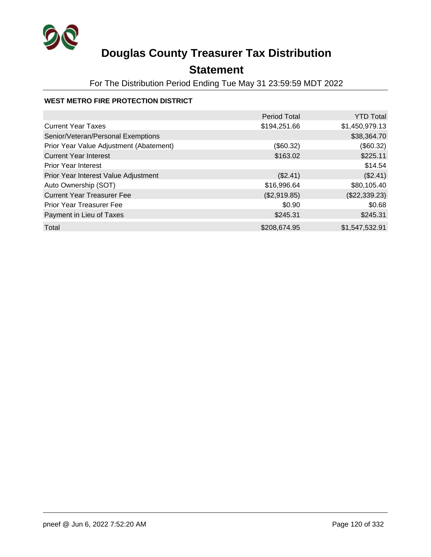

## **Statement**

For The Distribution Period Ending Tue May 31 23:59:59 MDT 2022

#### **WEST METRO FIRE PROTECTION DISTRICT**

|                                         | <b>Period Total</b> | <b>YTD Total</b> |
|-----------------------------------------|---------------------|------------------|
| <b>Current Year Taxes</b>               | \$194,251.66        | \$1,450,979.13   |
| Senior/Veteran/Personal Exemptions      |                     | \$38,364.70      |
| Prior Year Value Adjustment (Abatement) | (\$60.32)           | (\$60.32)        |
| <b>Current Year Interest</b>            | \$163.02            | \$225.11         |
| <b>Prior Year Interest</b>              |                     | \$14.54          |
| Prior Year Interest Value Adjustment    | (\$2.41)            | (\$2.41)         |
| Auto Ownership (SOT)                    | \$16,996.64         | \$80,105.40      |
| <b>Current Year Treasurer Fee</b>       | (\$2,919.85)        | (\$22,339.23)    |
| <b>Prior Year Treasurer Fee</b>         | \$0.90              | \$0.68           |
| Payment in Lieu of Taxes                | \$245.31            | \$245.31         |
| Total                                   | \$208,674.95        | \$1,547,532.91   |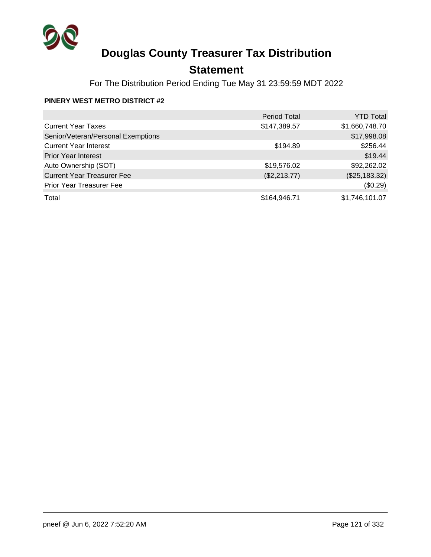

## **Statement**

For The Distribution Period Ending Tue May 31 23:59:59 MDT 2022

#### **PINERY WEST METRO DISTRICT #2**

|                                    | Period Total | <b>YTD Total</b> |
|------------------------------------|--------------|------------------|
| <b>Current Year Taxes</b>          | \$147,389.57 | \$1,660,748.70   |
| Senior/Veteran/Personal Exemptions |              | \$17,998.08      |
| <b>Current Year Interest</b>       | \$194.89     | \$256.44         |
| <b>Prior Year Interest</b>         |              | \$19.44          |
| Auto Ownership (SOT)               | \$19,576.02  | \$92,262.02      |
| <b>Current Year Treasurer Fee</b>  | (\$2,213.77) | (\$25,183.32)    |
| <b>Prior Year Treasurer Fee</b>    |              | (\$0.29)         |
| Total                              | \$164,946.71 | \$1,746,101.07   |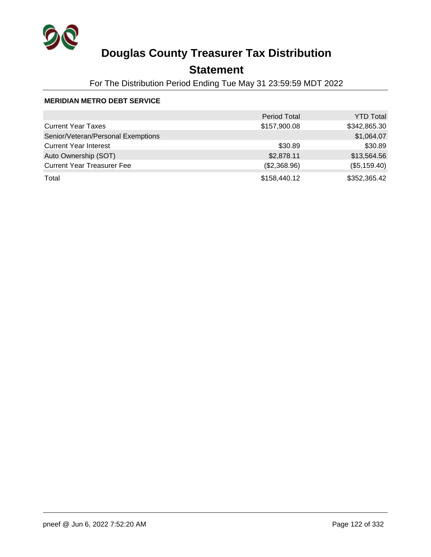

## **Statement**

For The Distribution Period Ending Tue May 31 23:59:59 MDT 2022

#### **MERIDIAN METRO DEBT SERVICE**

|                                    | <b>Period Total</b> | <b>YTD Total</b> |
|------------------------------------|---------------------|------------------|
| <b>Current Year Taxes</b>          | \$157,900.08        | \$342,865.30     |
| Senior/Veteran/Personal Exemptions |                     | \$1,064.07       |
| <b>Current Year Interest</b>       | \$30.89             | \$30.89          |
| Auto Ownership (SOT)               | \$2,878.11          | \$13,564.56      |
| <b>Current Year Treasurer Fee</b>  | (\$2,368.96)        | (\$5,159.40)     |
| Total                              | \$158,440.12        | \$352,365.42     |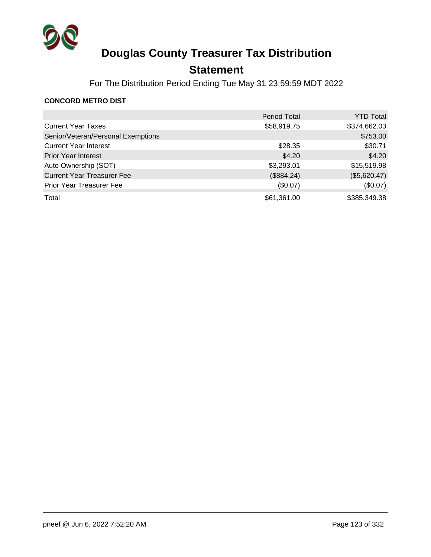

## **Statement**

For The Distribution Period Ending Tue May 31 23:59:59 MDT 2022

#### **CONCORD METRO DIST**

|                                    | <b>Period Total</b> | <b>YTD Total</b> |
|------------------------------------|---------------------|------------------|
| <b>Current Year Taxes</b>          | \$58,919.75         | \$374,662.03     |
| Senior/Veteran/Personal Exemptions |                     | \$753.00         |
| <b>Current Year Interest</b>       | \$28.35             | \$30.71          |
| <b>Prior Year Interest</b>         | \$4.20              | \$4.20           |
| Auto Ownership (SOT)               | \$3,293.01          | \$15,519.98      |
| <b>Current Year Treasurer Fee</b>  | (\$884.24)          | (\$5,620.47)     |
| <b>Prior Year Treasurer Fee</b>    | (\$0.07)            | (\$0.07)         |
| Total                              | \$61,361.00         | \$385,349.38     |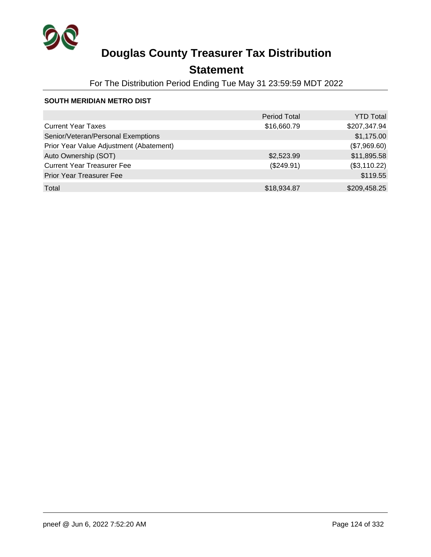

## **Statement**

For The Distribution Period Ending Tue May 31 23:59:59 MDT 2022

#### **SOUTH MERIDIAN METRO DIST**

|                                         | <b>Period Total</b> | <b>YTD Total</b> |
|-----------------------------------------|---------------------|------------------|
| <b>Current Year Taxes</b>               | \$16,660.79         | \$207,347.94     |
| Senior/Veteran/Personal Exemptions      |                     | \$1,175.00       |
| Prior Year Value Adjustment (Abatement) |                     | (\$7,969.60)     |
| Auto Ownership (SOT)                    | \$2,523.99          | \$11,895.58      |
| <b>Current Year Treasurer Fee</b>       | (\$249.91)          | (\$3,110.22)     |
| <b>Prior Year Treasurer Fee</b>         |                     | \$119.55         |
| Total                                   | \$18,934.87         | \$209,458.25     |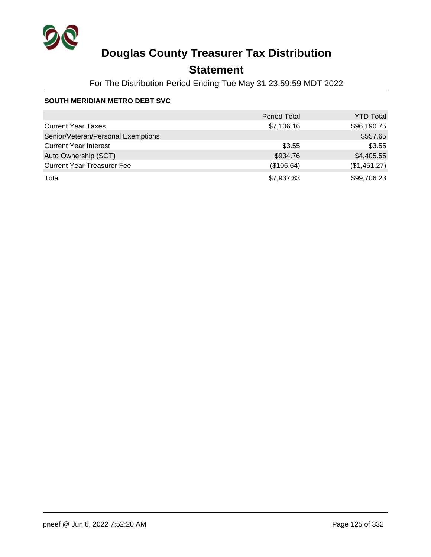

## **Statement**

For The Distribution Period Ending Tue May 31 23:59:59 MDT 2022

#### **SOUTH MERIDIAN METRO DEBT SVC**

|                                    | <b>Period Total</b> | <b>YTD Total</b> |
|------------------------------------|---------------------|------------------|
| <b>Current Year Taxes</b>          | \$7,106.16          | \$96,190.75      |
| Senior/Veteran/Personal Exemptions |                     | \$557.65         |
| <b>Current Year Interest</b>       | \$3.55              | \$3.55           |
| Auto Ownership (SOT)               | \$934.76            | \$4,405.55       |
| <b>Current Year Treasurer Fee</b>  | (\$106.64)          | (\$1,451.27)     |
| Total                              | \$7,937.83          | \$99,706.23      |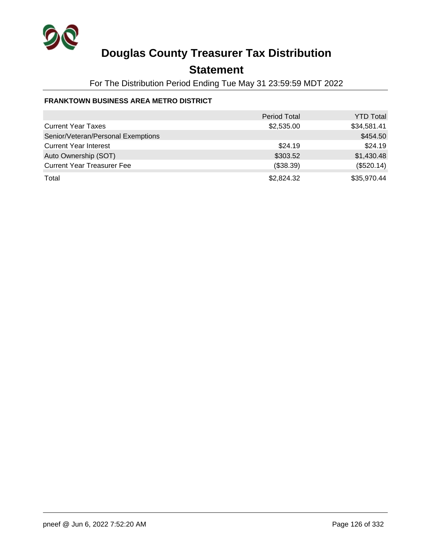

## **Statement**

For The Distribution Period Ending Tue May 31 23:59:59 MDT 2022

#### **FRANKTOWN BUSINESS AREA METRO DISTRICT**

|                                    | <b>Period Total</b> | <b>YTD Total</b> |
|------------------------------------|---------------------|------------------|
| <b>Current Year Taxes</b>          | \$2,535.00          | \$34,581.41      |
| Senior/Veteran/Personal Exemptions |                     | \$454.50         |
| <b>Current Year Interest</b>       | \$24.19             | \$24.19          |
| Auto Ownership (SOT)               | \$303.52            | \$1,430.48       |
| <b>Current Year Treasurer Fee</b>  | (\$38.39)           | (\$520.14)       |
| Total                              | \$2,824.32          | \$35,970.44      |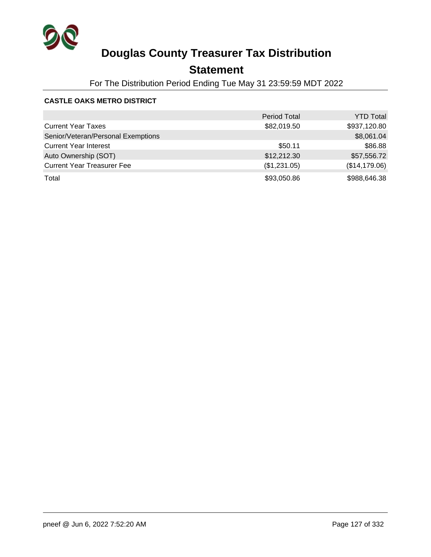

## **Statement**

For The Distribution Period Ending Tue May 31 23:59:59 MDT 2022

#### **CASTLE OAKS METRO DISTRICT**

|                                    | <b>Period Total</b> | <b>YTD Total</b> |
|------------------------------------|---------------------|------------------|
| <b>Current Year Taxes</b>          | \$82,019.50         | \$937,120.80     |
| Senior/Veteran/Personal Exemptions |                     | \$8,061.04       |
| <b>Current Year Interest</b>       | \$50.11             | \$86.88          |
| Auto Ownership (SOT)               | \$12,212.30         | \$57,556.72      |
| <b>Current Year Treasurer Fee</b>  | (\$1,231.05)        | (\$14,179.06)    |
| Total                              | \$93,050.86         | \$988,646.38     |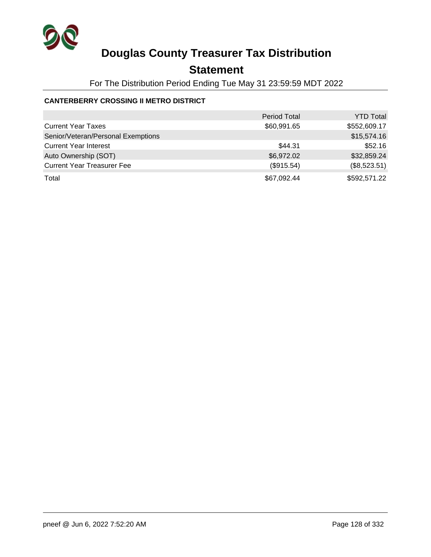

## **Statement**

For The Distribution Period Ending Tue May 31 23:59:59 MDT 2022

#### **CANTERBERRY CROSSING II METRO DISTRICT**

|                                    | <b>Period Total</b> | <b>YTD Total</b> |
|------------------------------------|---------------------|------------------|
| <b>Current Year Taxes</b>          | \$60,991.65         | \$552,609.17     |
| Senior/Veteran/Personal Exemptions |                     | \$15,574.16      |
| <b>Current Year Interest</b>       | \$44.31             | \$52.16          |
| Auto Ownership (SOT)               | \$6,972.02          | \$32,859.24      |
| <b>Current Year Treasurer Fee</b>  | (\$915.54)          | (\$8,523.51)     |
| Total                              | \$67,092.44         | \$592,571.22     |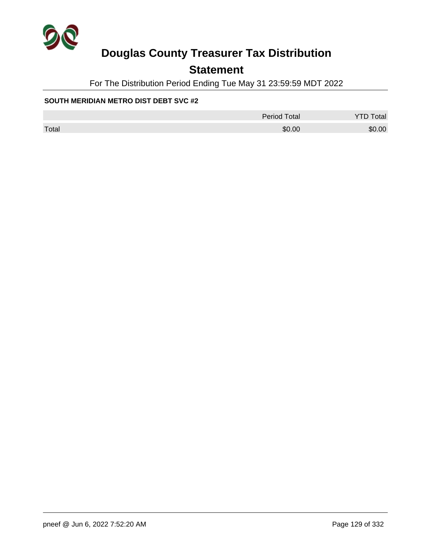

## **Statement**

For The Distribution Period Ending Tue May 31 23:59:59 MDT 2022

#### **SOUTH MERIDIAN METRO DIST DEBT SVC #2**

|       | Period Total | <b>YTD Total</b> |
|-------|--------------|------------------|
| Total | \$0.00       | \$0.00           |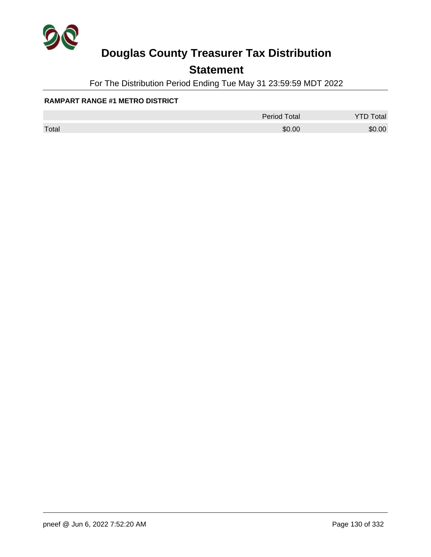

## **Statement**

For The Distribution Period Ending Tue May 31 23:59:59 MDT 2022

#### **RAMPART RANGE #1 METRO DISTRICT**

|       | <b>Period Total</b> | otal   |
|-------|---------------------|--------|
| Total | \$0.00              | \$0.00 |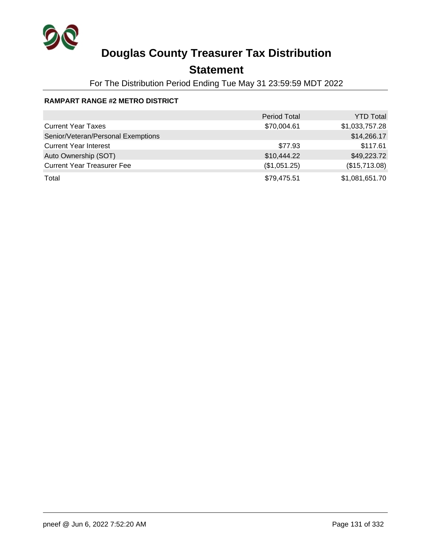

## **Statement**

For The Distribution Period Ending Tue May 31 23:59:59 MDT 2022

#### **RAMPART RANGE #2 METRO DISTRICT**

|                                    | <b>Period Total</b> | <b>YTD Total</b> |
|------------------------------------|---------------------|------------------|
| <b>Current Year Taxes</b>          | \$70,004.61         | \$1,033,757.28   |
| Senior/Veteran/Personal Exemptions |                     | \$14,266.17      |
| <b>Current Year Interest</b>       | \$77.93             | \$117.61         |
| Auto Ownership (SOT)               | \$10,444.22         | \$49,223.72      |
| <b>Current Year Treasurer Fee</b>  | (\$1,051.25)        | (\$15,713.08)    |
| Total                              | \$79,475.51         | \$1,081,651.70   |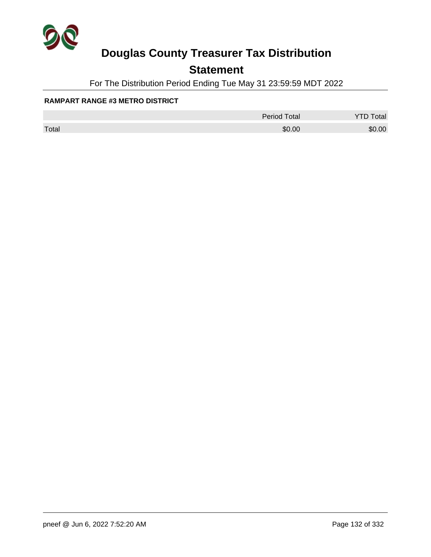

## **Statement**

For The Distribution Period Ending Tue May 31 23:59:59 MDT 2022

#### **RAMPART RANGE #3 METRO DISTRICT**

|       | <b>Period Total</b> | otal   |
|-------|---------------------|--------|
| Total | \$0.00              | \$0.00 |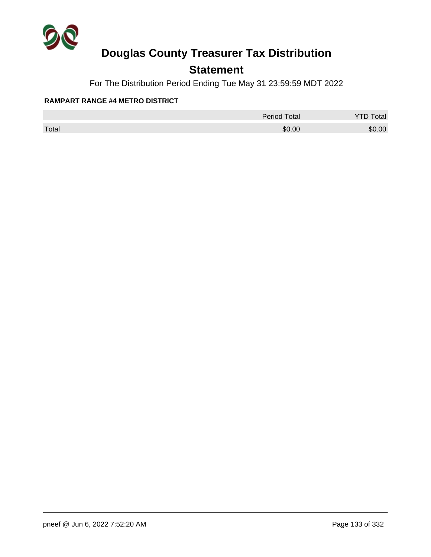

## **Statement**

For The Distribution Period Ending Tue May 31 23:59:59 MDT 2022

#### **RAMPART RANGE #4 METRO DISTRICT**

|       | <b>Period Total</b> | otal   |
|-------|---------------------|--------|
| Total | \$0.00              | \$0.00 |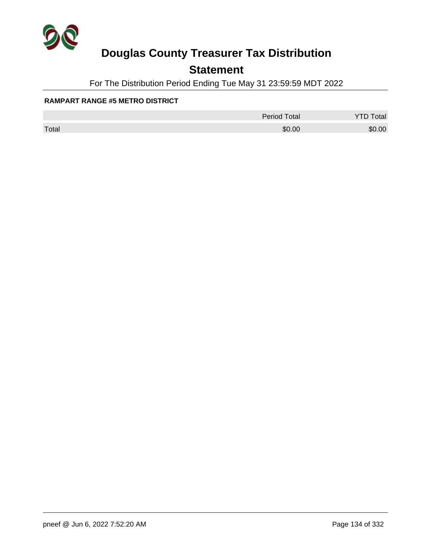

## **Statement**

For The Distribution Period Ending Tue May 31 23:59:59 MDT 2022

#### **RAMPART RANGE #5 METRO DISTRICT**

|       | <b>Period Total</b> | otal   |
|-------|---------------------|--------|
| Total | \$0.00              | \$0.00 |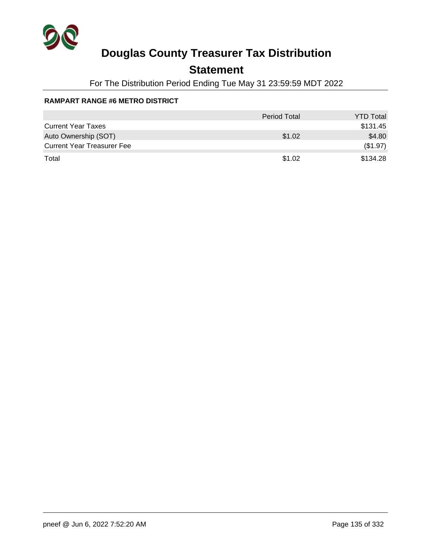

## **Statement**

For The Distribution Period Ending Tue May 31 23:59:59 MDT 2022

#### **RAMPART RANGE #6 METRO DISTRICT**

|                                   | <b>Period Total</b> | <b>YTD Total</b> |
|-----------------------------------|---------------------|------------------|
| <b>Current Year Taxes</b>         |                     | \$131.45         |
| Auto Ownership (SOT)              | \$1.02              | \$4.80           |
| <b>Current Year Treasurer Fee</b> |                     | (\$1.97)         |
| Total                             | \$1.02              | \$134.28         |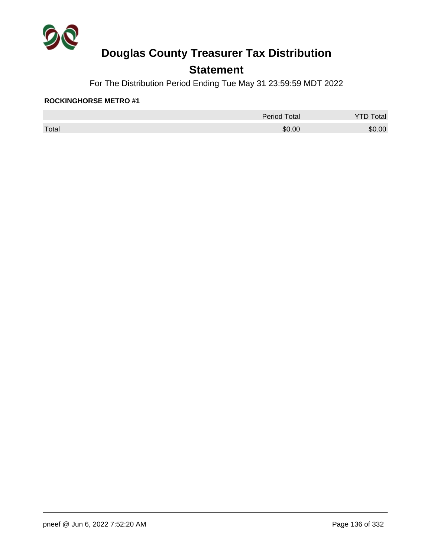

## **Statement**

For The Distribution Period Ending Tue May 31 23:59:59 MDT 2022

#### **ROCKINGHORSE METRO #1**

|       | Period Total | Total  |
|-------|--------------|--------|
| Total | \$0.00       | \$0.00 |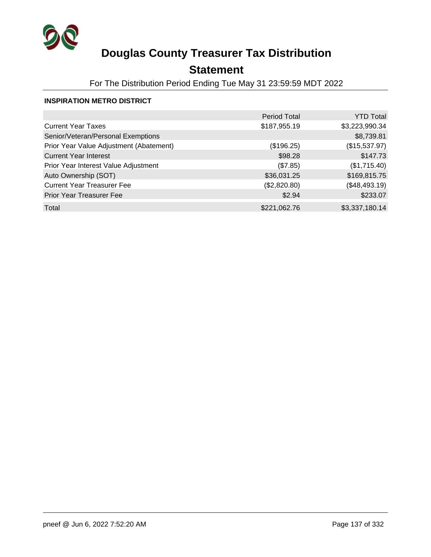

## **Statement**

For The Distribution Period Ending Tue May 31 23:59:59 MDT 2022

#### **INSPIRATION METRO DISTRICT**

|                                         | <b>Period Total</b> | <b>YTD Total</b> |
|-----------------------------------------|---------------------|------------------|
| <b>Current Year Taxes</b>               | \$187,955.19        | \$3,223,990.34   |
| Senior/Veteran/Personal Exemptions      |                     | \$8,739.81       |
| Prior Year Value Adjustment (Abatement) | (\$196.25)          | (\$15,537.97)    |
| <b>Current Year Interest</b>            | \$98.28             | \$147.73         |
| Prior Year Interest Value Adjustment    | (\$7.85)            | (\$1,715.40)     |
| Auto Ownership (SOT)                    | \$36,031.25         | \$169,815.75     |
| <b>Current Year Treasurer Fee</b>       | (\$2,820.80)        | (\$48,493.19)    |
| <b>Prior Year Treasurer Fee</b>         | \$2.94              | \$233.07         |
| Total                                   | \$221,062.76        | \$3,337,180.14   |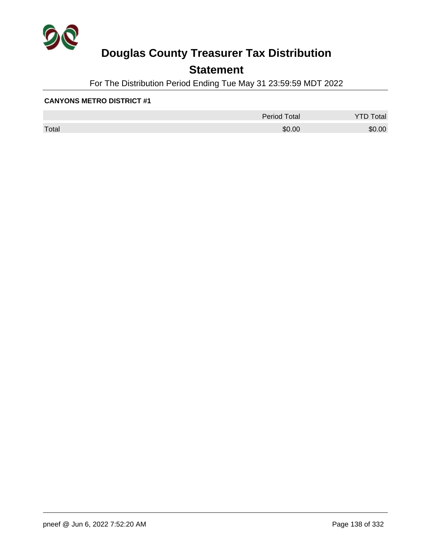

## **Statement**

For The Distribution Period Ending Tue May 31 23:59:59 MDT 2022

|       | <b>Period Total</b> | otal<br>້ |
|-------|---------------------|-----------|
| Total | \$0.00              | \$0.00    |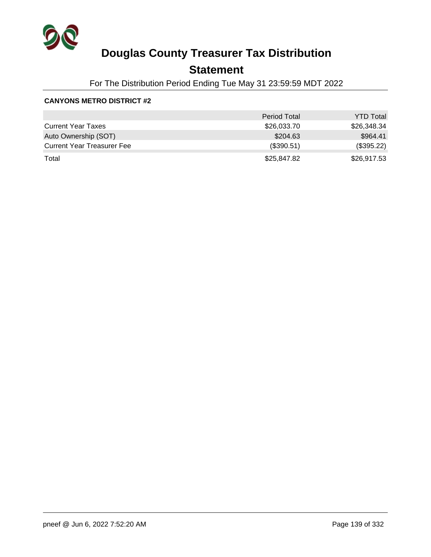

## **Statement**

For The Distribution Period Ending Tue May 31 23:59:59 MDT 2022

|                                   | <b>Period Total</b> | <b>YTD Total</b> |
|-----------------------------------|---------------------|------------------|
| <b>Current Year Taxes</b>         | \$26,033.70         | \$26,348.34      |
| Auto Ownership (SOT)              | \$204.63            | \$964.41         |
| <b>Current Year Treasurer Fee</b> | (\$390.51)          | (\$395.22)       |
| Total                             | \$25,847.82         | \$26,917.53      |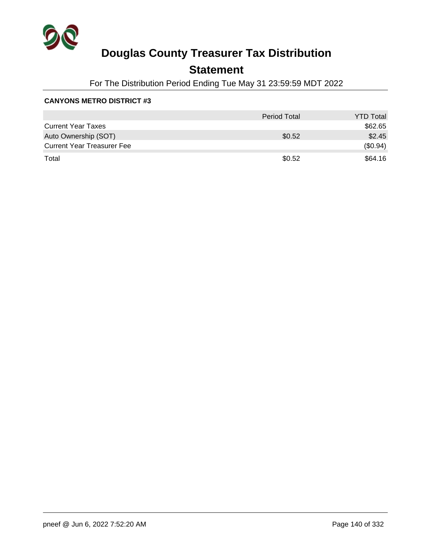

## **Statement**

For The Distribution Period Ending Tue May 31 23:59:59 MDT 2022

|                                   | <b>Period Total</b> | <b>YTD Total</b> |
|-----------------------------------|---------------------|------------------|
| <b>Current Year Taxes</b>         |                     | \$62.65          |
| Auto Ownership (SOT)              | \$0.52              | \$2.45           |
| <b>Current Year Treasurer Fee</b> |                     | (\$0.94)         |
| Total                             | \$0.52              | \$64.16          |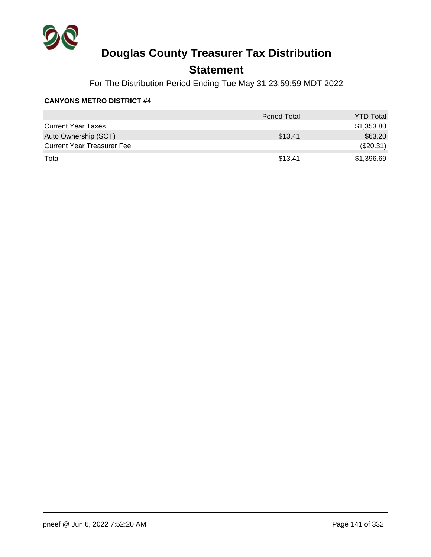

## **Statement**

For The Distribution Period Ending Tue May 31 23:59:59 MDT 2022

|                                   | <b>Period Total</b> | <b>YTD Total</b> |
|-----------------------------------|---------------------|------------------|
| <b>Current Year Taxes</b>         |                     | \$1,353.80       |
| Auto Ownership (SOT)              | \$13.41             | \$63.20          |
| <b>Current Year Treasurer Fee</b> |                     | (\$20.31)        |
| Total                             | \$13.41             | \$1,396.69       |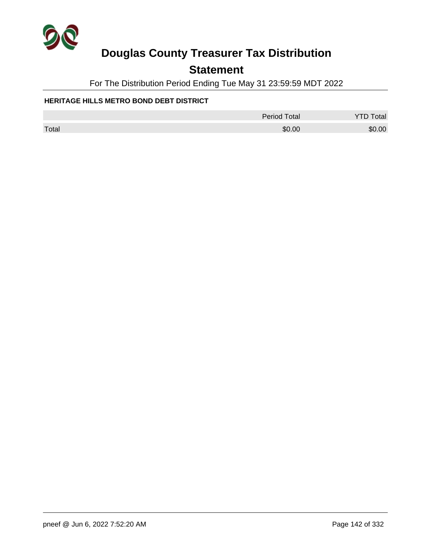

## **Statement**

For The Distribution Period Ending Tue May 31 23:59:59 MDT 2022

#### **HERITAGE HILLS METRO BOND DEBT DISTRICT**

|       | <b>Period Total</b> | <b>YTD Total</b> |
|-------|---------------------|------------------|
| Total | \$0.00              | \$0.00           |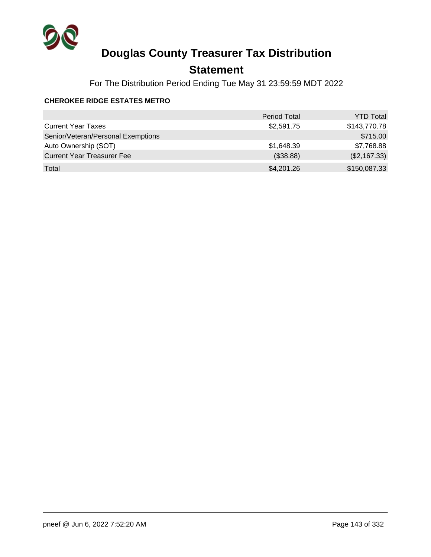

## **Statement**

For The Distribution Period Ending Tue May 31 23:59:59 MDT 2022

#### **CHEROKEE RIDGE ESTATES METRO**

|                                    | <b>Period Total</b> | <b>YTD Total</b> |
|------------------------------------|---------------------|------------------|
| <b>Current Year Taxes</b>          | \$2,591.75          | \$143,770.78     |
| Senior/Veteran/Personal Exemptions |                     | \$715.00         |
| Auto Ownership (SOT)               | \$1,648.39          | \$7,768.88       |
| <b>Current Year Treasurer Fee</b>  | (\$38.88)           | (\$2,167.33)     |
| Total                              | \$4,201.26          | \$150,087.33     |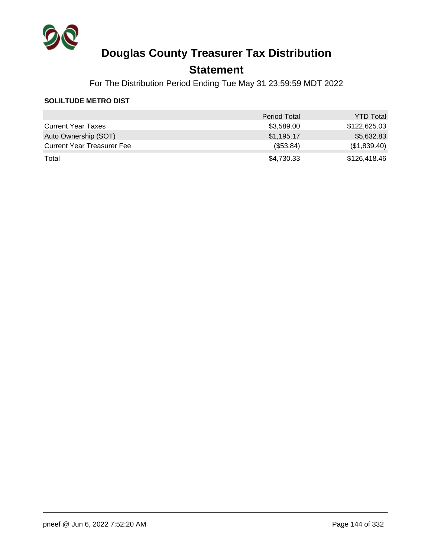

## **Statement**

For The Distribution Period Ending Tue May 31 23:59:59 MDT 2022

#### **SOLILTUDE METRO DIST**

|                                   | <b>Period Total</b> | <b>YTD Total</b> |
|-----------------------------------|---------------------|------------------|
| <b>Current Year Taxes</b>         | \$3,589.00          | \$122,625.03     |
| Auto Ownership (SOT)              | \$1,195.17          | \$5,632.83       |
| <b>Current Year Treasurer Fee</b> | (\$53.84)           | (\$1,839.40)     |
| Total                             | \$4,730.33          | \$126,418.46     |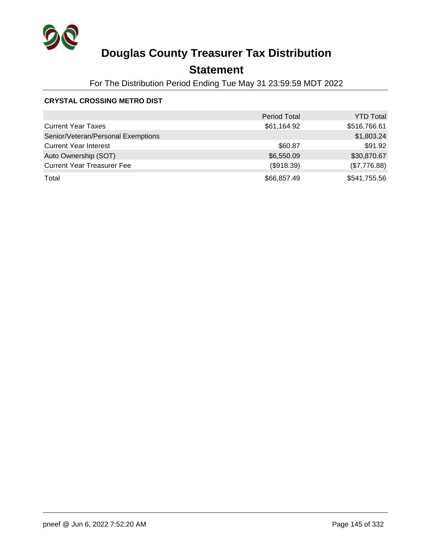

### **Statement**

For The Distribution Period Ending Tue May 31 23:59:59 MDT 2022

#### **CRYSTAL CROSSING METRO DIST**

|                                    | <b>Period Total</b> | <b>YTD Total</b> |
|------------------------------------|---------------------|------------------|
| <b>Current Year Taxes</b>          | \$61,164.92         | \$516,766.61     |
| Senior/Veteran/Personal Exemptions |                     | \$1,803.24       |
| <b>Current Year Interest</b>       | \$60.87             | \$91.92          |
| Auto Ownership (SOT)               | \$6,550.09          | \$30,870.67      |
| <b>Current Year Treasurer Fee</b>  | (\$918.39)          | (\$7,776.88)     |
| Total                              | \$66,857.49         | \$541,755.56     |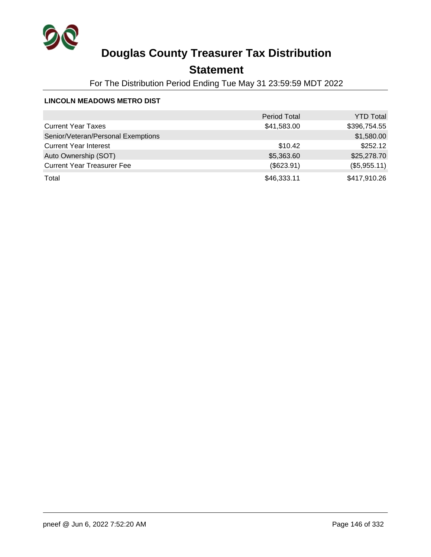

### **Statement**

For The Distribution Period Ending Tue May 31 23:59:59 MDT 2022

#### **LINCOLN MEADOWS METRO DIST**

|                                    | <b>Period Total</b> | <b>YTD Total</b> |
|------------------------------------|---------------------|------------------|
| <b>Current Year Taxes</b>          | \$41,583.00         | \$396,754.55     |
| Senior/Veteran/Personal Exemptions |                     | \$1,580.00       |
| <b>Current Year Interest</b>       | \$10.42             | \$252.12         |
| Auto Ownership (SOT)               | \$5,363.60          | \$25,278.70      |
| <b>Current Year Treasurer Fee</b>  | (\$623.91)          | (\$5,955.11)     |
| Total                              | \$46,333.11         | \$417,910.26     |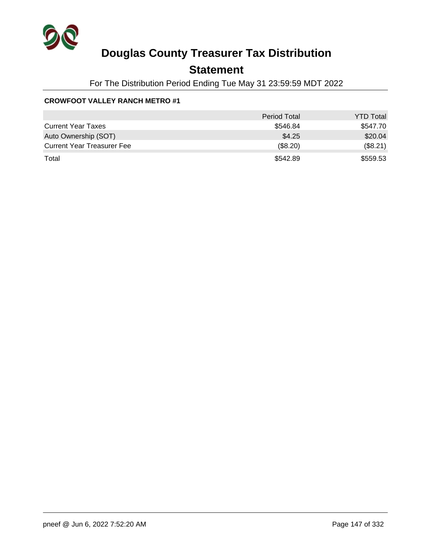

### **Statement**

For The Distribution Period Ending Tue May 31 23:59:59 MDT 2022

#### **CROWFOOT VALLEY RANCH METRO #1**

|                                   | <b>Period Total</b> | <b>YTD Total</b> |
|-----------------------------------|---------------------|------------------|
| <b>Current Year Taxes</b>         | \$546.84            | \$547.70         |
| Auto Ownership (SOT)              | \$4.25              | \$20.04          |
| <b>Current Year Treasurer Fee</b> | (\$8.20)            | (\$8.21)         |
| Total                             | \$542.89            | \$559.53         |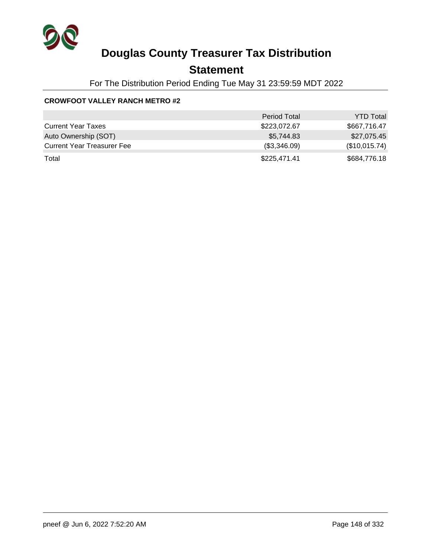

### **Statement**

For The Distribution Period Ending Tue May 31 23:59:59 MDT 2022

#### **CROWFOOT VALLEY RANCH METRO #2**

|                                   | <b>Period Total</b> | <b>YTD Total</b> |
|-----------------------------------|---------------------|------------------|
| <b>Current Year Taxes</b>         | \$223,072.67        | \$667,716.47     |
| Auto Ownership (SOT)              | \$5,744.83          | \$27,075.45      |
| <b>Current Year Treasurer Fee</b> | (\$3,346.09)        | (\$10,015.74)    |
| Total                             | \$225,471.41        | \$684,776.18     |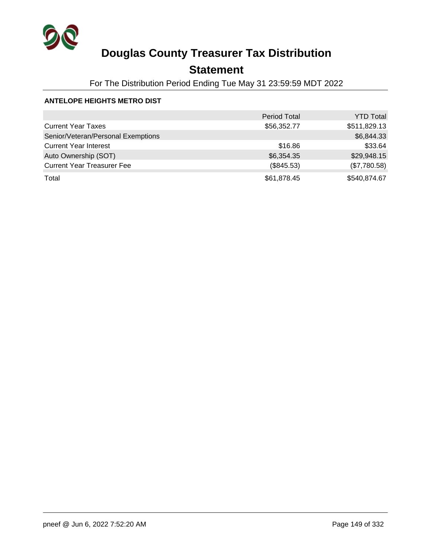

### **Statement**

For The Distribution Period Ending Tue May 31 23:59:59 MDT 2022

#### **ANTELOPE HEIGHTS METRO DIST**

|                                    | <b>Period Total</b> | <b>YTD Total</b> |
|------------------------------------|---------------------|------------------|
| <b>Current Year Taxes</b>          | \$56,352.77         | \$511,829.13     |
| Senior/Veteran/Personal Exemptions |                     | \$6,844.33       |
| <b>Current Year Interest</b>       | \$16.86             | \$33.64          |
| Auto Ownership (SOT)               | \$6,354.35          | \$29,948.15      |
| <b>Current Year Treasurer Fee</b>  | (\$845.53)          | (\$7,780.58)     |
| Total                              | \$61,878.45         | \$540,874.67     |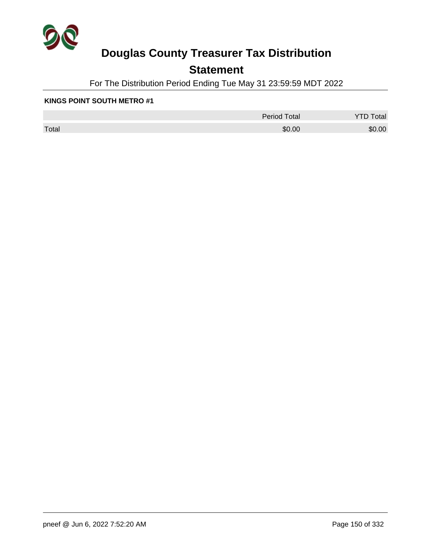

### **Statement**

For The Distribution Period Ending Tue May 31 23:59:59 MDT 2022

#### **KINGS POINT SOUTH METRO #1**

|       | <b>Period Total</b> | otal<br>້ |
|-------|---------------------|-----------|
| Total | \$0.00              | \$0.00    |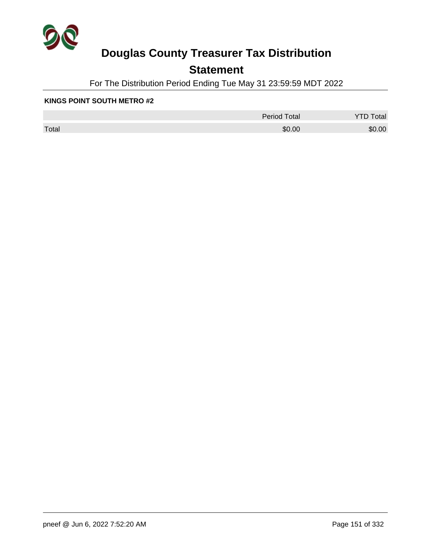

### **Statement**

For The Distribution Period Ending Tue May 31 23:59:59 MDT 2022

#### **KINGS POINT SOUTH METRO #2**

|       | <b>Period Total</b> | otal<br>້ |
|-------|---------------------|-----------|
| Total | \$0.00              | \$0.00    |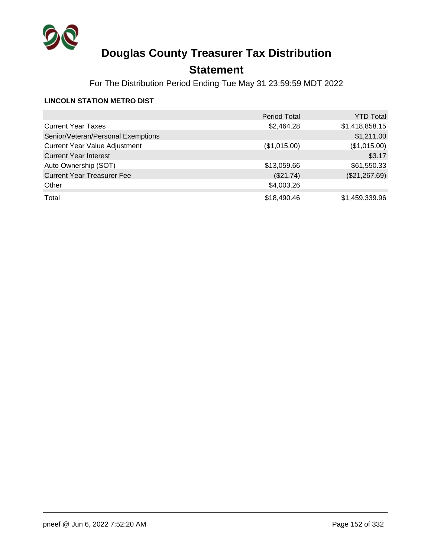

### **Statement**

For The Distribution Period Ending Tue May 31 23:59:59 MDT 2022

#### **LINCOLN STATION METRO DIST**

|                                      | <b>Period Total</b> | <b>YTD Total</b> |
|--------------------------------------|---------------------|------------------|
| <b>Current Year Taxes</b>            | \$2,464.28          | \$1,418,858.15   |
| Senior/Veteran/Personal Exemptions   |                     | \$1,211.00       |
| <b>Current Year Value Adjustment</b> | (\$1,015.00)        | (\$1,015.00)     |
| <b>Current Year Interest</b>         |                     | \$3.17           |
| Auto Ownership (SOT)                 | \$13,059.66         | \$61,550.33      |
| <b>Current Year Treasurer Fee</b>    | (\$21.74)           | (\$21,267.69)    |
| Other                                | \$4,003.26          |                  |
| Total                                | \$18,490.46         | \$1,459,339.96   |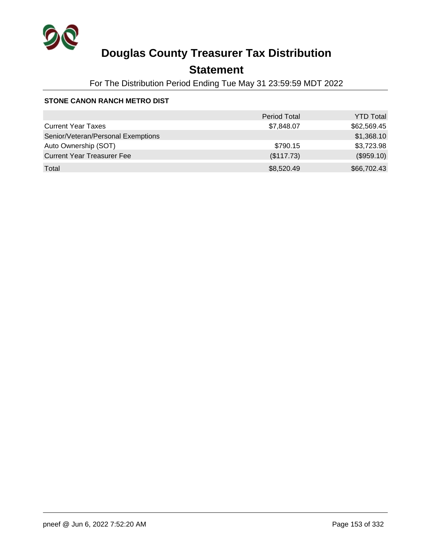

### **Statement**

For The Distribution Period Ending Tue May 31 23:59:59 MDT 2022

#### **STONE CANON RANCH METRO DIST**

|                                    | <b>Period Total</b> | <b>YTD Total</b> |
|------------------------------------|---------------------|------------------|
| <b>Current Year Taxes</b>          | \$7,848.07          | \$62,569.45      |
| Senior/Veteran/Personal Exemptions |                     | \$1,368.10       |
| Auto Ownership (SOT)               | \$790.15            | \$3,723.98       |
| <b>Current Year Treasurer Fee</b>  | (\$117.73)          | (\$959.10)       |
| Total                              | \$8,520.49          | \$66,702.43      |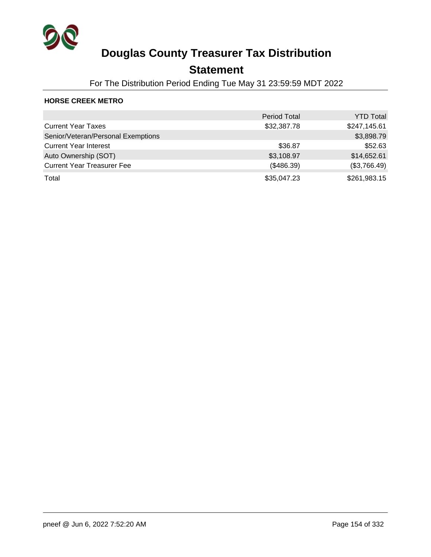

### **Statement**

For The Distribution Period Ending Tue May 31 23:59:59 MDT 2022

#### **HORSE CREEK METRO**

|                                    | <b>Period Total</b> | <b>YTD Total</b> |
|------------------------------------|---------------------|------------------|
| <b>Current Year Taxes</b>          | \$32,387.78         | \$247,145.61     |
| Senior/Veteran/Personal Exemptions |                     | \$3,898.79       |
| <b>Current Year Interest</b>       | \$36.87             | \$52.63          |
| Auto Ownership (SOT)               | \$3,108.97          | \$14,652.61      |
| <b>Current Year Treasurer Fee</b>  | (\$486.39)          | (\$3,766.49)     |
| Total                              | \$35,047.23         | \$261,983.15     |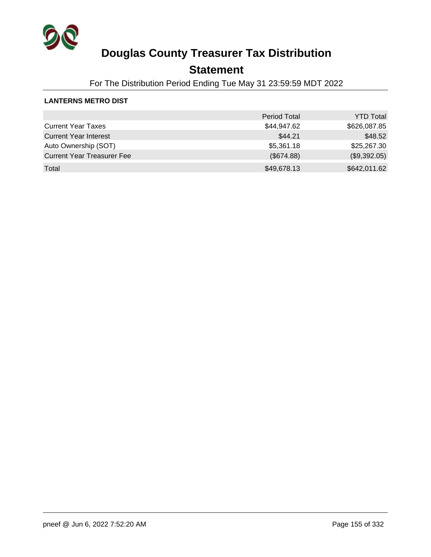

### **Statement**

For The Distribution Period Ending Tue May 31 23:59:59 MDT 2022

#### **LANTERNS METRO DIST**

|                                   | <b>Period Total</b> | <b>YTD Total</b> |
|-----------------------------------|---------------------|------------------|
| <b>Current Year Taxes</b>         | \$44,947.62         | \$626,087.85     |
| <b>Current Year Interest</b>      | \$44.21             | \$48.52          |
| Auto Ownership (SOT)              | \$5,361.18          | \$25,267.30      |
| <b>Current Year Treasurer Fee</b> | (\$674.88)          | (\$9,392.05)     |
| Total                             | \$49,678.13         | \$642,011.62     |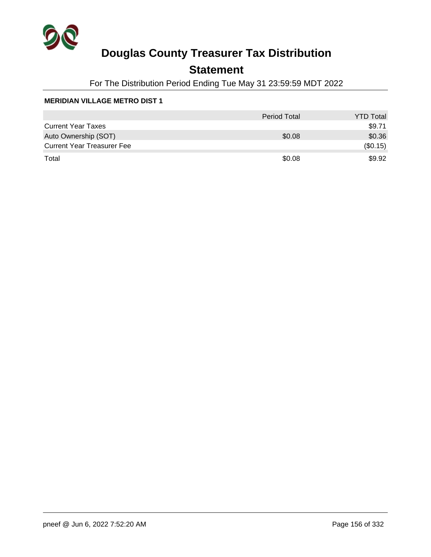

### **Statement**

For The Distribution Period Ending Tue May 31 23:59:59 MDT 2022

|                                   | <b>Period Total</b> | <b>YTD Total</b> |
|-----------------------------------|---------------------|------------------|
| <b>Current Year Taxes</b>         |                     | \$9.71           |
| Auto Ownership (SOT)              | \$0.08              | \$0.36           |
| <b>Current Year Treasurer Fee</b> |                     | (\$0.15)         |
| Total                             | \$0.08              | \$9.92           |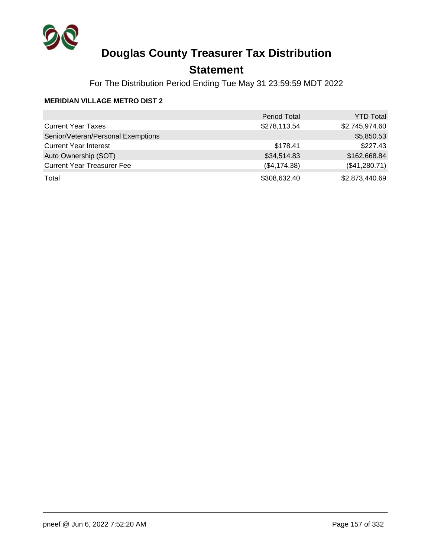

### **Statement**

For The Distribution Period Ending Tue May 31 23:59:59 MDT 2022

|                                    | <b>Period Total</b> | <b>YTD Total</b> |
|------------------------------------|---------------------|------------------|
| <b>Current Year Taxes</b>          | \$278,113.54        | \$2,745,974.60   |
| Senior/Veteran/Personal Exemptions |                     | \$5,850.53       |
| <b>Current Year Interest</b>       | \$178.41            | \$227.43         |
| Auto Ownership (SOT)               | \$34,514.83         | \$162,668.84     |
| <b>Current Year Treasurer Fee</b>  | (\$4,174.38)        | (\$41,280.71)    |
| Total                              | \$308,632.40        | \$2,873,440.69   |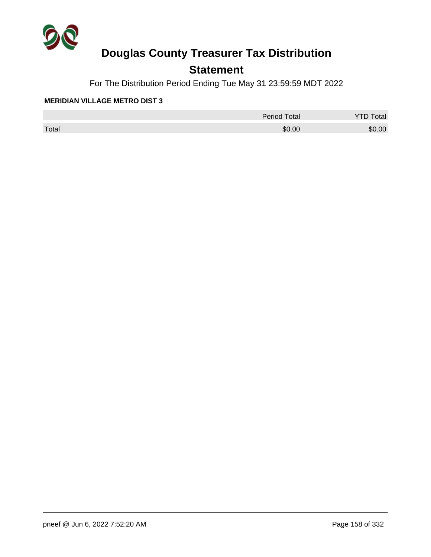

### **Statement**

For The Distribution Period Ending Tue May 31 23:59:59 MDT 2022

|       | <b>Period Total</b> | otal   |
|-------|---------------------|--------|
| Total | \$0.00              | \$0.00 |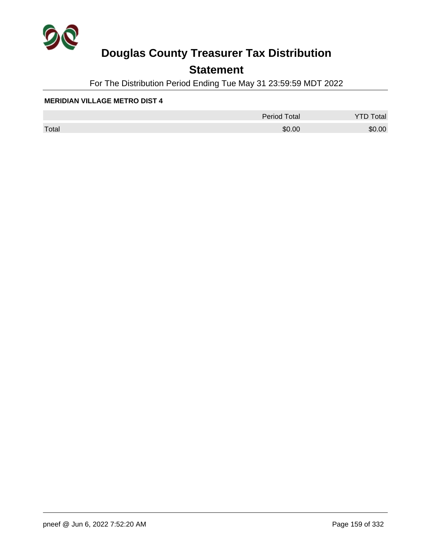

### **Statement**

For The Distribution Period Ending Tue May 31 23:59:59 MDT 2022

|       | <b>Period Total</b> | otal   |
|-------|---------------------|--------|
| Total | \$0.00              | \$0.00 |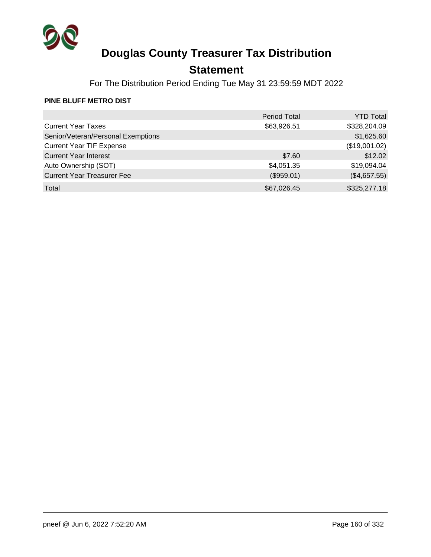

### **Statement**

For The Distribution Period Ending Tue May 31 23:59:59 MDT 2022

#### **PINE BLUFF METRO DIST**

|                                    | <b>Period Total</b> | <b>YTD Total</b> |
|------------------------------------|---------------------|------------------|
| <b>Current Year Taxes</b>          | \$63,926.51         | \$328,204.09     |
| Senior/Veteran/Personal Exemptions |                     | \$1,625.60       |
| <b>Current Year TIF Expense</b>    |                     | (\$19,001.02)    |
| <b>Current Year Interest</b>       | \$7.60              | \$12.02          |
| Auto Ownership (SOT)               | \$4,051.35          | \$19,094.04      |
| <b>Current Year Treasurer Fee</b>  | (\$959.01)          | (\$4,657.55)     |
| Total                              | \$67,026.45         | \$325,277.18     |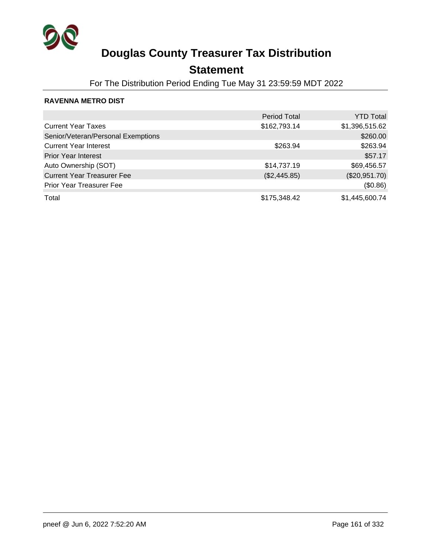

### **Statement**

For The Distribution Period Ending Tue May 31 23:59:59 MDT 2022

#### **RAVENNA METRO DIST**

|                                    | <b>Period Total</b> | YTD Total      |
|------------------------------------|---------------------|----------------|
| <b>Current Year Taxes</b>          | \$162,793.14        | \$1,396,515.62 |
| Senior/Veteran/Personal Exemptions |                     | \$260.00       |
| <b>Current Year Interest</b>       | \$263.94            | \$263.94       |
| <b>Prior Year Interest</b>         |                     | \$57.17        |
| Auto Ownership (SOT)               | \$14,737.19         | \$69,456.57    |
| <b>Current Year Treasurer Fee</b>  | (\$2,445.85)        | (\$20,951.70)  |
| <b>Prior Year Treasurer Fee</b>    |                     | (\$0.86)       |
| Total                              | \$175,348.42        | \$1,445,600.74 |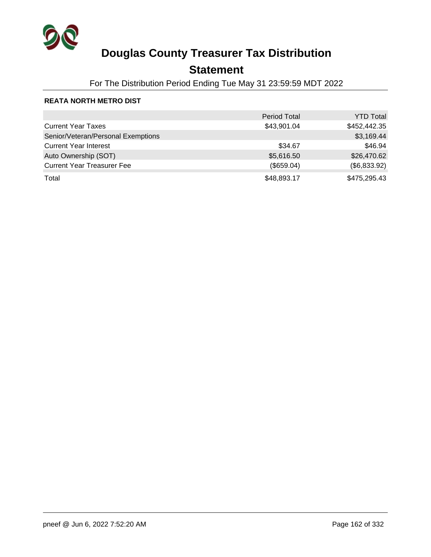

### **Statement**

For The Distribution Period Ending Tue May 31 23:59:59 MDT 2022

#### **REATA NORTH METRO DIST**

|                                    | <b>Period Total</b> | <b>YTD Total</b> |
|------------------------------------|---------------------|------------------|
| <b>Current Year Taxes</b>          | \$43,901.04         | \$452,442.35     |
| Senior/Veteran/Personal Exemptions |                     | \$3,169.44       |
| <b>Current Year Interest</b>       | \$34.67             | \$46.94          |
| Auto Ownership (SOT)               | \$5,616.50          | \$26,470.62      |
| <b>Current Year Treasurer Fee</b>  | (\$659.04)          | (\$6,833.92)     |
| Total                              | \$48,893.17         | \$475,295.43     |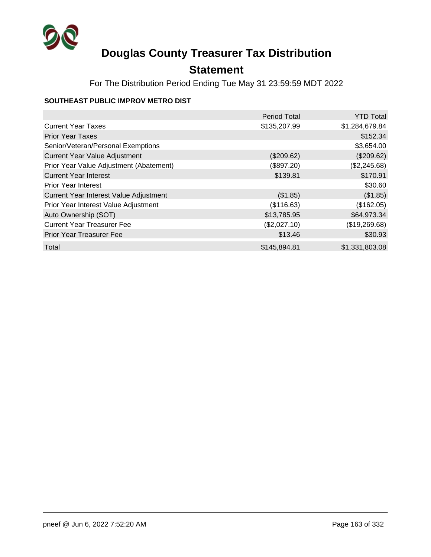

### **Statement**

For The Distribution Period Ending Tue May 31 23:59:59 MDT 2022

#### **SOUTHEAST PUBLIC IMPROV METRO DIST**

|                                         | <b>Period Total</b> | <b>YTD Total</b> |
|-----------------------------------------|---------------------|------------------|
| <b>Current Year Taxes</b>               | \$135,207.99        | \$1,284,679.84   |
| <b>Prior Year Taxes</b>                 |                     | \$152.34         |
| Senior/Veteran/Personal Exemptions      |                     | \$3,654.00       |
| <b>Current Year Value Adjustment</b>    | (\$209.62)          | (\$209.62)       |
| Prior Year Value Adjustment (Abatement) | (\$897.20)          | (\$2,245.68)     |
| <b>Current Year Interest</b>            | \$139.81            | \$170.91         |
| <b>Prior Year Interest</b>              |                     | \$30.60          |
| Current Year Interest Value Adjustment  | (\$1.85)            | (\$1.85)         |
| Prior Year Interest Value Adjustment    | (\$116.63)          | (\$162.05)       |
| Auto Ownership (SOT)                    | \$13,785.95         | \$64,973.34      |
| <b>Current Year Treasurer Fee</b>       | (\$2,027.10)        | (\$19,269.68)    |
| <b>Prior Year Treasurer Fee</b>         | \$13.46             | \$30.93          |
| Total                                   | \$145,894.81        | \$1,331,803.08   |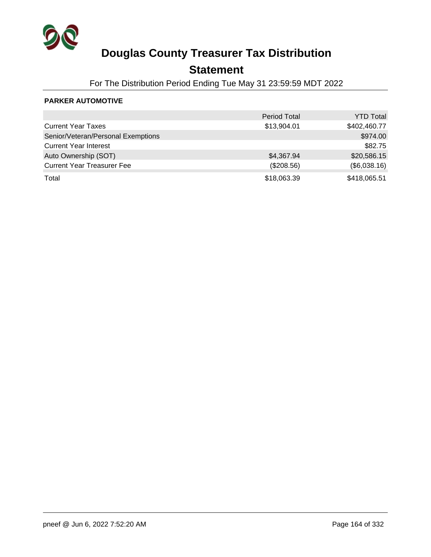

### **Statement**

For The Distribution Period Ending Tue May 31 23:59:59 MDT 2022

#### **PARKER AUTOMOTIVE**

|                                    | <b>Period Total</b> | <b>YTD Total</b> |
|------------------------------------|---------------------|------------------|
| <b>Current Year Taxes</b>          | \$13,904.01         | \$402,460.77     |
| Senior/Veteran/Personal Exemptions |                     | \$974.00         |
| <b>Current Year Interest</b>       |                     | \$82.75          |
| Auto Ownership (SOT)               | \$4,367.94          | \$20,586.15      |
| <b>Current Year Treasurer Fee</b>  | (\$208.56)          | (\$6,038.16)     |
| Total                              | \$18,063.39         | \$418,065.51     |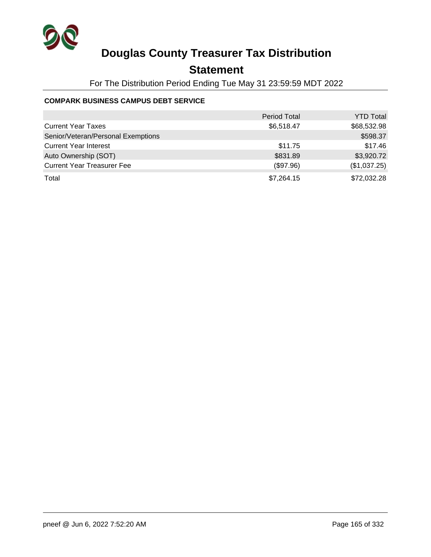

### **Statement**

For The Distribution Period Ending Tue May 31 23:59:59 MDT 2022

#### **COMPARK BUSINESS CAMPUS DEBT SERVICE**

|                                    | <b>Period Total</b> | <b>YTD Total</b> |
|------------------------------------|---------------------|------------------|
| <b>Current Year Taxes</b>          | \$6,518.47          | \$68,532.98      |
| Senior/Veteran/Personal Exemptions |                     | \$598.37         |
| <b>Current Year Interest</b>       | \$11.75             | \$17.46          |
| Auto Ownership (SOT)               | \$831.89            | \$3,920.72       |
| <b>Current Year Treasurer Fee</b>  | (\$97.96)           | (\$1,037.25)     |
| Total                              | \$7,264.15          | \$72,032.28      |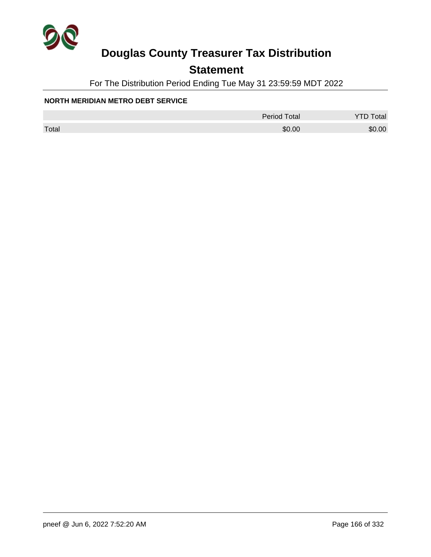

### **Statement**

For The Distribution Period Ending Tue May 31 23:59:59 MDT 2022

#### **NORTH MERIDIAN METRO DEBT SERVICE**

|       | <b>Period Total</b> | otal   |
|-------|---------------------|--------|
| Total | \$0.00              | \$0.00 |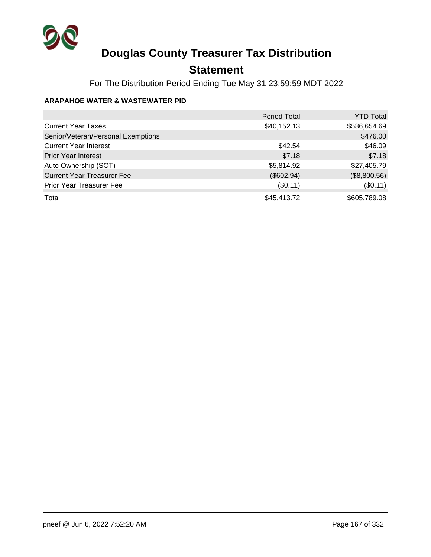

### **Statement**

For The Distribution Period Ending Tue May 31 23:59:59 MDT 2022

#### **ARAPAHOE WATER & WASTEWATER PID**

|                                    | <b>Period Total</b> | <b>YTD Total</b> |
|------------------------------------|---------------------|------------------|
| <b>Current Year Taxes</b>          | \$40,152.13         | \$586,654.69     |
| Senior/Veteran/Personal Exemptions |                     | \$476.00         |
| <b>Current Year Interest</b>       | \$42.54             | \$46.09          |
| <b>Prior Year Interest</b>         | \$7.18              | \$7.18           |
| Auto Ownership (SOT)               | \$5,814.92          | \$27,405.79      |
| <b>Current Year Treasurer Fee</b>  | (\$602.94)          | (\$8,800.56)     |
| <b>Prior Year Treasurer Fee</b>    | (\$0.11)            | (\$0.11)         |
| Total                              | \$45,413.72         | \$605,789.08     |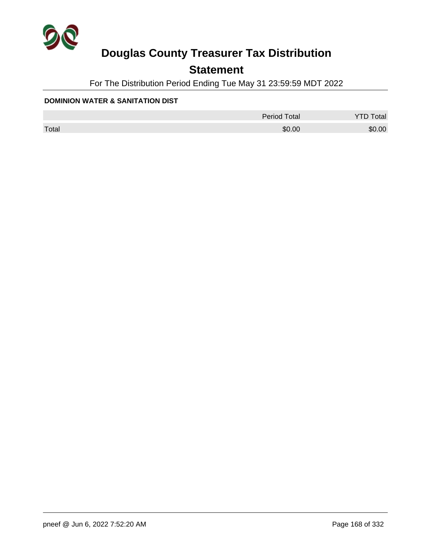

### **Statement**

For The Distribution Period Ending Tue May 31 23:59:59 MDT 2022

#### **DOMINION WATER & SANITATION DIST**

|       | <b>Period Total</b> | otal   |
|-------|---------------------|--------|
| Total | \$0.00              | \$0.00 |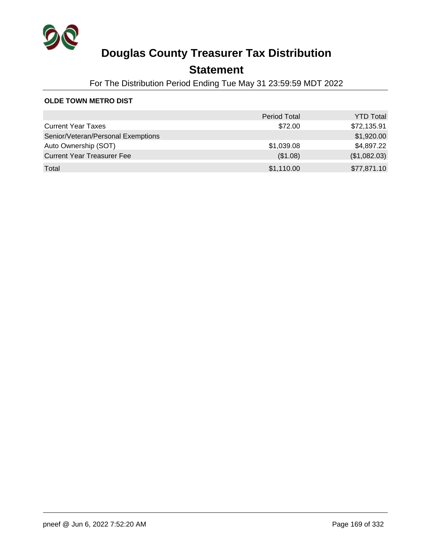

### **Statement**

For The Distribution Period Ending Tue May 31 23:59:59 MDT 2022

#### **OLDE TOWN METRO DIST**

|                                    | <b>Period Total</b> | <b>YTD Total</b> |
|------------------------------------|---------------------|------------------|
| <b>Current Year Taxes</b>          | \$72.00             | \$72,135.91      |
| Senior/Veteran/Personal Exemptions |                     | \$1,920.00       |
| Auto Ownership (SOT)               | \$1,039.08          | \$4,897.22       |
| <b>Current Year Treasurer Fee</b>  | (\$1.08)            | (\$1,082.03)     |
| Total                              | \$1,110.00          | \$77,871.10      |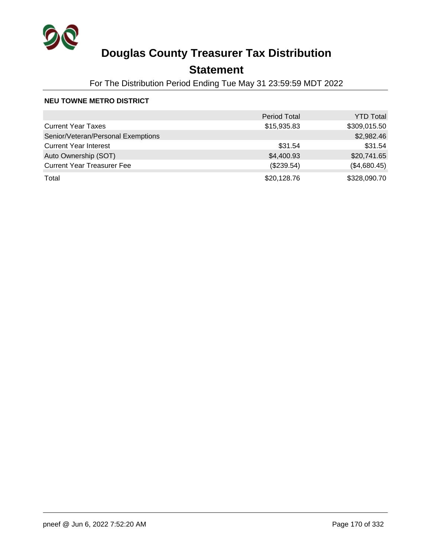

### **Statement**

For The Distribution Period Ending Tue May 31 23:59:59 MDT 2022

#### **NEU TOWNE METRO DISTRICT**

|                                    | <b>Period Total</b> | <b>YTD Total</b> |
|------------------------------------|---------------------|------------------|
| <b>Current Year Taxes</b>          | \$15,935.83         | \$309,015.50     |
| Senior/Veteran/Personal Exemptions |                     | \$2,982.46       |
| <b>Current Year Interest</b>       | \$31.54             | \$31.54          |
| Auto Ownership (SOT)               | \$4,400.93          | \$20,741.65      |
| <b>Current Year Treasurer Fee</b>  | (\$239.54)          | (\$4,680.45)     |
| Total                              | \$20,128.76         | \$328,090.70     |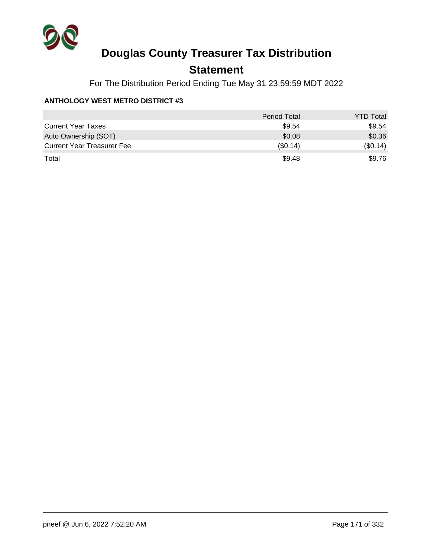

### **Statement**

For The Distribution Period Ending Tue May 31 23:59:59 MDT 2022

#### **ANTHOLOGY WEST METRO DISTRICT #3**

|                                   | Period Total | <b>YTD Total</b> |
|-----------------------------------|--------------|------------------|
| <b>Current Year Taxes</b>         | \$9.54       | \$9.54           |
| Auto Ownership (SOT)              | \$0.08       | \$0.36           |
| <b>Current Year Treasurer Fee</b> | $(\$0.14)$   | (\$0.14)         |
| Total                             | \$9.48       | \$9.76           |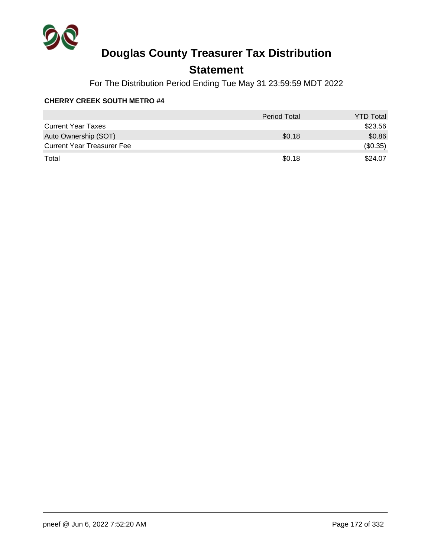

### **Statement**

For The Distribution Period Ending Tue May 31 23:59:59 MDT 2022

|                                   | Period Total | <b>YTD Total</b> |
|-----------------------------------|--------------|------------------|
| <b>Current Year Taxes</b>         |              | \$23.56          |
| Auto Ownership (SOT)              | \$0.18       | \$0.86           |
| <b>Current Year Treasurer Fee</b> |              | (\$0.35)         |
| Total                             | \$0.18       | \$24.07          |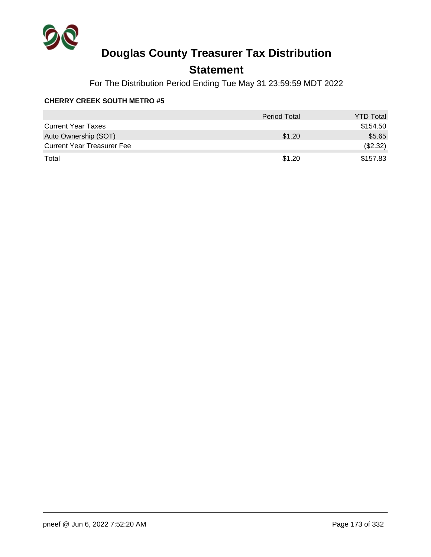

### **Statement**

For The Distribution Period Ending Tue May 31 23:59:59 MDT 2022

|                                   | Period Total | <b>YTD Total</b> |
|-----------------------------------|--------------|------------------|
| <b>Current Year Taxes</b>         |              | \$154.50         |
| Auto Ownership (SOT)              | \$1.20       | \$5.65           |
| <b>Current Year Treasurer Fee</b> |              | (\$2.32)         |
| Total                             | \$1.20       | \$157.83         |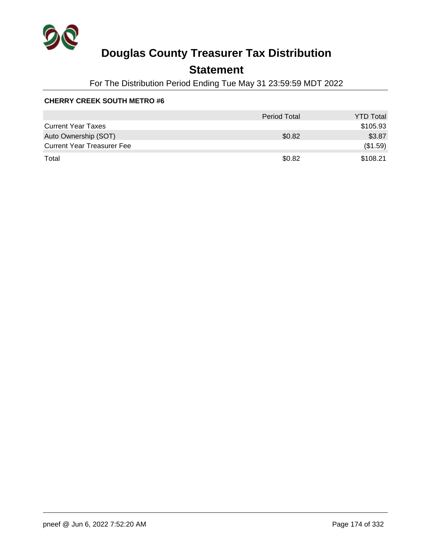

### **Statement**

For The Distribution Period Ending Tue May 31 23:59:59 MDT 2022

|                                   | <b>Period Total</b> | <b>YTD Total</b> |
|-----------------------------------|---------------------|------------------|
| <b>Current Year Taxes</b>         |                     | \$105.93         |
| Auto Ownership (SOT)              | \$0.82              | \$3.87           |
| <b>Current Year Treasurer Fee</b> |                     | (\$1.59)         |
| Total                             | \$0.82              | \$108.21         |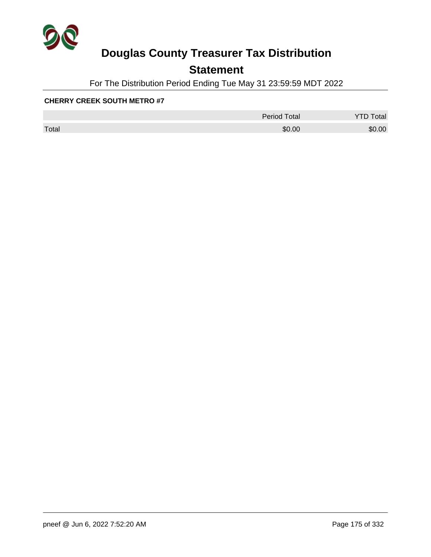

### **Statement**

For The Distribution Period Ending Tue May 31 23:59:59 MDT 2022

|       | <b>Period Total</b> | otal<br>້ |
|-------|---------------------|-----------|
| Total | \$0.00              | \$0.00    |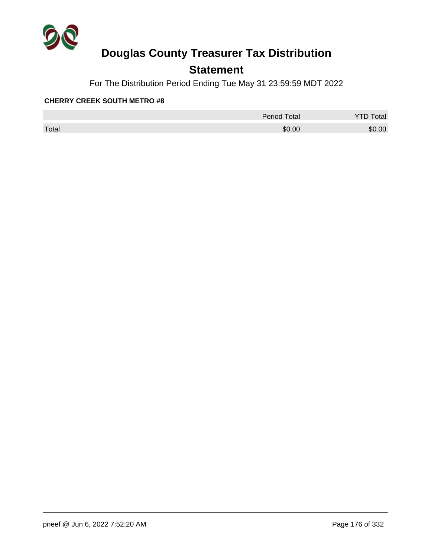

### **Statement**

For The Distribution Period Ending Tue May 31 23:59:59 MDT 2022

|       | <b>Period Total</b> | otal   |
|-------|---------------------|--------|
| Total | \$0.00              | \$0.00 |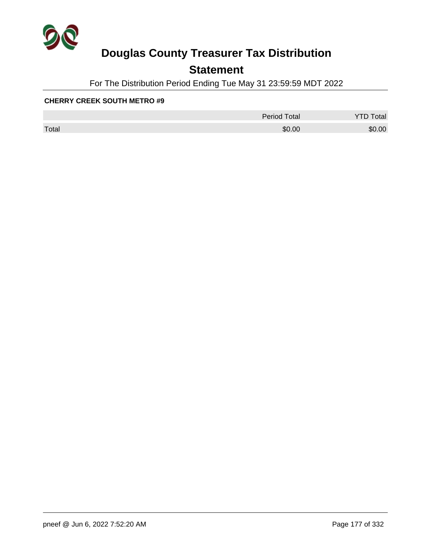

### **Statement**

For The Distribution Period Ending Tue May 31 23:59:59 MDT 2022

|       | <b>Period Total</b> | otal<br>້ |
|-------|---------------------|-----------|
| Total | \$0.00              | \$0.00    |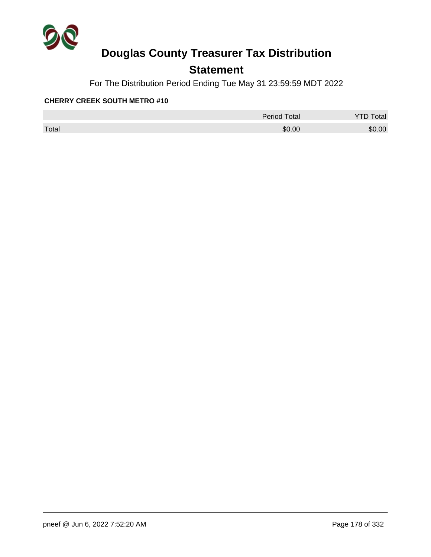

### **Statement**

For The Distribution Period Ending Tue May 31 23:59:59 MDT 2022

|       | <b>Period Total</b> | otal   |
|-------|---------------------|--------|
| Total | \$0.00              | \$0.00 |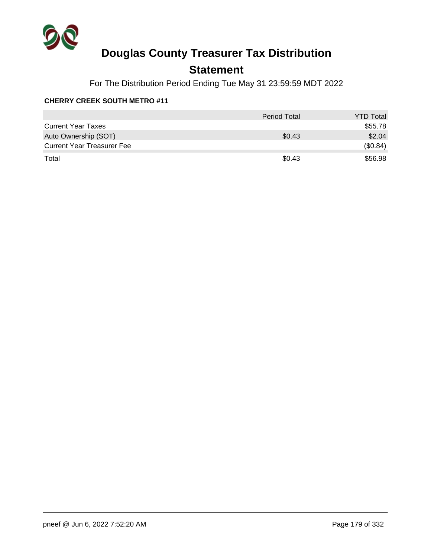

### **Statement**

For The Distribution Period Ending Tue May 31 23:59:59 MDT 2022

|                                   | <b>Period Total</b> | <b>YTD Total</b> |
|-----------------------------------|---------------------|------------------|
| <b>Current Year Taxes</b>         |                     | \$55.78          |
| Auto Ownership (SOT)              | \$0.43              | \$2.04           |
| <b>Current Year Treasurer Fee</b> |                     | (\$0.84)         |
| Total                             | \$0.43              | \$56.98          |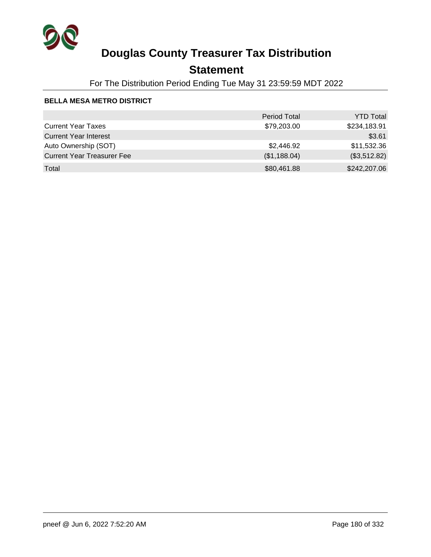

### **Statement**

For The Distribution Period Ending Tue May 31 23:59:59 MDT 2022

#### **BELLA MESA METRO DISTRICT**

|                                   | <b>Period Total</b> | <b>YTD Total</b> |
|-----------------------------------|---------------------|------------------|
| <b>Current Year Taxes</b>         | \$79,203.00         | \$234,183.91     |
| <b>Current Year Interest</b>      |                     | \$3.61           |
| Auto Ownership (SOT)              | \$2,446.92          | \$11,532.36      |
| <b>Current Year Treasurer Fee</b> | (\$1,188.04)        | (\$3,512.82)     |
| Total                             | \$80,461.88         | \$242,207.06     |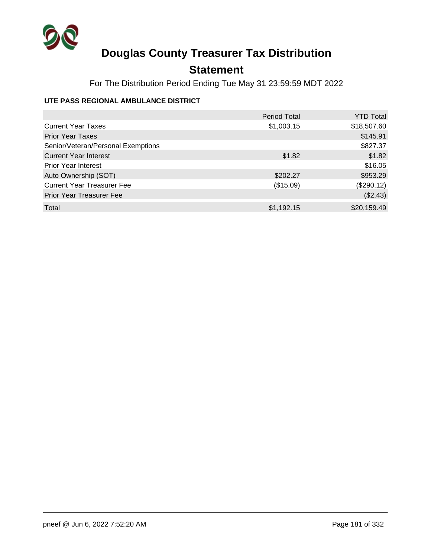

## **Statement**

For The Distribution Period Ending Tue May 31 23:59:59 MDT 2022

### **UTE PASS REGIONAL AMBULANCE DISTRICT**

|                                    | <b>Period Total</b> | <b>YTD Total</b> |
|------------------------------------|---------------------|------------------|
| <b>Current Year Taxes</b>          | \$1,003.15          | \$18,507.60      |
| <b>Prior Year Taxes</b>            |                     | \$145.91         |
| Senior/Veteran/Personal Exemptions |                     | \$827.37         |
| <b>Current Year Interest</b>       | \$1.82              | \$1.82           |
| <b>Prior Year Interest</b>         |                     | \$16.05          |
| Auto Ownership (SOT)               | \$202.27            | \$953.29         |
| <b>Current Year Treasurer Fee</b>  | (\$15.09)           | (\$290.12)       |
| <b>Prior Year Treasurer Fee</b>    |                     | (\$2.43)         |
| Total                              | \$1,192.15          | \$20,159.49      |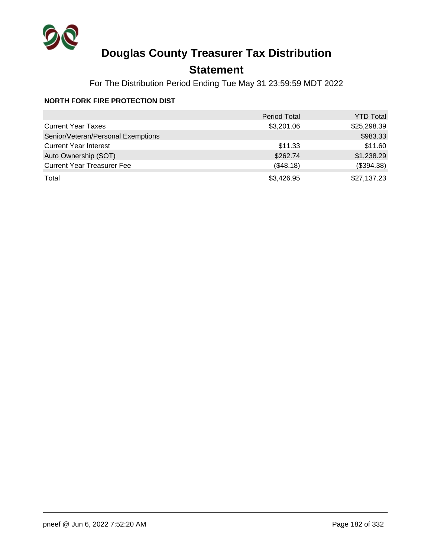

## **Statement**

For The Distribution Period Ending Tue May 31 23:59:59 MDT 2022

### **NORTH FORK FIRE PROTECTION DIST**

|                                    | <b>Period Total</b> | <b>YTD Total</b> |
|------------------------------------|---------------------|------------------|
| <b>Current Year Taxes</b>          | \$3,201.06          | \$25,298.39      |
| Senior/Veteran/Personal Exemptions |                     | \$983.33         |
| <b>Current Year Interest</b>       | \$11.33             | \$11.60          |
| Auto Ownership (SOT)               | \$262.74            | \$1,238.29       |
| <b>Current Year Treasurer Fee</b>  | (\$48.18)           | (\$394.38)       |
| Total                              | \$3,426.95          | \$27,137.23      |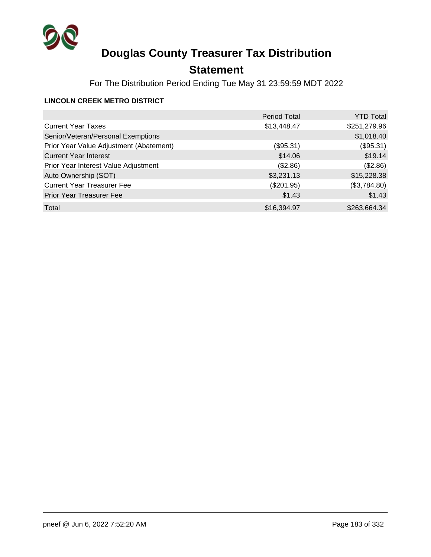

## **Statement**

For The Distribution Period Ending Tue May 31 23:59:59 MDT 2022

### **LINCOLN CREEK METRO DISTRICT**

|                                         | <b>Period Total</b> | <b>YTD Total</b> |
|-----------------------------------------|---------------------|------------------|
| <b>Current Year Taxes</b>               | \$13,448.47         | \$251,279.96     |
| Senior/Veteran/Personal Exemptions      |                     | \$1,018.40       |
| Prior Year Value Adjustment (Abatement) | (\$95.31)           | (\$95.31)        |
| <b>Current Year Interest</b>            | \$14.06             | \$19.14          |
| Prior Year Interest Value Adjustment    | (\$2.86)            | (\$2.86)         |
| Auto Ownership (SOT)                    | \$3,231.13          | \$15,228.38      |
| <b>Current Year Treasurer Fee</b>       | $(\$201.95)$        | (\$3,784.80)     |
| <b>Prior Year Treasurer Fee</b>         | \$1.43              | \$1.43           |
| Total                                   | \$16,394.97         | \$263,664.34     |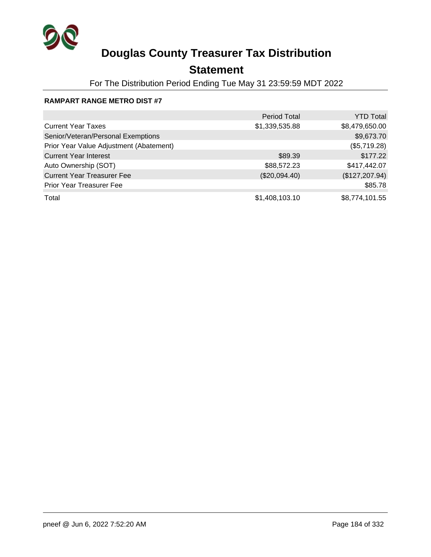

## **Statement**

For The Distribution Period Ending Tue May 31 23:59:59 MDT 2022

### **RAMPART RANGE METRO DIST #7**

|                                         | <b>Period Total</b> | <b>YTD Total</b> |
|-----------------------------------------|---------------------|------------------|
| <b>Current Year Taxes</b>               | \$1,339,535.88      | \$8,479,650.00   |
| Senior/Veteran/Personal Exemptions      |                     | \$9,673.70       |
| Prior Year Value Adjustment (Abatement) |                     | (\$5,719.28)     |
| <b>Current Year Interest</b>            | \$89.39             | \$177.22         |
| Auto Ownership (SOT)                    | \$88,572.23         | \$417,442.07     |
| <b>Current Year Treasurer Fee</b>       | (\$20,094.40)       | (\$127, 207.94)  |
| <b>Prior Year Treasurer Fee</b>         |                     | \$85.78          |
| Total                                   | \$1,408,103.10      | \$8,774,101.55   |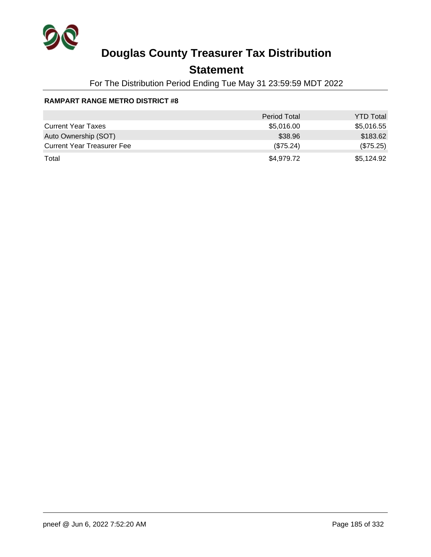

## **Statement**

For The Distribution Period Ending Tue May 31 23:59:59 MDT 2022

### **RAMPART RANGE METRO DISTRICT #8**

|                                   | <b>Period Total</b> | <b>YTD Total</b> |
|-----------------------------------|---------------------|------------------|
| <b>Current Year Taxes</b>         | \$5,016.00          | \$5,016.55       |
| Auto Ownership (SOT)              | \$38.96             | \$183.62         |
| <b>Current Year Treasurer Fee</b> | (\$75.24)           | (\$75.25)        |
| Total                             | \$4,979.72          | \$5,124.92       |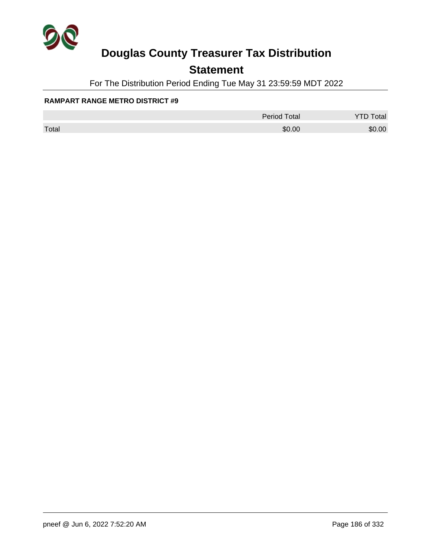

## **Statement**

For The Distribution Period Ending Tue May 31 23:59:59 MDT 2022

### **RAMPART RANGE METRO DISTRICT #9**

|       | <b>Period Total</b> | otal   |
|-------|---------------------|--------|
| Total | \$0.00              | \$0.00 |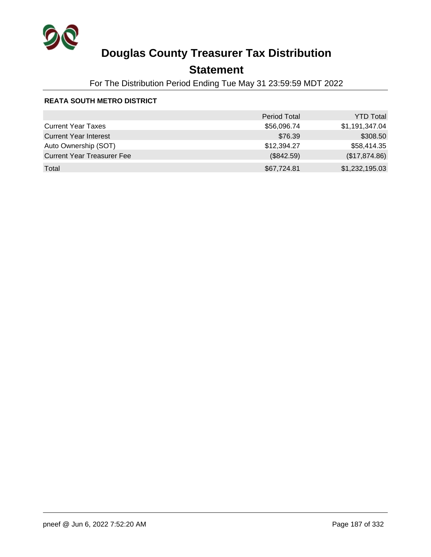

## **Statement**

For The Distribution Period Ending Tue May 31 23:59:59 MDT 2022

### **REATA SOUTH METRO DISTRICT**

|                                   | <b>Period Total</b> | <b>YTD Total</b> |
|-----------------------------------|---------------------|------------------|
| <b>Current Year Taxes</b>         | \$56,096.74         | \$1,191,347.04   |
| <b>Current Year Interest</b>      | \$76.39             | \$308.50         |
| Auto Ownership (SOT)              | \$12,394.27         | \$58,414.35      |
| <b>Current Year Treasurer Fee</b> | (\$842.59)          | (\$17,874.86)    |
| Total                             | \$67,724.81         | \$1,232,195.03   |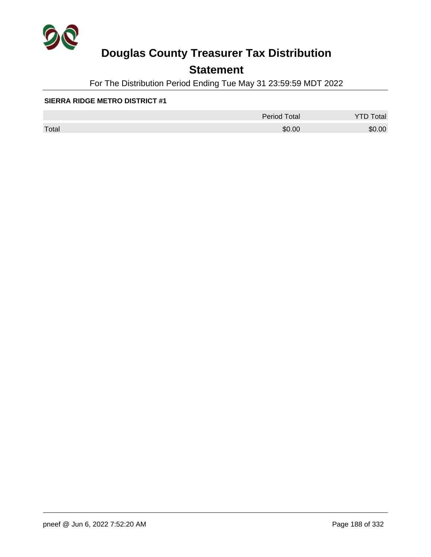

## **Statement**

For The Distribution Period Ending Tue May 31 23:59:59 MDT 2022

#### **SIERRA RIDGE METRO DISTRICT #1**

|       | <b>Period Total</b> | otal   |
|-------|---------------------|--------|
| Total | \$0.00              | \$0.00 |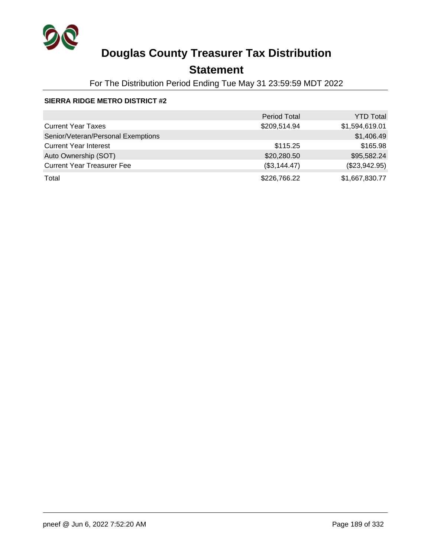

## **Statement**

For The Distribution Period Ending Tue May 31 23:59:59 MDT 2022

### **SIERRA RIDGE METRO DISTRICT #2**

|                                    | <b>Period Total</b> | <b>YTD Total</b> |
|------------------------------------|---------------------|------------------|
| <b>Current Year Taxes</b>          | \$209,514.94        | \$1,594,619.01   |
| Senior/Veteran/Personal Exemptions |                     | \$1,406.49       |
| <b>Current Year Interest</b>       | \$115.25            | \$165.98         |
| Auto Ownership (SOT)               | \$20,280.50         | \$95,582.24      |
| <b>Current Year Treasurer Fee</b>  | (\$3,144.47)        | (\$23,942.95)    |
| Total                              | \$226,766.22        | \$1,667,830.77   |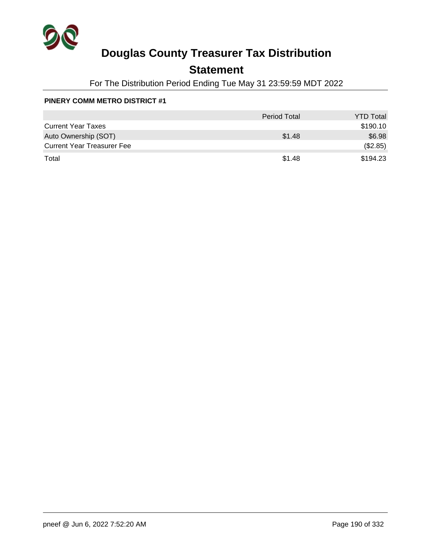

## **Statement**

For The Distribution Period Ending Tue May 31 23:59:59 MDT 2022

### **PINERY COMM METRO DISTRICT #1**

|                                   | <b>Period Total</b> | <b>YTD Total</b> |
|-----------------------------------|---------------------|------------------|
| <b>Current Year Taxes</b>         |                     | \$190.10         |
| Auto Ownership (SOT)              | \$1.48              | \$6.98           |
| <b>Current Year Treasurer Fee</b> |                     | (\$2.85)         |
| Total                             | \$1.48              | \$194.23         |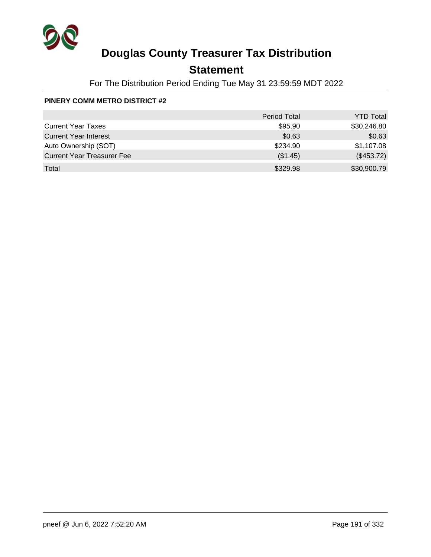

## **Statement**

For The Distribution Period Ending Tue May 31 23:59:59 MDT 2022

### **PINERY COMM METRO DISTRICT #2**

|                                   | <b>Period Total</b> | <b>YTD Total</b> |
|-----------------------------------|---------------------|------------------|
| <b>Current Year Taxes</b>         | \$95.90             | \$30,246.80      |
| <b>Current Year Interest</b>      | \$0.63              | \$0.63           |
| Auto Ownership (SOT)              | \$234.90            | \$1,107.08       |
| <b>Current Year Treasurer Fee</b> | (\$1.45)            | (\$453.72)       |
| Total                             | \$329.98            | \$30,900.79      |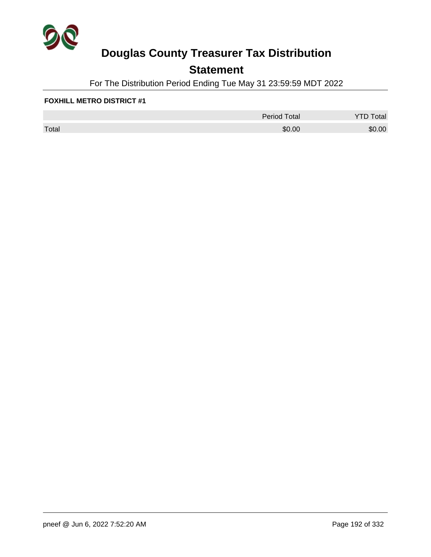

## **Statement**

For The Distribution Period Ending Tue May 31 23:59:59 MDT 2022

### **FOXHILL METRO DISTRICT #1**

|       | <b>Period Total</b> | otal   |
|-------|---------------------|--------|
| Total | \$0.00              | \$0.00 |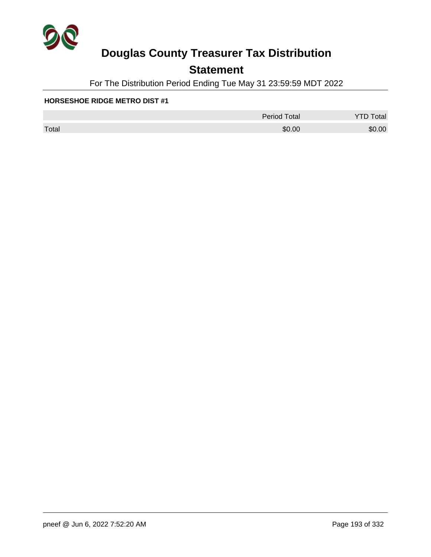

## **Statement**

For The Distribution Period Ending Tue May 31 23:59:59 MDT 2022

#### **HORSESHOE RIDGE METRO DIST #1**

|       | <b>Period Total</b> | otal   |
|-------|---------------------|--------|
| Total | \$0.00              | \$0.00 |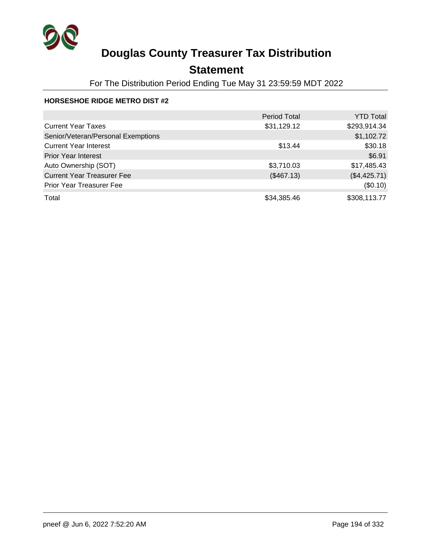

## **Statement**

For The Distribution Period Ending Tue May 31 23:59:59 MDT 2022

### **HORSESHOE RIDGE METRO DIST #2**

|                                    | <b>Period Total</b> | <b>YTD Total</b> |
|------------------------------------|---------------------|------------------|
| <b>Current Year Taxes</b>          | \$31,129.12         | \$293,914.34     |
| Senior/Veteran/Personal Exemptions |                     | \$1,102.72       |
| <b>Current Year Interest</b>       | \$13.44             | \$30.18          |
| <b>Prior Year Interest</b>         |                     | \$6.91           |
| Auto Ownership (SOT)               | \$3,710.03          | \$17,485.43      |
| <b>Current Year Treasurer Fee</b>  | (\$467.13)          | (\$4,425.71)     |
| <b>Prior Year Treasurer Fee</b>    |                     | (\$0.10)         |
| Total                              | \$34,385.46         | \$308,113.77     |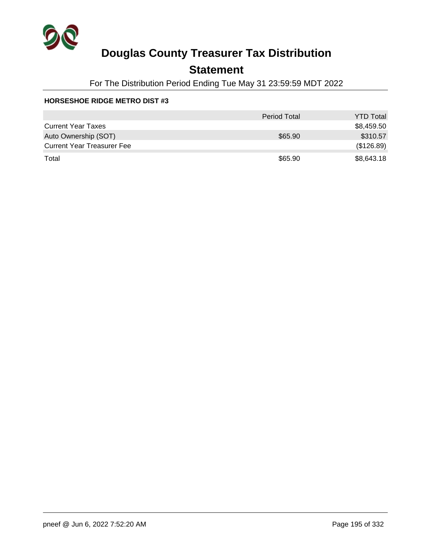

## **Statement**

For The Distribution Period Ending Tue May 31 23:59:59 MDT 2022

#### **HORSESHOE RIDGE METRO DIST #3**

|                                   | <b>Period Total</b> | <b>YTD Total</b> |
|-----------------------------------|---------------------|------------------|
| <b>Current Year Taxes</b>         |                     | \$8,459.50       |
| Auto Ownership (SOT)              | \$65.90             | \$310.57         |
| <b>Current Year Treasurer Fee</b> |                     | (\$126.89)       |
| Total                             | \$65.90             | \$8,643.18       |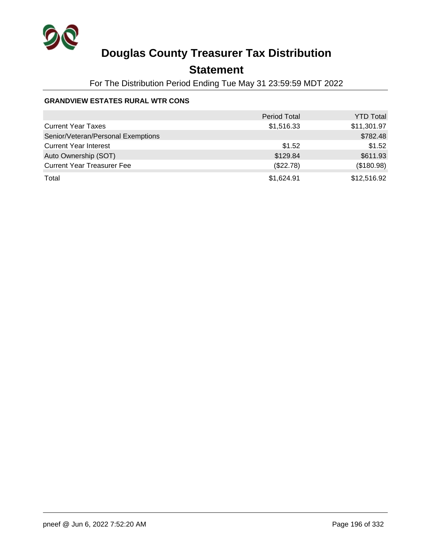

## **Statement**

For The Distribution Period Ending Tue May 31 23:59:59 MDT 2022

### **GRANDVIEW ESTATES RURAL WTR CONS**

|                                    | <b>Period Total</b> | <b>YTD Total</b> |
|------------------------------------|---------------------|------------------|
| <b>Current Year Taxes</b>          | \$1,516.33          | \$11,301.97      |
| Senior/Veteran/Personal Exemptions |                     | \$782.48         |
| <b>Current Year Interest</b>       | \$1.52              | \$1.52           |
| Auto Ownership (SOT)               | \$129.84            | \$611.93         |
| <b>Current Year Treasurer Fee</b>  | (\$22.78)           | (\$180.98)       |
| Total                              | \$1,624.91          | \$12,516.92      |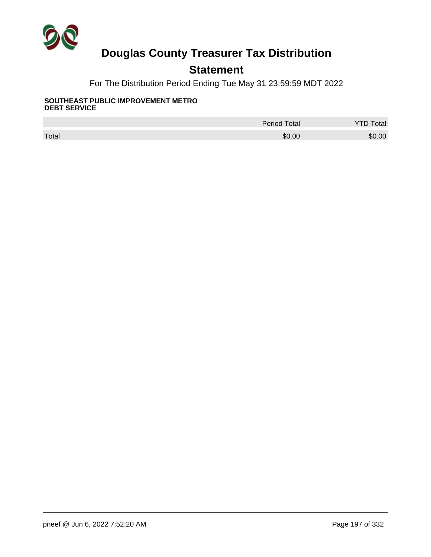

## **Statement**

For The Distribution Period Ending Tue May 31 23:59:59 MDT 2022

#### **SOUTHEAST PUBLIC IMPROVEMENT METRO DEBT SERVICE**

|       | <b>Period Total</b> | otal   |
|-------|---------------------|--------|
| Total | \$0.00              | \$0.00 |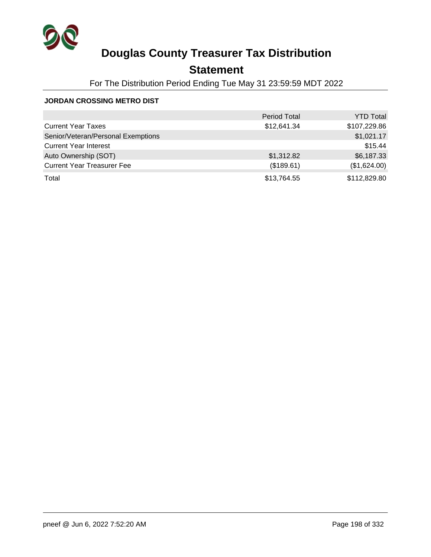

## **Statement**

For The Distribution Period Ending Tue May 31 23:59:59 MDT 2022

### **JORDAN CROSSING METRO DIST**

|                                    | <b>Period Total</b> | <b>YTD Total</b> |
|------------------------------------|---------------------|------------------|
| <b>Current Year Taxes</b>          | \$12,641.34         | \$107,229.86     |
| Senior/Veteran/Personal Exemptions |                     | \$1,021.17       |
| <b>Current Year Interest</b>       |                     | \$15.44          |
| Auto Ownership (SOT)               | \$1,312.82          | \$6,187.33       |
| <b>Current Year Treasurer Fee</b>  | (\$189.61)          | (\$1,624.00)     |
| Total                              | \$13,764.55         | \$112,829.80     |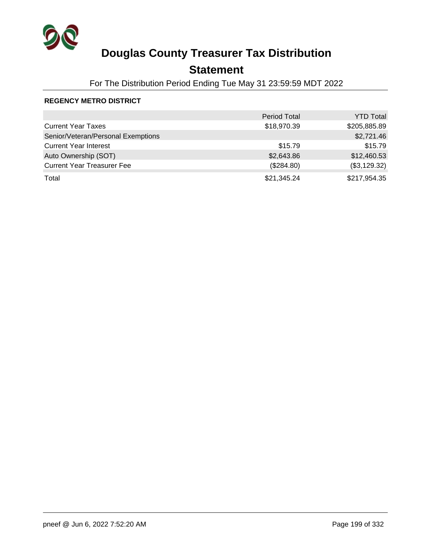

## **Statement**

For The Distribution Period Ending Tue May 31 23:59:59 MDT 2022

### **REGENCY METRO DISTRICT**

|                                    | <b>Period Total</b> | <b>YTD Total</b> |
|------------------------------------|---------------------|------------------|
| <b>Current Year Taxes</b>          | \$18,970.39         | \$205,885.89     |
| Senior/Veteran/Personal Exemptions |                     | \$2,721.46       |
| <b>Current Year Interest</b>       | \$15.79             | \$15.79          |
| Auto Ownership (SOT)               | \$2,643.86          | \$12,460.53      |
| <b>Current Year Treasurer Fee</b>  | (\$284.80)          | (\$3,129.32)     |
| Total                              | \$21,345.24         | \$217,954.35     |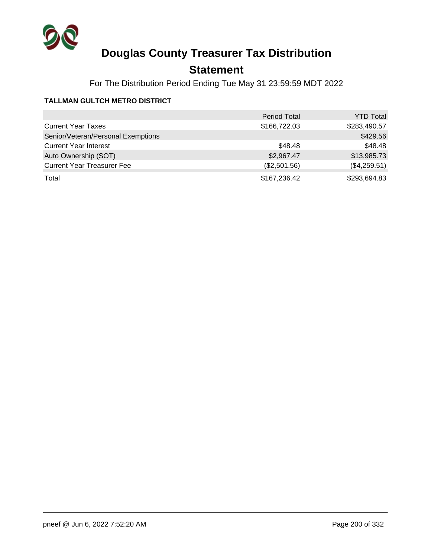

## **Statement**

For The Distribution Period Ending Tue May 31 23:59:59 MDT 2022

### **TALLMAN GULTCH METRO DISTRICT**

|                                    | <b>Period Total</b> | <b>YTD Total</b> |
|------------------------------------|---------------------|------------------|
| <b>Current Year Taxes</b>          | \$166,722.03        | \$283,490.57     |
| Senior/Veteran/Personal Exemptions |                     | \$429.56         |
| <b>Current Year Interest</b>       | \$48.48             | \$48.48          |
| Auto Ownership (SOT)               | \$2,967.47          | \$13,985.73      |
| <b>Current Year Treasurer Fee</b>  | (\$2,501.56)        | (\$4,259.51)     |
| Total                              | \$167,236.42        | \$293,694.83     |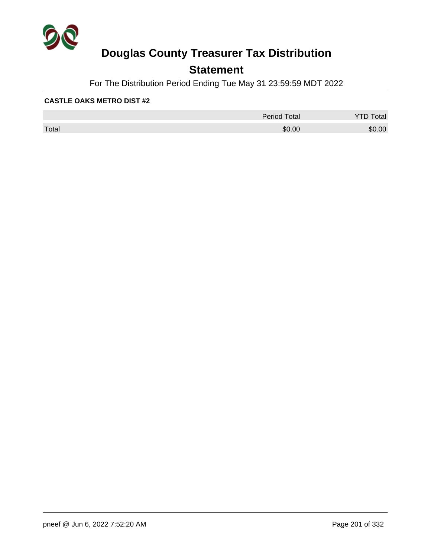

## **Statement**

For The Distribution Period Ending Tue May 31 23:59:59 MDT 2022

### **CASTLE OAKS METRO DIST #2**

|       | <b>Period Total</b> | otal   |
|-------|---------------------|--------|
| Total | \$0.00              | \$0.00 |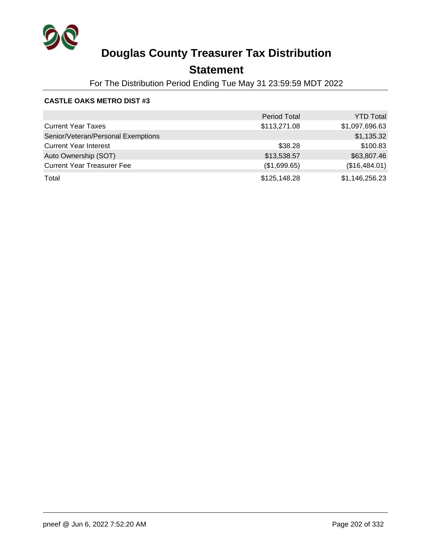

## **Statement**

For The Distribution Period Ending Tue May 31 23:59:59 MDT 2022

### **CASTLE OAKS METRO DIST #3**

|                                    | <b>Period Total</b> | <b>YTD Total</b> |
|------------------------------------|---------------------|------------------|
| <b>Current Year Taxes</b>          | \$113,271.08        | \$1,097,696.63   |
| Senior/Veteran/Personal Exemptions |                     | \$1,135.32       |
| <b>Current Year Interest</b>       | \$38.28             | \$100.83         |
| Auto Ownership (SOT)               | \$13,538.57         | \$63,807.46      |
| <b>Current Year Treasurer Fee</b>  | (\$1,699.65)        | (\$16,484.01)    |
| Total                              | \$125,148.28        | \$1,146,256.23   |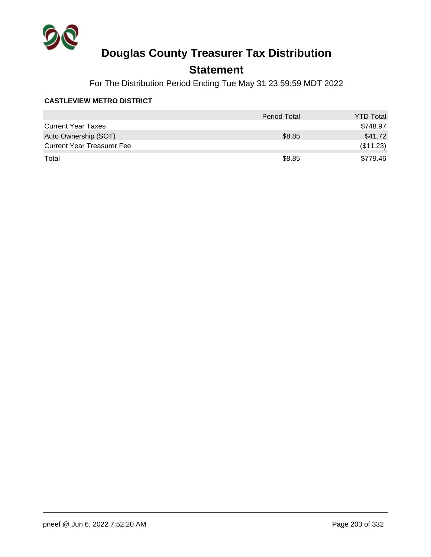

## **Statement**

For The Distribution Period Ending Tue May 31 23:59:59 MDT 2022

### **CASTLEVIEW METRO DISTRICT**

|                                   | <b>Period Total</b> | <b>YTD Total</b> |
|-----------------------------------|---------------------|------------------|
| <b>Current Year Taxes</b>         |                     | \$748.97         |
| Auto Ownership (SOT)              | \$8.85              | \$41.72          |
| <b>Current Year Treasurer Fee</b> |                     | (\$11.23)        |
| Total                             | \$8.85              | \$779.46         |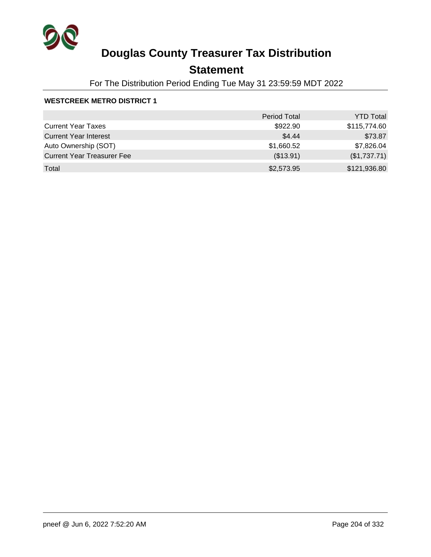

## **Statement**

For The Distribution Period Ending Tue May 31 23:59:59 MDT 2022

### **WESTCREEK METRO DISTRICT 1**

|                                   | <b>Period Total</b> | <b>YTD Total</b> |
|-----------------------------------|---------------------|------------------|
| <b>Current Year Taxes</b>         | \$922.90            | \$115,774.60     |
| <b>Current Year Interest</b>      | \$4.44              | \$73.87          |
| Auto Ownership (SOT)              | \$1,660.52          | \$7,826.04       |
| <b>Current Year Treasurer Fee</b> | (\$13.91)           | (\$1,737.71)     |
| Total                             | \$2,573.95          | \$121,936.80     |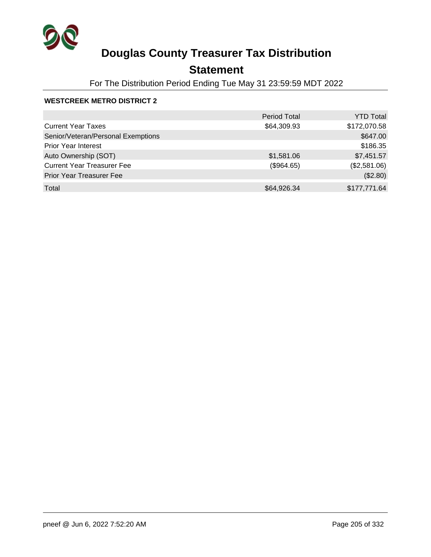

## **Statement**

For The Distribution Period Ending Tue May 31 23:59:59 MDT 2022

### **WESTCREEK METRO DISTRICT 2**

|                                    | <b>Period Total</b> | <b>YTD Total</b> |
|------------------------------------|---------------------|------------------|
| <b>Current Year Taxes</b>          | \$64,309.93         | \$172,070.58     |
| Senior/Veteran/Personal Exemptions |                     | \$647.00         |
| <b>Prior Year Interest</b>         |                     | \$186.35         |
| Auto Ownership (SOT)               | \$1,581.06          | \$7,451.57       |
| <b>Current Year Treasurer Fee</b>  | (\$964.65)          | (\$2,581.06)     |
| <b>Prior Year Treasurer Fee</b>    |                     | (\$2.80)         |
| Total                              | \$64,926.34         | \$177,771.64     |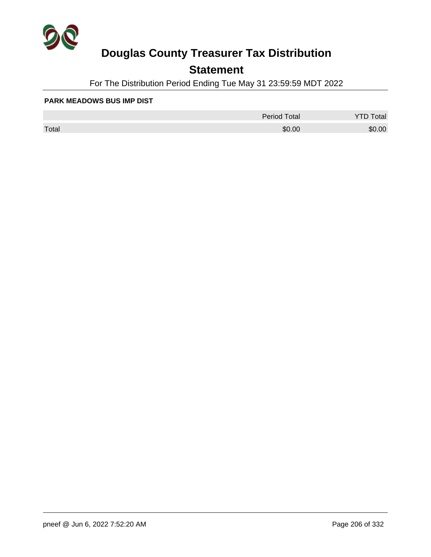

## **Statement**

For The Distribution Period Ending Tue May 31 23:59:59 MDT 2022

#### **PARK MEADOWS BUS IMP DIST**

|       | <b>Period Total</b> | otal<br>້ |
|-------|---------------------|-----------|
| Total | \$0.00              | \$0.00    |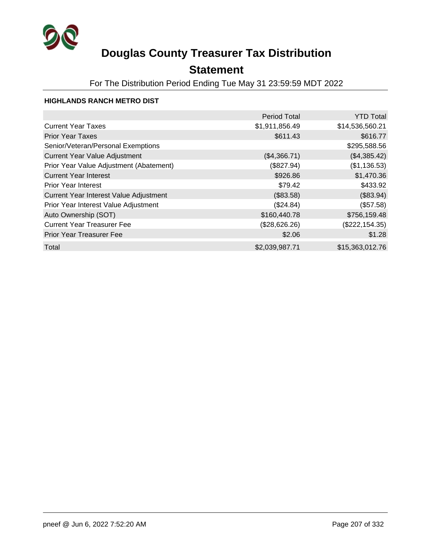

## **Statement**

For The Distribution Period Ending Tue May 31 23:59:59 MDT 2022

### **HIGHLANDS RANCH METRO DIST**

|                                         | <b>Period Total</b> | <b>YTD Total</b> |
|-----------------------------------------|---------------------|------------------|
| <b>Current Year Taxes</b>               | \$1,911,856.49      | \$14,536,560.21  |
| <b>Prior Year Taxes</b>                 | \$611.43            | \$616.77         |
| Senior/Veteran/Personal Exemptions      |                     | \$295,588.56     |
| <b>Current Year Value Adjustment</b>    | (\$4,366.71)        | (\$4,385.42)     |
| Prior Year Value Adjustment (Abatement) | (\$827.94)          | (\$1,136.53)     |
| <b>Current Year Interest</b>            | \$926.86            | \$1,470.36       |
| <b>Prior Year Interest</b>              | \$79.42             | \$433.92         |
| Current Year Interest Value Adjustment  | (\$83.58)           | (\$83.94)        |
| Prior Year Interest Value Adjustment    | (\$24.84)           | (\$57.58)        |
| Auto Ownership (SOT)                    | \$160,440.78        | \$756,159.48     |
| <b>Current Year Treasurer Fee</b>       | (\$28,626.26)       | (\$222, 154.35)  |
| <b>Prior Year Treasurer Fee</b>         | \$2.06              | \$1.28           |
| Total                                   | \$2,039,987.71      | \$15,363,012.76  |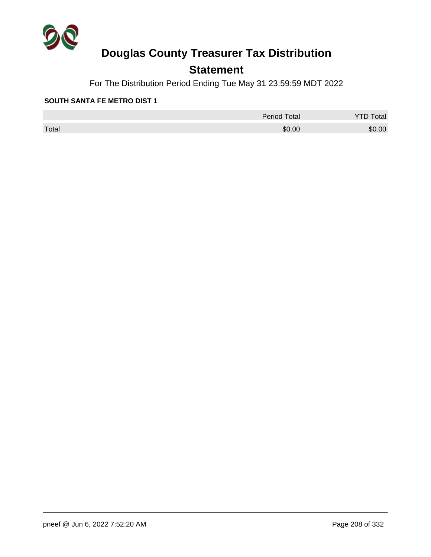

## **Statement**

For The Distribution Period Ending Tue May 31 23:59:59 MDT 2022

### **SOUTH SANTA FE METRO DIST 1**

|       | Period Total | otal<br>◡ |
|-------|--------------|-----------|
| Total | \$0.00       | \$0.00    |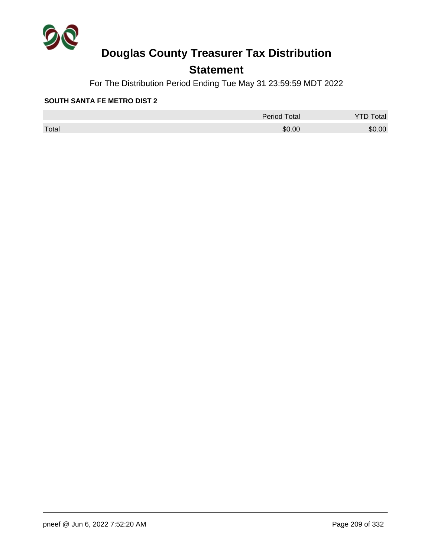

## **Statement**

For The Distribution Period Ending Tue May 31 23:59:59 MDT 2022

### **SOUTH SANTA FE METRO DIST 2**

|       | <b>Period Total</b> | otal   |
|-------|---------------------|--------|
| Total | \$0.00              | \$0.00 |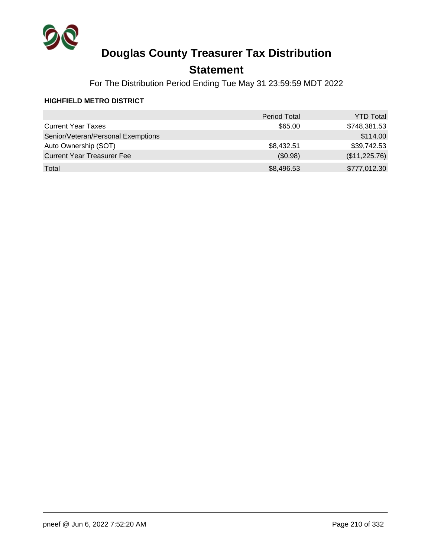

## **Statement**

For The Distribution Period Ending Tue May 31 23:59:59 MDT 2022

### **HIGHFIELD METRO DISTRICT**

|                                    | <b>Period Total</b> | <b>YTD Total</b> |
|------------------------------------|---------------------|------------------|
| <b>Current Year Taxes</b>          | \$65.00             | \$748,381.53     |
| Senior/Veteran/Personal Exemptions |                     | \$114.00         |
| Auto Ownership (SOT)               | \$8,432.51          | \$39,742.53      |
| <b>Current Year Treasurer Fee</b>  | (\$0.98)            | (\$11,225.76)    |
| Total                              | \$8,496.53          | \$777,012.30     |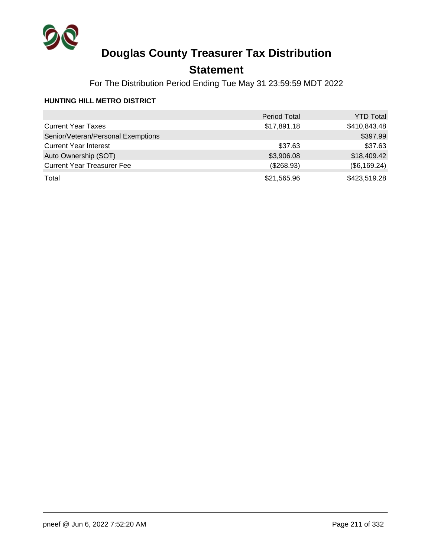

## **Statement**

For The Distribution Period Ending Tue May 31 23:59:59 MDT 2022

### **HUNTING HILL METRO DISTRICT**

|                                    | <b>Period Total</b> | <b>YTD Total</b> |
|------------------------------------|---------------------|------------------|
| <b>Current Year Taxes</b>          | \$17,891.18         | \$410,843.48     |
| Senior/Veteran/Personal Exemptions |                     | \$397.99         |
| <b>Current Year Interest</b>       | \$37.63             | \$37.63          |
| Auto Ownership (SOT)               | \$3,906.08          | \$18,409.42      |
| <b>Current Year Treasurer Fee</b>  | (\$268.93)          | (\$6,169.24)     |
| Total                              | \$21,565.96         | \$423,519.28     |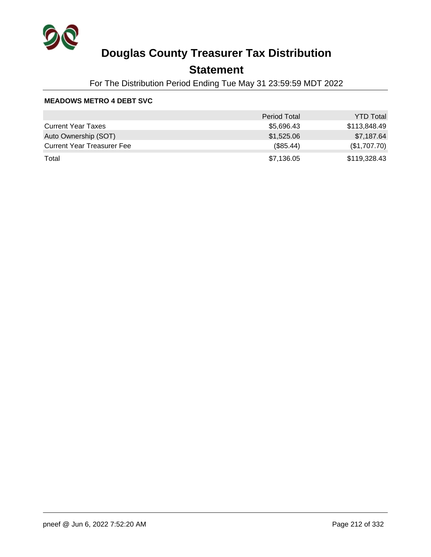

## **Statement**

For The Distribution Period Ending Tue May 31 23:59:59 MDT 2022

### **MEADOWS METRO 4 DEBT SVC**

|                                   | <b>Period Total</b> | <b>YTD Total</b> |
|-----------------------------------|---------------------|------------------|
| <b>Current Year Taxes</b>         | \$5,696.43          | \$113.848.49     |
| Auto Ownership (SOT)              | \$1,525.06          | \$7,187.64       |
| <b>Current Year Treasurer Fee</b> | (\$85.44)           | (\$1,707.70)     |
| Total                             | \$7,136.05          | \$119,328.43     |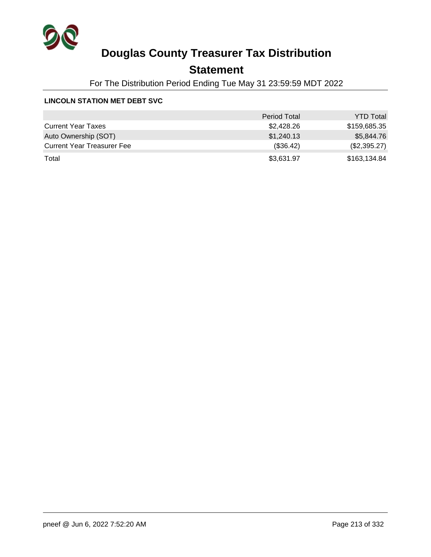

## **Statement**

For The Distribution Period Ending Tue May 31 23:59:59 MDT 2022

### **LINCOLN STATION MET DEBT SVC**

|                                   | <b>Period Total</b> | <b>YTD Total</b> |
|-----------------------------------|---------------------|------------------|
| <b>Current Year Taxes</b>         | \$2,428.26          | \$159,685.35     |
| Auto Ownership (SOT)              | \$1,240.13          | \$5,844.76       |
| <b>Current Year Treasurer Fee</b> | (\$36.42)           | (\$2,395.27)     |
| Total                             | \$3,631.97          | \$163,134.84     |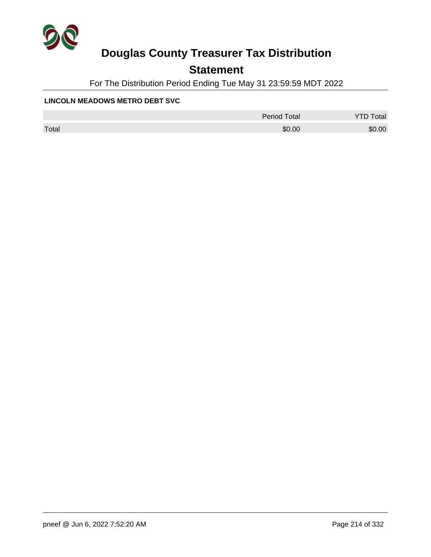

## **Statement**

For The Distribution Period Ending Tue May 31 23:59:59 MDT 2022

### **LINCOLN MEADOWS METRO DEBT SVC**

|       | <b>Period Total</b> | otal   |
|-------|---------------------|--------|
| Total | \$0.00              | \$0.00 |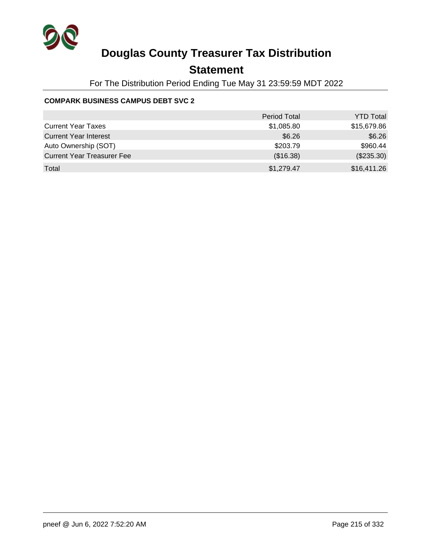

## **Statement**

For The Distribution Period Ending Tue May 31 23:59:59 MDT 2022

### **COMPARK BUSINESS CAMPUS DEBT SVC 2**

|                                   | <b>Period Total</b> | <b>YTD Total</b> |
|-----------------------------------|---------------------|------------------|
| <b>Current Year Taxes</b>         | \$1,085.80          | \$15,679.86      |
| <b>Current Year Interest</b>      | \$6.26              | \$6.26           |
| Auto Ownership (SOT)              | \$203.79            | \$960.44         |
| <b>Current Year Treasurer Fee</b> | (\$16.38)           | $(\$235.30)$     |
| Total                             | \$1,279.47          | \$16,411.26      |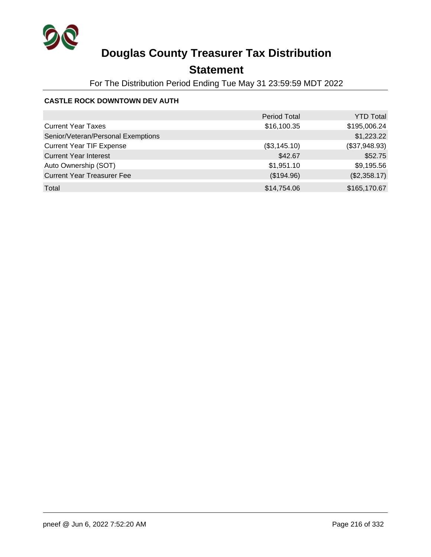

## **Statement**

For The Distribution Period Ending Tue May 31 23:59:59 MDT 2022

### **CASTLE ROCK DOWNTOWN DEV AUTH**

|                                    | <b>Period Total</b> | <b>YTD Total</b> |
|------------------------------------|---------------------|------------------|
| <b>Current Year Taxes</b>          | \$16,100.35         | \$195,006.24     |
| Senior/Veteran/Personal Exemptions |                     | \$1,223.22       |
| <b>Current Year TIF Expense</b>    | (\$3,145.10)        | (\$37,948.93)    |
| <b>Current Year Interest</b>       | \$42.67             | \$52.75          |
| Auto Ownership (SOT)               | \$1,951.10          | \$9,195.56       |
| <b>Current Year Treasurer Fee</b>  | (\$194.96)          | (\$2,358.17)     |
| Total                              | \$14,754.06         | \$165,170.67     |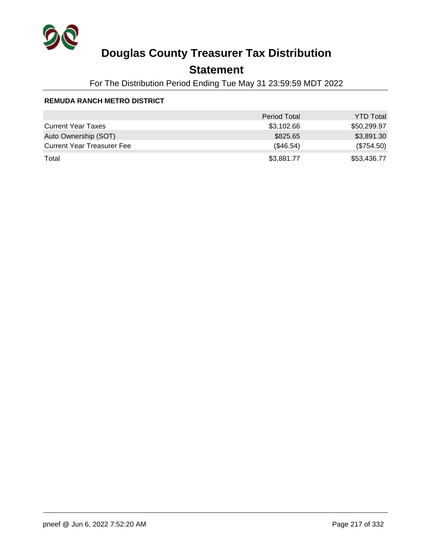

## **Statement**

For The Distribution Period Ending Tue May 31 23:59:59 MDT 2022

#### **REMUDA RANCH METRO DISTRICT**

|                                   | <b>Period Total</b> | <b>YTD Total</b> |
|-----------------------------------|---------------------|------------------|
| <b>Current Year Taxes</b>         | \$3,102.66          | \$50,299.97      |
| Auto Ownership (SOT)              | \$825.65            | \$3,891.30       |
| <b>Current Year Treasurer Fee</b> | (\$46.54)           | (\$754.50)       |
| Total                             | \$3,881.77          | \$53,436.77      |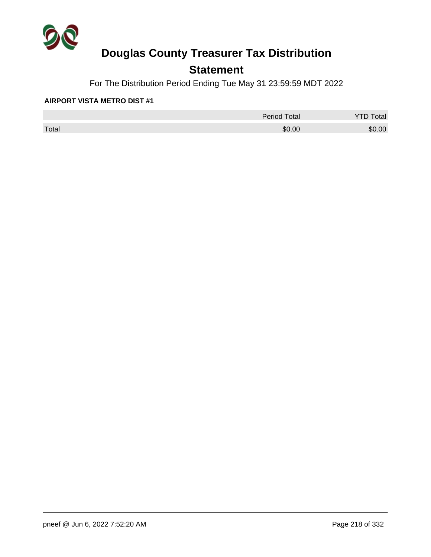

## **Statement**

For The Distribution Period Ending Tue May 31 23:59:59 MDT 2022

#### **AIRPORT VISTA METRO DIST #1**

|       | <b>Period Total</b> | otal<br>້ |
|-------|---------------------|-----------|
| Total | \$0.00              | \$0.00    |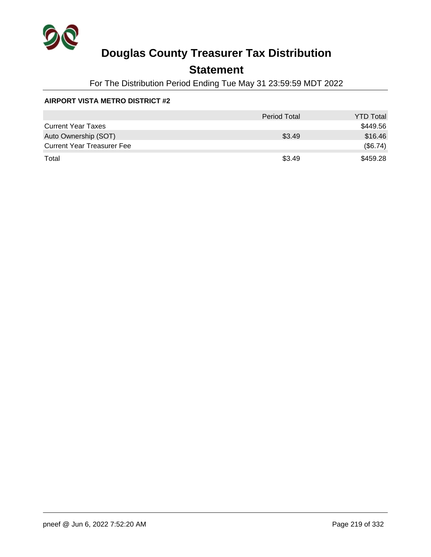

## **Statement**

For The Distribution Period Ending Tue May 31 23:59:59 MDT 2022

#### **AIRPORT VISTA METRO DISTRICT #2**

|                                   | <b>Period Total</b> | <b>YTD Total</b> |
|-----------------------------------|---------------------|------------------|
| <b>Current Year Taxes</b>         |                     | \$449.56         |
| Auto Ownership (SOT)              | \$3.49              | \$16.46          |
| <b>Current Year Treasurer Fee</b> |                     | (\$6.74)         |
| Total                             | \$3.49              | \$459.28         |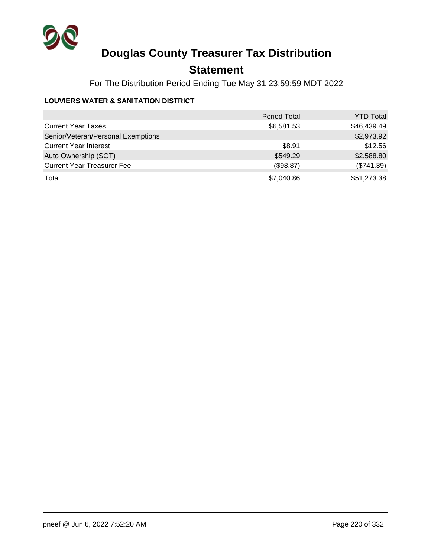

## **Statement**

For The Distribution Period Ending Tue May 31 23:59:59 MDT 2022

#### **LOUVIERS WATER & SANITATION DISTRICT**

|                                    | <b>Period Total</b> | <b>YTD Total</b> |
|------------------------------------|---------------------|------------------|
| <b>Current Year Taxes</b>          | \$6,581.53          | \$46,439.49      |
| Senior/Veteran/Personal Exemptions |                     | \$2,973.92       |
| <b>Current Year Interest</b>       | \$8.91              | \$12.56          |
| Auto Ownership (SOT)               | \$549.29            | \$2,588.80       |
| <b>Current Year Treasurer Fee</b>  | (\$98.87)           | (\$741.39)       |
| Total                              | \$7,040.86          | \$51,273.38      |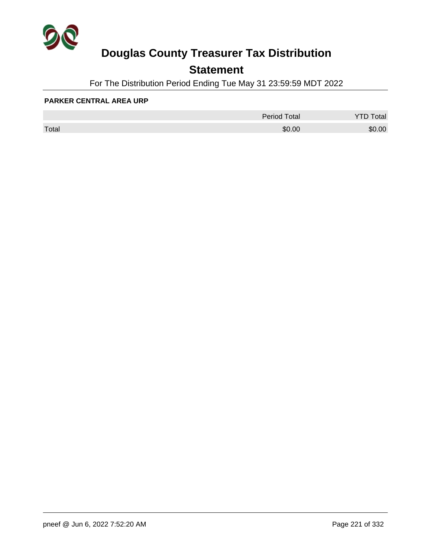

## **Statement**

For The Distribution Period Ending Tue May 31 23:59:59 MDT 2022

#### **PARKER CENTRAL AREA URP**

|       | <b>Period Total</b> | otal   |
|-------|---------------------|--------|
| Total | \$0.00              | \$0.00 |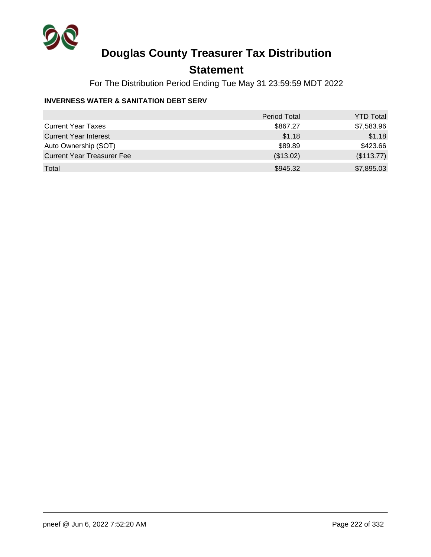

## **Statement**

For The Distribution Period Ending Tue May 31 23:59:59 MDT 2022

#### **INVERNESS WATER & SANITATION DEBT SERV**

|                                   | Period Total | <b>YTD Total</b> |
|-----------------------------------|--------------|------------------|
| <b>Current Year Taxes</b>         | \$867.27     | \$7,583.96       |
| <b>Current Year Interest</b>      | \$1.18       | \$1.18           |
| Auto Ownership (SOT)              | \$89.89      | \$423.66         |
| <b>Current Year Treasurer Fee</b> | (\$13.02)    | (\$113.77)       |
| Total                             | \$945.32     | \$7,895.03       |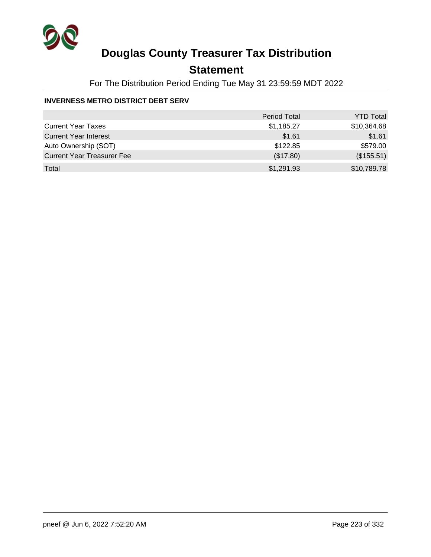

## **Statement**

For The Distribution Period Ending Tue May 31 23:59:59 MDT 2022

#### **INVERNESS METRO DISTRICT DEBT SERV**

|                                   | <b>Period Total</b> | <b>YTD Total</b> |
|-----------------------------------|---------------------|------------------|
| <b>Current Year Taxes</b>         | \$1,185.27          | \$10,364.68      |
| <b>Current Year Interest</b>      | \$1.61              | \$1.61           |
| Auto Ownership (SOT)              | \$122.85            | \$579.00         |
| <b>Current Year Treasurer Fee</b> | (\$17.80)           | (\$155.51)       |
| Total                             | \$1,291.93          | \$10,789.78      |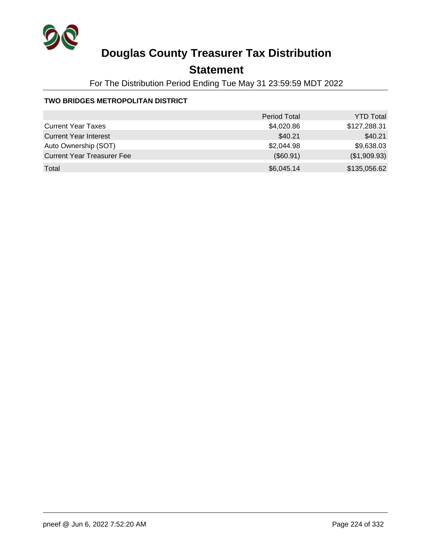

## **Statement**

For The Distribution Period Ending Tue May 31 23:59:59 MDT 2022

#### **TWO BRIDGES METROPOLITAN DISTRICT**

|                                   | <b>Period Total</b> | <b>YTD Total</b> |
|-----------------------------------|---------------------|------------------|
| <b>Current Year Taxes</b>         | \$4,020.86          | \$127,288.31     |
| <b>Current Year Interest</b>      | \$40.21             | \$40.21          |
| Auto Ownership (SOT)              | \$2,044.98          | \$9,638.03       |
| <b>Current Year Treasurer Fee</b> | (\$60.91)           | (\$1,909.93)     |
| Total                             | \$6,045.14          | \$135,056.62     |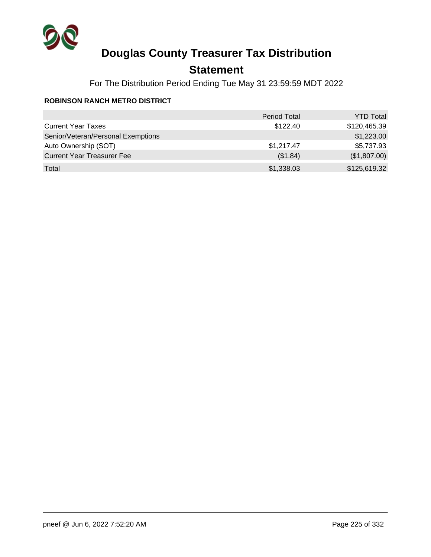

## **Statement**

For The Distribution Period Ending Tue May 31 23:59:59 MDT 2022

#### **ROBINSON RANCH METRO DISTRICT**

|                                    | <b>Period Total</b> | <b>YTD Total</b> |
|------------------------------------|---------------------|------------------|
| <b>Current Year Taxes</b>          | \$122.40            | \$120,465.39     |
| Senior/Veteran/Personal Exemptions |                     | \$1,223.00       |
| Auto Ownership (SOT)               | \$1,217.47          | \$5,737.93       |
| <b>Current Year Treasurer Fee</b>  | (\$1.84)            | (\$1,807.00)     |
| Total                              | \$1,338.03          | \$125,619.32     |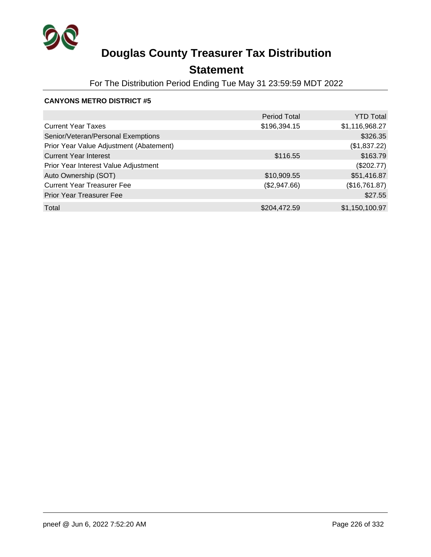

## **Statement**

For The Distribution Period Ending Tue May 31 23:59:59 MDT 2022

|                                         | <b>Period Total</b> | <b>YTD Total</b> |
|-----------------------------------------|---------------------|------------------|
| <b>Current Year Taxes</b>               | \$196,394.15        | \$1,116,968.27   |
| Senior/Veteran/Personal Exemptions      |                     | \$326.35         |
| Prior Year Value Adjustment (Abatement) |                     | (\$1,837.22)     |
| <b>Current Year Interest</b>            | \$116.55            | \$163.79         |
| Prior Year Interest Value Adjustment    |                     | (\$202.77)       |
| Auto Ownership (SOT)                    | \$10,909.55         | \$51,416.87      |
| <b>Current Year Treasurer Fee</b>       | (\$2,947.66)        | (\$16,761.87)    |
| <b>Prior Year Treasurer Fee</b>         |                     | \$27.55          |
| Total                                   | \$204,472.59        | \$1,150,100.97   |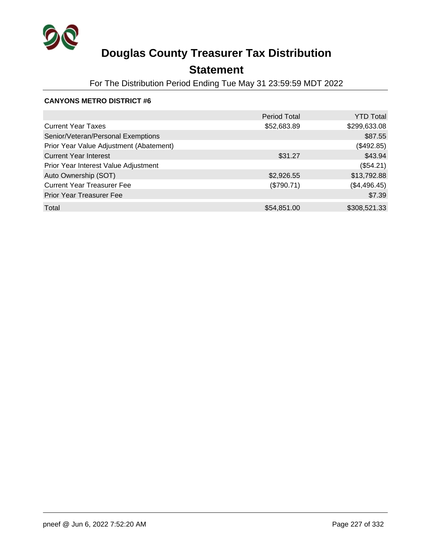

## **Statement**

For The Distribution Period Ending Tue May 31 23:59:59 MDT 2022

|                                         | <b>Period Total</b> | <b>YTD Total</b> |
|-----------------------------------------|---------------------|------------------|
| <b>Current Year Taxes</b>               | \$52,683.89         | \$299,633.08     |
| Senior/Veteran/Personal Exemptions      |                     | \$87.55          |
| Prior Year Value Adjustment (Abatement) |                     | (\$492.85)       |
| <b>Current Year Interest</b>            | \$31.27             | \$43.94          |
| Prior Year Interest Value Adjustment    |                     | (\$54.21)        |
| Auto Ownership (SOT)                    | \$2,926.55          | \$13,792.88      |
| <b>Current Year Treasurer Fee</b>       | (\$790.71)          | (\$4,496.45)     |
| <b>Prior Year Treasurer Fee</b>         |                     | \$7.39           |
| Total                                   | \$54,851.00         | \$308,521.33     |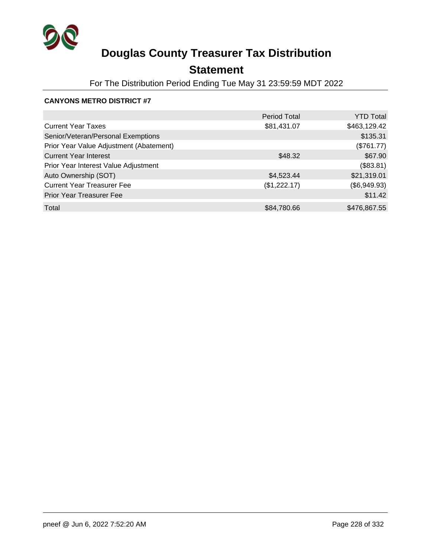

## **Statement**

For The Distribution Period Ending Tue May 31 23:59:59 MDT 2022

|                                         | <b>Period Total</b> | <b>YTD Total</b> |
|-----------------------------------------|---------------------|------------------|
| <b>Current Year Taxes</b>               | \$81,431.07         | \$463,129.42     |
| Senior/Veteran/Personal Exemptions      |                     | \$135.31         |
| Prior Year Value Adjustment (Abatement) |                     | (\$761.77)       |
| <b>Current Year Interest</b>            | \$48.32             | \$67.90          |
| Prior Year Interest Value Adjustment    |                     | (\$83.81)        |
| Auto Ownership (SOT)                    | \$4,523.44          | \$21,319.01      |
| <b>Current Year Treasurer Fee</b>       | (\$1,222.17)        | (\$6,949.93)     |
| <b>Prior Year Treasurer Fee</b>         |                     | \$11.42          |
| Total                                   | \$84,780.66         | \$476,867.55     |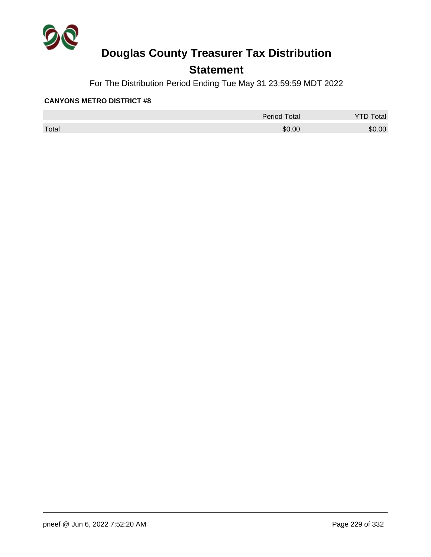

## **Statement**

For The Distribution Period Ending Tue May 31 23:59:59 MDT 2022

|       | <b>Period Total</b> | otal<br>້ |
|-------|---------------------|-----------|
| Total | \$0.00              | \$0.00    |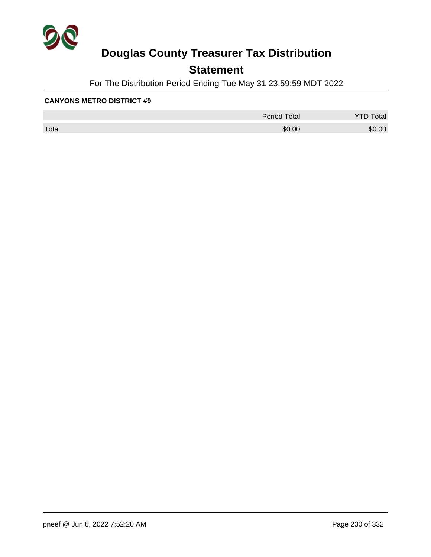

## **Statement**

For The Distribution Period Ending Tue May 31 23:59:59 MDT 2022

|       | <b>Period Total</b> | otal<br>້ |
|-------|---------------------|-----------|
| Total | \$0.00              | \$0.00    |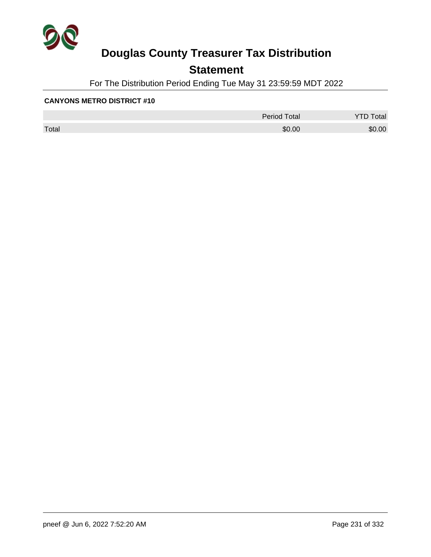

## **Statement**

For The Distribution Period Ending Tue May 31 23:59:59 MDT 2022

|       | <b>Period Total</b> | otal<br>້ |
|-------|---------------------|-----------|
| Total | \$0.00              | \$0.00    |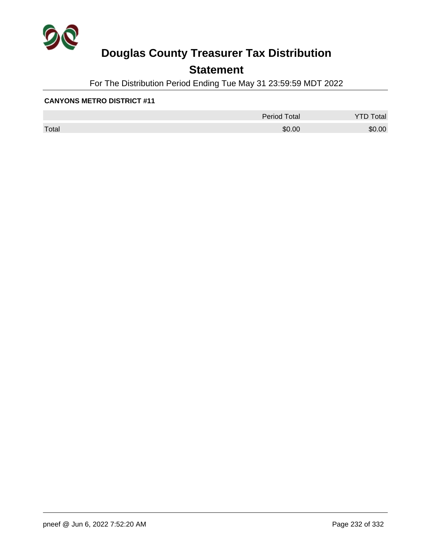

## **Statement**

For The Distribution Period Ending Tue May 31 23:59:59 MDT 2022

|       | <b>Period Total</b> | otal<br>້ |
|-------|---------------------|-----------|
| Total | \$0.00              | \$0.00    |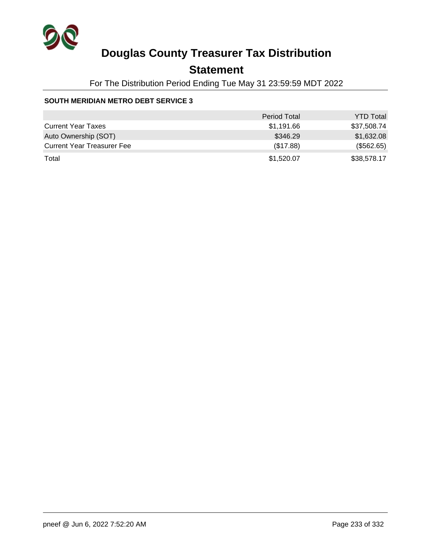

## **Statement**

For The Distribution Period Ending Tue May 31 23:59:59 MDT 2022

#### **SOUTH MERIDIAN METRO DEBT SERVICE 3**

|                                   | <b>Period Total</b> | <b>YTD Total</b> |
|-----------------------------------|---------------------|------------------|
| <b>Current Year Taxes</b>         | \$1,191.66          | \$37,508.74      |
| Auto Ownership (SOT)              | \$346.29            | \$1,632.08       |
| <b>Current Year Treasurer Fee</b> | (\$17.88)           | (\$562.65)       |
| Total                             | \$1,520.07          | \$38,578.17      |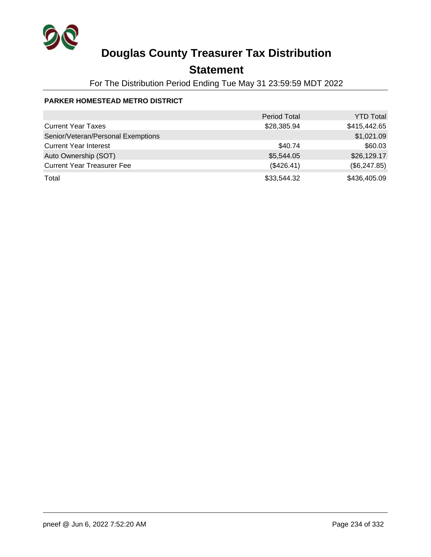

## **Statement**

For The Distribution Period Ending Tue May 31 23:59:59 MDT 2022

#### **PARKER HOMESTEAD METRO DISTRICT**

|                                    | <b>Period Total</b> | <b>YTD Total</b> |
|------------------------------------|---------------------|------------------|
| <b>Current Year Taxes</b>          | \$28,385.94         | \$415,442.65     |
| Senior/Veteran/Personal Exemptions |                     | \$1,021.09       |
| <b>Current Year Interest</b>       | \$40.74             | \$60.03          |
| Auto Ownership (SOT)               | \$5,544.05          | \$26,129.17      |
| <b>Current Year Treasurer Fee</b>  | (\$426.41)          | (\$6,247.85)     |
| Total                              | \$33,544.32         | \$436,405.09     |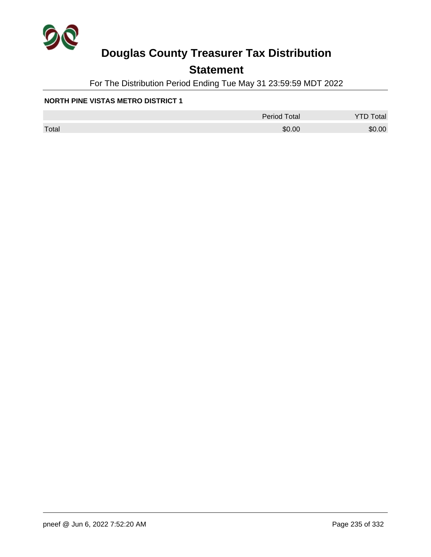

## **Statement**

For The Distribution Period Ending Tue May 31 23:59:59 MDT 2022

#### **NORTH PINE VISTAS METRO DISTRICT 1**

|       | <b>Period Total</b> | otal   |
|-------|---------------------|--------|
| Total | \$0.00              | \$0.00 |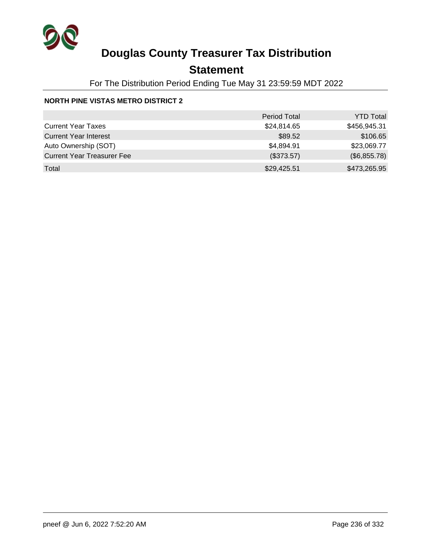

## **Statement**

For The Distribution Period Ending Tue May 31 23:59:59 MDT 2022

#### **NORTH PINE VISTAS METRO DISTRICT 2**

|                                   | <b>Period Total</b> | <b>YTD Total</b> |
|-----------------------------------|---------------------|------------------|
| <b>Current Year Taxes</b>         | \$24,814.65         | \$456,945.31     |
| <b>Current Year Interest</b>      | \$89.52             | \$106.65         |
| Auto Ownership (SOT)              | \$4,894.91          | \$23,069.77      |
| <b>Current Year Treasurer Fee</b> | (\$373.57)          | (\$6,855.78)     |
| Total                             | \$29,425.51         | \$473,265.95     |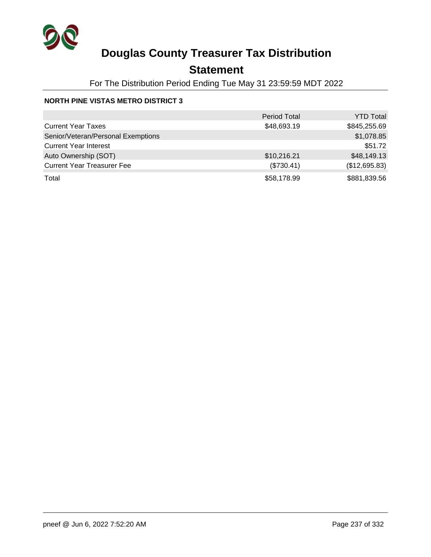

## **Statement**

For The Distribution Period Ending Tue May 31 23:59:59 MDT 2022

#### **NORTH PINE VISTAS METRO DISTRICT 3**

|                                    | <b>Period Total</b> | <b>YTD Total</b> |
|------------------------------------|---------------------|------------------|
| <b>Current Year Taxes</b>          | \$48,693.19         | \$845,255.69     |
| Senior/Veteran/Personal Exemptions |                     | \$1,078.85       |
| <b>Current Year Interest</b>       |                     | \$51.72          |
| Auto Ownership (SOT)               | \$10,216.21         | \$48,149.13      |
| <b>Current Year Treasurer Fee</b>  | (\$730.41)          | (\$12,695.83)    |
| Total                              | \$58,178.99         | \$881,839.56     |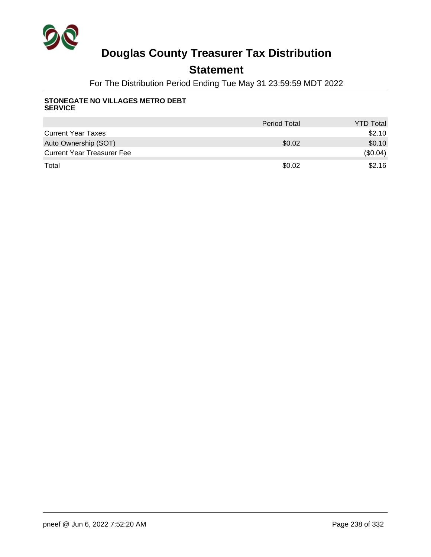

## **Statement**

For The Distribution Period Ending Tue May 31 23:59:59 MDT 2022

#### **STONEGATE NO VILLAGES METRO DEBT SERVICE**

|                                   | <b>Period Total</b> | <b>YTD Total</b> |
|-----------------------------------|---------------------|------------------|
| <b>Current Year Taxes</b>         |                     | \$2.10           |
| Auto Ownership (SOT)              | \$0.02              | \$0.10           |
| <b>Current Year Treasurer Fee</b> |                     | (\$0.04)         |
| Total                             | \$0.02              | \$2.16           |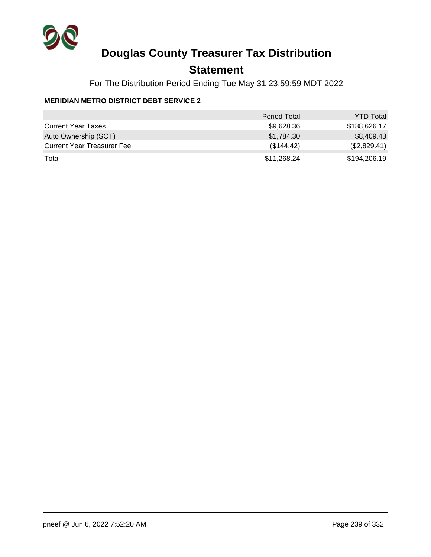

## **Statement**

For The Distribution Period Ending Tue May 31 23:59:59 MDT 2022

#### **MERIDIAN METRO DISTRICT DEBT SERVICE 2**

|                                   | <b>Period Total</b> | <b>YTD Total</b> |
|-----------------------------------|---------------------|------------------|
| <b>Current Year Taxes</b>         | \$9,628.36          | \$188,626.17     |
| Auto Ownership (SOT)              | \$1,784.30          | \$8,409.43       |
| <b>Current Year Treasurer Fee</b> | (\$144.42)          | (\$2,829.41)     |
| Total                             | \$11,268.24         | \$194,206.19     |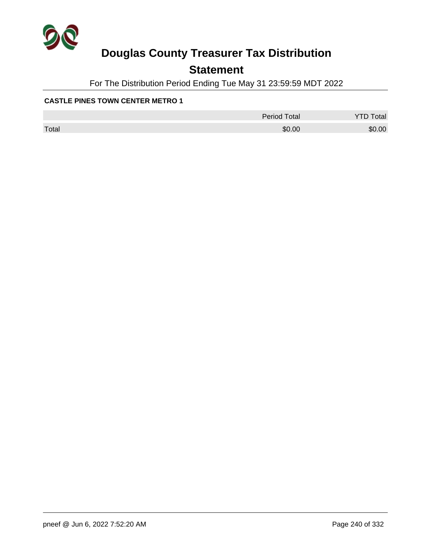

## **Statement**

For The Distribution Period Ending Tue May 31 23:59:59 MDT 2022

#### **CASTLE PINES TOWN CENTER METRO 1**

|       | <b>Period Total</b> | otal   |
|-------|---------------------|--------|
| Total | \$0.00              | \$0.00 |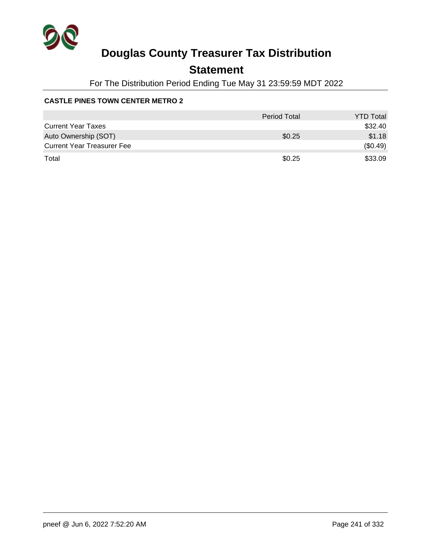

## **Statement**

For The Distribution Period Ending Tue May 31 23:59:59 MDT 2022

#### **CASTLE PINES TOWN CENTER METRO 2**

|                                   | <b>Period Total</b> | <b>YTD Total</b> |
|-----------------------------------|---------------------|------------------|
| <b>Current Year Taxes</b>         |                     | \$32.40          |
| Auto Ownership (SOT)              | \$0.25              | \$1.18           |
| <b>Current Year Treasurer Fee</b> |                     | (\$0.49)         |
| Total                             | \$0.25              | \$33.09          |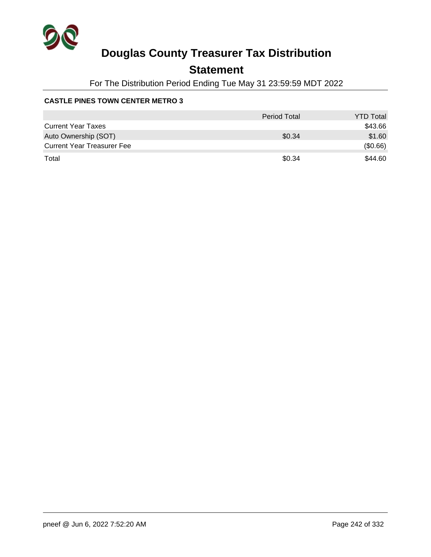

## **Statement**

For The Distribution Period Ending Tue May 31 23:59:59 MDT 2022

#### **CASTLE PINES TOWN CENTER METRO 3**

|                                   | Period Total | <b>YTD Total</b> |
|-----------------------------------|--------------|------------------|
| <b>Current Year Taxes</b>         |              | \$43.66          |
| Auto Ownership (SOT)              | \$0.34       | \$1.60           |
| <b>Current Year Treasurer Fee</b> |              | (\$0.66)         |
| Total                             | \$0.34       | \$44.60          |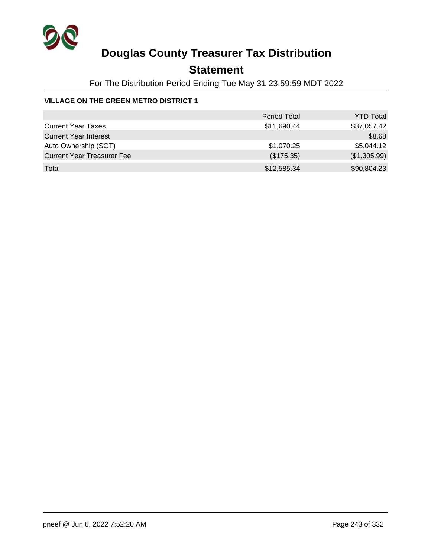

## **Statement**

For The Distribution Period Ending Tue May 31 23:59:59 MDT 2022

#### **VILLAGE ON THE GREEN METRO DISTRICT 1**

|                                   | <b>Period Total</b> | <b>YTD Total</b> |
|-----------------------------------|---------------------|------------------|
| <b>Current Year Taxes</b>         | \$11,690.44         | \$87,057.42      |
| <b>Current Year Interest</b>      |                     | \$8.68           |
| Auto Ownership (SOT)              | \$1,070.25          | \$5,044.12       |
| <b>Current Year Treasurer Fee</b> | (\$175.35)          | (\$1,305.99)     |
| Total                             | \$12,585.34         | \$90,804.23      |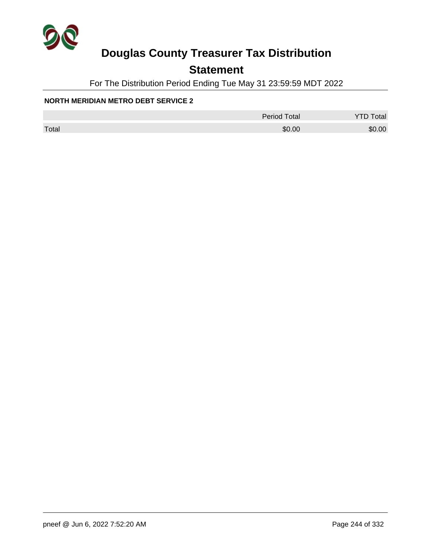

## **Statement**

For The Distribution Period Ending Tue May 31 23:59:59 MDT 2022

#### **NORTH MERIDIAN METRO DEBT SERVICE 2**

|       | <b>Period Total</b> | otal   |
|-------|---------------------|--------|
| Total | \$0.00              | \$0.00 |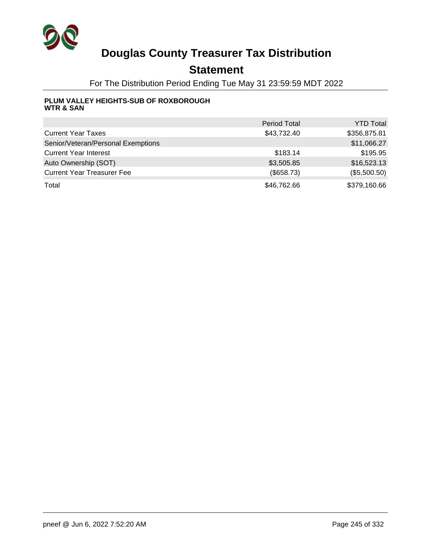

## **Statement**

For The Distribution Period Ending Tue May 31 23:59:59 MDT 2022

#### **PLUM VALLEY HEIGHTS-SUB OF ROXBOROUGH WTR & SAN**

|                                    | <b>Period Total</b> | <b>YTD Total</b> |
|------------------------------------|---------------------|------------------|
| <b>Current Year Taxes</b>          | \$43,732.40         | \$356,875.81     |
| Senior/Veteran/Personal Exemptions |                     | \$11,066.27      |
| <b>Current Year Interest</b>       | \$183.14            | \$195.95         |
| Auto Ownership (SOT)               | \$3,505.85          | \$16,523.13      |
| <b>Current Year Treasurer Fee</b>  | (\$658.73)          | (\$5,500.50)     |
| Total                              | \$46,762.66         | \$379,160.66     |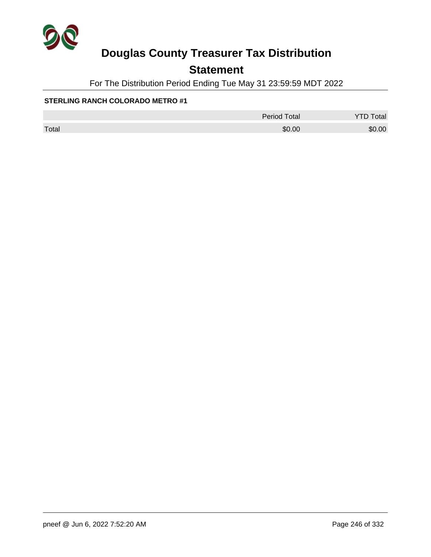

## **Statement**

For The Distribution Period Ending Tue May 31 23:59:59 MDT 2022

|       | <b>Period Total</b> | otal   |
|-------|---------------------|--------|
| Total | \$0.00              | \$0.00 |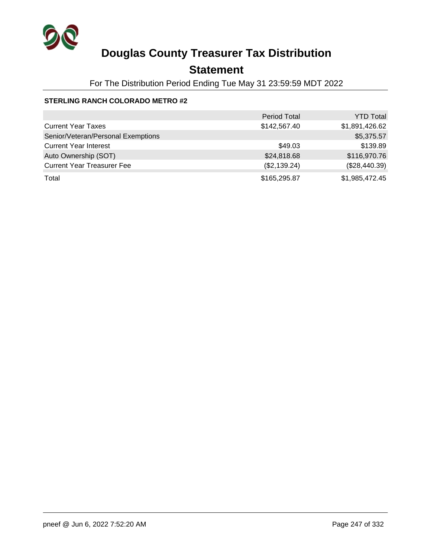

## **Statement**

For The Distribution Period Ending Tue May 31 23:59:59 MDT 2022

|                                    | <b>Period Total</b> | <b>YTD Total</b> |
|------------------------------------|---------------------|------------------|
| <b>Current Year Taxes</b>          | \$142,567.40        | \$1,891,426.62   |
| Senior/Veteran/Personal Exemptions |                     | \$5,375.57       |
| <b>Current Year Interest</b>       | \$49.03             | \$139.89         |
| Auto Ownership (SOT)               | \$24,818.68         | \$116,970.76     |
| <b>Current Year Treasurer Fee</b>  | (\$2,139.24)        | (\$28,440.39)    |
| Total                              | \$165,295.87        | \$1,985,472.45   |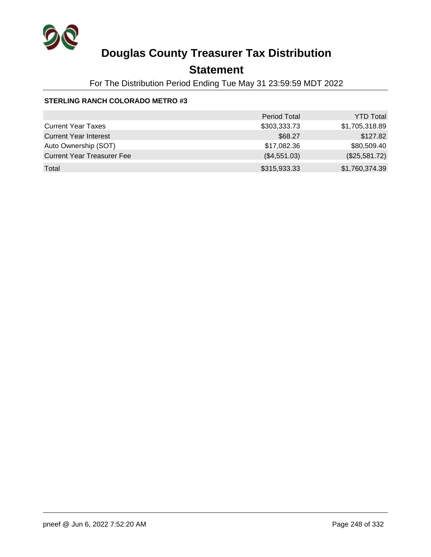

## **Statement**

For The Distribution Period Ending Tue May 31 23:59:59 MDT 2022

|                                   | <b>Period Total</b> | <b>YTD Total</b> |
|-----------------------------------|---------------------|------------------|
| <b>Current Year Taxes</b>         | \$303,333.73        | \$1,705,318.89   |
| <b>Current Year Interest</b>      | \$68.27             | \$127.82         |
| Auto Ownership (SOT)              | \$17,082.36         | \$80,509.40      |
| <b>Current Year Treasurer Fee</b> | (\$4,551.03)        | (\$25,581.72)    |
| Total                             | \$315,933.33        | \$1,760,374.39   |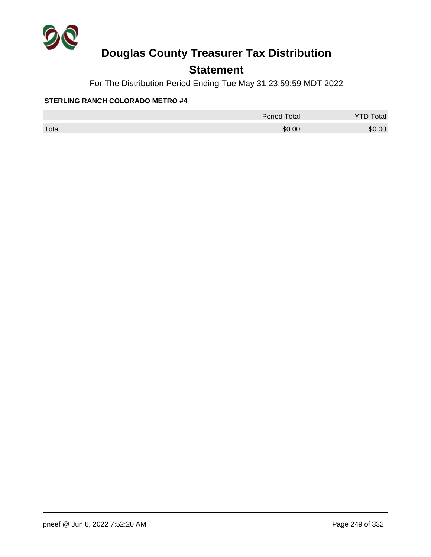

## **Statement**

For The Distribution Period Ending Tue May 31 23:59:59 MDT 2022

|       | <b>Period Total</b> | <b>YTD Total</b> |
|-------|---------------------|------------------|
| Total | \$0.00              | \$0.00           |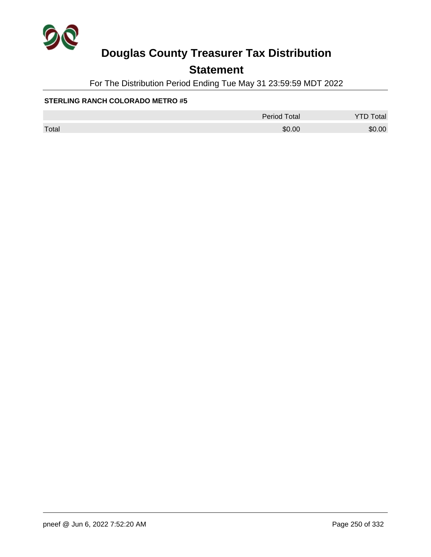

## **Statement**

For The Distribution Period Ending Tue May 31 23:59:59 MDT 2022

|       | <b>Period Total</b> | <b>YTD Total</b> |
|-------|---------------------|------------------|
| Total | \$0.00              | \$0.00           |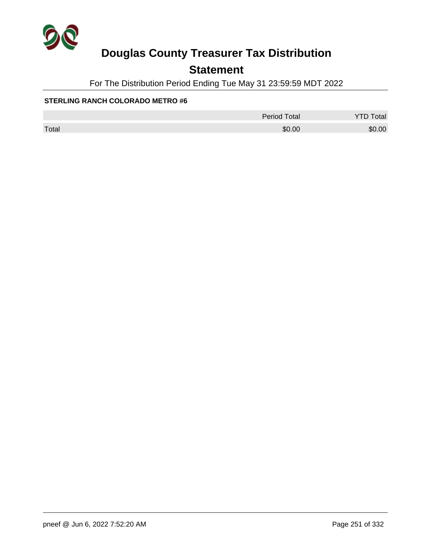

## **Statement**

For The Distribution Period Ending Tue May 31 23:59:59 MDT 2022

|       | <b>Period Total</b> | otal<br><u>.</u> |
|-------|---------------------|------------------|
| Total | \$0.00              | \$0.00           |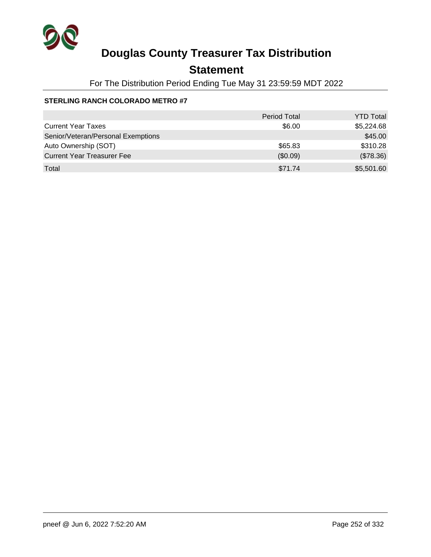

## **Statement**

For The Distribution Period Ending Tue May 31 23:59:59 MDT 2022

|                                    | <b>Period Total</b> | <b>YTD Total</b> |
|------------------------------------|---------------------|------------------|
| <b>Current Year Taxes</b>          | \$6.00              | \$5,224.68       |
| Senior/Veteran/Personal Exemptions |                     | \$45.00          |
| Auto Ownership (SOT)               | \$65.83             | \$310.28         |
| <b>Current Year Treasurer Fee</b>  | (\$0.09)            | (\$78.36)        |
| Total                              | \$71.74             | \$5,501.60       |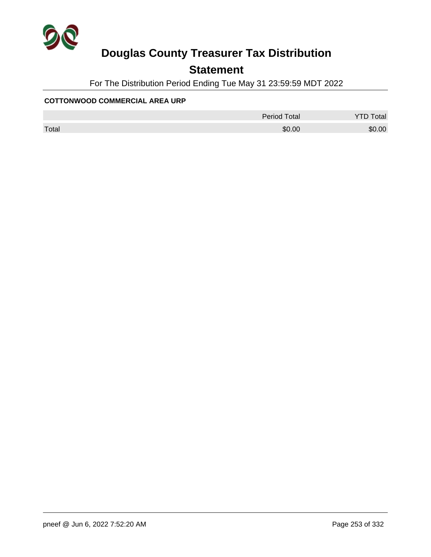

## **Statement**

For The Distribution Period Ending Tue May 31 23:59:59 MDT 2022

### **COTTONWOOD COMMERCIAL AREA URP**

|       | <b>Period Total</b> | otal   |
|-------|---------------------|--------|
| Total | \$0.00              | \$0.00 |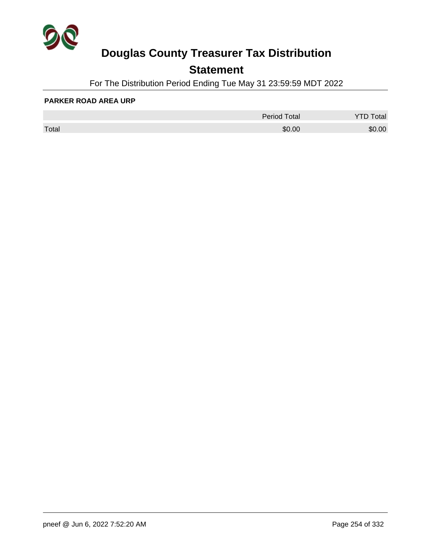

## **Statement**

For The Distribution Period Ending Tue May 31 23:59:59 MDT 2022

#### **PARKER ROAD AREA URP**

|       | <b>Period Total</b> | otal |
|-------|---------------------|------|
| Total | \$0.00              | 0.00 |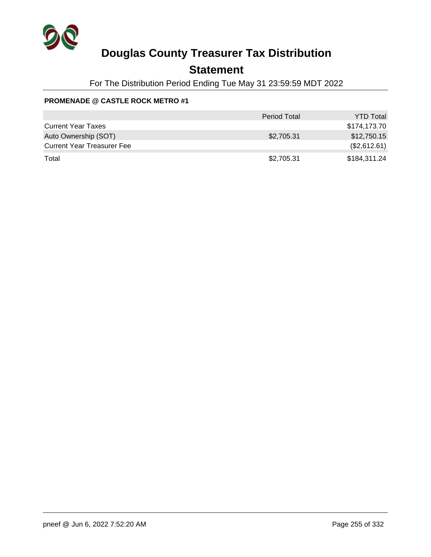

### **Statement**

For The Distribution Period Ending Tue May 31 23:59:59 MDT 2022

### **PROMENADE @ CASTLE ROCK METRO #1**

|                                   | <b>Period Total</b> | <b>YTD Total</b> |
|-----------------------------------|---------------------|------------------|
| <b>Current Year Taxes</b>         |                     | \$174,173.70     |
| Auto Ownership (SOT)              | \$2,705.31          | \$12,750.15      |
| <b>Current Year Treasurer Fee</b> |                     | (\$2,612.61)     |
| Total                             | \$2,705.31          | \$184,311.24     |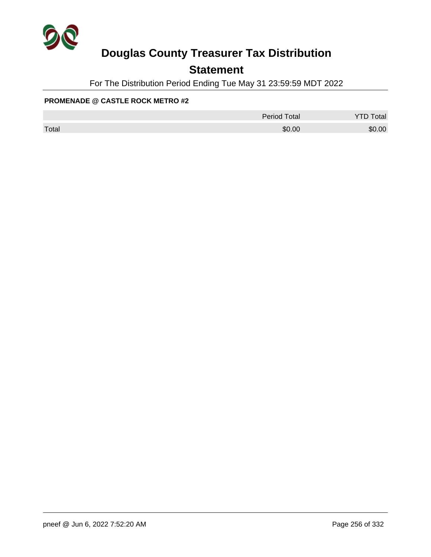

## **Statement**

For The Distribution Period Ending Tue May 31 23:59:59 MDT 2022

### **PROMENADE @ CASTLE ROCK METRO #2**

|       | <b>Period Total</b> | <b>YTD Total</b> |
|-------|---------------------|------------------|
| Total | \$0.00              | \$0.00           |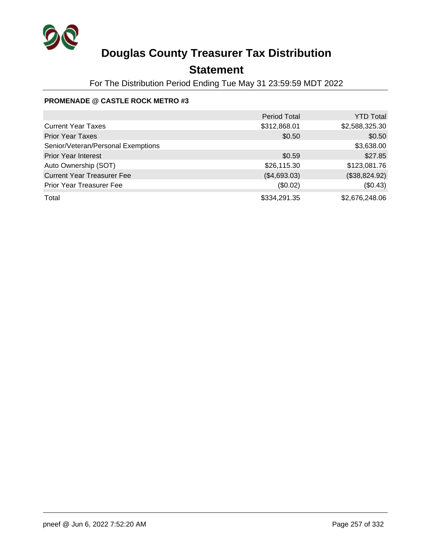

## **Statement**

For The Distribution Period Ending Tue May 31 23:59:59 MDT 2022

### **PROMENADE @ CASTLE ROCK METRO #3**

|                                    | <b>Period Total</b> | <b>YTD Total</b> |
|------------------------------------|---------------------|------------------|
| <b>Current Year Taxes</b>          | \$312,868.01        | \$2,588,325.30   |
| <b>Prior Year Taxes</b>            | \$0.50              | \$0.50           |
| Senior/Veteran/Personal Exemptions |                     | \$3,638.00       |
| <b>Prior Year Interest</b>         | \$0.59              | \$27.85          |
| Auto Ownership (SOT)               | \$26,115.30         | \$123,081.76     |
| <b>Current Year Treasurer Fee</b>  | (\$4,693.03)        | (\$38,824.92)    |
| <b>Prior Year Treasurer Fee</b>    | (\$0.02)            | (\$0.43)         |
| Total                              | \$334,291.35        | \$2,676,248.06   |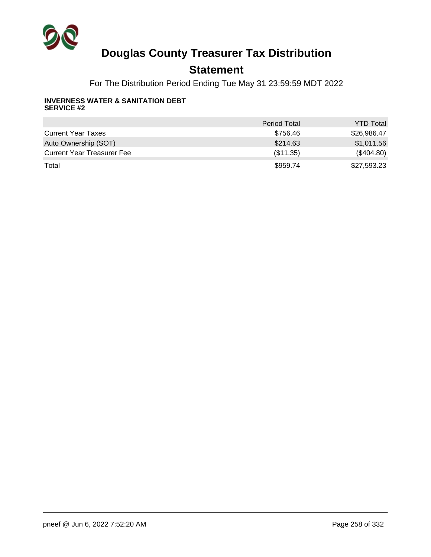

## **Statement**

For The Distribution Period Ending Tue May 31 23:59:59 MDT 2022

#### **INVERNESS WATER & SANITATION DEBT SERVICE #2**

|                                   | <b>Period Total</b> | <b>YTD Total</b> |
|-----------------------------------|---------------------|------------------|
| <b>Current Year Taxes</b>         | \$756.46            | \$26,986.47      |
| Auto Ownership (SOT)              | \$214.63            | \$1,011.56       |
| <b>Current Year Treasurer Fee</b> | (\$11.35)           | $(\$404.80)$     |
| Total                             | \$959.74            | \$27,593.23      |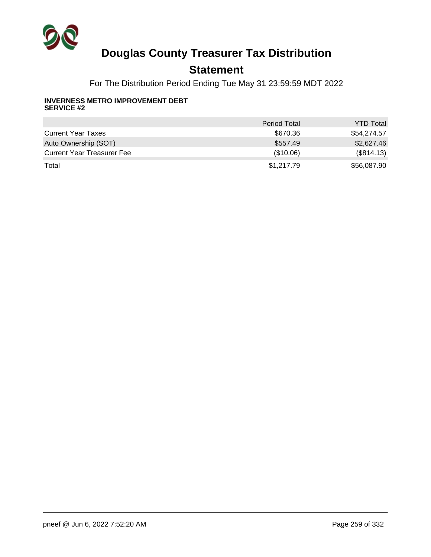

## **Statement**

For The Distribution Period Ending Tue May 31 23:59:59 MDT 2022

#### **INVERNESS METRO IMPROVEMENT DEBT SERVICE #2**

|                                   | <b>Period Total</b> | <b>YTD Total</b> |
|-----------------------------------|---------------------|------------------|
| <b>Current Year Taxes</b>         | \$670.36            | \$54,274.57      |
| Auto Ownership (SOT)              | \$557.49            | \$2,627.46       |
| <b>Current Year Treasurer Fee</b> | (\$10.06)           | (\$814.13)       |
| Total                             | \$1,217.79          | \$56,087.90      |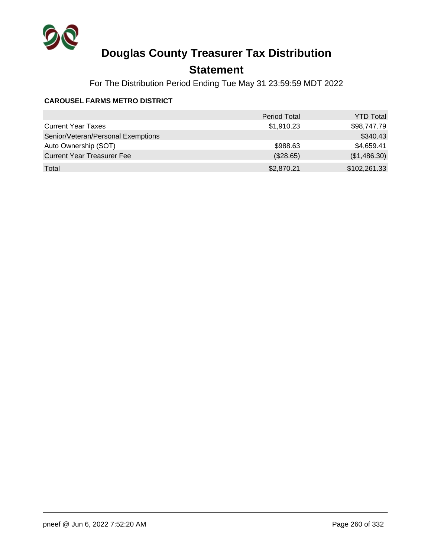

## **Statement**

For The Distribution Period Ending Tue May 31 23:59:59 MDT 2022

### **CAROUSEL FARMS METRO DISTRICT**

|                                    | <b>Period Total</b> | <b>YTD Total</b> |
|------------------------------------|---------------------|------------------|
| <b>Current Year Taxes</b>          | \$1,910.23          | \$98,747.79      |
| Senior/Veteran/Personal Exemptions |                     | \$340.43         |
| Auto Ownership (SOT)               | \$988.63            | \$4,659.41       |
| <b>Current Year Treasurer Fee</b>  | (\$28.65)           | (\$1,486.30)     |
| Total                              | \$2,870.21          | \$102,261.33     |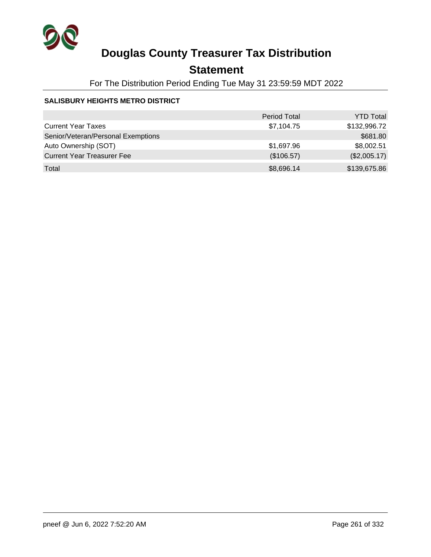

## **Statement**

For The Distribution Period Ending Tue May 31 23:59:59 MDT 2022

### **SALISBURY HEIGHTS METRO DISTRICT**

|                                    | <b>Period Total</b> | <b>YTD Total</b> |
|------------------------------------|---------------------|------------------|
| <b>Current Year Taxes</b>          | \$7,104.75          | \$132,996.72     |
| Senior/Veteran/Personal Exemptions |                     | \$681.80         |
| Auto Ownership (SOT)               | \$1,697.96          | \$8,002.51       |
| <b>Current Year Treasurer Fee</b>  | (\$106.57)          | (\$2,005.17)     |
| Total                              | \$8,696.14          | \$139,675.86     |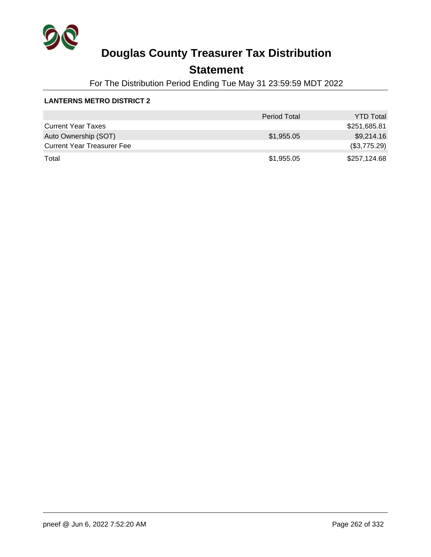

## **Statement**

For The Distribution Period Ending Tue May 31 23:59:59 MDT 2022

### **LANTERNS METRO DISTRICT 2**

|                                   | <b>Period Total</b> | <b>YTD Total</b> |
|-----------------------------------|---------------------|------------------|
| <b>Current Year Taxes</b>         |                     | \$251,685.81     |
| Auto Ownership (SOT)              | \$1,955.05          | \$9,214.16       |
| <b>Current Year Treasurer Fee</b> |                     | (\$3,775.29)     |
| Total                             | \$1,955.05          | \$257,124.68     |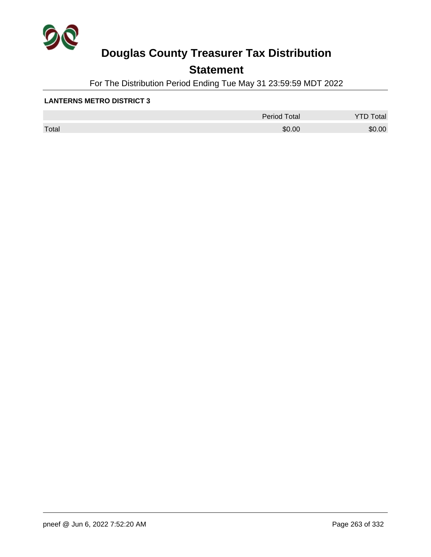

## **Statement**

For The Distribution Period Ending Tue May 31 23:59:59 MDT 2022

#### **LANTERNS METRO DISTRICT 3**

|       | <b>Period Total</b> | otal<br>້ |
|-------|---------------------|-----------|
| Total | \$0.00              | \$0.00    |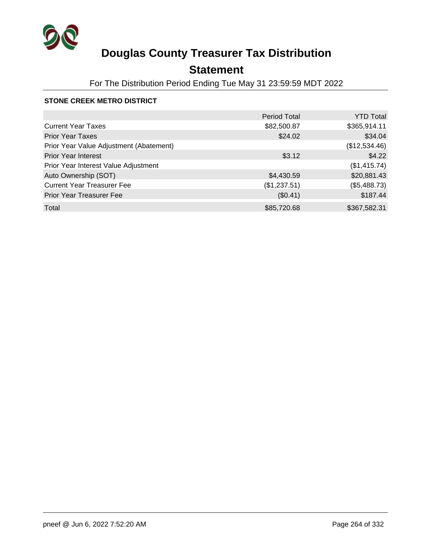

## **Statement**

For The Distribution Period Ending Tue May 31 23:59:59 MDT 2022

### **STONE CREEK METRO DISTRICT**

|                                         | <b>Period Total</b> | <b>YTD Total</b> |
|-----------------------------------------|---------------------|------------------|
| <b>Current Year Taxes</b>               | \$82,500.87         | \$365,914.11     |
| <b>Prior Year Taxes</b>                 | \$24.02             | \$34.04          |
| Prior Year Value Adjustment (Abatement) |                     | (\$12,534.46)    |
| <b>Prior Year Interest</b>              | \$3.12              | \$4.22           |
| Prior Year Interest Value Adjustment    |                     | (\$1,415.74)     |
| Auto Ownership (SOT)                    | \$4,430.59          | \$20,881.43      |
| <b>Current Year Treasurer Fee</b>       | (\$1,237.51)        | (\$5,488.73)     |
| <b>Prior Year Treasurer Fee</b>         | (\$0.41)            | \$187.44         |
| Total                                   | \$85,720.68         | \$367,582.31     |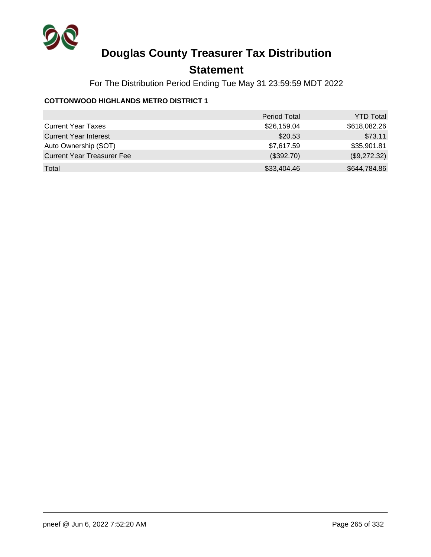

## **Statement**

For The Distribution Period Ending Tue May 31 23:59:59 MDT 2022

### **COTTONWOOD HIGHLANDS METRO DISTRICT 1**

|                                   | <b>Period Total</b> | <b>YTD Total</b> |
|-----------------------------------|---------------------|------------------|
| <b>Current Year Taxes</b>         | \$26,159.04         | \$618,082.26     |
| <b>Current Year Interest</b>      | \$20.53             | \$73.11          |
| Auto Ownership (SOT)              | \$7,617.59          | \$35,901.81      |
| <b>Current Year Treasurer Fee</b> | (\$392.70)          | (\$9,272.32)     |
| Total                             | \$33,404.46         | \$644,784.86     |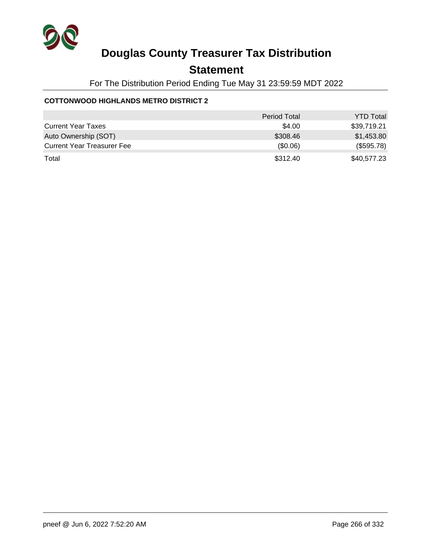

## **Statement**

For The Distribution Period Ending Tue May 31 23:59:59 MDT 2022

### **COTTONWOOD HIGHLANDS METRO DISTRICT 2**

|                                   | <b>Period Total</b> | <b>YTD Total</b> |
|-----------------------------------|---------------------|------------------|
| <b>Current Year Taxes</b>         | \$4.00              | \$39,719.21      |
| Auto Ownership (SOT)              | \$308.46            | \$1,453.80       |
| <b>Current Year Treasurer Fee</b> | (\$0.06)            | (\$595.78)       |
| Total                             | \$312.40            | \$40,577.23      |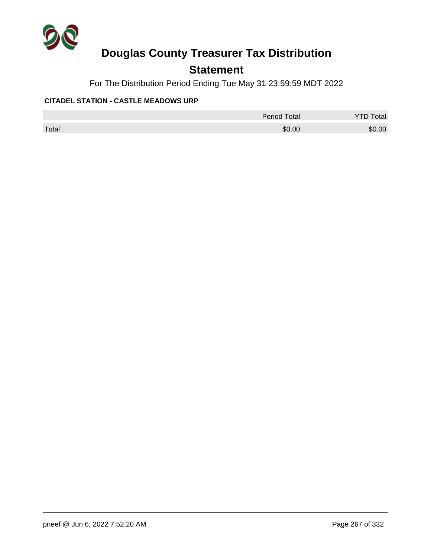

## **Statement**

For The Distribution Period Ending Tue May 31 23:59:59 MDT 2022

### **CITADEL STATION - CASTLE MEADOWS URP**

|       | <b>Period Total</b> | otal   |
|-------|---------------------|--------|
| Total | \$0.00              | \$0.00 |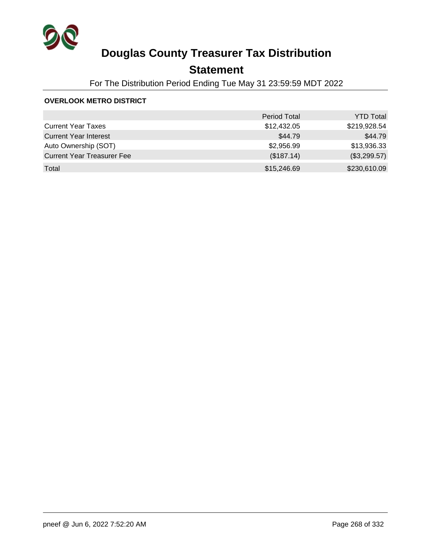

## **Statement**

For The Distribution Period Ending Tue May 31 23:59:59 MDT 2022

### **OVERLOOK METRO DISTRICT**

|                                   | <b>Period Total</b> | <b>YTD Total</b> |
|-----------------------------------|---------------------|------------------|
| <b>Current Year Taxes</b>         | \$12,432.05         | \$219,928.54     |
| <b>Current Year Interest</b>      | \$44.79             | \$44.79          |
| Auto Ownership (SOT)              | \$2,956.99          | \$13,936.33      |
| <b>Current Year Treasurer Fee</b> | (\$187.14)          | (\$3,299.57)     |
| Total                             | \$15,246.69         | \$230,610.09     |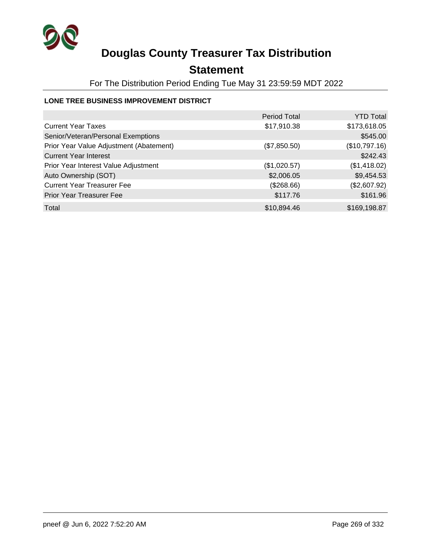

## **Statement**

For The Distribution Period Ending Tue May 31 23:59:59 MDT 2022

### **LONE TREE BUSINESS IMPROVEMENT DISTRICT**

|                                         | <b>Period Total</b> | <b>YTD Total</b> |
|-----------------------------------------|---------------------|------------------|
| <b>Current Year Taxes</b>               | \$17,910.38         | \$173,618.05     |
| Senior/Veteran/Personal Exemptions      |                     | \$545.00         |
| Prior Year Value Adjustment (Abatement) | (\$7,850.50)        | (\$10,797.16)    |
| <b>Current Year Interest</b>            |                     | \$242.43         |
| Prior Year Interest Value Adjustment    | (\$1,020.57)        | (\$1,418.02)     |
| Auto Ownership (SOT)                    | \$2,006.05          | \$9,454.53       |
| <b>Current Year Treasurer Fee</b>       | (\$268.66)          | (\$2,607.92)     |
| <b>Prior Year Treasurer Fee</b>         | \$117.76            | \$161.96         |
| Total                                   | \$10,894.46         | \$169,198.87     |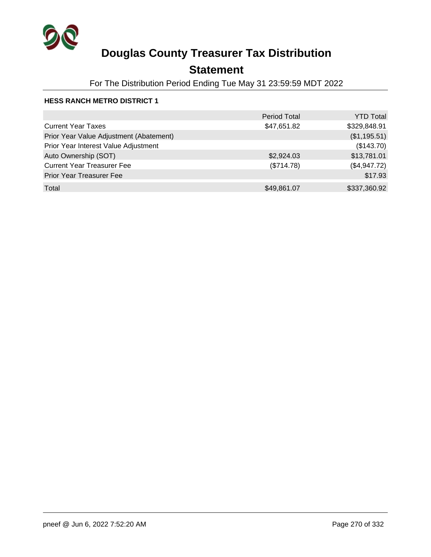

## **Statement**

For The Distribution Period Ending Tue May 31 23:59:59 MDT 2022

|                                         | <b>Period Total</b> | <b>YTD Total</b> |
|-----------------------------------------|---------------------|------------------|
| <b>Current Year Taxes</b>               | \$47,651.82         | \$329,848.91     |
| Prior Year Value Adjustment (Abatement) |                     | (\$1,195.51)     |
| Prior Year Interest Value Adjustment    |                     | (\$143.70)       |
| Auto Ownership (SOT)                    | \$2,924.03          | \$13,781.01      |
| <b>Current Year Treasurer Fee</b>       | (\$714.78)          | (\$4,947.72)     |
| <b>Prior Year Treasurer Fee</b>         |                     | \$17.93          |
| Total                                   | \$49,861.07         | \$337,360.92     |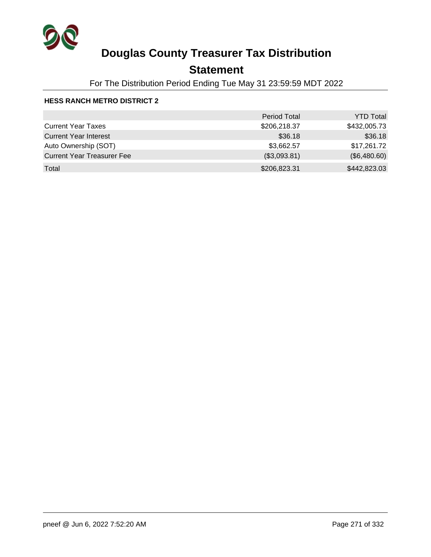

## **Statement**

For The Distribution Period Ending Tue May 31 23:59:59 MDT 2022

|                                   | <b>Period Total</b> | <b>YTD Total</b> |
|-----------------------------------|---------------------|------------------|
| <b>Current Year Taxes</b>         | \$206,218.37        | \$432,005.73     |
| <b>Current Year Interest</b>      | \$36.18             | \$36.18          |
| Auto Ownership (SOT)              | \$3,662.57          | \$17,261.72      |
| <b>Current Year Treasurer Fee</b> | (\$3,093.81)        | (\$6,480.60)     |
| Total                             | \$206,823.31        | \$442,823.03     |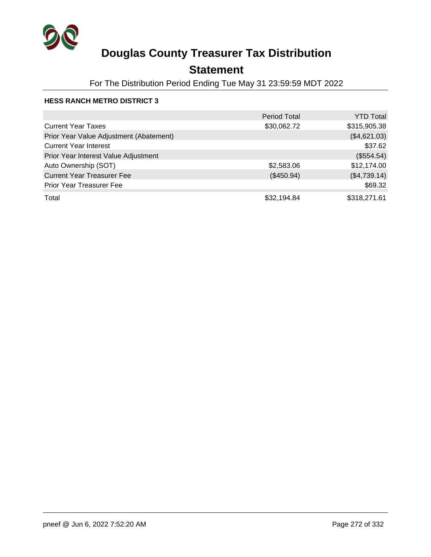

## **Statement**

For The Distribution Period Ending Tue May 31 23:59:59 MDT 2022

|                                         | <b>Period Total</b> | YTD Total    |
|-----------------------------------------|---------------------|--------------|
| <b>Current Year Taxes</b>               | \$30,062.72         | \$315,905.38 |
| Prior Year Value Adjustment (Abatement) |                     | (\$4,621.03) |
| <b>Current Year Interest</b>            |                     | \$37.62      |
| Prior Year Interest Value Adjustment    |                     | (\$554.54)   |
| Auto Ownership (SOT)                    | \$2,583.06          | \$12,174.00  |
| <b>Current Year Treasurer Fee</b>       | (\$450.94)          | (\$4,739.14) |
| <b>Prior Year Treasurer Fee</b>         |                     | \$69.32      |
| Total                                   | \$32,194.84         | \$318,271.61 |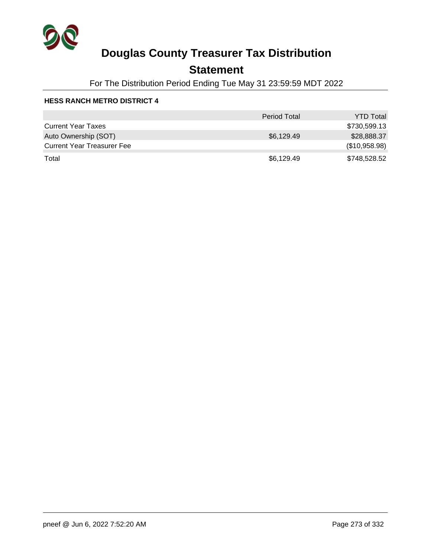

### **Statement**

For The Distribution Period Ending Tue May 31 23:59:59 MDT 2022

|                                   | <b>Period Total</b> | <b>YTD Total</b> |
|-----------------------------------|---------------------|------------------|
| <b>Current Year Taxes</b>         |                     | \$730,599.13     |
| Auto Ownership (SOT)              | \$6,129.49          | \$28,888.37      |
| <b>Current Year Treasurer Fee</b> |                     | (\$10,958.98)    |
| Total                             | \$6,129.49          | \$748,528.52     |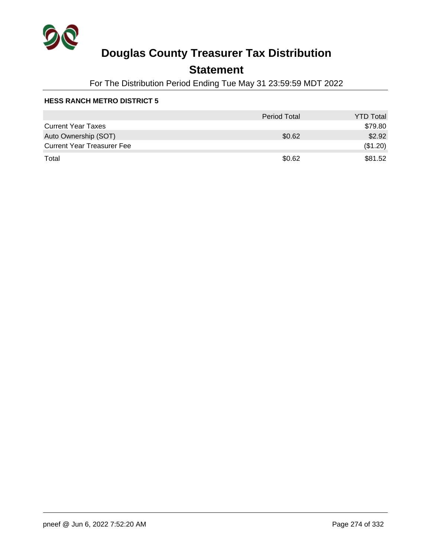

## **Statement**

For The Distribution Period Ending Tue May 31 23:59:59 MDT 2022

|                                   | <b>Period Total</b> | <b>YTD Total</b> |
|-----------------------------------|---------------------|------------------|
| <b>Current Year Taxes</b>         |                     | \$79.80          |
| Auto Ownership (SOT)              | \$0.62              | \$2.92           |
| <b>Current Year Treasurer Fee</b> |                     | (\$1.20)         |
| Total                             | \$0.62              | \$81.52          |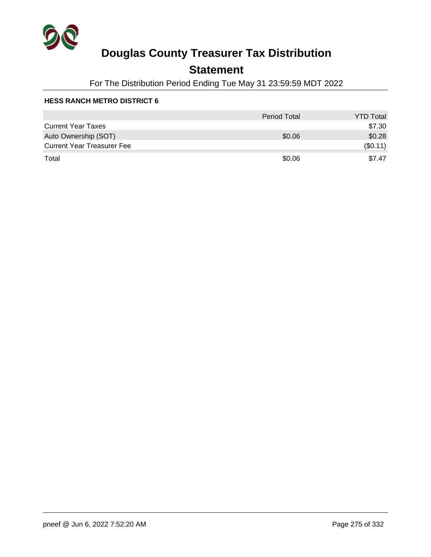

## **Statement**

For The Distribution Period Ending Tue May 31 23:59:59 MDT 2022

|                                   | <b>Period Total</b> | <b>YTD Total</b> |
|-----------------------------------|---------------------|------------------|
| <b>Current Year Taxes</b>         |                     | \$7.30           |
| Auto Ownership (SOT)              | \$0.06              | \$0.28           |
| <b>Current Year Treasurer Fee</b> |                     | (\$0.11)         |
| Total                             | \$0.06              | \$7.47           |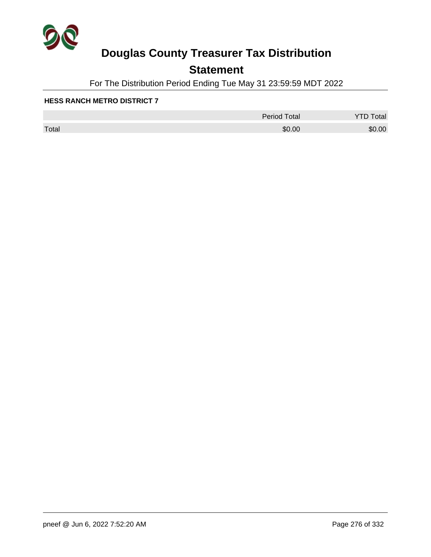

## **Statement**

For The Distribution Period Ending Tue May 31 23:59:59 MDT 2022

|       | <b>Period Total</b> | otal<br>້ |
|-------|---------------------|-----------|
| Total | \$0.00              | \$0.00    |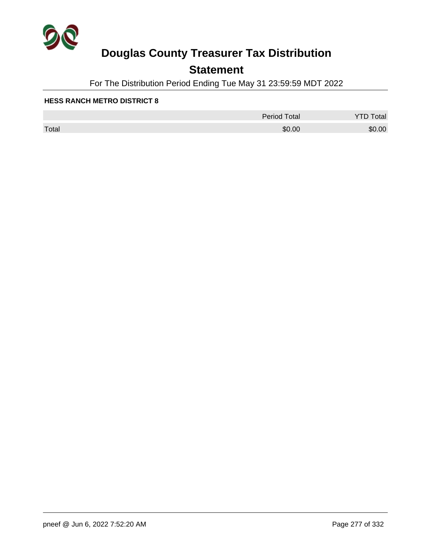

## **Statement**

For The Distribution Period Ending Tue May 31 23:59:59 MDT 2022

|       | <b>Period Total</b> | otal<br>້ |
|-------|---------------------|-----------|
| Total | \$0.00              | \$0.00    |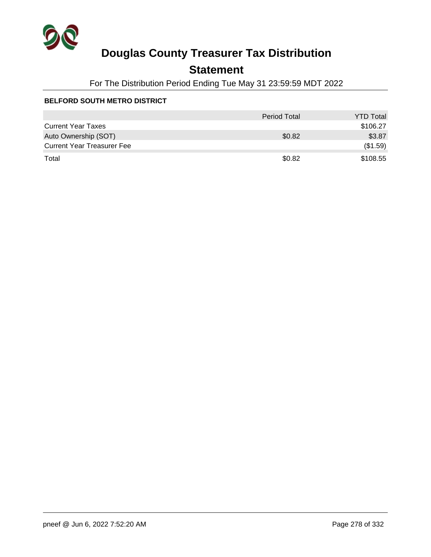

## **Statement**

For The Distribution Period Ending Tue May 31 23:59:59 MDT 2022

### **BELFORD SOUTH METRO DISTRICT**

|                                   | <b>Period Total</b> | <b>YTD Total</b> |
|-----------------------------------|---------------------|------------------|
| <b>Current Year Taxes</b>         |                     | \$106.27         |
| Auto Ownership (SOT)              | \$0.82              | \$3.87           |
| <b>Current Year Treasurer Fee</b> |                     | (\$1.59)         |
| Total                             | \$0.82              | \$108.55         |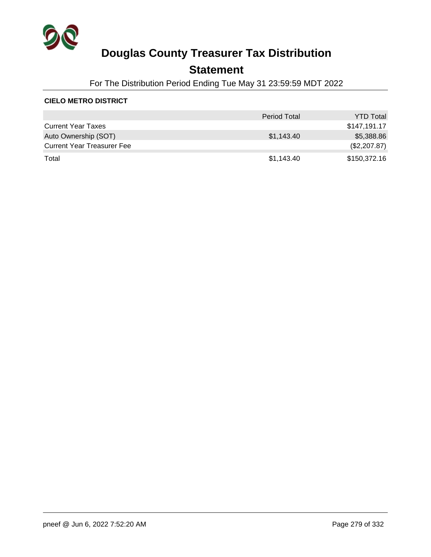

### **Statement**

For The Distribution Period Ending Tue May 31 23:59:59 MDT 2022

### **CIELO METRO DISTRICT**

|                                   | <b>Period Total</b> | <b>YTD Total</b> |
|-----------------------------------|---------------------|------------------|
| <b>Current Year Taxes</b>         |                     | \$147,191.17     |
| Auto Ownership (SOT)              | \$1,143.40          | \$5,388.86       |
| <b>Current Year Treasurer Fee</b> |                     | (\$2,207.87)     |
| Total                             | \$1,143.40          | \$150,372.16     |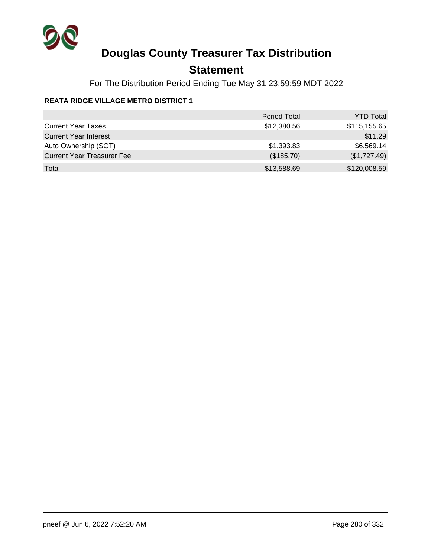

## **Statement**

For The Distribution Period Ending Tue May 31 23:59:59 MDT 2022

### **REATA RIDGE VILLAGE METRO DISTRICT 1**

|                                   | <b>Period Total</b> | <b>YTD Total</b> |
|-----------------------------------|---------------------|------------------|
| <b>Current Year Taxes</b>         | \$12,380.56         | \$115,155.65     |
| <b>Current Year Interest</b>      |                     | \$11.29          |
| Auto Ownership (SOT)              | \$1,393.83          | \$6,569.14       |
| <b>Current Year Treasurer Fee</b> | (\$185.70)          | (\$1,727.49)     |
| Total                             | \$13,588.69         | \$120,008.59     |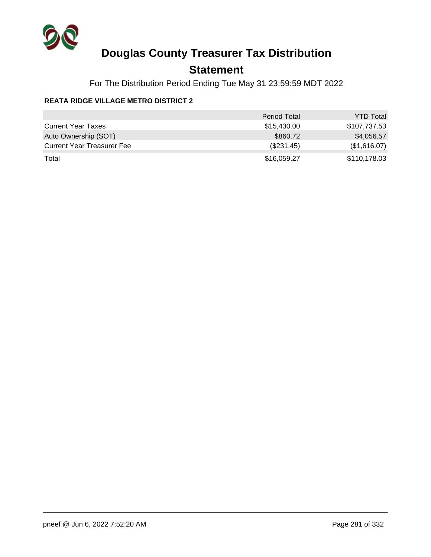

## **Statement**

For The Distribution Period Ending Tue May 31 23:59:59 MDT 2022

### **REATA RIDGE VILLAGE METRO DISTRICT 2**

|                                   | <b>Period Total</b> | <b>YTD Total</b> |
|-----------------------------------|---------------------|------------------|
| <b>Current Year Taxes</b>         | \$15,430.00         | \$107,737.53     |
| Auto Ownership (SOT)              | \$860.72            | \$4,056.57       |
| <b>Current Year Treasurer Fee</b> | (\$231.45)          | (\$1,616.07)     |
| Total                             | \$16,059.27         | \$110,178.03     |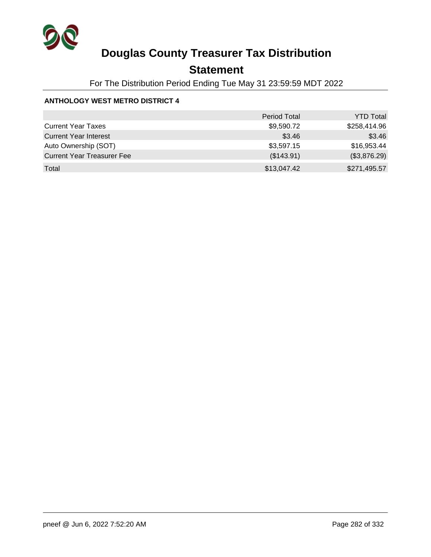

## **Statement**

For The Distribution Period Ending Tue May 31 23:59:59 MDT 2022

### **ANTHOLOGY WEST METRO DISTRICT 4**

|                                   | <b>Period Total</b> | <b>YTD Total</b> |
|-----------------------------------|---------------------|------------------|
| <b>Current Year Taxes</b>         | \$9,590.72          | \$258,414.96     |
| <b>Current Year Interest</b>      | \$3.46              | \$3.46           |
| Auto Ownership (SOT)              | \$3,597.15          | \$16,953.44      |
| <b>Current Year Treasurer Fee</b> | (\$143.91)          | (\$3,876.29)     |
| Total                             | \$13,047.42         | \$271,495.57     |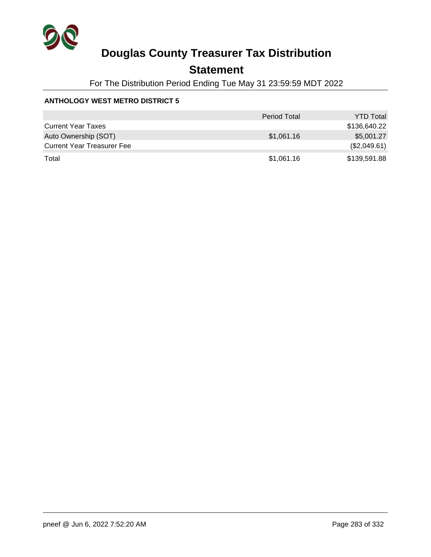

## **Statement**

For The Distribution Period Ending Tue May 31 23:59:59 MDT 2022

### **ANTHOLOGY WEST METRO DISTRICT 5**

|                                   | <b>Period Total</b> | <b>YTD Total</b> |
|-----------------------------------|---------------------|------------------|
| <b>Current Year Taxes</b>         |                     | \$136,640.22     |
| Auto Ownership (SOT)              | \$1,061.16          | \$5.001.27       |
| <b>Current Year Treasurer Fee</b> |                     | (\$2,049.61)     |
| Total                             | \$1,061.16          | \$139,591.88     |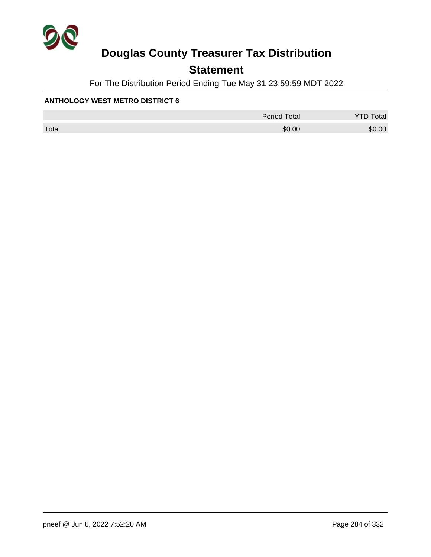

## **Statement**

For The Distribution Period Ending Tue May 31 23:59:59 MDT 2022

### **ANTHOLOGY WEST METRO DISTRICT 6**

|       | <b>Period Total</b> | otal   |
|-------|---------------------|--------|
| Total | \$0.00              | \$0.00 |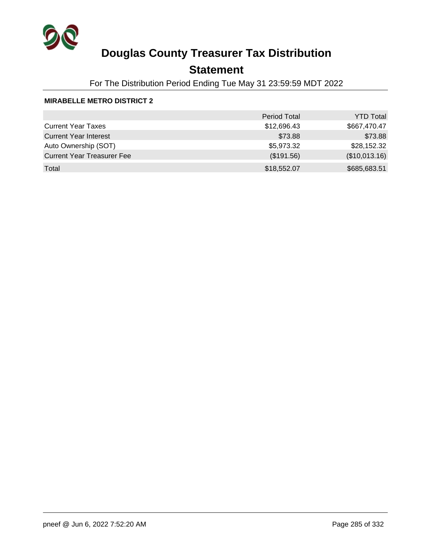

## **Statement**

For The Distribution Period Ending Tue May 31 23:59:59 MDT 2022

### **MIRABELLE METRO DISTRICT 2**

|                                   | <b>Period Total</b> | <b>YTD Total</b> |
|-----------------------------------|---------------------|------------------|
| <b>Current Year Taxes</b>         | \$12,696.43         | \$667,470.47     |
| <b>Current Year Interest</b>      | \$73.88             | \$73.88          |
| Auto Ownership (SOT)              | \$5,973.32          | \$28,152.32      |
| <b>Current Year Treasurer Fee</b> | (\$191.56)          | (\$10,013.16)    |
| Total                             | \$18,552.07         | \$685,683.51     |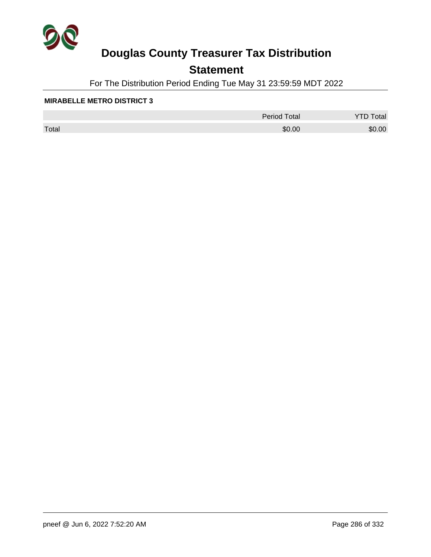

## **Statement**

For The Distribution Period Ending Tue May 31 23:59:59 MDT 2022

#### **MIRABELLE METRO DISTRICT 3**

|       | <b>Period Total</b> | otal   |
|-------|---------------------|--------|
| Total | \$0.00              | \$0.00 |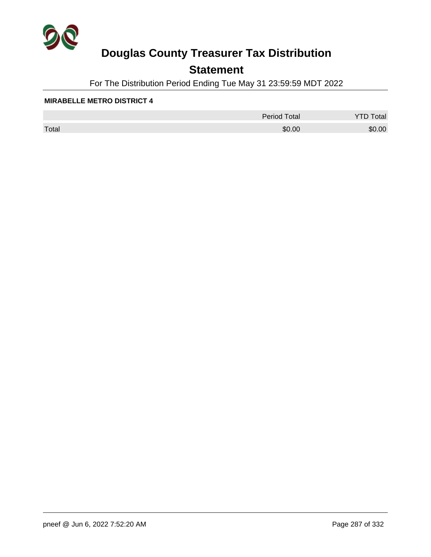

## **Statement**

For The Distribution Period Ending Tue May 31 23:59:59 MDT 2022

#### **MIRABELLE METRO DISTRICT 4**

|       | <b>Period Total</b> | otal<br>້ |
|-------|---------------------|-----------|
| Total | \$0.00              | \$0.00    |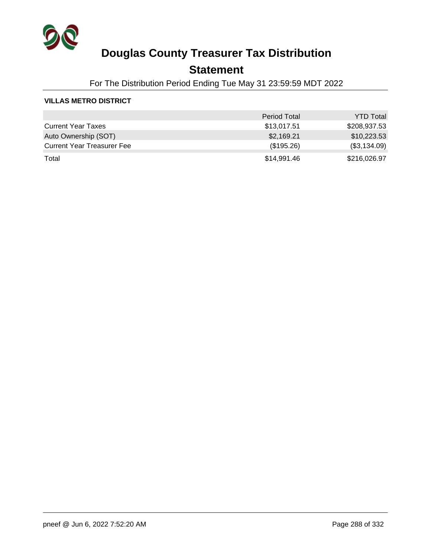

### **Statement**

For The Distribution Period Ending Tue May 31 23:59:59 MDT 2022

### **VILLAS METRO DISTRICT**

|                                   | <b>Period Total</b> | <b>YTD Total</b> |
|-----------------------------------|---------------------|------------------|
| <b>Current Year Taxes</b>         | \$13,017.51         | \$208,937.53     |
| Auto Ownership (SOT)              | \$2,169.21          | \$10,223.53      |
| <b>Current Year Treasurer Fee</b> | (\$195.26)          | (\$3,134.09)     |
| Total                             | \$14,991.46         | \$216,026.97     |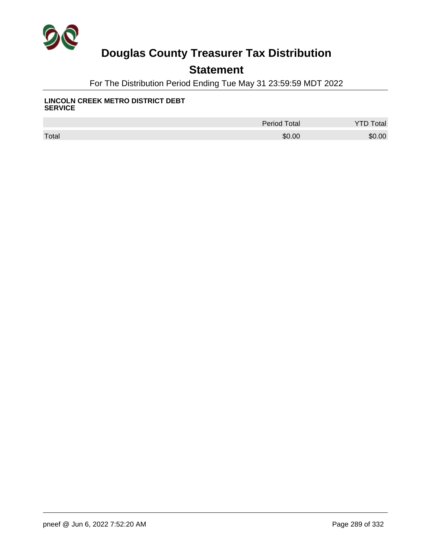

## **Statement**

For The Distribution Period Ending Tue May 31 23:59:59 MDT 2022

#### **LINCOLN CREEK METRO DISTRICT DEBT SERVICE**

|       | <b>Period Total</b> | otal   |
|-------|---------------------|--------|
| Total | \$0.00              | \$0.00 |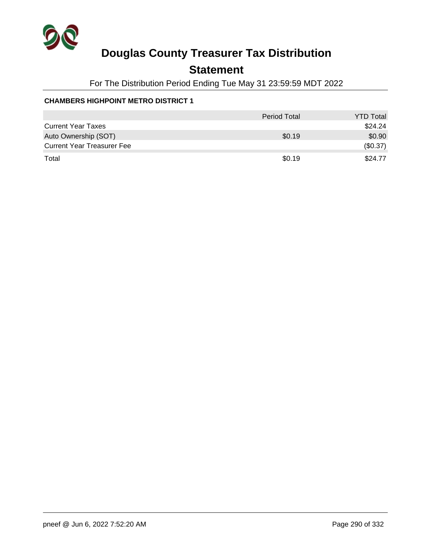

## **Statement**

For The Distribution Period Ending Tue May 31 23:59:59 MDT 2022

### **CHAMBERS HIGHPOINT METRO DISTRICT 1**

|                                   | <b>Period Total</b> | <b>YTD Total</b> |
|-----------------------------------|---------------------|------------------|
| <b>Current Year Taxes</b>         |                     | \$24.24          |
| Auto Ownership (SOT)              | \$0.19              | \$0.90           |
| <b>Current Year Treasurer Fee</b> |                     | (\$0.37)         |
| Total                             | \$0.19              | \$24.77          |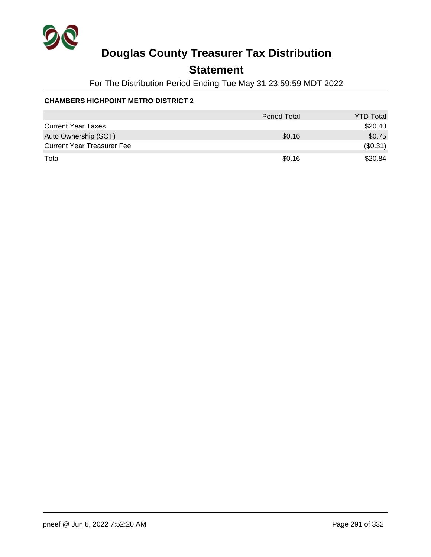

## **Statement**

For The Distribution Period Ending Tue May 31 23:59:59 MDT 2022

### **CHAMBERS HIGHPOINT METRO DISTRICT 2**

|                                   | <b>Period Total</b> | <b>YTD Total</b> |
|-----------------------------------|---------------------|------------------|
| <b>Current Year Taxes</b>         |                     | \$20.40          |
| Auto Ownership (SOT)              | \$0.16              | \$0.75           |
| <b>Current Year Treasurer Fee</b> |                     | (\$0.31)         |
| Total                             | \$0.16              | \$20.84          |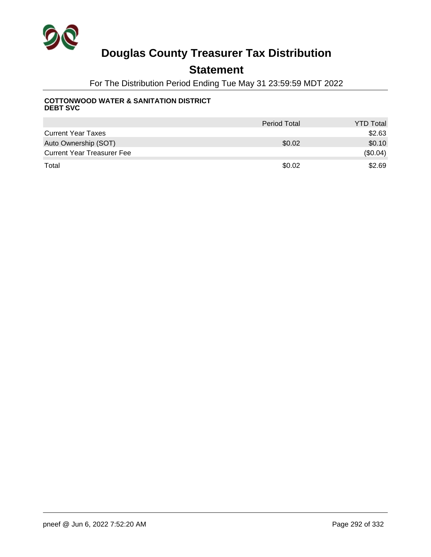

## **Statement**

For The Distribution Period Ending Tue May 31 23:59:59 MDT 2022

#### **COTTONWOOD WATER & SANITATION DISTRICT DEBT SVC**

|                                   | <b>Period Total</b> | <b>YTD Total</b> |
|-----------------------------------|---------------------|------------------|
| <b>Current Year Taxes</b>         |                     | \$2.63           |
| Auto Ownership (SOT)              | \$0.02              | \$0.10           |
| <b>Current Year Treasurer Fee</b> |                     | (\$0.04)         |
| Total                             | \$0.02              | \$2.69           |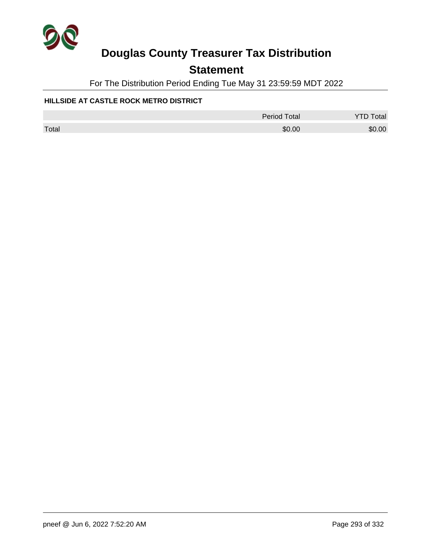

## **Statement**

For The Distribution Period Ending Tue May 31 23:59:59 MDT 2022

### **HILLSIDE AT CASTLE ROCK METRO DISTRICT**

|       | Period Total | <b>YTD Total</b> |
|-------|--------------|------------------|
| Total | \$0.00       | \$0.00           |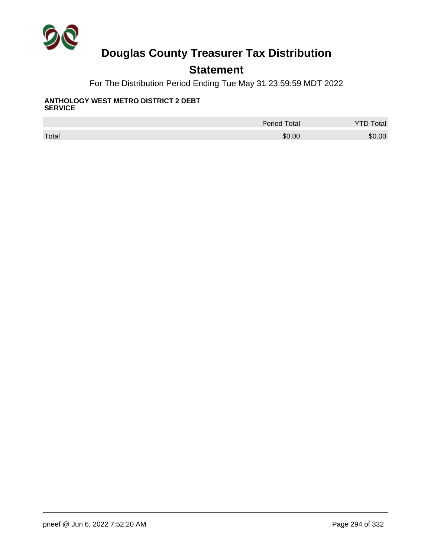

## **Statement**

For The Distribution Period Ending Tue May 31 23:59:59 MDT 2022

#### **ANTHOLOGY WEST METRO DISTRICT 2 DEBT SERVICE**

|       | <b>Period Total</b> | Total  |
|-------|---------------------|--------|
| Total | \$0.00              | \$0.00 |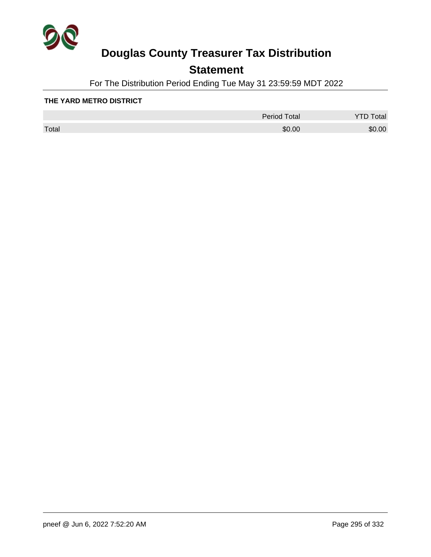

## **Statement**

For The Distribution Period Ending Tue May 31 23:59:59 MDT 2022

#### **THE YARD METRO DISTRICT**

|       | <b>Period Total</b> | otal   |
|-------|---------------------|--------|
| Total | \$0.00              | \$0.00 |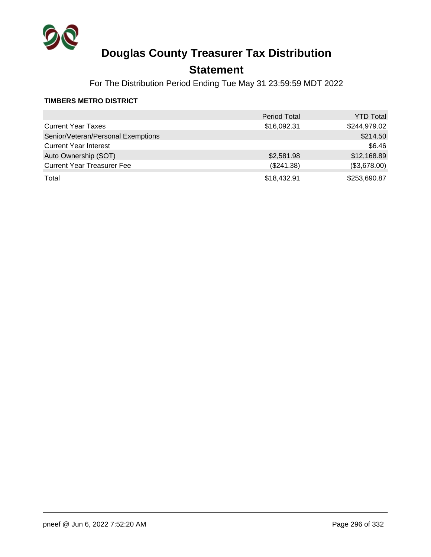

## **Statement**

For The Distribution Period Ending Tue May 31 23:59:59 MDT 2022

### **TIMBERS METRO DISTRICT**

|                                    | <b>Period Total</b> | <b>YTD Total</b> |
|------------------------------------|---------------------|------------------|
| <b>Current Year Taxes</b>          | \$16,092.31         | \$244,979.02     |
| Senior/Veteran/Personal Exemptions |                     | \$214.50         |
| <b>Current Year Interest</b>       |                     | \$6.46           |
| Auto Ownership (SOT)               | \$2,581.98          | \$12,168.89      |
| <b>Current Year Treasurer Fee</b>  | (\$241.38)          | (\$3,678.00)     |
| Total                              | \$18,432.91         | \$253,690.87     |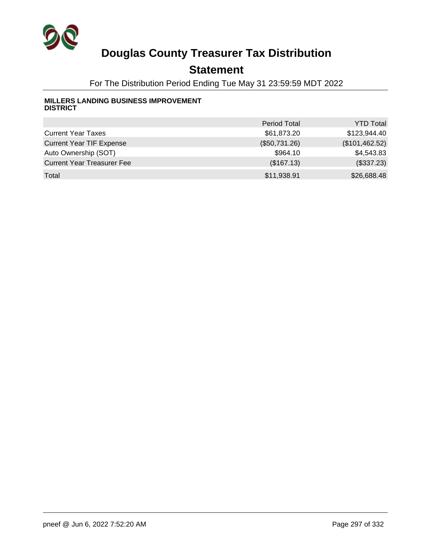

## **Statement**

For The Distribution Period Ending Tue May 31 23:59:59 MDT 2022

#### **MILLERS LANDING BUSINESS IMPROVEMENT DISTRICT**

|                                   | <b>Period Total</b> | <b>YTD Total</b> |
|-----------------------------------|---------------------|------------------|
| <b>Current Year Taxes</b>         | \$61,873.20         | \$123,944.40     |
| <b>Current Year TIF Expense</b>   | (\$50,731.26)       | (\$101,462.52)   |
| Auto Ownership (SOT)              | \$964.10            | \$4,543.83       |
| <b>Current Year Treasurer Fee</b> | (\$167.13)          | (\$337.23)       |
| Total                             | \$11,938.91         | \$26,688.48      |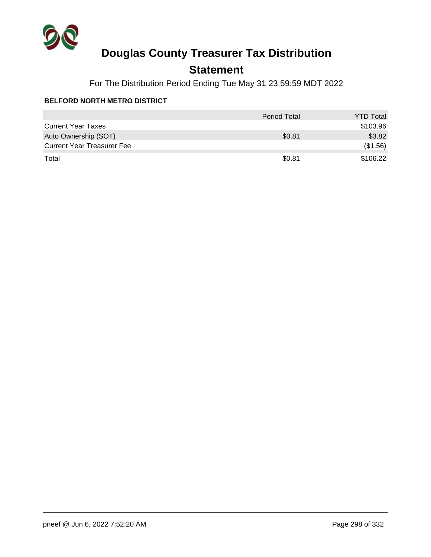

## **Statement**

For The Distribution Period Ending Tue May 31 23:59:59 MDT 2022

### **BELFORD NORTH METRO DISTRICT**

|                                   | <b>Period Total</b> | <b>YTD Total</b> |
|-----------------------------------|---------------------|------------------|
| <b>Current Year Taxes</b>         |                     | \$103.96         |
| Auto Ownership (SOT)              | \$0.81              | \$3.82           |
| <b>Current Year Treasurer Fee</b> |                     | (\$1.56)         |
| Total                             | \$0.81              | \$106.22         |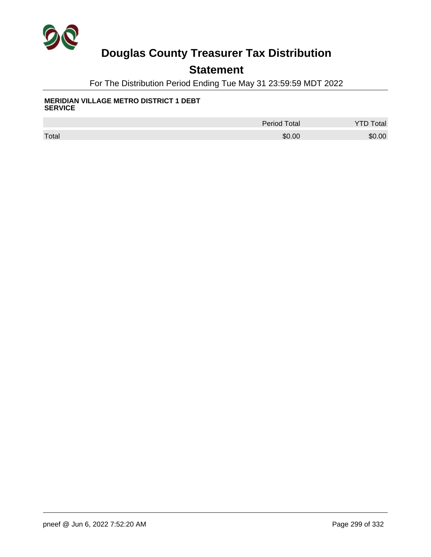

## **Statement**

For The Distribution Period Ending Tue May 31 23:59:59 MDT 2022

#### **MERIDIAN VILLAGE METRO DISTRICT 1 DEBT SERVICE**

|       | <b>Period Total</b> | Total  |
|-------|---------------------|--------|
| Total | \$0.00              | \$0.00 |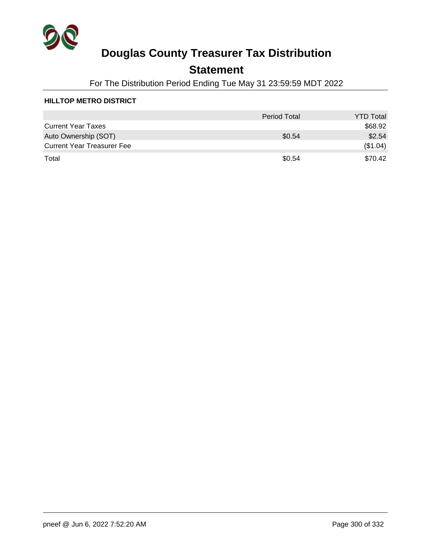

## **Statement**

For The Distribution Period Ending Tue May 31 23:59:59 MDT 2022

### **HILLTOP METRO DISTRICT**

|                                   | <b>Period Total</b> | <b>YTD Total</b> |
|-----------------------------------|---------------------|------------------|
| <b>Current Year Taxes</b>         |                     | \$68.92          |
| Auto Ownership (SOT)              | \$0.54              | \$2.54           |
| <b>Current Year Treasurer Fee</b> |                     | (\$1.04)         |
| Total                             | \$0.54              | \$70.42          |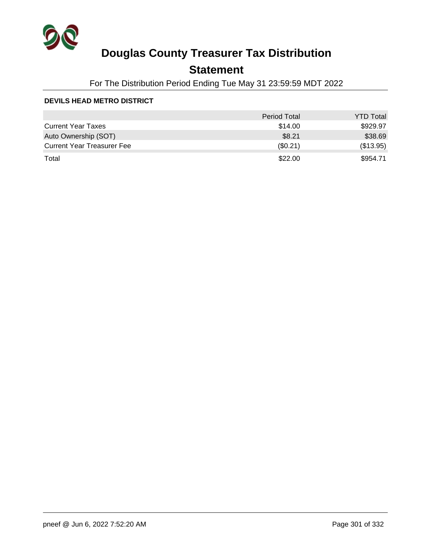

## **Statement**

For The Distribution Period Ending Tue May 31 23:59:59 MDT 2022

### **DEVILS HEAD METRO DISTRICT**

|                                   | <b>Period Total</b> | <b>YTD Total</b> |
|-----------------------------------|---------------------|------------------|
| <b>Current Year Taxes</b>         | \$14.00             | \$929.97         |
| Auto Ownership (SOT)              | \$8.21              | \$38.69          |
| <b>Current Year Treasurer Fee</b> | $(\$0.21)$          | (\$13.95)        |
| Total                             | \$22.00             | \$954.71         |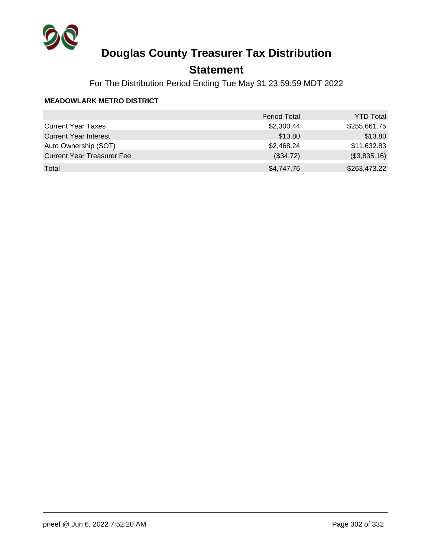

## **Statement**

For The Distribution Period Ending Tue May 31 23:59:59 MDT 2022

### **MEADOWLARK METRO DISTRICT**

|                                   | <b>Period Total</b> | <b>YTD Total</b> |
|-----------------------------------|---------------------|------------------|
| <b>Current Year Taxes</b>         | \$2,300.44          | \$255,661.75     |
| <b>Current Year Interest</b>      | \$13.80             | \$13.80          |
| Auto Ownership (SOT)              | \$2,468.24          | \$11,632.83      |
| <b>Current Year Treasurer Fee</b> | (\$34.72)           | (\$3,835.16)     |
| Total                             | \$4,747.76          | \$263,473.22     |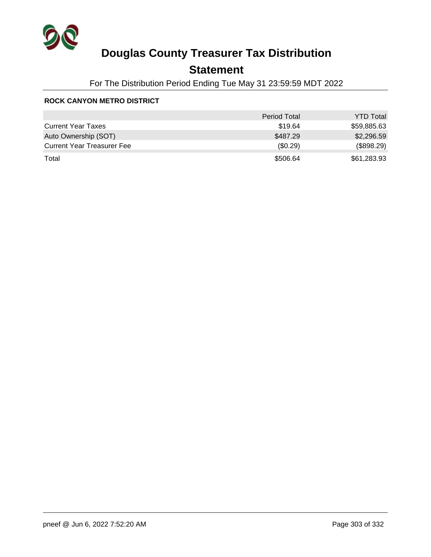

## **Statement**

For The Distribution Period Ending Tue May 31 23:59:59 MDT 2022

#### **ROCK CANYON METRO DISTRICT**

|                                   | <b>Period Total</b> | <b>YTD Total</b> |
|-----------------------------------|---------------------|------------------|
| <b>Current Year Taxes</b>         | \$19.64             | \$59,885.63      |
| Auto Ownership (SOT)              | \$487.29            | \$2,296.59       |
| <b>Current Year Treasurer Fee</b> | $(\$0.29)$          | (\$898.29)       |
| Total                             | \$506.64            | \$61,283.93      |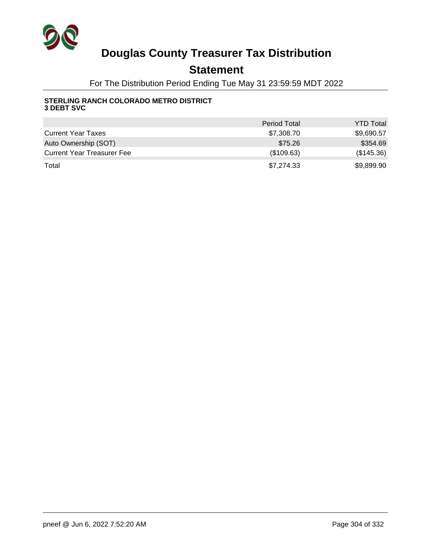

## **Statement**

For The Distribution Period Ending Tue May 31 23:59:59 MDT 2022

#### **STERLING RANCH COLORADO METRO DISTRICT 3 DEBT SVC**

|                                   | <b>Period Total</b> | <b>YTD Total</b> |
|-----------------------------------|---------------------|------------------|
| <b>Current Year Taxes</b>         | \$7,308.70          | \$9,690.57       |
| Auto Ownership (SOT)              | \$75.26             | \$354.69         |
| <b>Current Year Treasurer Fee</b> | (\$109.63)          | (\$145.36)       |
| Total                             | \$7.274.33          | \$9,899.90       |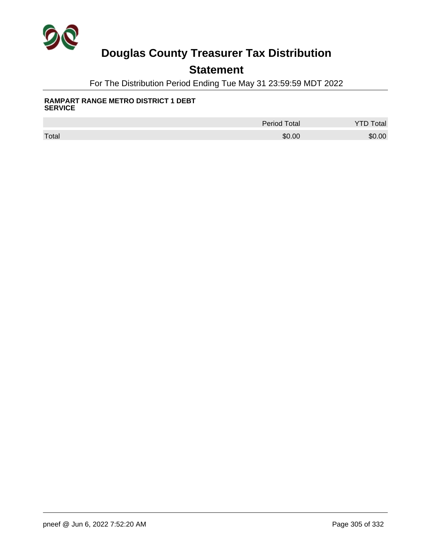

## **Statement**

For The Distribution Period Ending Tue May 31 23:59:59 MDT 2022

#### **RAMPART RANGE METRO DISTRICT 1 DEBT SERVICE**

|       | <b>Period Total</b> | otal   |
|-------|---------------------|--------|
| Total | \$0.00              | \$0.00 |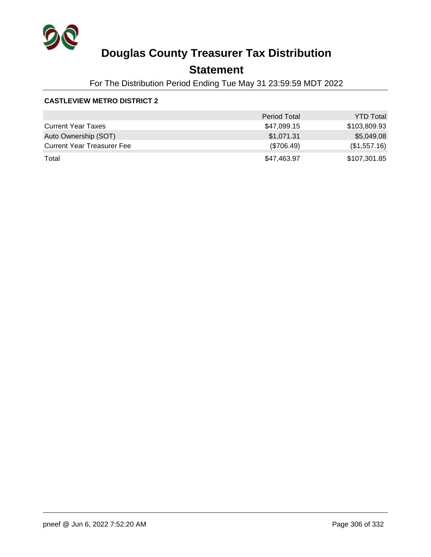

## **Statement**

For The Distribution Period Ending Tue May 31 23:59:59 MDT 2022

### **CASTLEVIEW METRO DISTRICT 2**

|                                   | <b>Period Total</b> | <b>YTD Total</b> |
|-----------------------------------|---------------------|------------------|
| <b>Current Year Taxes</b>         | \$47,099.15         | \$103,809.93     |
| Auto Ownership (SOT)              | \$1,071.31          | \$5,049.08       |
| <b>Current Year Treasurer Fee</b> | (\$706.49)          | (\$1,557.16)     |
| Total                             | \$47,463.97         | \$107,301.85     |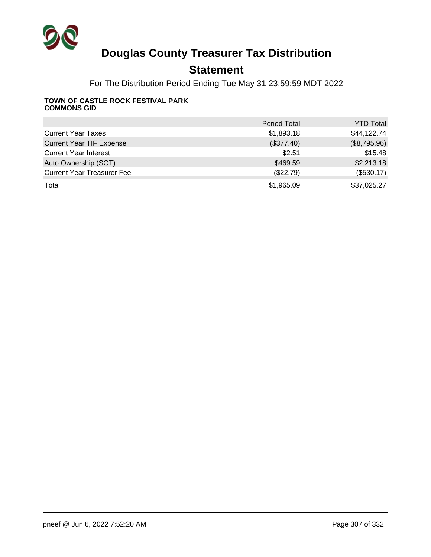

## **Statement**

For The Distribution Period Ending Tue May 31 23:59:59 MDT 2022

#### **TOWN OF CASTLE ROCK FESTIVAL PARK COMMONS GID**

|                                   | <b>Period Total</b> | <b>YTD Total</b> |
|-----------------------------------|---------------------|------------------|
| <b>Current Year Taxes</b>         | \$1,893.18          | \$44,122.74      |
| <b>Current Year TIF Expense</b>   | (\$377.40)          | (\$8,795.96)     |
| <b>Current Year Interest</b>      | \$2.51              | \$15.48          |
| Auto Ownership (SOT)              | \$469.59            | \$2,213.18       |
| <b>Current Year Treasurer Fee</b> | (\$22.79)           | (\$530.17)       |
| Total                             | \$1,965.09          | \$37,025.27      |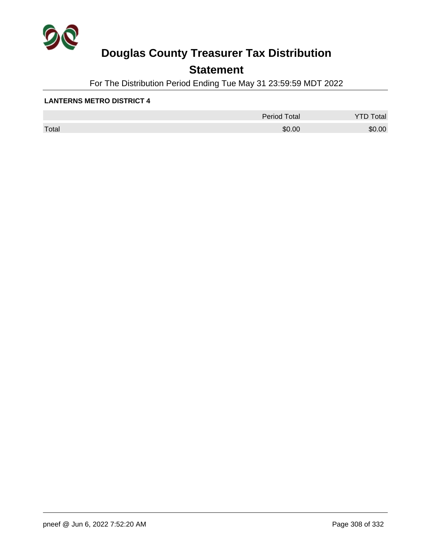

## **Statement**

For The Distribution Period Ending Tue May 31 23:59:59 MDT 2022

#### **LANTERNS METRO DISTRICT 4**

|       | <b>Period Total</b> | otal<br>້ |
|-------|---------------------|-----------|
| Total | \$0.00              | \$0.00    |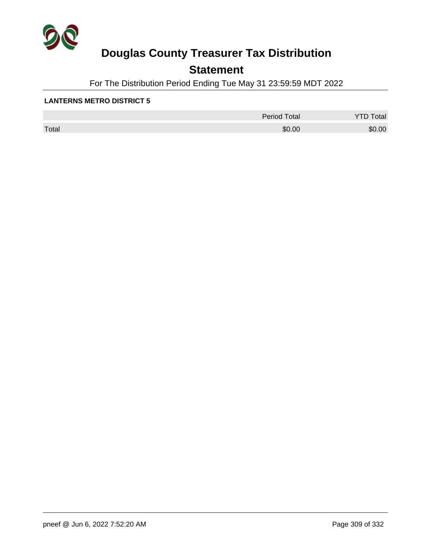

## **Statement**

For The Distribution Period Ending Tue May 31 23:59:59 MDT 2022

#### **LANTERNS METRO DISTRICT 5**

|       | <b>Period Total</b> | otal<br>້ |
|-------|---------------------|-----------|
| Total | \$0.00              | \$0.00    |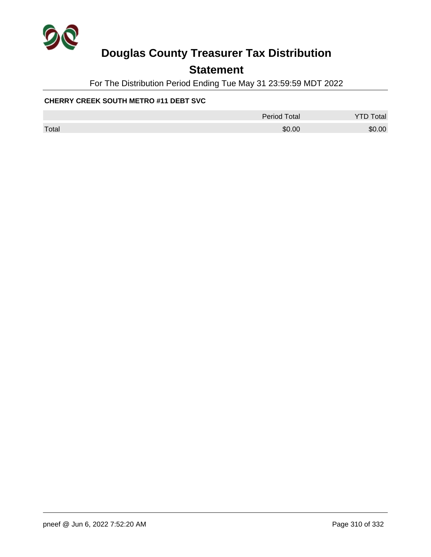

## **Statement**

For The Distribution Period Ending Tue May 31 23:59:59 MDT 2022

### **CHERRY CREEK SOUTH METRO #11 DEBT SVC**

|       | Period Total | <b>YTD Total</b> |
|-------|--------------|------------------|
| Total | \$0.00       | \$0.00           |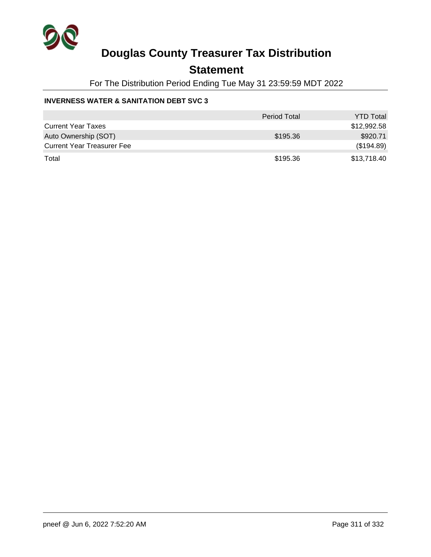

### **Statement**

For The Distribution Period Ending Tue May 31 23:59:59 MDT 2022

### **INVERNESS WATER & SANITATION DEBT SVC 3**

|                                   | <b>Period Total</b> | <b>YTD Total</b> |
|-----------------------------------|---------------------|------------------|
| <b>Current Year Taxes</b>         |                     | \$12,992.58      |
| Auto Ownership (SOT)              | \$195.36            | \$920.71         |
| <b>Current Year Treasurer Fee</b> |                     | (\$194.89)       |
| Total                             | \$195.36            | \$13,718.40      |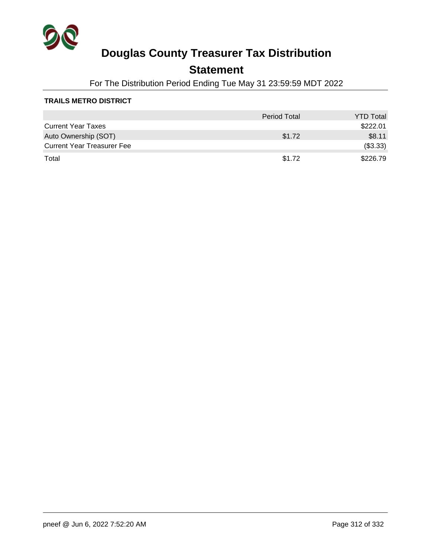

## **Statement**

For The Distribution Period Ending Tue May 31 23:59:59 MDT 2022

### **TRAILS METRO DISTRICT**

|                                   | <b>Period Total</b> | <b>YTD Total</b> |
|-----------------------------------|---------------------|------------------|
| <b>Current Year Taxes</b>         |                     | \$222.01         |
| Auto Ownership (SOT)              | \$1.72              | \$8.11           |
| <b>Current Year Treasurer Fee</b> |                     | (\$3.33)         |
| Total                             | \$1.72              | \$226.79         |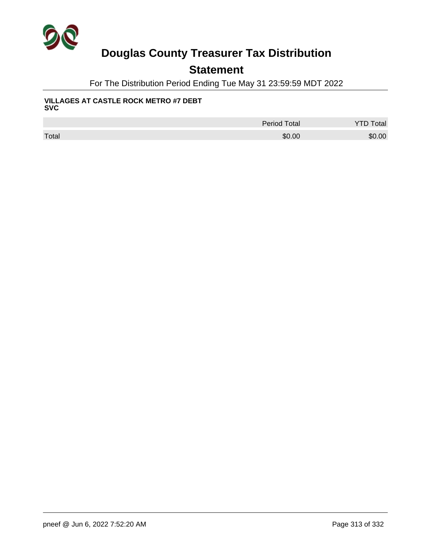

## **Statement**

For The Distribution Period Ending Tue May 31 23:59:59 MDT 2022

#### **VILLAGES AT CASTLE ROCK METRO #7 DEBT SVC**

|       | <b>Period Total</b> | <b>YTD Total</b> |
|-------|---------------------|------------------|
| Total | \$0.00              | \$0.00           |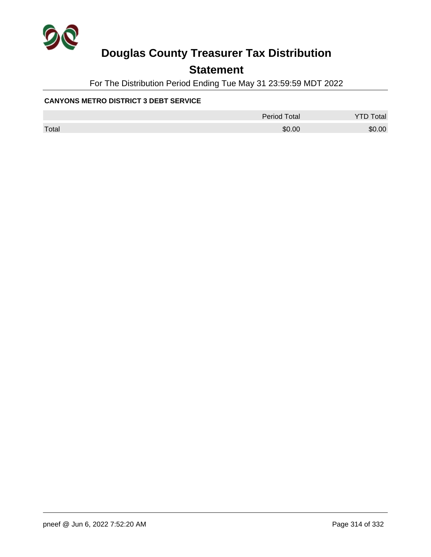

## **Statement**

For The Distribution Period Ending Tue May 31 23:59:59 MDT 2022

### **CANYONS METRO DISTRICT 3 DEBT SERVICE**

|       | Period Total | <b>YTD Total</b> |
|-------|--------------|------------------|
| Total | \$0.00       | \$0.00           |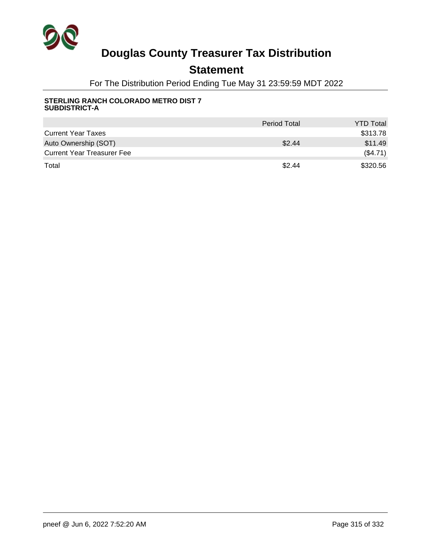

## **Statement**

For The Distribution Period Ending Tue May 31 23:59:59 MDT 2022

#### **STERLING RANCH COLORADO METRO DIST 7 SUBDISTRICT-A**

|                                   | <b>Period Total</b> | <b>YTD Total</b> |
|-----------------------------------|---------------------|------------------|
| <b>Current Year Taxes</b>         |                     | \$313.78         |
| Auto Ownership (SOT)              | \$2.44              | \$11.49          |
| <b>Current Year Treasurer Fee</b> |                     | (\$4.71)         |
| Total                             | \$2.44              | \$320.56         |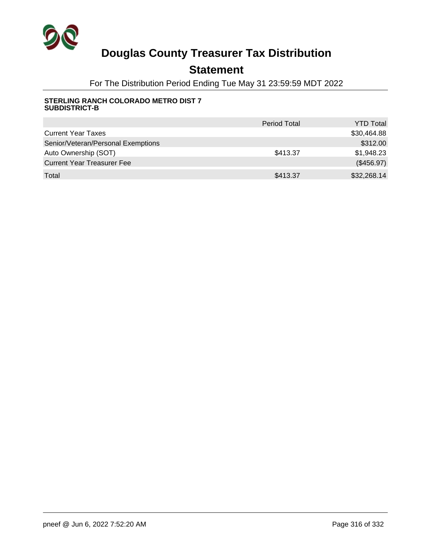

## **Statement**

For The Distribution Period Ending Tue May 31 23:59:59 MDT 2022

#### **STERLING RANCH COLORADO METRO DIST 7 SUBDISTRICT-B**

|                                    | <b>Period Total</b> | <b>YTD Total</b> |
|------------------------------------|---------------------|------------------|
| <b>Current Year Taxes</b>          |                     | \$30,464.88      |
| Senior/Veteran/Personal Exemptions |                     | \$312.00         |
| Auto Ownership (SOT)               | \$413.37            | \$1,948.23       |
| <b>Current Year Treasurer Fee</b>  |                     | (\$456.97)       |
| Total                              | \$413.37            | \$32,268.14      |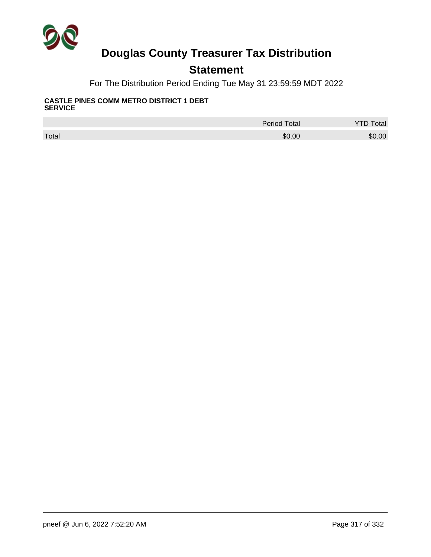

## **Statement**

For The Distribution Period Ending Tue May 31 23:59:59 MDT 2022

#### **CASTLE PINES COMM METRO DISTRICT 1 DEBT SERVICE**

|       | <b>Period Total</b> | otal   |
|-------|---------------------|--------|
| Total | \$0.00              | \$0.00 |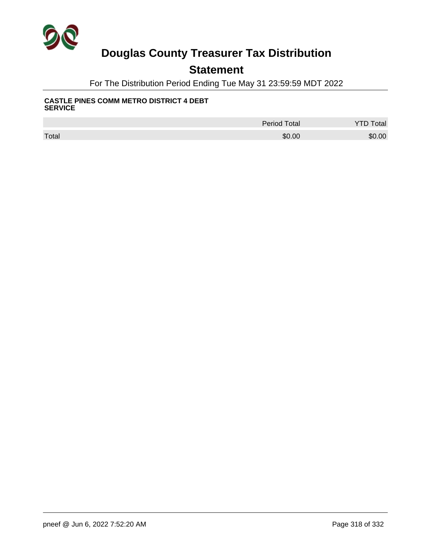

## **Statement**

For The Distribution Period Ending Tue May 31 23:59:59 MDT 2022

#### **CASTLE PINES COMM METRO DISTRICT 4 DEBT SERVICE**

|       | <b>Period Total</b> | Total<br>TD |
|-------|---------------------|-------------|
| Total | \$0.00              | \$0.00      |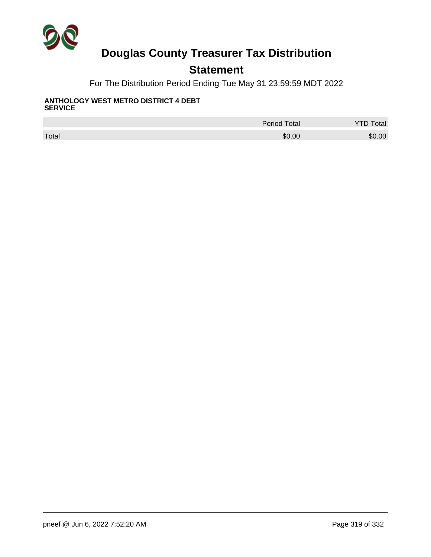

## **Statement**

For The Distribution Period Ending Tue May 31 23:59:59 MDT 2022

#### **ANTHOLOGY WEST METRO DISTRICT 4 DEBT SERVICE**

|       | <b>Period Total</b> | Total  |
|-------|---------------------|--------|
| Total | \$0.00              | \$0.00 |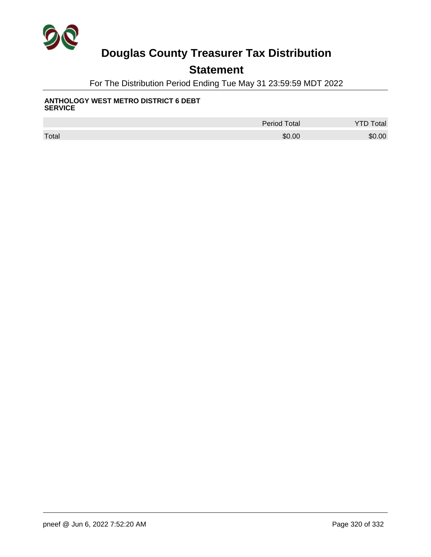

## **Statement**

For The Distribution Period Ending Tue May 31 23:59:59 MDT 2022

#### **ANTHOLOGY WEST METRO DISTRICT 6 DEBT SERVICE**

|       | <b>Period Total</b> | Total  |
|-------|---------------------|--------|
| Total | \$0.00              | \$0.00 |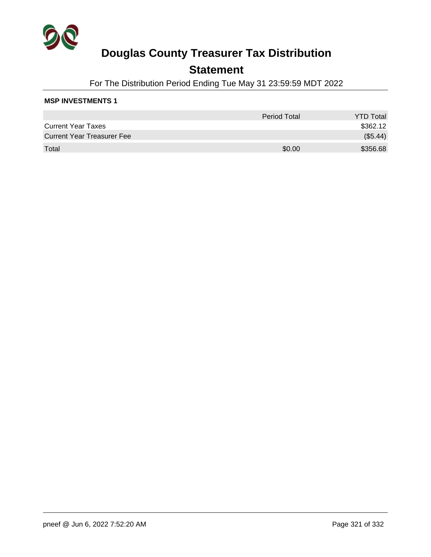

## **Statement**

For The Distribution Period Ending Tue May 31 23:59:59 MDT 2022

### **MSP INVESTMENTS 1**

|                                   | Period Total | <b>YTD Total</b> |
|-----------------------------------|--------------|------------------|
| <b>Current Year Taxes</b>         |              | \$362.12         |
| <b>Current Year Treasurer Fee</b> |              | (\$5.44)         |
| Total                             | \$0.00       | \$356.68         |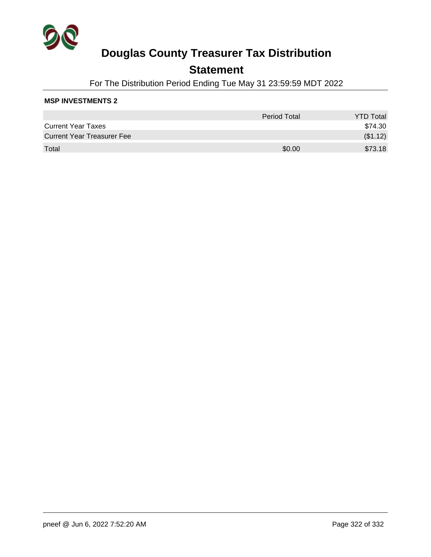

## **Statement**

For The Distribution Period Ending Tue May 31 23:59:59 MDT 2022

### **MSP INVESTMENTS 2**

|                                   | <b>Period Total</b> | <b>YTD Total</b> |
|-----------------------------------|---------------------|------------------|
| <b>Current Year Taxes</b>         |                     | \$74.30          |
| <b>Current Year Treasurer Fee</b> |                     | (\$1.12)         |
| Total                             | \$0.00              | \$73.18          |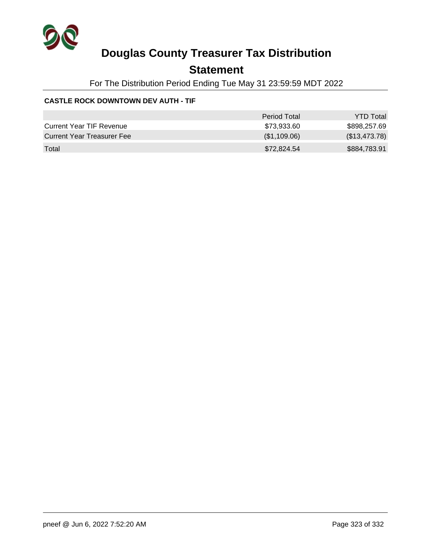

## **Statement**

For The Distribution Period Ending Tue May 31 23:59:59 MDT 2022

### **CASTLE ROCK DOWNTOWN DEV AUTH - TIF**

|                                 | Period Total | <b>YTD Total</b> |
|---------------------------------|--------------|------------------|
| <b>Current Year TIF Revenue</b> | \$73.933.60  | \$898,257.69     |
| Current Year Treasurer Fee      | (\$1,109.06) | (\$13,473.78)    |
| Total                           | \$72,824.54  | \$884,783.91     |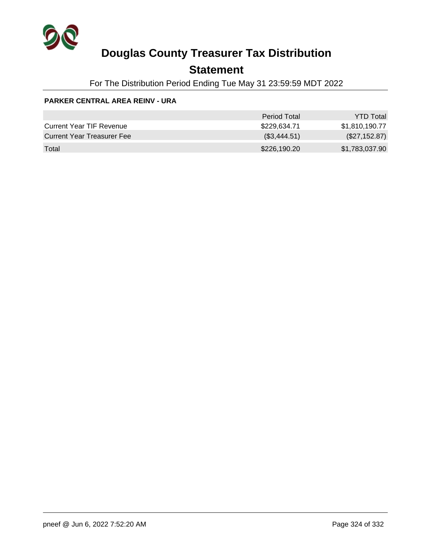

## **Statement**

For The Distribution Period Ending Tue May 31 23:59:59 MDT 2022

### **PARKER CENTRAL AREA REINV - URA**

|                                 | Period Total | <b>YTD Total</b> |
|---------------------------------|--------------|------------------|
| <b>Current Year TIF Revenue</b> | \$229.634.71 | \$1,810,190.77   |
| Current Year Treasurer Fee      | (\$3,444.51) | (\$27,152.87)    |
| Total                           | \$226,190.20 | \$1,783,037.90   |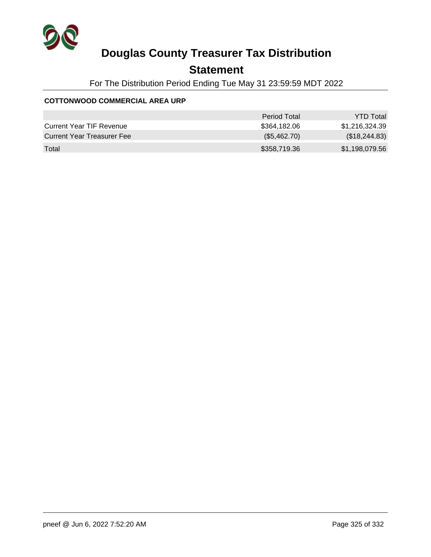

## **Statement**

For The Distribution Period Ending Tue May 31 23:59:59 MDT 2022

#### **COTTONWOOD COMMERCIAL AREA URP**

|                                 | Period Total | <b>YTD Total</b> |
|---------------------------------|--------------|------------------|
| <b>Current Year TIF Revenue</b> | \$364.182.06 | \$1.216.324.39   |
| Current Year Treasurer Fee      | (\$5,462.70) | (\$18,244.83)    |
| Total                           | \$358,719.36 | \$1,198,079.56   |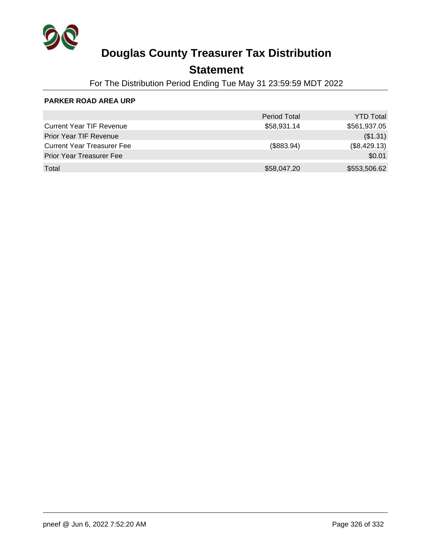

## **Statement**

For The Distribution Period Ending Tue May 31 23:59:59 MDT 2022

#### **PARKER ROAD AREA URP**

|                                   | <b>Period Total</b> | <b>YTD Total</b> |
|-----------------------------------|---------------------|------------------|
| <b>Current Year TIF Revenue</b>   | \$58,931.14         | \$561,937.05     |
| Prior Year TIF Revenue            |                     | (\$1.31)         |
| <b>Current Year Treasurer Fee</b> | (\$883.94)          | (\$8,429.13)     |
| <b>Prior Year Treasurer Fee</b>   |                     | \$0.01           |
| Total                             | \$58,047.20         | \$553,506.62     |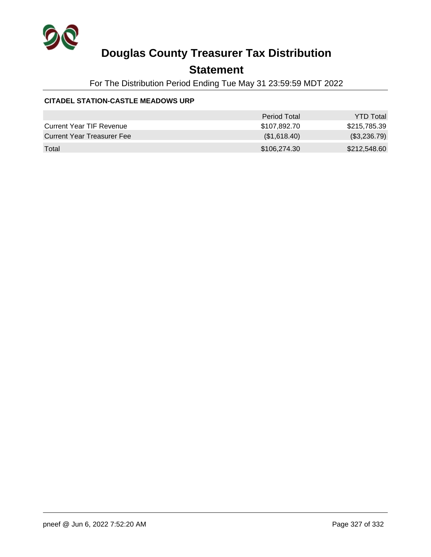

## **Statement**

For The Distribution Period Ending Tue May 31 23:59:59 MDT 2022

#### **CITADEL STATION-CASTLE MEADOWS URP**

|                                 | Period Total | <b>YTD Total</b> |
|---------------------------------|--------------|------------------|
| <b>Current Year TIF Revenue</b> | \$107.892.70 | \$215,785,39     |
| Current Year Treasurer Fee      | (\$1,618.40) | (\$3,236.79)     |
| Total                           | \$106,274.30 | \$212,548.60     |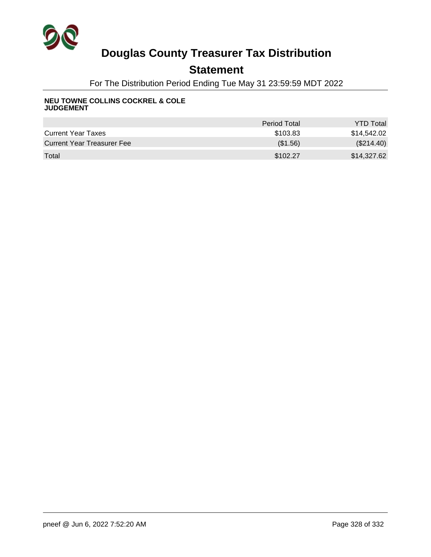

## **Statement**

For The Distribution Period Ending Tue May 31 23:59:59 MDT 2022

#### **NEU TOWNE COLLINS COCKREL & COLE JUDGEMENT**

|                                   | <b>Period Total</b> | <b>YTD Total</b> |
|-----------------------------------|---------------------|------------------|
| <b>Current Year Taxes</b>         | \$103.83            | \$14,542.02      |
| <b>Current Year Treasurer Fee</b> | (\$1.56)            | (\$214.40)       |
| Total                             | \$102.27            | \$14,327.62      |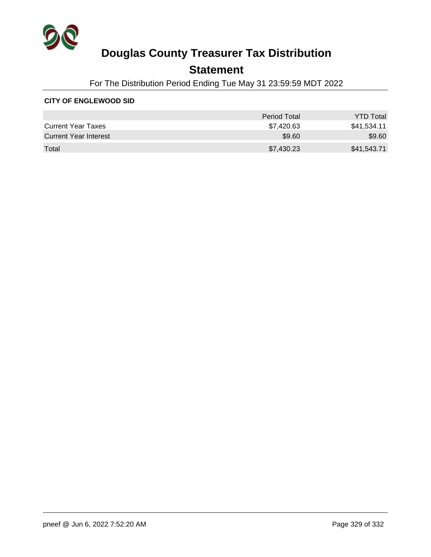

## **Statement**

For The Distribution Period Ending Tue May 31 23:59:59 MDT 2022

#### **CITY OF ENGLEWOOD SID**

|                           | Period Total | <b>YTD Total</b> |
|---------------------------|--------------|------------------|
| <b>Current Year Taxes</b> | \$7,420.63   | \$41,534.11      |
| Current Year Interest     | \$9.60       | \$9.60           |
| Total                     | \$7,430.23   | \$41,543.71      |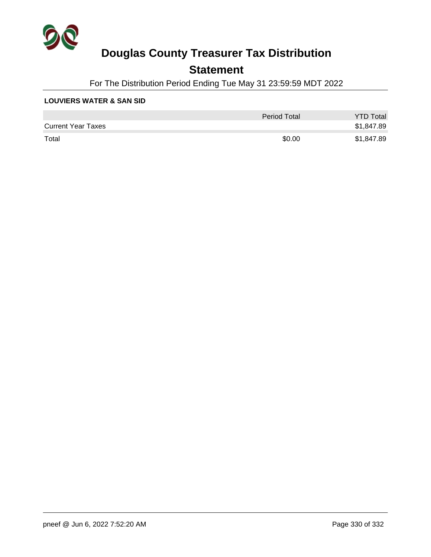

### **Statement**

For The Distribution Period Ending Tue May 31 23:59:59 MDT 2022

#### **LOUVIERS WATER & SAN SID**

|                           | Period Total | <b>YTD Total</b> |
|---------------------------|--------------|------------------|
| <b>Current Year Taxes</b> |              | \$1,847.89       |
| Total                     | \$0.00       | \$1,847.89       |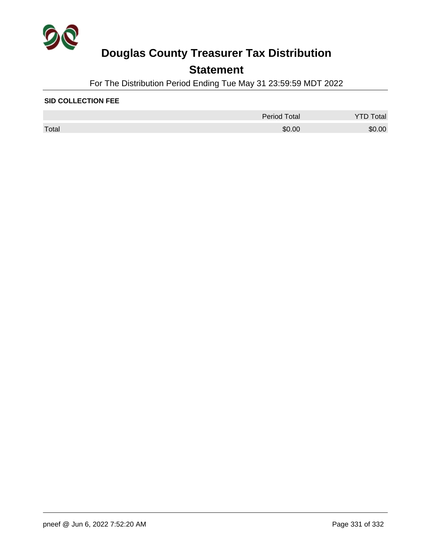

## **Statement**

For The Distribution Period Ending Tue May 31 23:59:59 MDT 2022

#### **SID COLLECTION FEE**

|       | Period Total | Total  |
|-------|--------------|--------|
| Total | \$0.00       | \$0.00 |